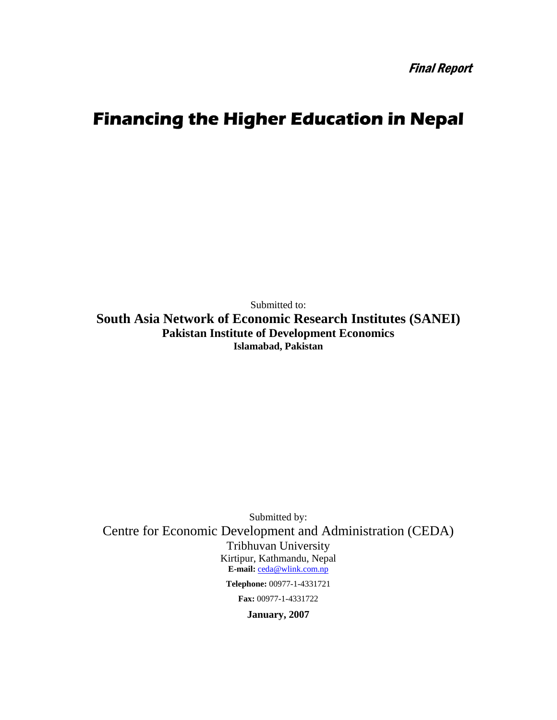Final Report

# **Financing the Higher Education in Nepal**

Submitted to: **South Asia Network of Economic Research Institutes (SANEI) Pakistan Institute of Development Economics Islamabad, Pakistan** 

Submitted by: Centre for Economic Development and Administration (CEDA) Tribhuvan University Kirtipur, Kathmandu, Nepal **E-mail:** ceda@wlink.com.np **Telephone:** 00977-1-4331721

**Fax:** 00977-1-4331722

**January, 2007**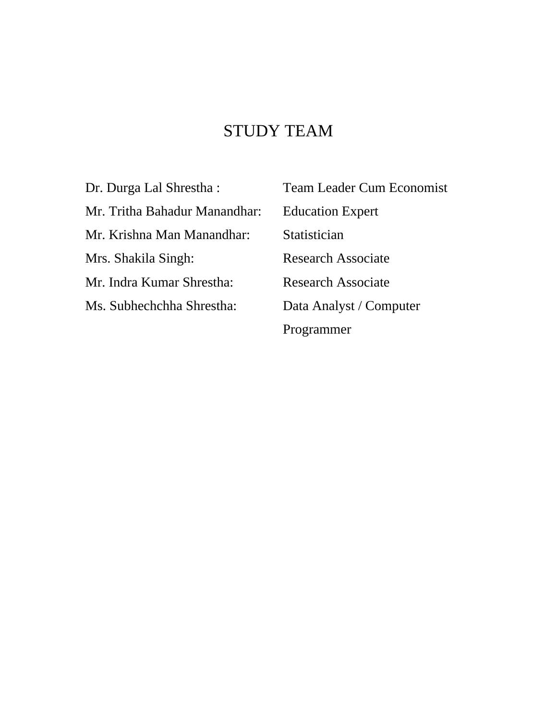# STUDY TEAM

Mr. Tritha Bahadur Manandhar: Education Expert Mr. Krishna Man Manandhar: Statistician Mrs. Shakila Singh: Research Associate Mr. Indra Kumar Shrestha: Research Associate Ms. Subhechchha Shrestha: Data Analyst / Computer

Dr. Durga Lal Shrestha : Team Leader Cum Economist Programmer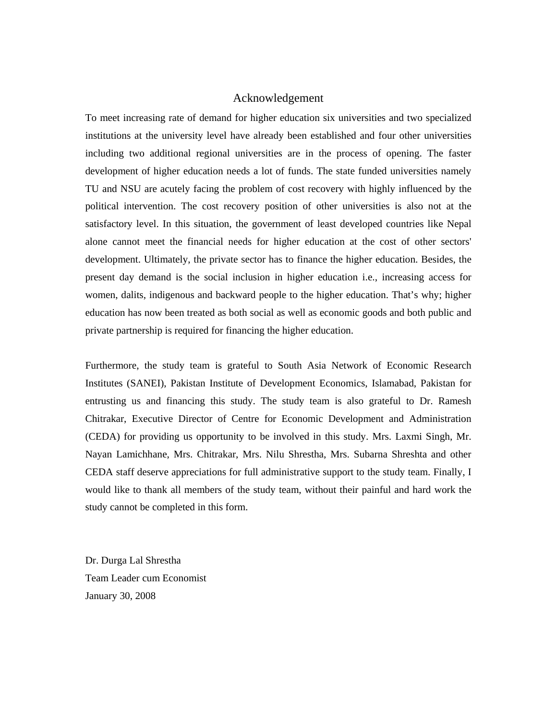## Acknowledgement

To meet increasing rate of demand for higher education six universities and two specialized institutions at the university level have already been established and four other universities including two additional regional universities are in the process of opening. The faster development of higher education needs a lot of funds. The state funded universities namely TU and NSU are acutely facing the problem of cost recovery with highly influenced by the political intervention. The cost recovery position of other universities is also not at the satisfactory level. In this situation, the government of least developed countries like Nepal alone cannot meet the financial needs for higher education at the cost of other sectors' development. Ultimately, the private sector has to finance the higher education. Besides, the present day demand is the social inclusion in higher education i.e., increasing access for women, dalits, indigenous and backward people to the higher education. That's why; higher education has now been treated as both social as well as economic goods and both public and private partnership is required for financing the higher education.

Furthermore, the study team is grateful to South Asia Network of Economic Research Institutes (SANEI), Pakistan Institute of Development Economics, Islamabad, Pakistan for entrusting us and financing this study. The study team is also grateful to Dr. Ramesh Chitrakar, Executive Director of Centre for Economic Development and Administration (CEDA) for providing us opportunity to be involved in this study. Mrs. Laxmi Singh, Mr. Nayan Lamichhane, Mrs. Chitrakar, Mrs. Nilu Shrestha, Mrs. Subarna Shreshta and other CEDA staff deserve appreciations for full administrative support to the study team. Finally, I would like to thank all members of the study team, without their painful and hard work the study cannot be completed in this form.

Dr. Durga Lal Shrestha Team Leader cum Economist January 30, 2008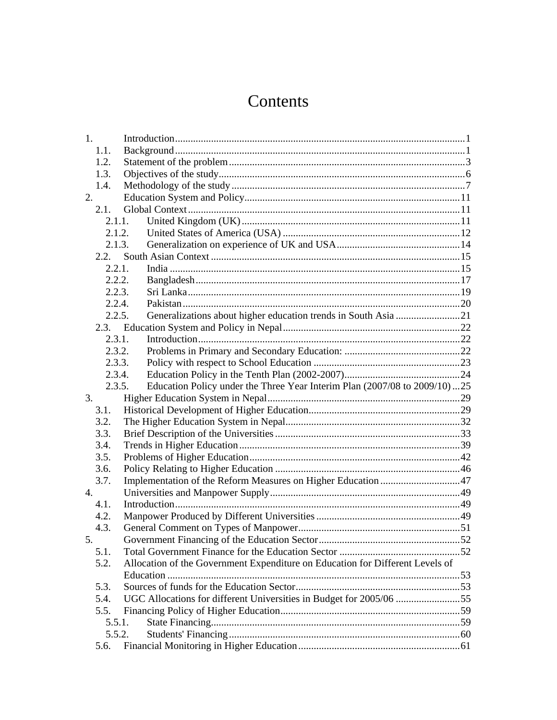# Contents

| 1.               |        |                                                                               |  |
|------------------|--------|-------------------------------------------------------------------------------|--|
|                  | 1.1.   |                                                                               |  |
|                  | 1.2.   |                                                                               |  |
|                  | 1.3.   |                                                                               |  |
|                  | 1.4.   |                                                                               |  |
| 2.               |        |                                                                               |  |
|                  | 2.1.   |                                                                               |  |
|                  |        | 2.1.1.                                                                        |  |
|                  | 2.1.2. |                                                                               |  |
|                  |        | 2.1.3.                                                                        |  |
|                  | 2.2.   |                                                                               |  |
|                  | 2.2.1. |                                                                               |  |
|                  | 2.2.2. |                                                                               |  |
|                  | 2.2.3. |                                                                               |  |
|                  | 2.2.4. |                                                                               |  |
|                  | 2.2.5. | Generalizations about higher education trends in South Asia 21                |  |
|                  |        |                                                                               |  |
|                  | 2.3.1. |                                                                               |  |
|                  | 2.3.2. |                                                                               |  |
|                  | 2.3.3. |                                                                               |  |
|                  | 2.3.4. |                                                                               |  |
|                  | 2.3.5. | Education Policy under the Three Year Interim Plan (2007/08 to 2009/10)25     |  |
| 3.               |        |                                                                               |  |
|                  | 3.1.   |                                                                               |  |
|                  | 3.2.   |                                                                               |  |
|                  | 3.3.   |                                                                               |  |
|                  | 3.4.   |                                                                               |  |
|                  | 3.5.   |                                                                               |  |
|                  | 3.6.   |                                                                               |  |
|                  | 3.7.   | Implementation of the Reform Measures on Higher Education 47                  |  |
| $\overline{4}$ . |        |                                                                               |  |
|                  | 4.1.   |                                                                               |  |
|                  | 4.2.   |                                                                               |  |
|                  | 4.3.   |                                                                               |  |
| 5.               |        |                                                                               |  |
|                  | 5.1.   |                                                                               |  |
|                  | 5.2.   | Allocation of the Government Expenditure on Education for Different Levels of |  |
|                  |        |                                                                               |  |
|                  | 5.3.   |                                                                               |  |
|                  | 5.4.   | UGC Allocations for different Universities in Budget for 2005/06 55           |  |
|                  | 5.5.   |                                                                               |  |
|                  | 5.5.1. |                                                                               |  |
|                  | 5.5.2. |                                                                               |  |
|                  | 5.6.   |                                                                               |  |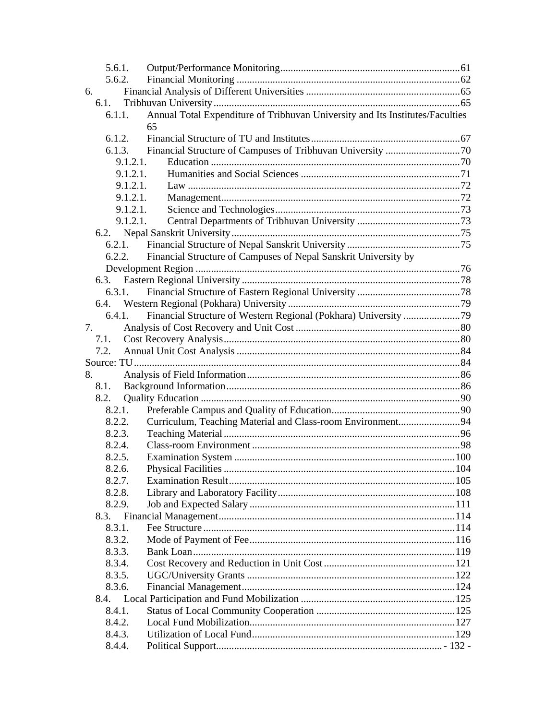| 5.6.1.   |                                                                               |  |
|----------|-------------------------------------------------------------------------------|--|
| 5.6.2.   |                                                                               |  |
| 6.       |                                                                               |  |
| 6.1.     |                                                                               |  |
| 6.1.1.   | Annual Total Expenditure of Tribhuvan University and Its Institutes/Faculties |  |
|          | 65                                                                            |  |
| 6.1.2.   |                                                                               |  |
| 6.1.3.   |                                                                               |  |
| 9.1.2.1. |                                                                               |  |
| 9.1.2.1. |                                                                               |  |
| 9.1.2.1. |                                                                               |  |
| 9.1.2.1. |                                                                               |  |
| 9.1.2.1. |                                                                               |  |
| 9.1.2.1. |                                                                               |  |
| 6.2.     |                                                                               |  |
| 6.2.1.   |                                                                               |  |
| 6.2.2.   | Financial Structure of Campuses of Nepal Sanskrit University by               |  |
|          |                                                                               |  |
|          |                                                                               |  |
| 6.3.1.   |                                                                               |  |
|          |                                                                               |  |
| 6.4.1.   |                                                                               |  |
| 7.       |                                                                               |  |
| 7.1.     |                                                                               |  |
| 7.2.     |                                                                               |  |
|          |                                                                               |  |
| 8.       |                                                                               |  |
| 8.1.     |                                                                               |  |
| 8.2.     |                                                                               |  |
| 8.2.1.   |                                                                               |  |
| 8.2.2.   | Curriculum, Teaching Material and Class-room Environment94                    |  |
| 8.2.3.   |                                                                               |  |
| 8.2.4.   |                                                                               |  |
| 8.2.5.   |                                                                               |  |
| 8.2.6.   |                                                                               |  |
| 8.2.7.   |                                                                               |  |
| 8.2.8.   |                                                                               |  |
| 8.2.9.   |                                                                               |  |
| 8.3.     |                                                                               |  |
| 8.3.1.   |                                                                               |  |
| 8.3.2.   |                                                                               |  |
| 8.3.3.   |                                                                               |  |
| 8.3.4.   |                                                                               |  |
| 8.3.5.   |                                                                               |  |
| 8.3.6.   |                                                                               |  |
| 8.4.     |                                                                               |  |
| 8.4.1.   |                                                                               |  |
| 8.4.2.   |                                                                               |  |
| 8.4.3.   |                                                                               |  |
| 8.4.4.   |                                                                               |  |
|          |                                                                               |  |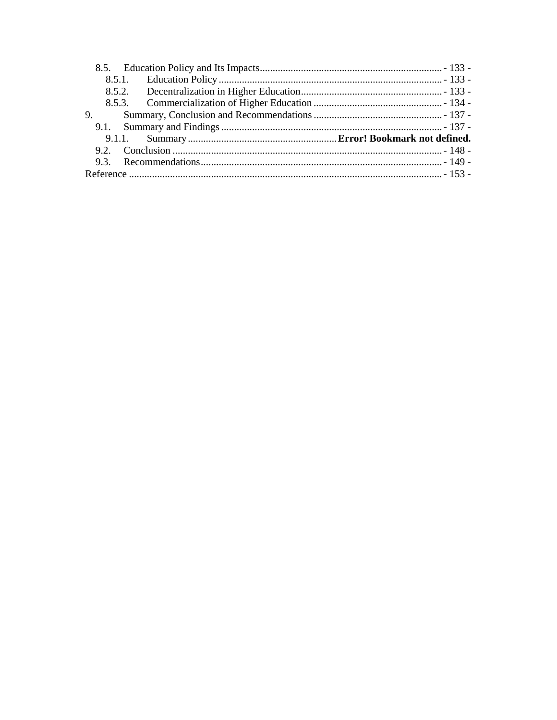| 9. |  |
|----|--|
|    |  |
|    |  |
|    |  |
|    |  |
|    |  |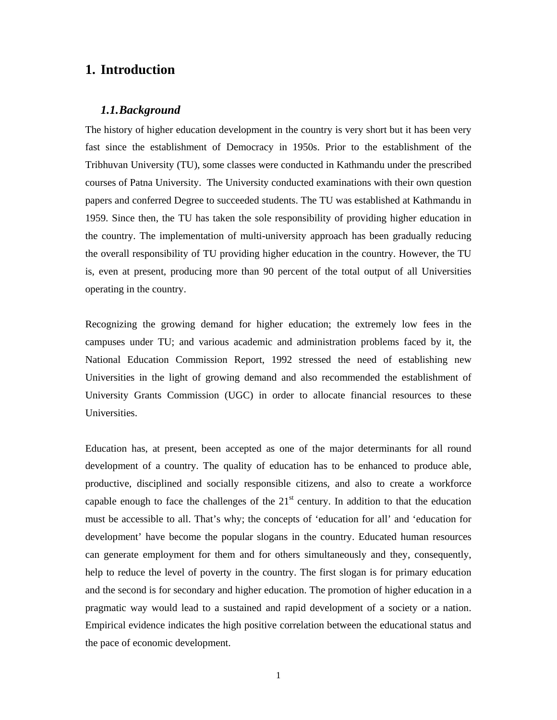# **1. Introduction**

## *1.1.Background*

The history of higher education development in the country is very short but it has been very fast since the establishment of Democracy in 1950s. Prior to the establishment of the Tribhuvan University (TU), some classes were conducted in Kathmandu under the prescribed courses of Patna University. The University conducted examinations with their own question papers and conferred Degree to succeeded students. The TU was established at Kathmandu in 1959. Since then, the TU has taken the sole responsibility of providing higher education in the country. The implementation of multi-university approach has been gradually reducing the overall responsibility of TU providing higher education in the country. However, the TU is, even at present, producing more than 90 percent of the total output of all Universities operating in the country.

Recognizing the growing demand for higher education; the extremely low fees in the campuses under TU; and various academic and administration problems faced by it, the National Education Commission Report, 1992 stressed the need of establishing new Universities in the light of growing demand and also recommended the establishment of University Grants Commission (UGC) in order to allocate financial resources to these Universities.

Education has, at present, been accepted as one of the major determinants for all round development of a country. The quality of education has to be enhanced to produce able, productive, disciplined and socially responsible citizens, and also to create a workforce capable enough to face the challenges of the  $21<sup>st</sup>$  century. In addition to that the education must be accessible to all. That's why; the concepts of 'education for all' and 'education for development' have become the popular slogans in the country. Educated human resources can generate employment for them and for others simultaneously and they, consequently, help to reduce the level of poverty in the country. The first slogan is for primary education and the second is for secondary and higher education. The promotion of higher education in a pragmatic way would lead to a sustained and rapid development of a society or a nation. Empirical evidence indicates the high positive correlation between the educational status and the pace of economic development.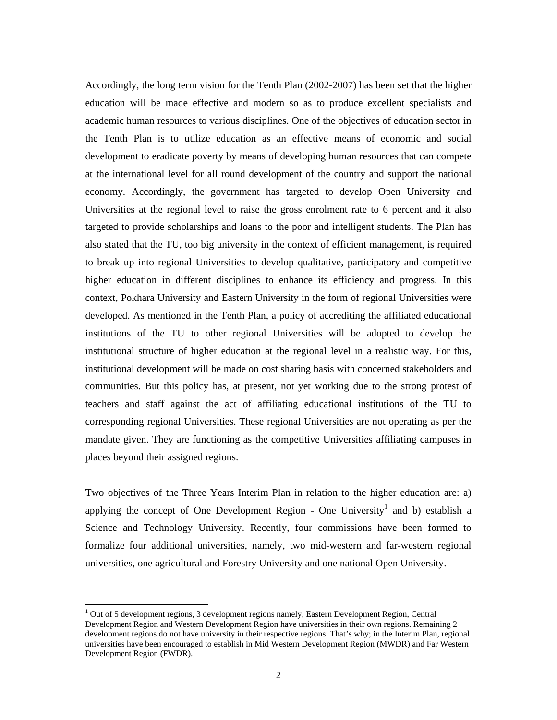Accordingly, the long term vision for the Tenth Plan (2002-2007) has been set that the higher education will be made effective and modern so as to produce excellent specialists and academic human resources to various disciplines. One of the objectives of education sector in the Tenth Plan is to utilize education as an effective means of economic and social development to eradicate poverty by means of developing human resources that can compete at the international level for all round development of the country and support the national economy. Accordingly, the government has targeted to develop Open University and Universities at the regional level to raise the gross enrolment rate to 6 percent and it also targeted to provide scholarships and loans to the poor and intelligent students. The Plan has also stated that the TU, too big university in the context of efficient management, is required to break up into regional Universities to develop qualitative, participatory and competitive higher education in different disciplines to enhance its efficiency and progress. In this context, Pokhara University and Eastern University in the form of regional Universities were developed. As mentioned in the Tenth Plan, a policy of accrediting the affiliated educational institutions of the TU to other regional Universities will be adopted to develop the institutional structure of higher education at the regional level in a realistic way. For this, institutional development will be made on cost sharing basis with concerned stakeholders and communities. But this policy has, at present, not yet working due to the strong protest of teachers and staff against the act of affiliating educational institutions of the TU to corresponding regional Universities. These regional Universities are not operating as per the mandate given. They are functioning as the competitive Universities affiliating campuses in places beyond their assigned regions.

Two objectives of the Three Years Interim Plan in relation to the higher education are: a) applying the concept of One Development Region - One University<sup>1</sup> and b) establish a Science and Technology University. Recently, four commissions have been formed to formalize four additional universities, namely, two mid-western and far-western regional universities, one agricultural and Forestry University and one national Open University.

-

<sup>&</sup>lt;sup>1</sup> Out of 5 development regions, 3 development regions namely, Eastern Development Region, Central Development Region and Western Development Region have universities in their own regions. Remaining 2 development regions do not have university in their respective regions. That's why; in the Interim Plan, regional universities have been encouraged to establish in Mid Western Development Region (MWDR) and Far Western Development Region (FWDR).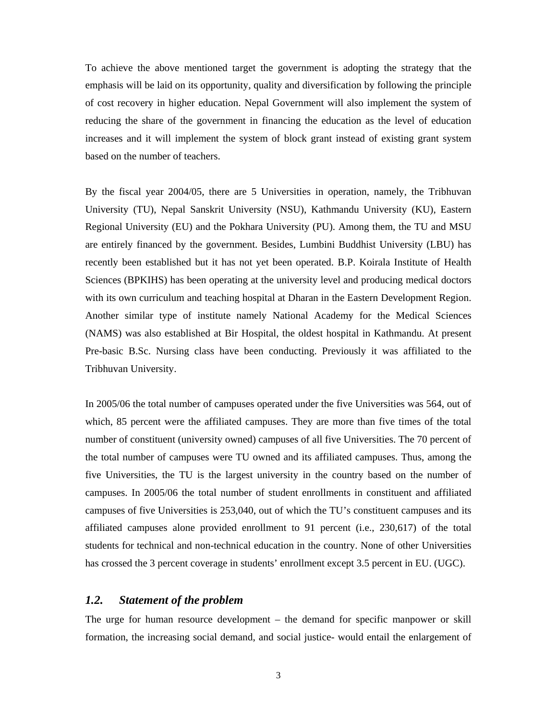To achieve the above mentioned target the government is adopting the strategy that the emphasis will be laid on its opportunity, quality and diversification by following the principle of cost recovery in higher education. Nepal Government will also implement the system of reducing the share of the government in financing the education as the level of education increases and it will implement the system of block grant instead of existing grant system based on the number of teachers.

By the fiscal year 2004/05, there are 5 Universities in operation, namely, the Tribhuvan University (TU), Nepal Sanskrit University (NSU), Kathmandu University (KU), Eastern Regional University (EU) and the Pokhara University (PU). Among them, the TU and MSU are entirely financed by the government. Besides, Lumbini Buddhist University (LBU) has recently been established but it has not yet been operated. B.P. Koirala Institute of Health Sciences (BPKIHS) has been operating at the university level and producing medical doctors with its own curriculum and teaching hospital at Dharan in the Eastern Development Region. Another similar type of institute namely National Academy for the Medical Sciences (NAMS) was also established at Bir Hospital, the oldest hospital in Kathmandu. At present Pre-basic B.Sc. Nursing class have been conducting. Previously it was affiliated to the Tribhuvan University.

In 2005/06 the total number of campuses operated under the five Universities was 564, out of which, 85 percent were the affiliated campuses. They are more than five times of the total number of constituent (university owned) campuses of all five Universities. The 70 percent of the total number of campuses were TU owned and its affiliated campuses. Thus, among the five Universities, the TU is the largest university in the country based on the number of campuses. In 2005/06 the total number of student enrollments in constituent and affiliated campuses of five Universities is 253,040, out of which the TU's constituent campuses and its affiliated campuses alone provided enrollment to 91 percent (i.e., 230,617) of the total students for technical and non-technical education in the country. None of other Universities has crossed the 3 percent coverage in students' enrollment except 3.5 percent in EU. (UGC).

# *1.2. Statement of the problem*

The urge for human resource development – the demand for specific manpower or skill formation, the increasing social demand, and social justice- would entail the enlargement of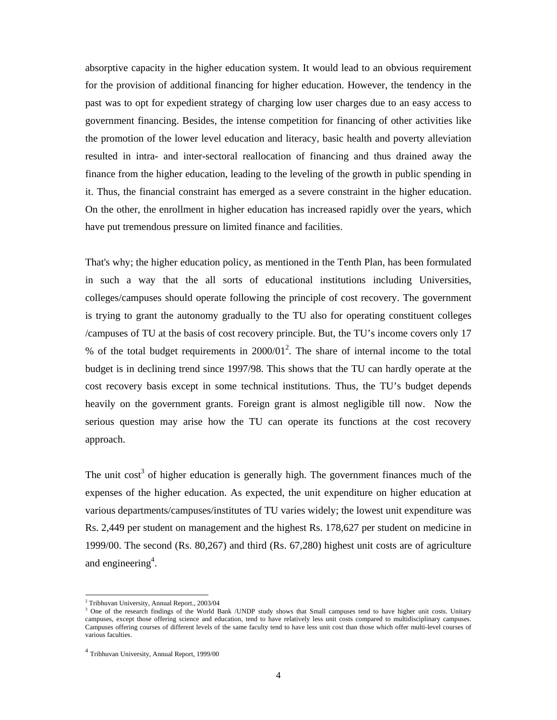absorptive capacity in the higher education system. It would lead to an obvious requirement for the provision of additional financing for higher education. However, the tendency in the past was to opt for expedient strategy of charging low user charges due to an easy access to government financing. Besides, the intense competition for financing of other activities like the promotion of the lower level education and literacy, basic health and poverty alleviation resulted in intra- and inter-sectoral reallocation of financing and thus drained away the finance from the higher education, leading to the leveling of the growth in public spending in it. Thus, the financial constraint has emerged as a severe constraint in the higher education. On the other, the enrollment in higher education has increased rapidly over the years, which have put tremendous pressure on limited finance and facilities.

That's why; the higher education policy, as mentioned in the Tenth Plan, has been formulated in such a way that the all sorts of educational institutions including Universities, colleges/campuses should operate following the principle of cost recovery. The government is trying to grant the autonomy gradually to the TU also for operating constituent colleges /campuses of TU at the basis of cost recovery principle. But, the TU's income covers only 17 % of the total budget requirements in  $2000/01^2$ . The share of internal income to the total budget is in declining trend since 1997/98. This shows that the TU can hardly operate at the cost recovery basis except in some technical institutions. Thus, the TU's budget depends heavily on the government grants. Foreign grant is almost negligible till now. Now the serious question may arise how the TU can operate its functions at the cost recovery approach.

The unit cost<sup>3</sup> of higher education is generally high. The government finances much of the expenses of the higher education. As expected, the unit expenditure on higher education at various departments/campuses/institutes of TU varies widely; the lowest unit expenditure was Rs. 2,449 per student on management and the highest Rs. 178,627 per student on medicine in 1999/00. The second (Rs. 80,267) and third (Rs. 67,280) highest unit costs are of agriculture and engineering<sup>4</sup>.

-

<sup>2</sup> Tribhuvan University, Annual Report., 2003/04

<sup>&</sup>lt;sup>3</sup> One of the research findings of the World Bank /UNDP study shows that Small campuses tend to have higher unit costs. Unitary campuses, except those offering science and education, tend to have relatively less unit costs compared to multidisciplinary campuses. Campuses offering courses of different levels of the same faculty tend to have less unit cost than those which offer multi-level courses of various faculties.

<sup>4</sup> Tribhuvan University, Annual Report, 1999/00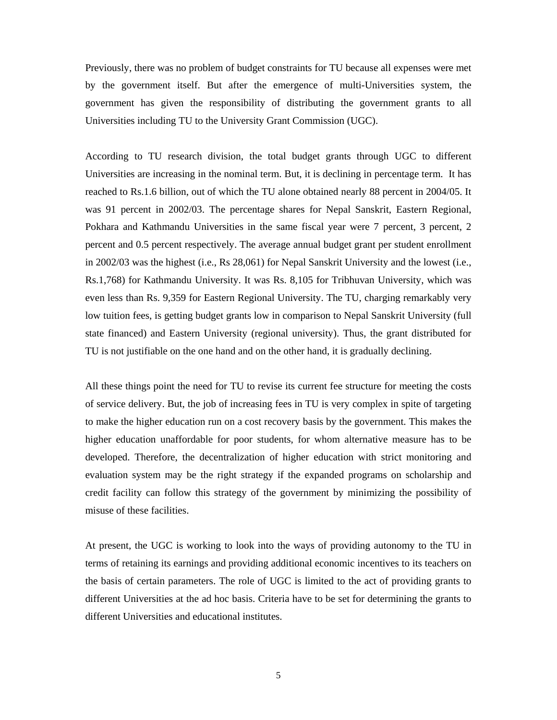Previously, there was no problem of budget constraints for TU because all expenses were met by the government itself. But after the emergence of multi-Universities system, the government has given the responsibility of distributing the government grants to all Universities including TU to the University Grant Commission (UGC).

According to TU research division, the total budget grants through UGC to different Universities are increasing in the nominal term. But, it is declining in percentage term. It has reached to Rs.1.6 billion, out of which the TU alone obtained nearly 88 percent in 2004/05. It was 91 percent in 2002/03. The percentage shares for Nepal Sanskrit, Eastern Regional, Pokhara and Kathmandu Universities in the same fiscal year were 7 percent, 3 percent, 2 percent and 0.5 percent respectively. The average annual budget grant per student enrollment in 2002/03 was the highest (i.e., Rs 28,061) for Nepal Sanskrit University and the lowest (i.e., Rs.1,768) for Kathmandu University. It was Rs. 8,105 for Tribhuvan University, which was even less than Rs. 9,359 for Eastern Regional University. The TU, charging remarkably very low tuition fees, is getting budget grants low in comparison to Nepal Sanskrit University (full state financed) and Eastern University (regional university). Thus, the grant distributed for TU is not justifiable on the one hand and on the other hand, it is gradually declining.

All these things point the need for TU to revise its current fee structure for meeting the costs of service delivery. But, the job of increasing fees in TU is very complex in spite of targeting to make the higher education run on a cost recovery basis by the government. This makes the higher education unaffordable for poor students, for whom alternative measure has to be developed. Therefore, the decentralization of higher education with strict monitoring and evaluation system may be the right strategy if the expanded programs on scholarship and credit facility can follow this strategy of the government by minimizing the possibility of misuse of these facilities.

At present, the UGC is working to look into the ways of providing autonomy to the TU in terms of retaining its earnings and providing additional economic incentives to its teachers on the basis of certain parameters. The role of UGC is limited to the act of providing grants to different Universities at the ad hoc basis. Criteria have to be set for determining the grants to different Universities and educational institutes.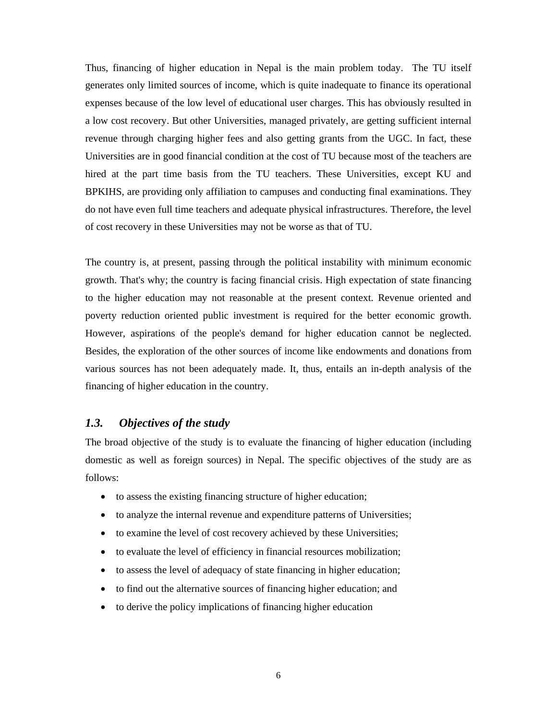Thus, financing of higher education in Nepal is the main problem today. The TU itself generates only limited sources of income, which is quite inadequate to finance its operational expenses because of the low level of educational user charges. This has obviously resulted in a low cost recovery. But other Universities, managed privately, are getting sufficient internal revenue through charging higher fees and also getting grants from the UGC. In fact, these Universities are in good financial condition at the cost of TU because most of the teachers are hired at the part time basis from the TU teachers. These Universities, except KU and BPKIHS, are providing only affiliation to campuses and conducting final examinations. They do not have even full time teachers and adequate physical infrastructures. Therefore, the level of cost recovery in these Universities may not be worse as that of TU.

The country is, at present, passing through the political instability with minimum economic growth. That's why; the country is facing financial crisis. High expectation of state financing to the higher education may not reasonable at the present context. Revenue oriented and poverty reduction oriented public investment is required for the better economic growth. However, aspirations of the people's demand for higher education cannot be neglected. Besides, the exploration of the other sources of income like endowments and donations from various sources has not been adequately made. It, thus, entails an in-depth analysis of the financing of higher education in the country.

## *1.3. Objectives of the study*

The broad objective of the study is to evaluate the financing of higher education (including domestic as well as foreign sources) in Nepal. The specific objectives of the study are as follows:

- to assess the existing financing structure of higher education;
- to analyze the internal revenue and expenditure patterns of Universities;
- to examine the level of cost recovery achieved by these Universities;
- to evaluate the level of efficiency in financial resources mobilization;
- to assess the level of adequacy of state financing in higher education;
- to find out the alternative sources of financing higher education; and
- to derive the policy implications of financing higher education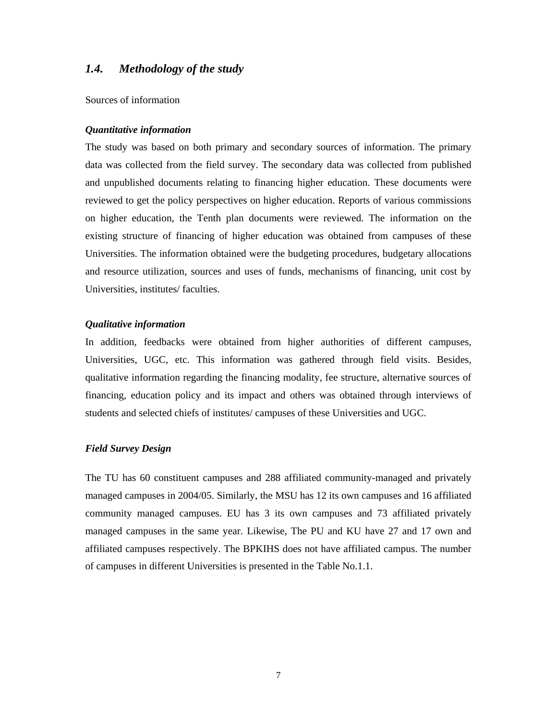## *1.4. Methodology of the study*

Sources of information

#### *Quantitative information*

The study was based on both primary and secondary sources of information. The primary data was collected from the field survey. The secondary data was collected from published and unpublished documents relating to financing higher education. These documents were reviewed to get the policy perspectives on higher education. Reports of various commissions on higher education, the Tenth plan documents were reviewed. The information on the existing structure of financing of higher education was obtained from campuses of these Universities. The information obtained were the budgeting procedures, budgetary allocations and resource utilization, sources and uses of funds, mechanisms of financing, unit cost by Universities, institutes/ faculties.

#### *Qualitative information*

In addition, feedbacks were obtained from higher authorities of different campuses, Universities, UGC, etc. This information was gathered through field visits. Besides, qualitative information regarding the financing modality, fee structure, alternative sources of financing, education policy and its impact and others was obtained through interviews of students and selected chiefs of institutes/ campuses of these Universities and UGC.

#### *Field Survey Design*

The TU has 60 constituent campuses and 288 affiliated community-managed and privately managed campuses in 2004/05. Similarly, the MSU has 12 its own campuses and 16 affiliated community managed campuses. EU has 3 its own campuses and 73 affiliated privately managed campuses in the same year. Likewise, The PU and KU have 27 and 17 own and affiliated campuses respectively. The BPKIHS does not have affiliated campus. The number of campuses in different Universities is presented in the Table No.1.1.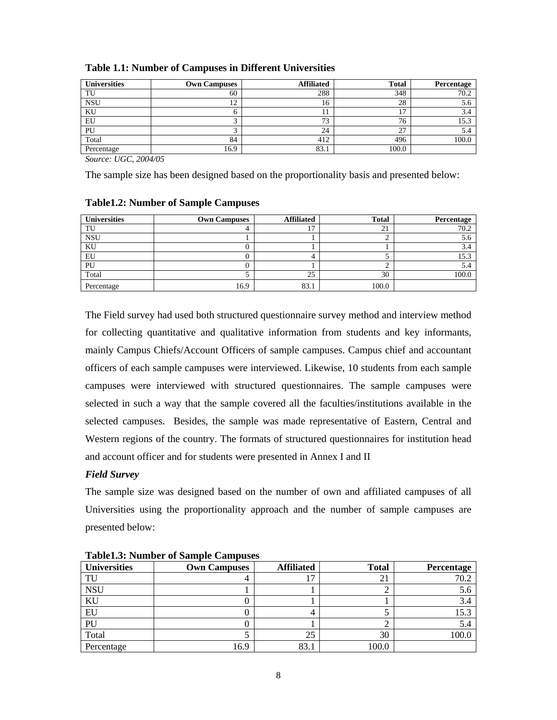| <b>Universities</b> | <b>Own Campuses</b> | <b>Affiliated</b> | <b>Total</b>       | Percentage |
|---------------------|---------------------|-------------------|--------------------|------------|
| TU                  | 60                  | 288               | 348                | 70.2       |
| <b>NSU</b>          | ר ו<br>∸            | 16                | 28                 | 5.0        |
| KU                  |                     |                   |                    | 3.4        |
| EU                  |                     | 73                | π,<br>76           | 15.3       |
| PU                  |                     | 24                | $\mathcal{L}$<br>∠ | 5.4        |
| Total               | 84                  | 412               | 496                | 100.0      |
| Percentage          | 16.9                | 83.1              | 100.0              |            |

## **Table 1.1: Number of Campuses in Different Universities**

*Source: UGC, 2004/05* 

The sample size has been designed based on the proportionality basis and presented below:

### **Table1.2: Number of Sample Campuses**

| <b>Universities</b> | <b>Own Campuses</b> | <b>Affiliated</b> | <b>Total</b> | Percentage |
|---------------------|---------------------|-------------------|--------------|------------|
| TU                  |                     | . .               | 21           | 70.2       |
| <b>NSU</b>          |                     |                   |              | 5.6        |
| KU                  |                     |                   |              | 3.4        |
| EU                  |                     |                   |              | 15.3       |
| PU                  |                     |                   |              | 5.4        |
| Total               |                     | 25                | 30           | 100.0      |
| Percentage          | 16.9                | 83.1              | 100.0        |            |

The Field survey had used both structured questionnaire survey method and interview method for collecting quantitative and qualitative information from students and key informants, mainly Campus Chiefs/Account Officers of sample campuses. Campus chief and accountant officers of each sample campuses were interviewed. Likewise, 10 students from each sample campuses were interviewed with structured questionnaires. The sample campuses were selected in such a way that the sample covered all the faculties/institutions available in the selected campuses. Besides, the sample was made representative of Eastern, Central and Western regions of the country. The formats of structured questionnaires for institution head and account officer and for students were presented in Annex I and II

## *Field Survey*

The sample size was designed based on the number of own and affiliated campuses of all Universities using the proportionality approach and the number of sample campuses are presented below:

| <b>Universities</b> | <b>Own Campuses</b> | <b>Affiliated</b> | <b>Total</b> | Percentage |  |  |
|---------------------|---------------------|-------------------|--------------|------------|--|--|
| TU                  |                     |                   | ∠⊥           | 70.2       |  |  |
| <b>NSU</b>          |                     |                   |              | 5.6        |  |  |
| KU                  |                     |                   |              | 3.4        |  |  |
| EU                  |                     |                   |              | 15.3       |  |  |
| PU                  |                     |                   |              | 5.4        |  |  |
| Total               |                     | 25                | 30           | 100.0      |  |  |
| Percentage          | 16.9                | 83.1              | 100.C        |            |  |  |

**Table1.3: Number of Sample Campuses**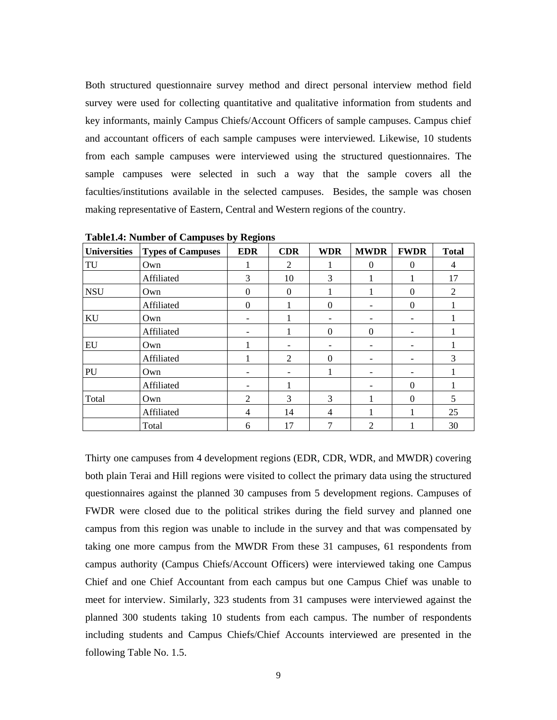Both structured questionnaire survey method and direct personal interview method field survey were used for collecting quantitative and qualitative information from students and key informants, mainly Campus Chiefs/Account Officers of sample campuses. Campus chief and accountant officers of each sample campuses were interviewed. Likewise, 10 students from each sample campuses were interviewed using the structured questionnaires. The sample campuses were selected in such a way that the sample covers all the faculties/institutions available in the selected campuses. Besides, the sample was chosen making representative of Eastern, Central and Western regions of the country.

| <b>Universities</b> | <b>Types of Campuses</b> | <b>EDR</b>     | <b>CDR</b>     | <b>WDR</b>     | <b>MWDR</b> | <b>FWDR</b> | <b>Total</b> |
|---------------------|--------------------------|----------------|----------------|----------------|-------------|-------------|--------------|
| TU                  | Own                      |                | 2              |                | $\Omega$    | $\Omega$    | 4            |
|                     | Affiliated               | 3              | 10             | 3              | 1           |             | 17           |
| <b>NSU</b>          | Own                      | $\overline{0}$ | $\overline{0}$ |                | 1           | $\theta$    | 2            |
|                     | Affiliated               | $\theta$       | 1              | $\theta$       |             | $\Omega$    |              |
| KU                  | Own                      |                | 1              | -              |             | -           |              |
|                     | Affiliated               |                |                | $\Omega$       | $\theta$    |             |              |
| EU                  | Own                      |                |                |                | -           |             |              |
|                     | Affiliated               |                | 2              | $\Omega$       | -           | -           | 3            |
| PU                  | Own                      |                |                |                |             |             |              |
|                     | Affiliated               |                | 1              |                |             | $\Omega$    |              |
| Total               | Own                      | $\overline{c}$ | 3              | 3              | 1           | $\Omega$    | 5            |
|                     | Affiliated               | 4              | 14             | $\overline{4}$ | 1           |             | 25           |
|                     | Total                    | 6              | 17             | 7              | 2           |             | 30           |

**Table1.4: Number of Campuses by Regions** 

Thirty one campuses from 4 development regions (EDR, CDR, WDR, and MWDR) covering both plain Terai and Hill regions were visited to collect the primary data using the structured questionnaires against the planned 30 campuses from 5 development regions. Campuses of FWDR were closed due to the political strikes during the field survey and planned one campus from this region was unable to include in the survey and that was compensated by taking one more campus from the MWDR From these 31 campuses, 61 respondents from campus authority (Campus Chiefs/Account Officers) were interviewed taking one Campus Chief and one Chief Accountant from each campus but one Campus Chief was unable to meet for interview. Similarly, 323 students from 31 campuses were interviewed against the planned 300 students taking 10 students from each campus. The number of respondents including students and Campus Chiefs/Chief Accounts interviewed are presented in the following Table No. 1.5.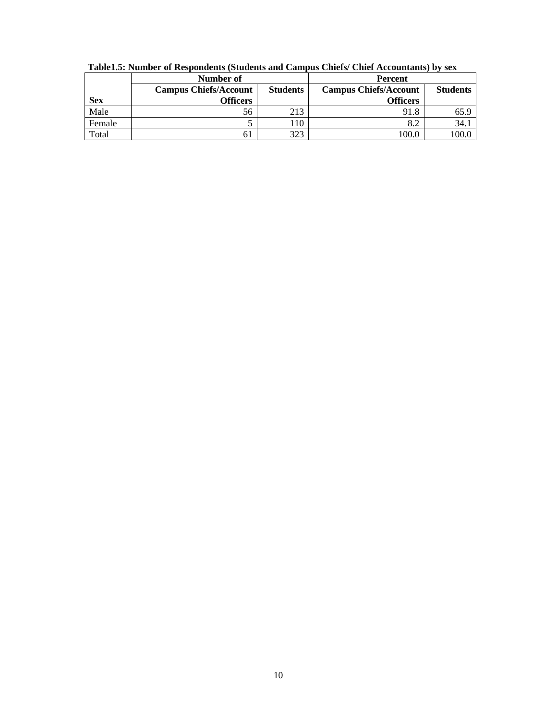|            | Number of                    |                 | Percent                      |                 |  |
|------------|------------------------------|-----------------|------------------------------|-----------------|--|
|            | <b>Campus Chiefs/Account</b> | <b>Students</b> | <b>Campus Chiefs/Account</b> | <b>Students</b> |  |
| <b>Sex</b> | Officers                     |                 | <b>Officers</b>              |                 |  |
| Male       | 56                           | 213             | 91.8                         | 65.9            |  |
| Female     |                              | 110             | 8.2                          | 34.1            |  |
| Total      | 01                           | 323             | 100.0                        |                 |  |

**Table1.5: Number of Respondents (Students and Campus Chiefs/ Chief Accountants) by sex**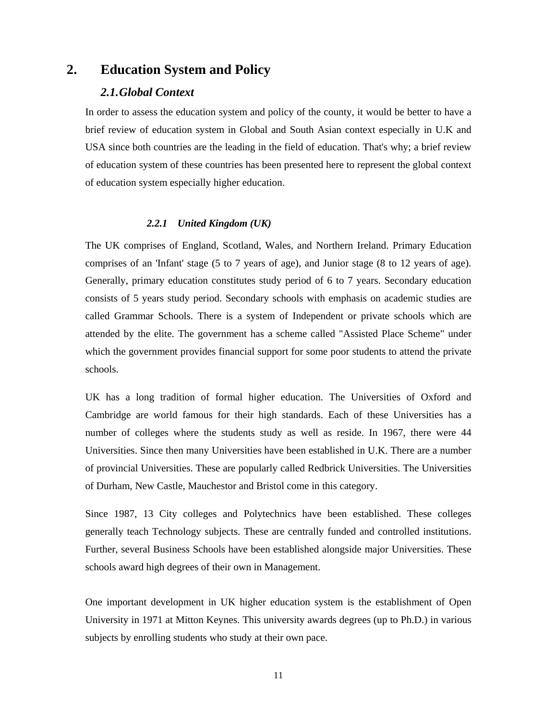# **2. Education System and Policy**

## *2.1.Global Context*

In order to assess the education system and policy of the county, it would be better to have a brief review of education system in Global and South Asian context especially in U.K and USA since both countries are the leading in the field of education. That's why; a brief review of education system of these countries has been presented here to represent the global context of education system especially higher education.

#### *2.2.1 United Kingdom (UK)*

The UK comprises of England, Scotland, Wales, and Northern Ireland. Primary Education comprises of an 'Infant' stage (5 to 7 years of age), and Junior stage (8 to 12 years of age). Generally, primary education constitutes study period of 6 to 7 years. Secondary education consists of 5 years study period. Secondary schools with emphasis on academic studies are called Grammar Schools. There is a system of Independent or private schools which are attended by the elite. The government has a scheme called "Assisted Place Scheme" under which the government provides financial support for some poor students to attend the private schools.

UK has a long tradition of formal higher education. The Universities of Oxford and Cambridge are world famous for their high standards. Each of these Universities has a number of colleges where the students study as well as reside. In 1967, there were 44 Universities. Since then many Universities have been established in U.K. There are a number of provincial Universities. These are popularly called Redbrick Universities. The Universities of Durham, New Castle, Mauchestor and Bristol come in this category.

Since 1987, 13 City colleges and Polytechnics have been established. These colleges generally teach Technology subjects. These are centrally funded and controlled institutions. Further, several Business Schools have been established alongside major Universities. These schools award high degrees of their own in Management.

One important development in UK higher education system is the establishment of Open University in 1971 at Mitton Keynes. This university awards degrees (up to Ph.D.) in various subjects by enrolling students who study at their own pace.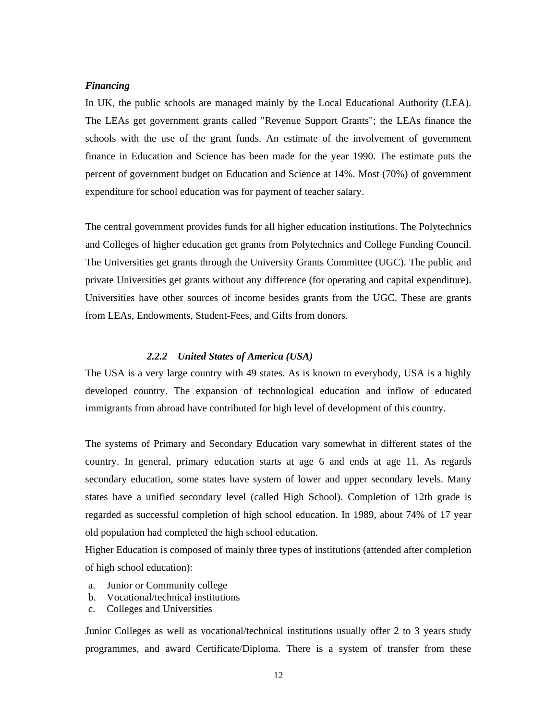#### *Financing*

In UK, the public schools are managed mainly by the Local Educational Authority (LEA). The LEAs get government grants called "Revenue Support Grants"; the LEAs finance the schools with the use of the grant funds. An estimate of the involvement of government finance in Education and Science has been made for the year 1990. The estimate puts the percent of government budget on Education and Science at 14%. Most (70%) of government expenditure for school education was for payment of teacher salary.

The central government provides funds for all higher education institutions. The Polytechnics and Colleges of higher education get grants from Polytechnics and College Funding Council. The Universities get grants through the University Grants Committee (UGC). The public and private Universities get grants without any difference (for operating and capital expenditure). Universities have other sources of income besides grants from the UGC. These are grants from LEAs, Endowments, Student-Fees, and Gifts from donors.

### *2.2.2 United States of America (USA)*

The USA is a very large country with 49 states. As is known to everybody, USA is a highly developed country. The expansion of technological education and inflow of educated immigrants from abroad have contributed for high level of development of this country.

The systems of Primary and Secondary Education vary somewhat in different states of the country. In general, primary education starts at age 6 and ends at age 11. As regards secondary education, some states have system of lower and upper secondary levels. Many states have a unified secondary level (called High School). Completion of 12th grade is regarded as successful completion of high school education. In 1989, about 74% of 17 year old population had completed the high school education.

Higher Education is composed of mainly three types of institutions (attended after completion of high school education):

- a. Junior or Community college
- b. Vocational/technical institutions
- c. Colleges and Universities

Junior Colleges as well as vocational/technical institutions usually offer 2 to 3 years study programmes, and award Certificate/Diploma. There is a system of transfer from these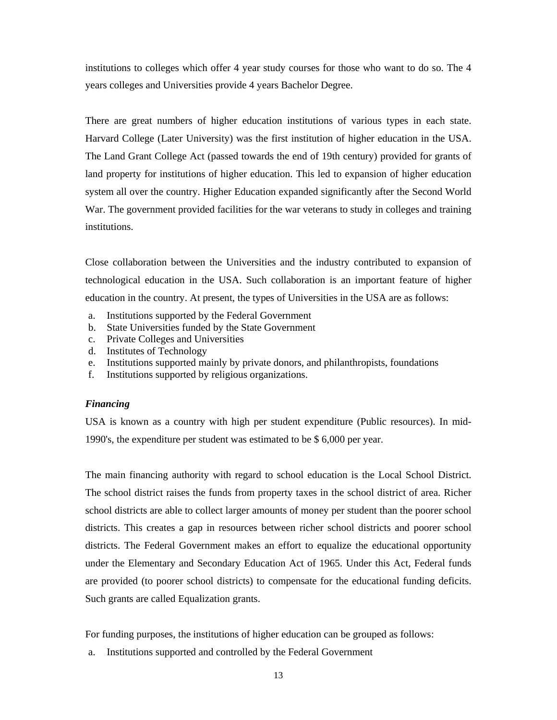institutions to colleges which offer 4 year study courses for those who want to do so. The 4 years colleges and Universities provide 4 years Bachelor Degree.

There are great numbers of higher education institutions of various types in each state. Harvard College (Later University) was the first institution of higher education in the USA. The Land Grant College Act (passed towards the end of 19th century) provided for grants of land property for institutions of higher education. This led to expansion of higher education system all over the country. Higher Education expanded significantly after the Second World War. The government provided facilities for the war veterans to study in colleges and training institutions.

Close collaboration between the Universities and the industry contributed to expansion of technological education in the USA. Such collaboration is an important feature of higher education in the country. At present, the types of Universities in the USA are as follows:

- a. Institutions supported by the Federal Government
- b. State Universities funded by the State Government
- c. Private Colleges and Universities
- d. Institutes of Technology
- e. Institutions supported mainly by private donors, and philanthropists, foundations
- f. Institutions supported by religious organizations.

#### *Financing*

USA is known as a country with high per student expenditure (Public resources). In mid-1990's, the expenditure per student was estimated to be \$ 6,000 per year.

The main financing authority with regard to school education is the Local School District. The school district raises the funds from property taxes in the school district of area. Richer school districts are able to collect larger amounts of money per student than the poorer school districts. This creates a gap in resources between richer school districts and poorer school districts. The Federal Government makes an effort to equalize the educational opportunity under the Elementary and Secondary Education Act of 1965. Under this Act, Federal funds are provided (to poorer school districts) to compensate for the educational funding deficits. Such grants are called Equalization grants.

For funding purposes, the institutions of higher education can be grouped as follows:

a. Institutions supported and controlled by the Federal Government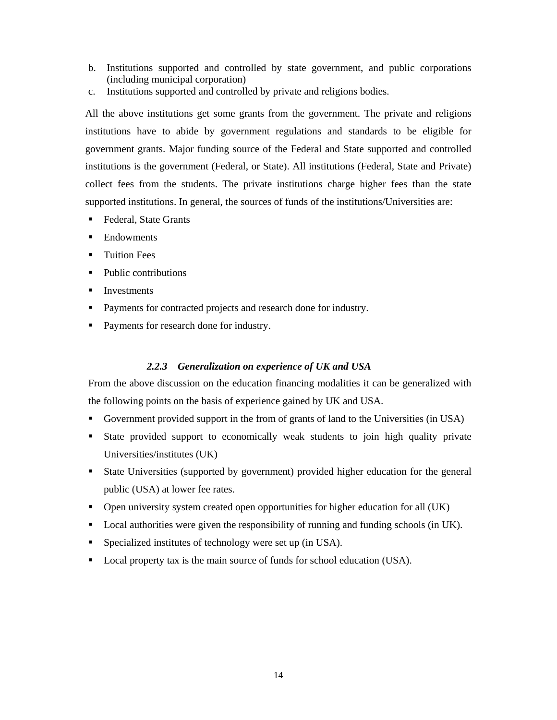- b. Institutions supported and controlled by state government, and public corporations (including municipal corporation)
- c. Institutions supported and controlled by private and religions bodies.

All the above institutions get some grants from the government. The private and religions institutions have to abide by government regulations and standards to be eligible for government grants. Major funding source of the Federal and State supported and controlled institutions is the government (Federal, or State). All institutions (Federal, State and Private) collect fees from the students. The private institutions charge higher fees than the state supported institutions. In general, the sources of funds of the institutions/Universities are:

- Federal, State Grants
- **Endowments**
- Tuition Fees
- Public contributions
- Investments
- Payments for contracted projects and research done for industry.
- Payments for research done for industry.

## *2.2.3 Generalization on experience of UK and USA*

From the above discussion on the education financing modalities it can be generalized with the following points on the basis of experience gained by UK and USA.

- Government provided support in the from of grants of land to the Universities (in USA)
- State provided support to economically weak students to join high quality private Universities/institutes (UK)
- State Universities (supported by government) provided higher education for the general public (USA) at lower fee rates.
- Open university system created open opportunities for higher education for all (UK)
- **Local authorities were given the responsibility of running and funding schools (in UK).**
- Specialized institutes of technology were set up (in USA).
- Local property tax is the main source of funds for school education (USA).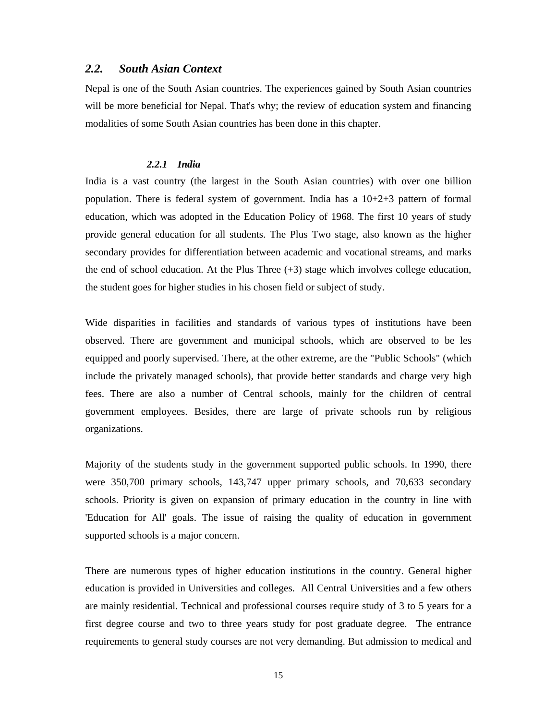## *2.2. South Asian Context*

Nepal is one of the South Asian countries. The experiences gained by South Asian countries will be more beneficial for Nepal. That's why; the review of education system and financing modalities of some South Asian countries has been done in this chapter.

#### *2.2.1 India*

India is a vast country (the largest in the South Asian countries) with over one billion population. There is federal system of government. India has a 10+2+3 pattern of formal education, which was adopted in the Education Policy of 1968. The first 10 years of study provide general education for all students. The Plus Two stage, also known as the higher secondary provides for differentiation between academic and vocational streams, and marks the end of school education. At the Plus Three (+3) stage which involves college education, the student goes for higher studies in his chosen field or subject of study.

Wide disparities in facilities and standards of various types of institutions have been observed. There are government and municipal schools, which are observed to be les equipped and poorly supervised. There, at the other extreme, are the "Public Schools" (which include the privately managed schools), that provide better standards and charge very high fees. There are also a number of Central schools, mainly for the children of central government employees. Besides, there are large of private schools run by religious organizations.

Majority of the students study in the government supported public schools. In 1990, there were 350,700 primary schools, 143,747 upper primary schools, and 70,633 secondary schools. Priority is given on expansion of primary education in the country in line with 'Education for All' goals. The issue of raising the quality of education in government supported schools is a major concern.

There are numerous types of higher education institutions in the country. General higher education is provided in Universities and colleges. All Central Universities and a few others are mainly residential. Technical and professional courses require study of 3 to 5 years for a first degree course and two to three years study for post graduate degree. The entrance requirements to general study courses are not very demanding. But admission to medical and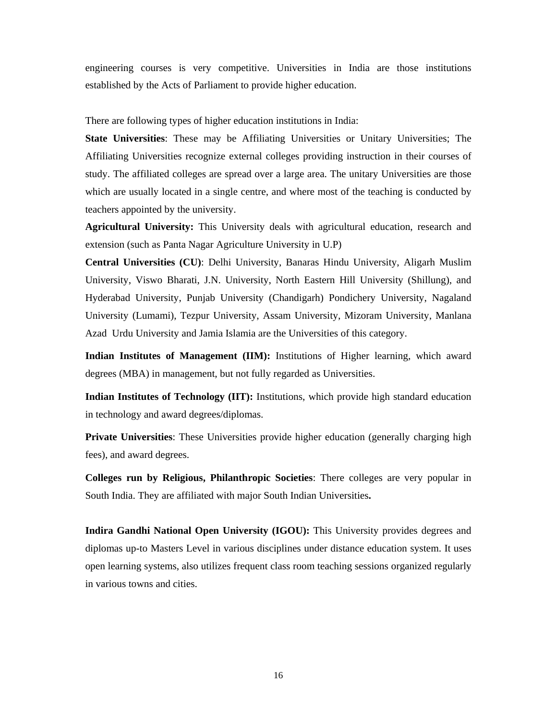engineering courses is very competitive. Universities in India are those institutions established by the Acts of Parliament to provide higher education.

There are following types of higher education institutions in India:

**State Universities**: These may be Affiliating Universities or Unitary Universities; The Affiliating Universities recognize external colleges providing instruction in their courses of study. The affiliated colleges are spread over a large area. The unitary Universities are those which are usually located in a single centre, and where most of the teaching is conducted by teachers appointed by the university.

**Agricultural University:** This University deals with agricultural education, research and extension (such as Panta Nagar Agriculture University in U.P)

**Central Universities (CU)**: Delhi University, Banaras Hindu University, Aligarh Muslim University, Viswo Bharati, J.N. University, North Eastern Hill University (Shillung), and Hyderabad University, Punjab University (Chandigarh) Pondichery University, Nagaland University (Lumami), Tezpur University, Assam University, Mizoram University, Manlana Azad Urdu University and Jamia Islamia are the Universities of this category.

**Indian Institutes of Management (IIM):** Institutions of Higher learning, which award degrees (MBA) in management, but not fully regarded as Universities.

**Indian Institutes of Technology (IIT):** Institutions, which provide high standard education in technology and award degrees/diplomas.

**Private Universities**: These Universities provide higher education (generally charging high fees), and award degrees.

**Colleges run by Religious, Philanthropic Societies**: There colleges are very popular in South India. They are affiliated with major South Indian Universities**.** 

**Indira Gandhi National Open University (IGOU):** This University provides degrees and diplomas up-to Masters Level in various disciplines under distance education system. It uses open learning systems, also utilizes frequent class room teaching sessions organized regularly in various towns and cities.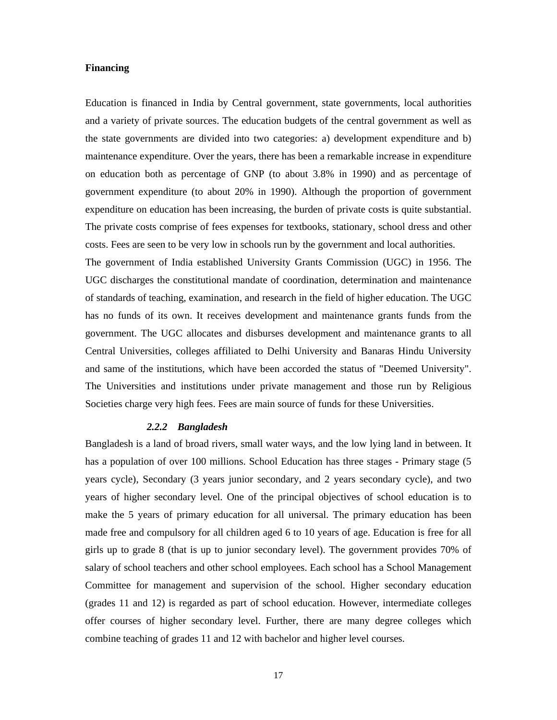#### **Financing**

Education is financed in India by Central government, state governments, local authorities and a variety of private sources. The education budgets of the central government as well as the state governments are divided into two categories: a) development expenditure and b) maintenance expenditure. Over the years, there has been a remarkable increase in expenditure on education both as percentage of GNP (to about 3.8% in 1990) and as percentage of government expenditure (to about 20% in 1990). Although the proportion of government expenditure on education has been increasing, the burden of private costs is quite substantial. The private costs comprise of fees expenses for textbooks, stationary, school dress and other costs. Fees are seen to be very low in schools run by the government and local authorities.

The government of India established University Grants Commission (UGC) in 1956. The UGC discharges the constitutional mandate of coordination, determination and maintenance of standards of teaching, examination, and research in the field of higher education. The UGC has no funds of its own. It receives development and maintenance grants funds from the government. The UGC allocates and disburses development and maintenance grants to all Central Universities, colleges affiliated to Delhi University and Banaras Hindu University and same of the institutions, which have been accorded the status of "Deemed University". The Universities and institutions under private management and those run by Religious Societies charge very high fees. Fees are main source of funds for these Universities.

#### *2.2.2 Bangladesh*

Bangladesh is a land of broad rivers, small water ways, and the low lying land in between. It has a population of over 100 millions. School Education has three stages - Primary stage (5 years cycle), Secondary (3 years junior secondary, and 2 years secondary cycle), and two years of higher secondary level. One of the principal objectives of school education is to make the 5 years of primary education for all universal. The primary education has been made free and compulsory for all children aged 6 to 10 years of age. Education is free for all girls up to grade 8 (that is up to junior secondary level). The government provides 70% of salary of school teachers and other school employees. Each school has a School Management Committee for management and supervision of the school. Higher secondary education (grades 11 and 12) is regarded as part of school education. However, intermediate colleges offer courses of higher secondary level. Further, there are many degree colleges which combine teaching of grades 11 and 12 with bachelor and higher level courses.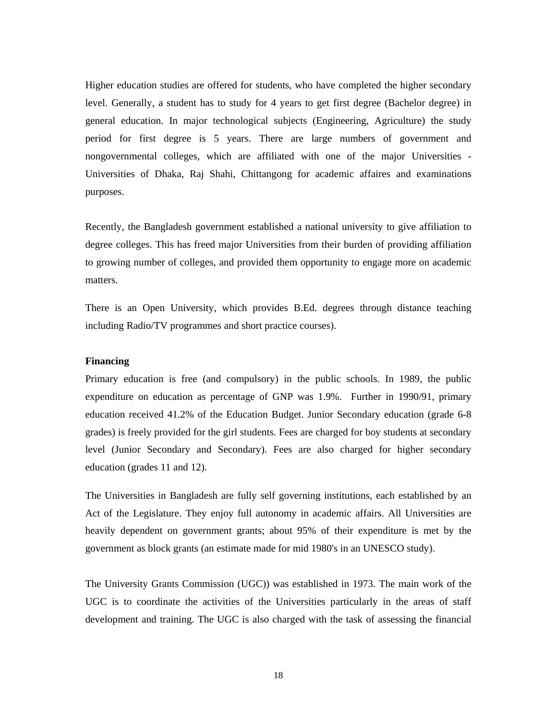Higher education studies are offered for students, who have completed the higher secondary level. Generally, a student has to study for 4 years to get first degree (Bachelor degree) in general education. In major technological subjects (Engineering, Agriculture) the study period for first degree is 5 years. There are large numbers of government and nongovernmental colleges, which are affiliated with one of the major Universities - Universities of Dhaka, Raj Shahi, Chittangong for academic affaires and examinations purposes.

Recently, the Bangladesh government established a national university to give affiliation to degree colleges. This has freed major Universities from their burden of providing affiliation to growing number of colleges, and provided them opportunity to engage more on academic matters.

There is an Open University, which provides B.Ed. degrees through distance teaching including Radio/TV programmes and short practice courses).

#### **Financing**

Primary education is free (and compulsory) in the public schools. In 1989, the public expenditure on education as percentage of GNP was 1.9%. Further in 1990/91, primary education received 41.2% of the Education Budget. Junior Secondary education (grade 6-8 grades) is freely provided for the girl students. Fees are charged for boy students at secondary level (Junior Secondary and Secondary). Fees are also charged for higher secondary education (grades 11 and 12).

The Universities in Bangladesh are fully self governing institutions, each established by an Act of the Legislature. They enjoy full autonomy in academic affairs. All Universities are heavily dependent on government grants; about 95% of their expenditure is met by the government as block grants (an estimate made for mid 1980's in an UNESCO study).

The University Grants Commission (UGC)) was established in 1973. The main work of the UGC is to coordinate the activities of the Universities particularly in the areas of staff development and training. The UGC is also charged with the task of assessing the financial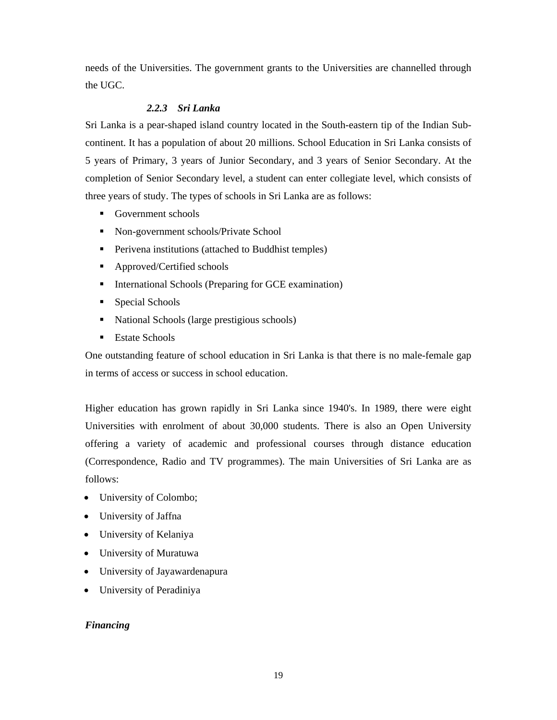needs of the Universities. The government grants to the Universities are channelled through the UGC.

# *2.2.3 Sri Lanka*

Sri Lanka is a pear-shaped island country located in the South-eastern tip of the Indian Subcontinent. It has a population of about 20 millions. School Education in Sri Lanka consists of 5 years of Primary, 3 years of Junior Secondary, and 3 years of Senior Secondary. At the completion of Senior Secondary level, a student can enter collegiate level, which consists of three years of study. The types of schools in Sri Lanka are as follows:

- Government schools
- Non-government schools/Private School
- **Perivena institutions (attached to Buddhist temples)**
- Approved/Certified schools
- **International Schools (Preparing for GCE examination)**
- Special Schools
- National Schools (large prestigious schools)
- **Estate Schools**

One outstanding feature of school education in Sri Lanka is that there is no male-female gap in terms of access or success in school education.

Higher education has grown rapidly in Sri Lanka since 1940's. In 1989, there were eight Universities with enrolment of about 30,000 students. There is also an Open University offering a variety of academic and professional courses through distance education (Correspondence, Radio and TV programmes). The main Universities of Sri Lanka are as follows:

- University of Colombo;
- University of Jaffna
- University of Kelaniya
- University of Muratuwa
- University of Jayawardenapura
- University of Peradiniya

# *Financing*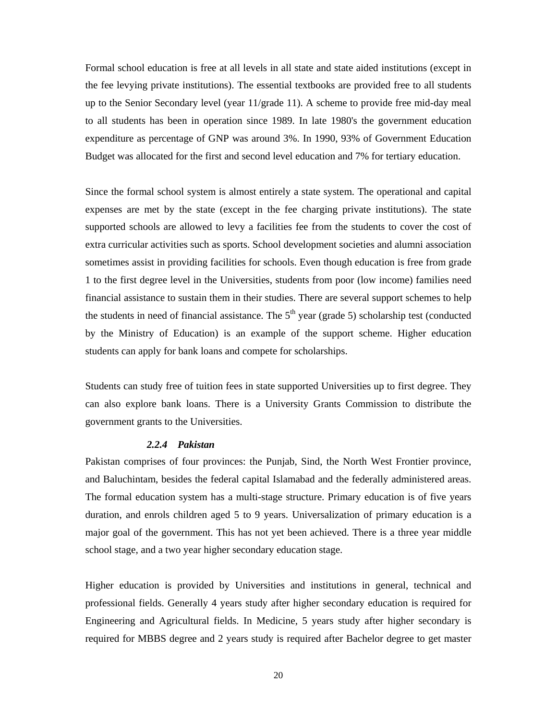Formal school education is free at all levels in all state and state aided institutions (except in the fee levying private institutions). The essential textbooks are provided free to all students up to the Senior Secondary level (year 11/grade 11). A scheme to provide free mid-day meal to all students has been in operation since 1989. In late 1980's the government education expenditure as percentage of GNP was around 3%. In 1990, 93% of Government Education Budget was allocated for the first and second level education and 7% for tertiary education.

Since the formal school system is almost entirely a state system. The operational and capital expenses are met by the state (except in the fee charging private institutions). The state supported schools are allowed to levy a facilities fee from the students to cover the cost of extra curricular activities such as sports. School development societies and alumni association sometimes assist in providing facilities for schools. Even though education is free from grade 1 to the first degree level in the Universities, students from poor (low income) families need financial assistance to sustain them in their studies. There are several support schemes to help the students in need of financial assistance. The  $5<sup>th</sup>$  year (grade 5) scholarship test (conducted by the Ministry of Education) is an example of the support scheme. Higher education students can apply for bank loans and compete for scholarships.

Students can study free of tuition fees in state supported Universities up to first degree. They can also explore bank loans. There is a University Grants Commission to distribute the government grants to the Universities.

### *2.2.4 Pakistan*

Pakistan comprises of four provinces: the Punjab, Sind, the North West Frontier province, and Baluchintam, besides the federal capital Islamabad and the federally administered areas. The formal education system has a multi-stage structure. Primary education is of five years duration, and enrols children aged 5 to 9 years. Universalization of primary education is a major goal of the government. This has not yet been achieved. There is a three year middle school stage, and a two year higher secondary education stage.

Higher education is provided by Universities and institutions in general, technical and professional fields. Generally 4 years study after higher secondary education is required for Engineering and Agricultural fields. In Medicine, 5 years study after higher secondary is required for MBBS degree and 2 years study is required after Bachelor degree to get master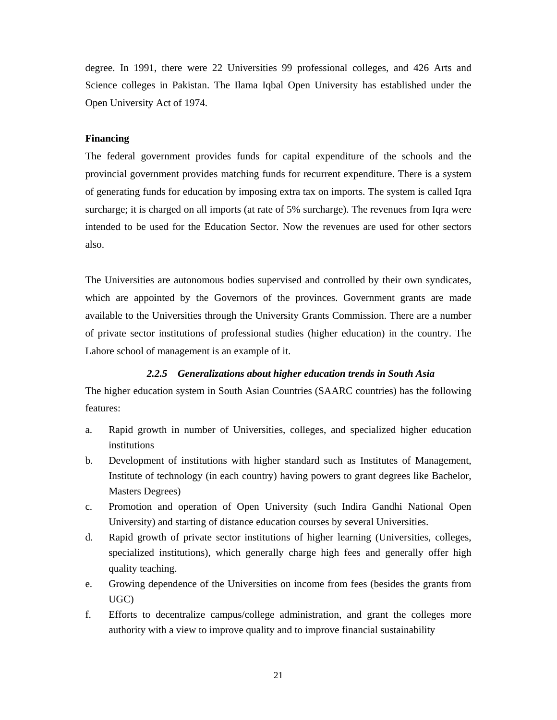degree. In 1991, there were 22 Universities 99 professional colleges, and 426 Arts and Science colleges in Pakistan. The Ilama Iqbal Open University has established under the Open University Act of 1974.

#### **Financing**

The federal government provides funds for capital expenditure of the schools and the provincial government provides matching funds for recurrent expenditure. There is a system of generating funds for education by imposing extra tax on imports. The system is called Iqra surcharge; it is charged on all imports (at rate of 5% surcharge). The revenues from Iqra were intended to be used for the Education Sector. Now the revenues are used for other sectors also.

The Universities are autonomous bodies supervised and controlled by their own syndicates, which are appointed by the Governors of the provinces. Government grants are made available to the Universities through the University Grants Commission. There are a number of private sector institutions of professional studies (higher education) in the country. The Lahore school of management is an example of it.

#### *2.2.5 Generalizations about higher education trends in South Asia*

The higher education system in South Asian Countries (SAARC countries) has the following features:

- a. Rapid growth in number of Universities, colleges, and specialized higher education institutions
- b. Development of institutions with higher standard such as Institutes of Management, Institute of technology (in each country) having powers to grant degrees like Bachelor, Masters Degrees)
- c. Promotion and operation of Open University (such Indira Gandhi National Open University) and starting of distance education courses by several Universities.
- d. Rapid growth of private sector institutions of higher learning (Universities, colleges, specialized institutions), which generally charge high fees and generally offer high quality teaching.
- e. Growing dependence of the Universities on income from fees (besides the grants from UGC)
- f. Efforts to decentralize campus/college administration, and grant the colleges more authority with a view to improve quality and to improve financial sustainability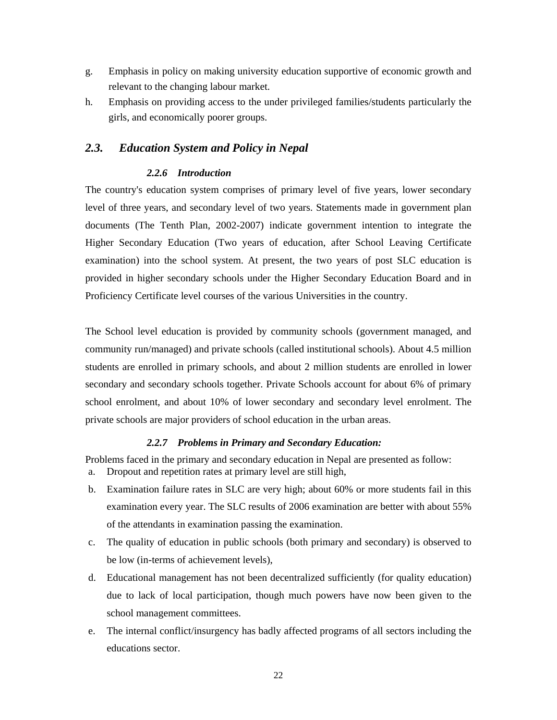- g. Emphasis in policy on making university education supportive of economic growth and relevant to the changing labour market.
- h. Emphasis on providing access to the under privileged families/students particularly the girls, and economically poorer groups.

# *2.3. Education System and Policy in Nepal*

### *2.2.6 Introduction*

The country's education system comprises of primary level of five years, lower secondary level of three years, and secondary level of two years. Statements made in government plan documents (The Tenth Plan, 2002-2007) indicate government intention to integrate the Higher Secondary Education (Two years of education, after School Leaving Certificate examination) into the school system. At present, the two years of post SLC education is provided in higher secondary schools under the Higher Secondary Education Board and in Proficiency Certificate level courses of the various Universities in the country.

The School level education is provided by community schools (government managed, and community run/managed) and private schools (called institutional schools). About 4.5 million students are enrolled in primary schools, and about 2 million students are enrolled in lower secondary and secondary schools together. Private Schools account for about 6% of primary school enrolment, and about 10% of lower secondary and secondary level enrolment. The private schools are major providers of school education in the urban areas.

#### *2.2.7 Problems in Primary and Secondary Education:*

Problems faced in the primary and secondary education in Nepal are presented as follow:

- a. Dropout and repetition rates at primary level are still high,
- b. Examination failure rates in SLC are very high; about 60% or more students fail in this examination every year. The SLC results of 2006 examination are better with about 55% of the attendants in examination passing the examination.
- c. The quality of education in public schools (both primary and secondary) is observed to be low (in-terms of achievement levels),
- d. Educational management has not been decentralized sufficiently (for quality education) due to lack of local participation, though much powers have now been given to the school management committees.
- e. The internal conflict/insurgency has badly affected programs of all sectors including the educations sector.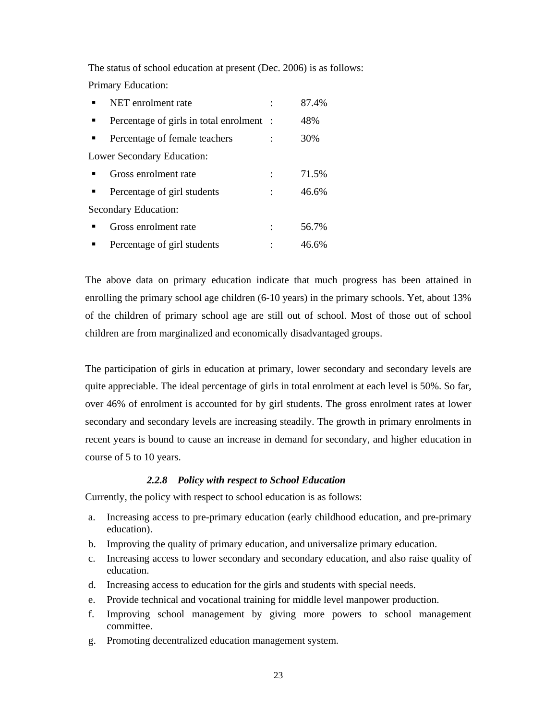The status of school education at present (Dec. 2006) is as follows: Primary Education:

| NET enrolment rate                       | 87.4% |
|------------------------------------------|-------|
| Percentage of girls in total enrolment : | 48%   |
| Percentage of female teachers            | 30%   |
| <b>Lower Secondary Education:</b>        |       |
| Gross enrolment rate                     | 71.5% |
| Percentage of girl students              | 46.6% |
| <b>Secondary Education:</b>              |       |
| Gross enrolment rate                     | 56.7% |
| Percentage of girl students              | 46.6% |

The above data on primary education indicate that much progress has been attained in enrolling the primary school age children (6-10 years) in the primary schools. Yet, about 13% of the children of primary school age are still out of school. Most of those out of school children are from marginalized and economically disadvantaged groups.

The participation of girls in education at primary, lower secondary and secondary levels are quite appreciable. The ideal percentage of girls in total enrolment at each level is 50%. So far, over 46% of enrolment is accounted for by girl students. The gross enrolment rates at lower secondary and secondary levels are increasing steadily. The growth in primary enrolments in recent years is bound to cause an increase in demand for secondary, and higher education in course of 5 to 10 years.

#### *2.2.8 Policy with respect to School Education*

Currently, the policy with respect to school education is as follows:

- a. Increasing access to pre-primary education (early childhood education, and pre-primary education).
- b. Improving the quality of primary education, and universalize primary education.
- c. Increasing access to lower secondary and secondary education, and also raise quality of education.
- d. Increasing access to education for the girls and students with special needs.
- e. Provide technical and vocational training for middle level manpower production.
- f. Improving school management by giving more powers to school management committee.
- g. Promoting decentralized education management system.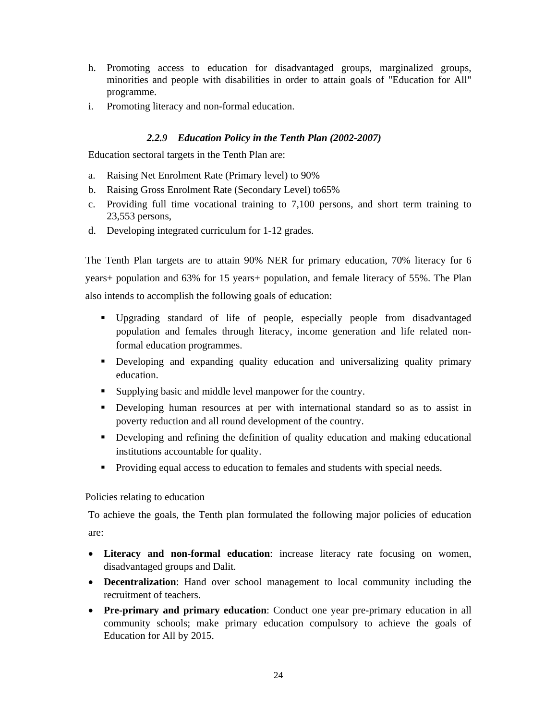- h. Promoting access to education for disadvantaged groups, marginalized groups, minorities and people with disabilities in order to attain goals of "Education for All" programme.
- i. Promoting literacy and non-formal education.

## *2.2.9 Education Policy in the Tenth Plan (2002-2007)*

Education sectoral targets in the Tenth Plan are:

- a. Raising Net Enrolment Rate (Primary level) to 90%
- b. Raising Gross Enrolment Rate (Secondary Level) to65%
- c. Providing full time vocational training to 7,100 persons, and short term training to 23,553 persons,
- d. Developing integrated curriculum for 1-12 grades.

The Tenth Plan targets are to attain 90% NER for primary education, 70% literacy for 6 years+ population and 63% for 15 years+ population, and female literacy of 55%. The Plan also intends to accomplish the following goals of education:

- Upgrading standard of life of people, especially people from disadvantaged population and females through literacy, income generation and life related nonformal education programmes.
- Developing and expanding quality education and universalizing quality primary education.
- Supplying basic and middle level manpower for the country.
- Developing human resources at per with international standard so as to assist in poverty reduction and all round development of the country.
- Developing and refining the definition of quality education and making educational institutions accountable for quality.
- Providing equal access to education to females and students with special needs.

## Policies relating to education

To achieve the goals, the Tenth plan formulated the following major policies of education are:

- **Literacy and non-formal education**: increase literacy rate focusing on women, disadvantaged groups and Dalit.
- **Decentralization**: Hand over school management to local community including the recruitment of teachers.
- **Pre-primary and primary education**: Conduct one year pre-primary education in all community schools; make primary education compulsory to achieve the goals of Education for All by 2015.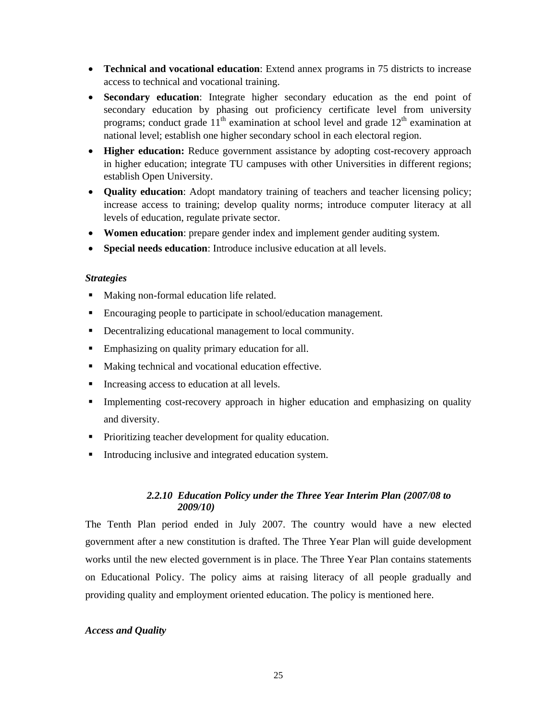- **Technical and vocational education**: Extend annex programs in 75 districts to increase access to technical and vocational training.
- **Secondary education**: Integrate higher secondary education as the end point of secondary education by phasing out proficiency certificate level from university programs; conduct grade  $11<sup>th</sup>$  examination at school level and grade  $12<sup>th</sup>$  examination at national level; establish one higher secondary school in each electoral region.
- **Higher education:** Reduce government assistance by adopting cost-recovery approach in higher education; integrate TU campuses with other Universities in different regions; establish Open University.
- **Quality education**: Adopt mandatory training of teachers and teacher licensing policy; increase access to training; develop quality norms; introduce computer literacy at all levels of education, regulate private sector.
- **Women education**: prepare gender index and implement gender auditing system.
- **Special needs education**: Introduce inclusive education at all levels.

## *Strategies*

- Making non-formal education life related.
- Encouraging people to participate in school/education management.
- Decentralizing educational management to local community.
- Emphasizing on quality primary education for all.
- Making technical and vocational education effective.
- Increasing access to education at all levels.
- Implementing cost-recovery approach in higher education and emphasizing on quality and diversity.
- Prioritizing teacher development for quality education.
- Introducing inclusive and integrated education system.

# *2.2.10 Education Policy under the Three Year Interim Plan (2007/08 to 2009/10)*

The Tenth Plan period ended in July 2007. The country would have a new elected government after a new constitution is drafted. The Three Year Plan will guide development works until the new elected government is in place. The Three Year Plan contains statements on Educational Policy. The policy aims at raising literacy of all people gradually and providing quality and employment oriented education. The policy is mentioned here.

## *Access and Quality*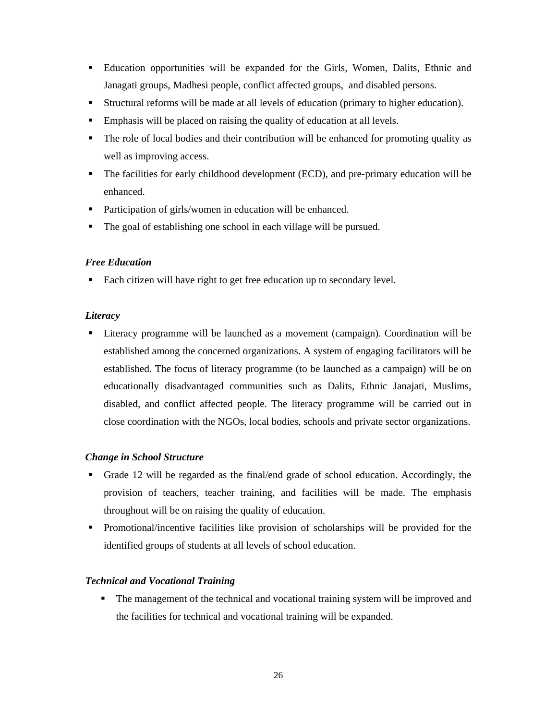- Education opportunities will be expanded for the Girls, Women, Dalits, Ethnic and Janagati groups, Madhesi people, conflict affected groups, and disabled persons.
- Structural reforms will be made at all levels of education (primary to higher education).
- Emphasis will be placed on raising the quality of education at all levels.
- The role of local bodies and their contribution will be enhanced for promoting quality as well as improving access.
- The facilities for early childhood development (ECD), and pre-primary education will be enhanced.
- Participation of girls/women in education will be enhanced.
- The goal of establishing one school in each village will be pursued.

# *Free Education*

■ Each citizen will have right to get free education up to secondary level.

## *Literacy*

 Literacy programme will be launched as a movement (campaign). Coordination will be established among the concerned organizations. A system of engaging facilitators will be established. The focus of literacy programme (to be launched as a campaign) will be on educationally disadvantaged communities such as Dalits, Ethnic Janajati, Muslims, disabled, and conflict affected people. The literacy programme will be carried out in close coordination with the NGOs, local bodies, schools and private sector organizations.

# *Change in School Structure*

- Grade 12 will be regarded as the final/end grade of school education. Accordingly, the provision of teachers, teacher training, and facilities will be made. The emphasis throughout will be on raising the quality of education.
- Promotional/incentive facilities like provision of scholarships will be provided for the identified groups of students at all levels of school education.

# *Technical and Vocational Training*

• The management of the technical and vocational training system will be improved and the facilities for technical and vocational training will be expanded.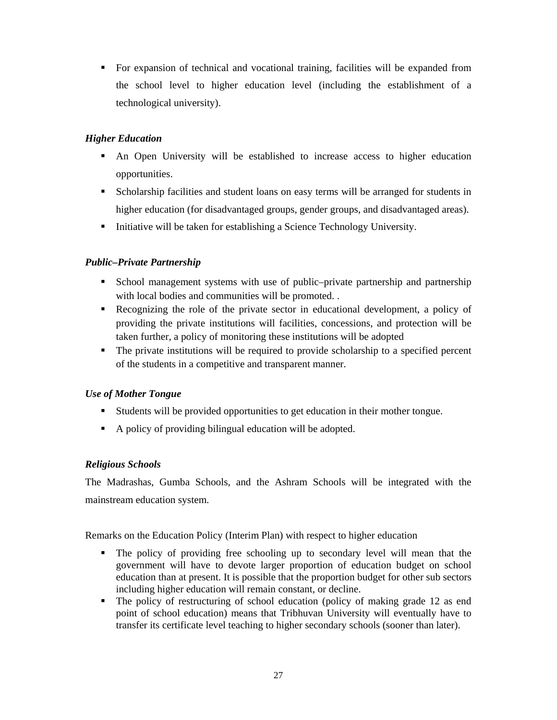For expansion of technical and vocational training, facilities will be expanded from the school level to higher education level (including the establishment of a technological university).

# *Higher Education*

- An Open University will be established to increase access to higher education opportunities.
- Scholarship facilities and student loans on easy terms will be arranged for students in higher education (for disadvantaged groups, gender groups, and disadvantaged areas).
- Initiative will be taken for establishing a Science Technology University.

# *Public–Private Partnership*

- School management systems with use of public–private partnership and partnership with local bodies and communities will be promoted...
- Recognizing the role of the private sector in educational development, a policy of providing the private institutions will facilities, concessions, and protection will be taken further, a policy of monitoring these institutions will be adopted
- The private institutions will be required to provide scholarship to a specified percent of the students in a competitive and transparent manner.

# *Use of Mother Tongue*

- Students will be provided opportunities to get education in their mother tongue.
- A policy of providing bilingual education will be adopted.

# *Religious Schools*

The Madrashas, Gumba Schools, and the Ashram Schools will be integrated with the mainstream education system.

Remarks on the Education Policy (Interim Plan) with respect to higher education

- The policy of providing free schooling up to secondary level will mean that the government will have to devote larger proportion of education budget on school education than at present. It is possible that the proportion budget for other sub sectors including higher education will remain constant, or decline.
- The policy of restructuring of school education (policy of making grade 12 as end point of school education) means that Tribhuvan University will eventually have to transfer its certificate level teaching to higher secondary schools (sooner than later).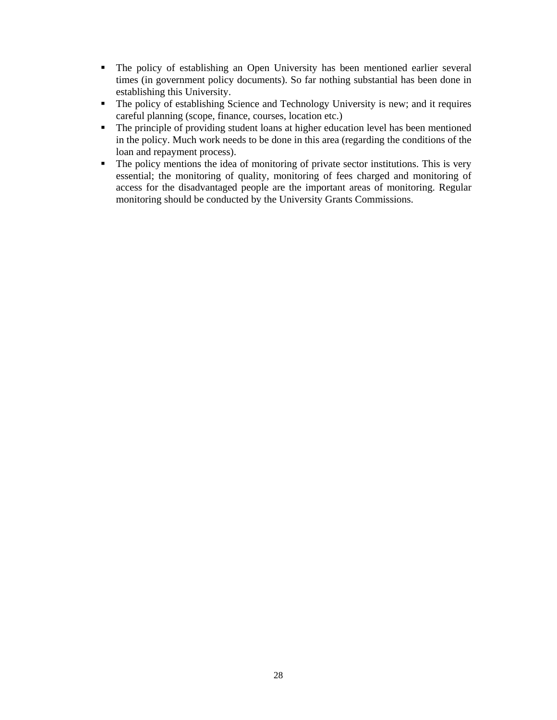- The policy of establishing an Open University has been mentioned earlier several times (in government policy documents). So far nothing substantial has been done in establishing this University.
- The policy of establishing Science and Technology University is new; and it requires careful planning (scope, finance, courses, location etc.)
- The principle of providing student loans at higher education level has been mentioned in the policy. Much work needs to be done in this area (regarding the conditions of the loan and repayment process).
- The policy mentions the idea of monitoring of private sector institutions. This is very essential; the monitoring of quality, monitoring of fees charged and monitoring of access for the disadvantaged people are the important areas of monitoring. Regular monitoring should be conducted by the University Grants Commissions.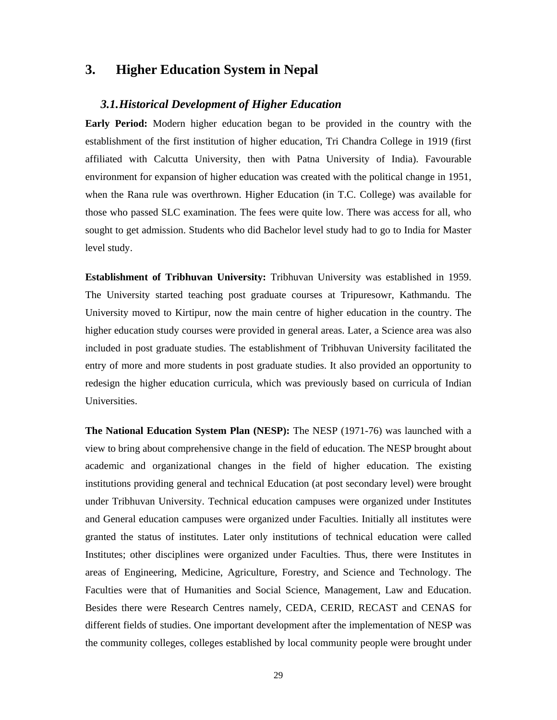# **3. Higher Education System in Nepal**

## *3.1.Historical Development of Higher Education*

**Early Period:** Modern higher education began to be provided in the country with the establishment of the first institution of higher education, Tri Chandra College in 1919 (first affiliated with Calcutta University, then with Patna University of India). Favourable environment for expansion of higher education was created with the political change in 1951, when the Rana rule was overthrown. Higher Education (in T.C. College) was available for those who passed SLC examination. The fees were quite low. There was access for all, who sought to get admission. Students who did Bachelor level study had to go to India for Master level study.

**Establishment of Tribhuvan University:** Tribhuvan University was established in 1959. The University started teaching post graduate courses at Tripuresowr, Kathmandu. The University moved to Kirtipur, now the main centre of higher education in the country. The higher education study courses were provided in general areas. Later, a Science area was also included in post graduate studies. The establishment of Tribhuvan University facilitated the entry of more and more students in post graduate studies. It also provided an opportunity to redesign the higher education curricula, which was previously based on curricula of Indian Universities.

**The National Education System Plan (NESP):** The NESP (1971-76) was launched with a view to bring about comprehensive change in the field of education. The NESP brought about academic and organizational changes in the field of higher education. The existing institutions providing general and technical Education (at post secondary level) were brought under Tribhuvan University. Technical education campuses were organized under Institutes and General education campuses were organized under Faculties. Initially all institutes were granted the status of institutes. Later only institutions of technical education were called Institutes; other disciplines were organized under Faculties. Thus, there were Institutes in areas of Engineering, Medicine, Agriculture, Forestry, and Science and Technology. The Faculties were that of Humanities and Social Science, Management, Law and Education. Besides there were Research Centres namely, CEDA, CERID, RECAST and CENAS for different fields of studies. One important development after the implementation of NESP was the community colleges, colleges established by local community people were brought under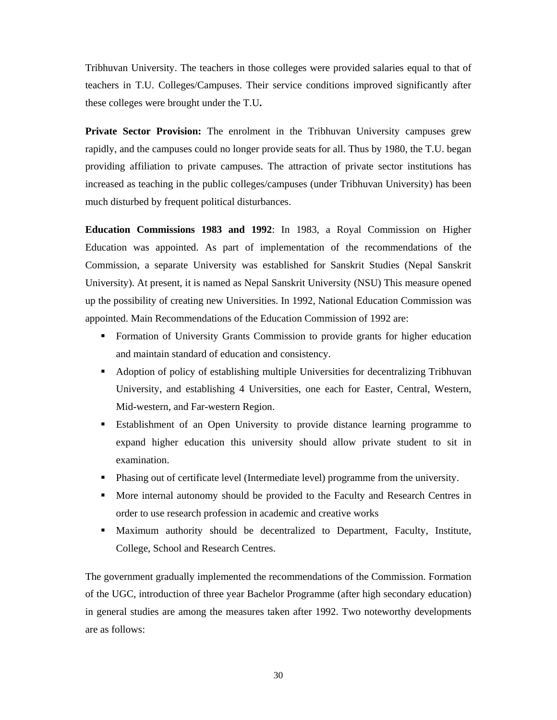Tribhuvan University. The teachers in those colleges were provided salaries equal to that of teachers in T.U. Colleges/Campuses. Their service conditions improved significantly after these colleges were brought under the T.U**.** 

**Private Sector Provision:** The enrolment in the Tribhuvan University campuses grew rapidly, and the campuses could no longer provide seats for all. Thus by 1980, the T.U. began providing affiliation to private campuses. The attraction of private sector institutions has increased as teaching in the public colleges/campuses (under Tribhuvan University) has been much disturbed by frequent political disturbances.

**Education Commissions 1983 and 1992**: In 1983, a Royal Commission on Higher Education was appointed. As part of implementation of the recommendations of the Commission, a separate University was established for Sanskrit Studies (Nepal Sanskrit University). At present, it is named as Nepal Sanskrit University (NSU) This measure opened up the possibility of creating new Universities. In 1992, National Education Commission was appointed. Main Recommendations of the Education Commission of 1992 are:

- Formation of University Grants Commission to provide grants for higher education and maintain standard of education and consistency.
- Adoption of policy of establishing multiple Universities for decentralizing Tribhuvan University, and establishing 4 Universities, one each for Easter, Central, Western, Mid-western, and Far-western Region.
- Establishment of an Open University to provide distance learning programme to expand higher education this university should allow private student to sit in examination.
- Phasing out of certificate level (Intermediate level) programme from the university.
- More internal autonomy should be provided to the Faculty and Research Centres in order to use research profession in academic and creative works
- Maximum authority should be decentralized to Department, Faculty, Institute, College, School and Research Centres.

The government gradually implemented the recommendations of the Commission. Formation of the UGC, introduction of three year Bachelor Programme (after high secondary education) in general studies are among the measures taken after 1992. Two noteworthy developments are as follows: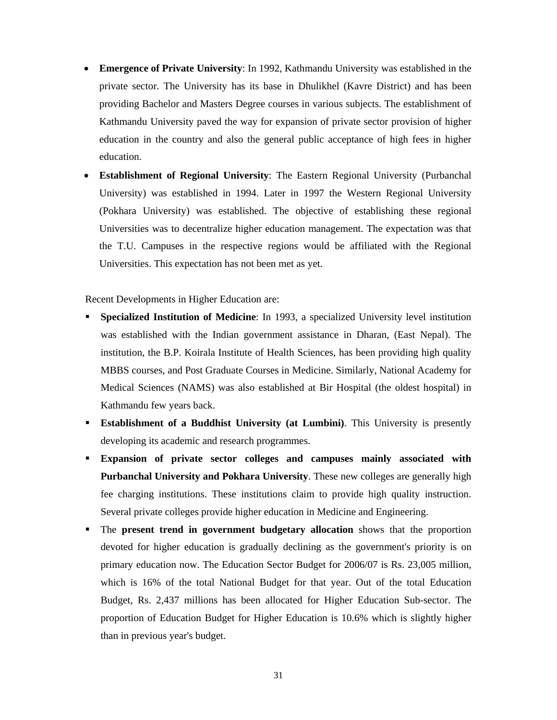- **Emergence of Private University**: In 1992, Kathmandu University was established in the private sector. The University has its base in Dhulikhel (Kavre District) and has been providing Bachelor and Masters Degree courses in various subjects. The establishment of Kathmandu University paved the way for expansion of private sector provision of higher education in the country and also the general public acceptance of high fees in higher education.
- **Establishment of Regional University**: The Eastern Regional University (Purbanchal University) was established in 1994. Later in 1997 the Western Regional University (Pokhara University) was established. The objective of establishing these regional Universities was to decentralize higher education management. The expectation was that the T.U. Campuses in the respective regions would be affiliated with the Regional Universities. This expectation has not been met as yet.

Recent Developments in Higher Education are:

- **Specialized Institution of Medicine**: In 1993, a specialized University level institution was established with the Indian government assistance in Dharan, (East Nepal). The institution, the B.P. Koirala Institute of Health Sciences, has been providing high quality MBBS courses, and Post Graduate Courses in Medicine. Similarly, National Academy for Medical Sciences (NAMS) was also established at Bir Hospital (the oldest hospital) in Kathmandu few years back.
- **Establishment of a Buddhist University (at Lumbini)**. This University is presently developing its academic and research programmes.
- **Expansion of private sector colleges and campuses mainly associated with Purbanchal University and Pokhara University**. These new colleges are generally high fee charging institutions. These institutions claim to provide high quality instruction. Several private colleges provide higher education in Medicine and Engineering.
- The **present trend in government budgetary allocation** shows that the proportion devoted for higher education is gradually declining as the government's priority is on primary education now. The Education Sector Budget for 2006/07 is Rs. 23,005 million, which is 16% of the total National Budget for that year. Out of the total Education Budget, Rs. 2,437 millions has been allocated for Higher Education Sub-sector. The proportion of Education Budget for Higher Education is 10.6% which is slightly higher than in previous year's budget.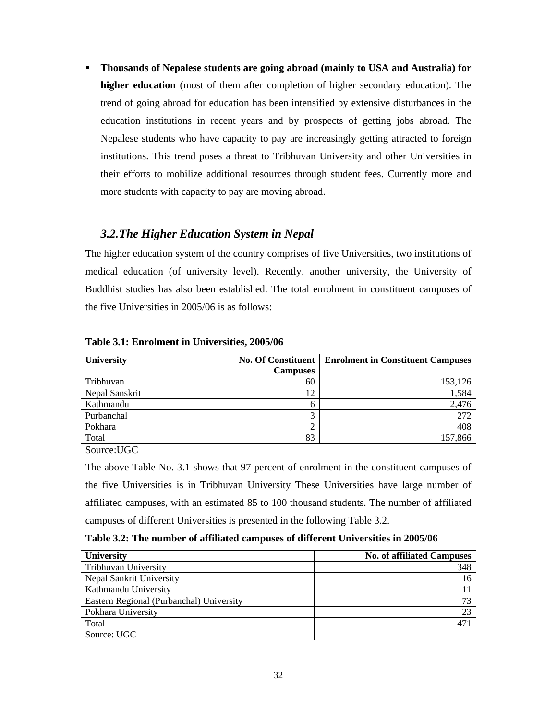**Thousands of Nepalese students are going abroad (mainly to USA and Australia) for higher education** (most of them after completion of higher secondary education). The trend of going abroad for education has been intensified by extensive disturbances in the education institutions in recent years and by prospects of getting jobs abroad. The Nepalese students who have capacity to pay are increasingly getting attracted to foreign institutions. This trend poses a threat to Tribhuvan University and other Universities in their efforts to mobilize additional resources through student fees. Currently more and more students with capacity to pay are moving abroad.

## *3.2.The Higher Education System in Nepal*

The higher education system of the country comprises of five Universities, two institutions of medical education (of university level). Recently, another university, the University of Buddhist studies has also been established. The total enrolment in constituent campuses of the five Universities in 2005/06 is as follows:

| <b>University</b> | <b>No. Of Constituent</b> | <b>Enrolment in Constituent Campuses</b> |
|-------------------|---------------------------|------------------------------------------|
|                   | <b>Campuses</b>           |                                          |
| Tribhuvan         | 60                        | 153,126                                  |
| Nepal Sanskrit    | 12                        | 1,584                                    |
| Kathmandu         | 6                         | 2,476                                    |
| Purbanchal        |                           | 272                                      |
| Pokhara           |                           | 408                                      |
| Total             | 83                        | 157,866                                  |

**Table 3.1: Enrolment in Universities, 2005/06** 

Source:UGC

The above Table No. 3.1 shows that 97 percent of enrolment in the constituent campuses of the five Universities is in Tribhuvan University These Universities have large number of affiliated campuses, with an estimated 85 to 100 thousand students. The number of affiliated campuses of different Universities is presented in the following Table 3.2.

## **Table 3.2: The number of affiliated campuses of different Universities in 2005/06**

| <b>University</b>                        | <b>No. of affiliated Campuses</b> |
|------------------------------------------|-----------------------------------|
| Tribhuvan University                     | 348                               |
| Nepal Sankrit University                 | 16                                |
| Kathmandu University                     |                                   |
| Eastern Regional (Purbanchal) University | 73                                |
| Pokhara University                       | 23                                |
| Total                                    | 47 <sup>°</sup>                   |
| Source: UGC                              |                                   |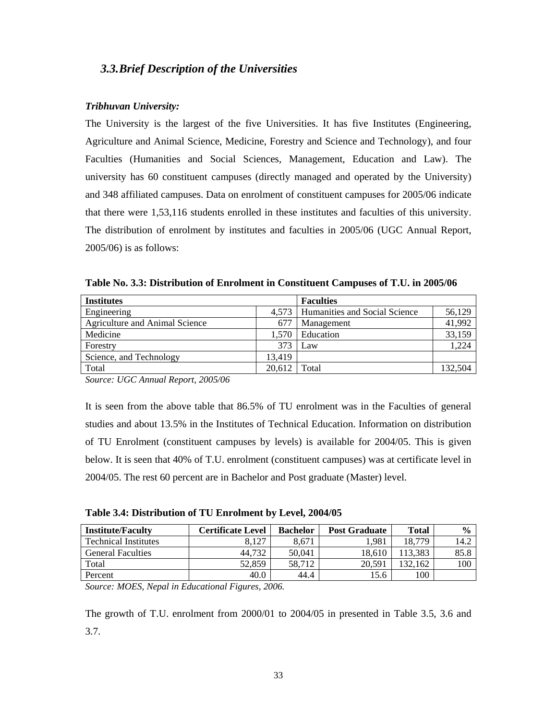## *3.3.Brief Description of the Universities*

### *Tribhuvan University:*

The University is the largest of the five Universities. It has five Institutes (Engineering, Agriculture and Animal Science, Medicine, Forestry and Science and Technology), and four Faculties (Humanities and Social Sciences, Management, Education and Law). The university has 60 constituent campuses (directly managed and operated by the University) and 348 affiliated campuses. Data on enrolment of constituent campuses for 2005/06 indicate that there were 1,53,116 students enrolled in these institutes and faculties of this university. The distribution of enrolment by institutes and faculties in 2005/06 (UGC Annual Report, 2005/06) is as follows:

| <b>Institutes</b>              |        | <b>Faculties</b>                    |        |
|--------------------------------|--------|-------------------------------------|--------|
| Engineering                    |        | 4,573 Humanities and Social Science | 56.129 |
| Agriculture and Animal Science | 677    | Management                          | 41.992 |
| Medicine                       | 1.570  | Education                           | 33.159 |
| Forestry                       | 373    | Law                                 | 1.224  |
| Science, and Technology        | 13.419 |                                     |        |

Total 132,504 20,612 Total 132,504

**Table No. 3.3: Distribution of Enrolment in Constituent Campuses of T.U. in 2005/06** 

*Source: UGC Annual Report, 2005/06* 

It is seen from the above table that 86.5% of TU enrolment was in the Faculties of general studies and about 13.5% in the Institutes of Technical Education. Information on distribution of TU Enrolment (constituent campuses by levels) is available for 2004/05. This is given below. It is seen that 40% of T.U. enrolment (constituent campuses) was at certificate level in 2004/05. The rest 60 percent are in Bachelor and Post graduate (Master) level.

**Table 3.4: Distribution of TU Enrolment by Level, 2004/05** 

| <b>Institute/Faculty</b>    | Certificate Level | <b>Bachelor</b> | <b>Post Graduate</b> | Total   | $\frac{6}{9}$ |
|-----------------------------|-------------------|-----------------|----------------------|---------|---------------|
| <b>Technical Institutes</b> | 8.127             | 8,671           | 1.981                | 18.779  | 14.2          |
| <b>General Faculties</b>    | 44.732            | 50,041          | 18.610               | 113.383 | 85.8          |
| Total                       | 52.859            | 58.712          | 20.591               | 132.162 | 100           |
| Percent                     | 40.0              | 44.4            | 15.6                 | 100     |               |

*Source: MOES, Nepal in Educational Figures, 2006.* 

The growth of T.U. enrolment from 2000/01 to 2004/05 in presented in Table 3.5, 3.6 and 3.7.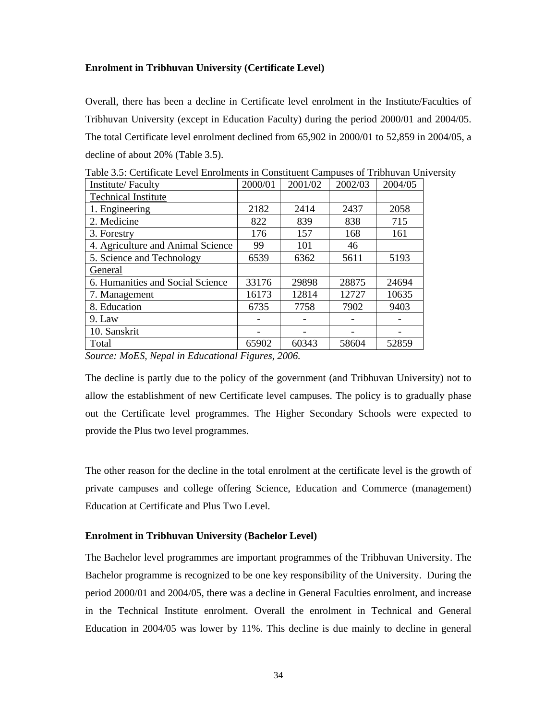## **Enrolment in Tribhuvan University (Certificate Level)**

Overall, there has been a decline in Certificate level enrolment in the Institute/Faculties of Tribhuvan University (except in Education Faculty) during the period 2000/01 and 2004/05. The total Certificate level enrolment declined from 65,902 in 2000/01 to 52,859 in 2004/05, a decline of about 20% (Table 3.5).

| Institute/Faculty                 | 2000/01 | 2001/02 | 2002/03 | 2004/05 |
|-----------------------------------|---------|---------|---------|---------|
| <b>Technical Institute</b>        |         |         |         |         |
| 1. Engineering                    | 2182    | 2414    | 2437    | 2058    |
| 2. Medicine                       | 822     | 839     | 838     | 715     |
| 3. Forestry                       | 176     | 157     | 168     | 161     |
| 4. Agriculture and Animal Science | 99      | 101     | 46      |         |
| 5. Science and Technology         | 6539    | 6362    | 5611    | 5193    |
| General                           |         |         |         |         |
| 6. Humanities and Social Science  | 33176   | 29898   | 28875   | 24694   |
| 7. Management                     | 16173   | 12814   | 12727   | 10635   |
| 8. Education                      | 6735    | 7758    | 7902    | 9403    |
| $9.$ Law                          |         |         |         |         |
| 10. Sanskrit                      |         |         |         |         |
| Total                             | 65902   | 60343   | 58604   | 52859   |

Table 3.5: Certificate Level Enrolments in Constituent Campuses of Tribhuvan University

*Source: MoES, Nepal in Educational Figures, 2006.*

The decline is partly due to the policy of the government (and Tribhuvan University) not to allow the establishment of new Certificate level campuses. The policy is to gradually phase out the Certificate level programmes. The Higher Secondary Schools were expected to provide the Plus two level programmes.

The other reason for the decline in the total enrolment at the certificate level is the growth of private campuses and college offering Science, Education and Commerce (management) Education at Certificate and Plus Two Level.

## **Enrolment in Tribhuvan University (Bachelor Level)**

The Bachelor level programmes are important programmes of the Tribhuvan University. The Bachelor programme is recognized to be one key responsibility of the University. During the period 2000/01 and 2004/05, there was a decline in General Faculties enrolment, and increase in the Technical Institute enrolment. Overall the enrolment in Technical and General Education in 2004/05 was lower by 11%. This decline is due mainly to decline in general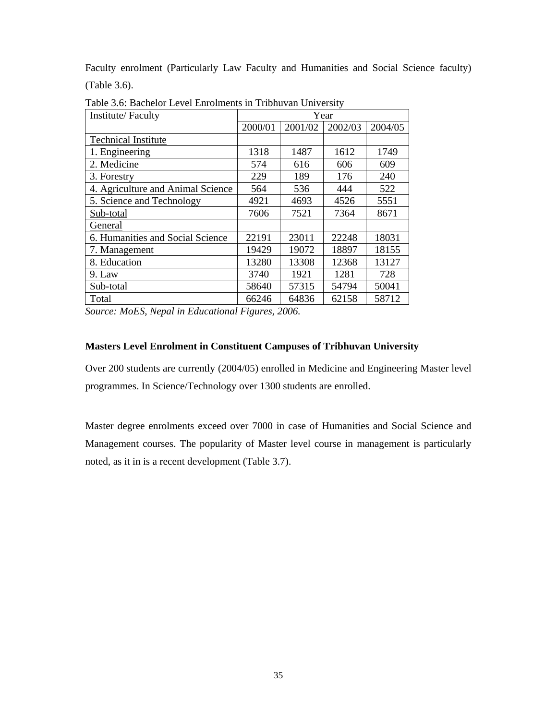Faculty enrolment (Particularly Law Faculty and Humanities and Social Science faculty) (Table 3.6).

| Institute/Faculty                 | Year    |         |         |         |
|-----------------------------------|---------|---------|---------|---------|
|                                   | 2000/01 | 2001/02 | 2002/03 | 2004/05 |
| <b>Technical Institute</b>        |         |         |         |         |
| 1. Engineering                    | 1318    | 1487    | 1612    | 1749    |
| 2. Medicine                       | 574     | 616     | 606     | 609     |
| 3. Forestry                       | 229     | 189     | 176     | 240     |
| 4. Agriculture and Animal Science | 564     | 536     | 444     | 522     |
| 5. Science and Technology         | 4921    | 4693    | 4526    | 5551    |
| Sub-total                         | 7606    | 7521    | 7364    | 8671    |
| General                           |         |         |         |         |
| 6. Humanities and Social Science  | 22191   | 23011   | 22248   | 18031   |
| 7. Management                     | 19429   | 19072   | 18897   | 18155   |
| 8. Education                      | 13280   | 13308   | 12368   | 13127   |
| 9. Law                            | 3740    | 1921    | 1281    | 728     |
| Sub-total                         | 58640   | 57315   | 54794   | 50041   |
| Total                             | 66246   | 64836   | 62158   | 58712   |

Table 3.6: Bachelor Level Enrolments in Tribhuvan University

*Source: MoES, Nepal in Educational Figures, 2006.*

## **Masters Level Enrolment in Constituent Campuses of Tribhuvan University**

Over 200 students are currently (2004/05) enrolled in Medicine and Engineering Master level programmes. In Science/Technology over 1300 students are enrolled.

Master degree enrolments exceed over 7000 in case of Humanities and Social Science and Management courses. The popularity of Master level course in management is particularly noted, as it in is a recent development (Table 3.7).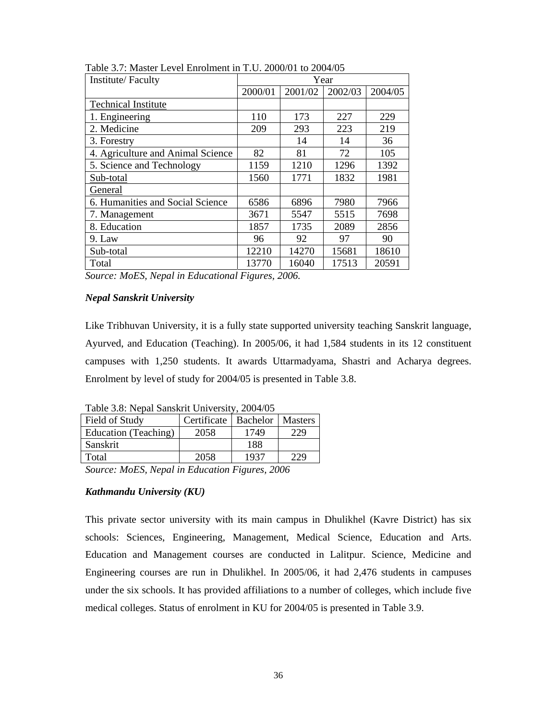| Institute/Faculty                 | Year    |         |         |         |
|-----------------------------------|---------|---------|---------|---------|
|                                   | 2000/01 | 2001/02 | 2002/03 | 2004/05 |
| <b>Technical Institute</b>        |         |         |         |         |
| 1. Engineering                    | 110     | 173     | 227     | 229     |
| 2. Medicine                       | 209     | 293     | 223     | 219     |
| 3. Forestry                       |         | 14      | 14      | 36      |
| 4. Agriculture and Animal Science | 82      | 81      | 72      | 105     |
| 5. Science and Technology         | 1159    | 1210    | 1296    | 1392    |
| Sub-total                         | 1560    | 1771    | 1832    | 1981    |
| General                           |         |         |         |         |
| 6. Humanities and Social Science  | 6586    | 6896    | 7980    | 7966    |
| 7. Management                     | 3671    | 5547    | 5515    | 7698    |
| 8. Education                      | 1857    | 1735    | 2089    | 2856    |
| 9. Law                            | 96      | 92      | 97      | 90      |
| Sub-total                         | 12210   | 14270   | 15681   | 18610   |
| Total                             | 13770   | 16040   | 17513   | 20591   |

Table 3.7: Master Level Enrolment in T.U. 2000/01 to 2004/05

*Source: MoES, Nepal in Educational Figures, 2006.* 

### *Nepal Sanskrit University*

Like Tribhuvan University, it is a fully state supported university teaching Sanskrit language, Ayurved, and Education (Teaching). In 2005/06, it had 1,584 students in its 12 constituent campuses with 1,250 students. It awards Uttarmadyama, Shastri and Acharya degrees. Enrolment by level of study for 2004/05 is presented in Table 3.8.

Table 3.8: Nepal Sanskrit University, 2004/05

| Field of Study                                 | Certificate   Bachelor |      | <b>Masters</b> |  |
|------------------------------------------------|------------------------|------|----------------|--|
| Education (Teaching)                           | 2058                   | 1749 | 229            |  |
| Sanskrit                                       |                        | 188  |                |  |
| Total                                          | 2058                   | 1937 | 229            |  |
| Source: MoES, Nepal in Education Figures, 2006 |                        |      |                |  |

*Kathmandu University (KU)* 

This private sector university with its main campus in Dhulikhel (Kavre District) has six schools: Sciences, Engineering, Management, Medical Science, Education and Arts. Education and Management courses are conducted in Lalitpur. Science, Medicine and Engineering courses are run in Dhulikhel. In 2005/06, it had 2,476 students in campuses under the six schools. It has provided affiliations to a number of colleges, which include five medical colleges. Status of enrolment in KU for 2004/05 is presented in Table 3.9.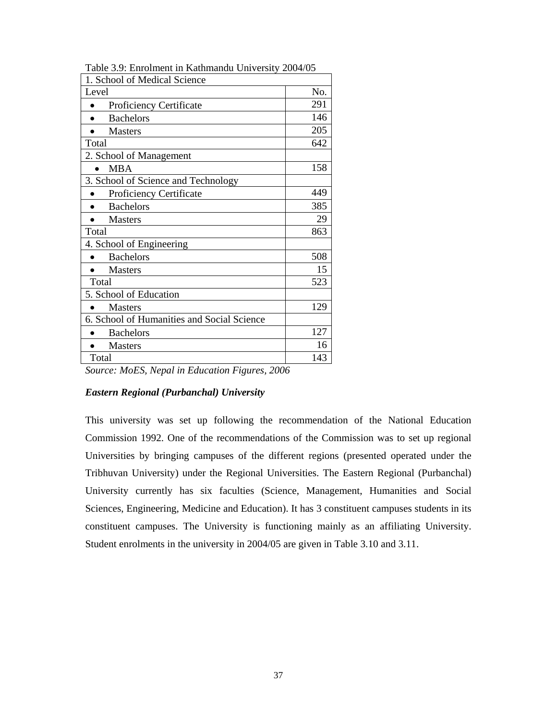| 1. School of Medical Science               |     |
|--------------------------------------------|-----|
| Level                                      | No. |
| <b>Proficiency Certificate</b>             | 291 |
| <b>Bachelors</b>                           | 146 |
| <b>Masters</b>                             | 205 |
| Total                                      | 642 |
| 2. School of Management                    |     |
| <b>MBA</b>                                 | 158 |
| 3. School of Science and Technology        |     |
| Proficiency Certificate                    | 449 |
| <b>Bachelors</b>                           | 385 |
| <b>Masters</b>                             | 29  |
| Total                                      | 863 |
| 4. School of Engineering                   |     |
| <b>Bachelors</b>                           | 508 |
| <b>Masters</b>                             | 15  |
| Total                                      | 523 |
| 5. School of Education                     |     |
| <b>Masters</b>                             | 129 |
| 6. School of Humanities and Social Science |     |
| <b>Bachelors</b>                           | 127 |
| <b>Masters</b>                             | 16  |
| Total                                      | 143 |

Table 3.9: Enrolment in Kathmandu University 2004/05

*Source: MoES, Nepal in Education Figures, 2006* 

## *Eastern Regional (Purbanchal) University*

This university was set up following the recommendation of the National Education Commission 1992. One of the recommendations of the Commission was to set up regional Universities by bringing campuses of the different regions (presented operated under the Tribhuvan University) under the Regional Universities. The Eastern Regional (Purbanchal) University currently has six faculties (Science, Management, Humanities and Social Sciences, Engineering, Medicine and Education). It has 3 constituent campuses students in its constituent campuses. The University is functioning mainly as an affiliating University. Student enrolments in the university in 2004/05 are given in Table 3.10 and 3.11.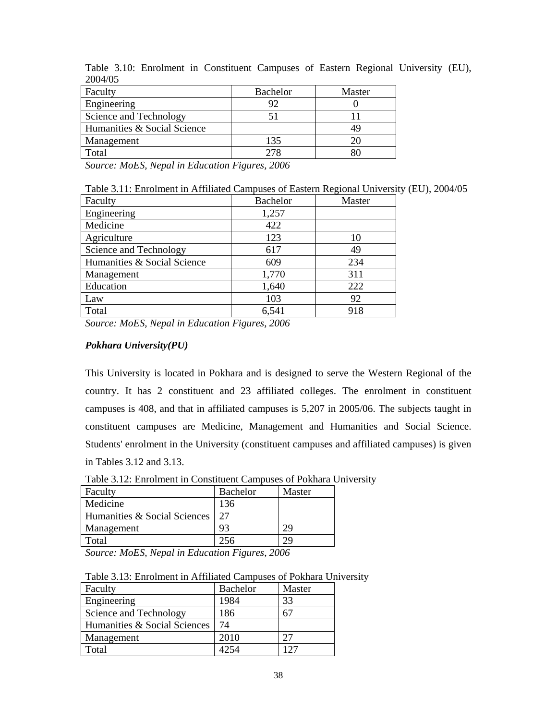| <b>Bachelor</b> | Master |
|-----------------|--------|
|                 |        |
|                 |        |
|                 |        |
| 135             |        |
| 278             |        |
|                 |        |

Table 3.10: Enrolment in Constituent Campuses of Eastern Regional University (EU), 2004/05

*Source: MoES, Nepal in Education Figures, 2006* 

| Table 3.11: Enrolment in Affiliated Campuses of Eastern Regional University (EU), 2004/05 |
|-------------------------------------------------------------------------------------------|
|-------------------------------------------------------------------------------------------|

| Faculty                     | <b>Bachelor</b> | Master |
|-----------------------------|-----------------|--------|
| Engineering                 | 1,257           |        |
| Medicine                    | 422             |        |
| Agriculture                 | 123             | 10     |
| Science and Technology      | 617             | 49     |
| Humanities & Social Science | 609             | 234    |
| Management                  | 1,770           | 311    |
| Education                   | 1,640           | 222    |
| Law                         | 103             | 92     |
| Total                       | 6,541           | 918    |

*Source: MoES, Nepal in Education Figures, 2006* 

## *Pokhara University(PU)*

This University is located in Pokhara and is designed to serve the Western Regional of the country. It has 2 constituent and 23 affiliated colleges. The enrolment in constituent campuses is 408, and that in affiliated campuses is 5,207 in 2005/06. The subjects taught in constituent campuses are Medicine, Management and Humanities and Social Science. Students' enrolment in the University (constituent campuses and affiliated campuses) is given in Tables 3.12 and 3.13.

Table 3.12: Enrolment in Constituent Campuses of Pokhara University

| Faculty                      | Bachelor | Master |
|------------------------------|----------|--------|
| Medicine                     | 136      |        |
| Humanities & Social Sciences | 27       |        |
| Management                   | 93       | 29     |
| Total                        | 256      | 79     |

*Source: MoES, Nepal in Education Figures, 2006* 

Table 3.13: Enrolment in Affiliated Campuses of Pokhara University

| Faculty                      | <b>Bachelor</b> | Master |
|------------------------------|-----------------|--------|
| Engineering                  | 1984            | 33     |
| Science and Technology       | 186             |        |
| Humanities & Social Sciences | 74              |        |
| Management                   | 2010            | フフ     |
| Total                        |                 | ר ו'   |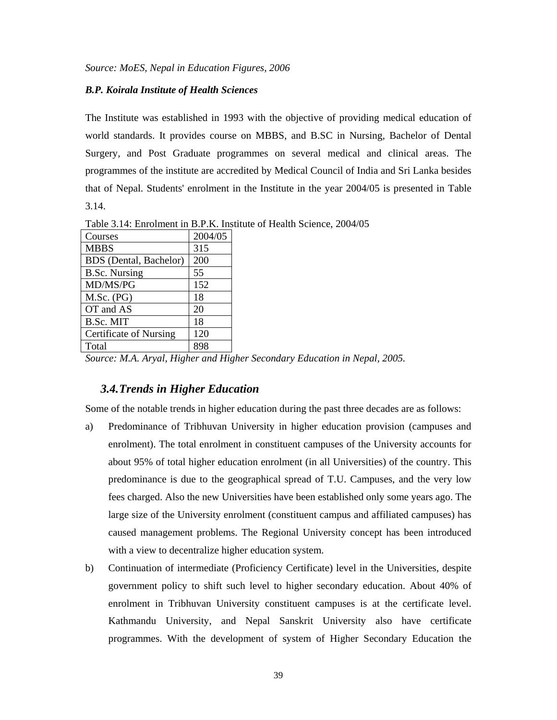#### *B.P. Koirala Institute of Health Sciences*

The Institute was established in 1993 with the objective of providing medical education of world standards. It provides course on MBBS, and B.SC in Nursing, Bachelor of Dental Surgery, and Post Graduate programmes on several medical and clinical areas. The programmes of the institute are accredited by Medical Council of India and Sri Lanka besides that of Nepal. Students' enrolment in the Institute in the year 2004/05 is presented in Table 3.14.

Courses 2004/05  $MBBS$  315 BDS (Dental, Bachelor) 200 B.Sc. Nursing 155  $MD/MS/PG$  152 M.Sc. (PG) 18 OT and AS  $\vert$  20  $B.Sc. MIT$  18 Certificate of Nursing | 120 Total 898

Table 3.14: Enrolment in B.P.K. Institute of Health Science, 2004/05

*Source: M.A. Aryal, Higher and Higher Secondary Education in Nepal, 2005.* 

### *3.4.Trends in Higher Education*

Some of the notable trends in higher education during the past three decades are as follows:

- a) Predominance of Tribhuvan University in higher education provision (campuses and enrolment). The total enrolment in constituent campuses of the University accounts for about 95% of total higher education enrolment (in all Universities) of the country. This predominance is due to the geographical spread of T.U. Campuses, and the very low fees charged. Also the new Universities have been established only some years ago. The large size of the University enrolment (constituent campus and affiliated campuses) has caused management problems. The Regional University concept has been introduced with a view to decentralize higher education system.
- b) Continuation of intermediate (Proficiency Certificate) level in the Universities, despite government policy to shift such level to higher secondary education. About 40% of enrolment in Tribhuvan University constituent campuses is at the certificate level. Kathmandu University, and Nepal Sanskrit University also have certificate programmes. With the development of system of Higher Secondary Education the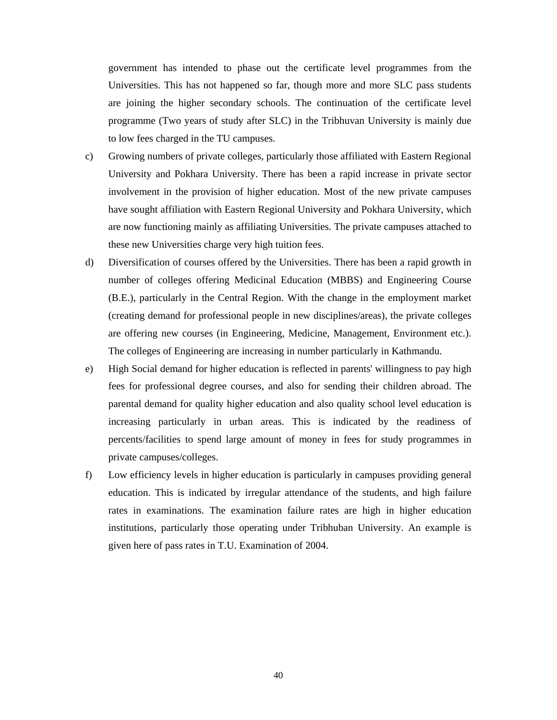government has intended to phase out the certificate level programmes from the Universities. This has not happened so far, though more and more SLC pass students are joining the higher secondary schools. The continuation of the certificate level programme (Two years of study after SLC) in the Tribhuvan University is mainly due to low fees charged in the TU campuses.

- c) Growing numbers of private colleges, particularly those affiliated with Eastern Regional University and Pokhara University. There has been a rapid increase in private sector involvement in the provision of higher education. Most of the new private campuses have sought affiliation with Eastern Regional University and Pokhara University, which are now functioning mainly as affiliating Universities. The private campuses attached to these new Universities charge very high tuition fees.
- d) Diversification of courses offered by the Universities. There has been a rapid growth in number of colleges offering Medicinal Education (MBBS) and Engineering Course (B.E.), particularly in the Central Region. With the change in the employment market (creating demand for professional people in new disciplines/areas), the private colleges are offering new courses (in Engineering, Medicine, Management, Environment etc.). The colleges of Engineering are increasing in number particularly in Kathmandu.
- e) High Social demand for higher education is reflected in parents' willingness to pay high fees for professional degree courses, and also for sending their children abroad. The parental demand for quality higher education and also quality school level education is increasing particularly in urban areas. This is indicated by the readiness of percents/facilities to spend large amount of money in fees for study programmes in private campuses/colleges.
- f) Low efficiency levels in higher education is particularly in campuses providing general education. This is indicated by irregular attendance of the students, and high failure rates in examinations. The examination failure rates are high in higher education institutions, particularly those operating under Tribhuban University. An example is given here of pass rates in T.U. Examination of 2004.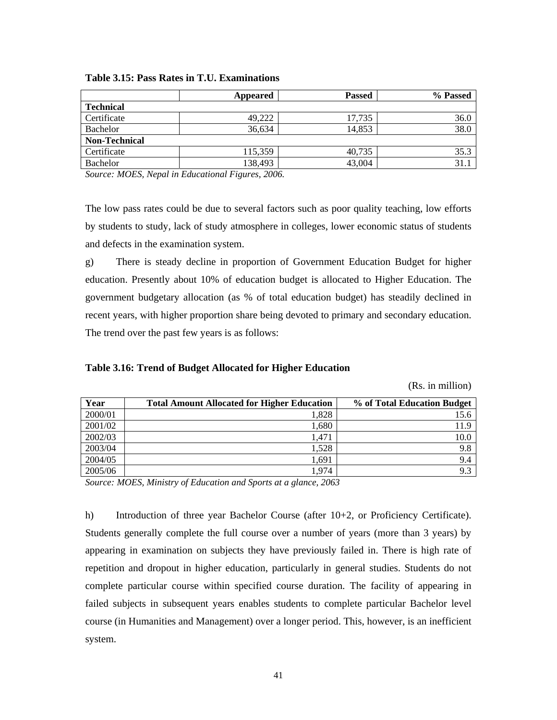|                      | Appeared | <b>Passed</b> | % Passed |
|----------------------|----------|---------------|----------|
| <b>Technical</b>     |          |               |          |
| Certificate          | 49,222   | 17,735        | 36.0     |
| Bachelor             | 36,634   | 14,853        | 38.0     |
| <b>Non-Technical</b> |          |               |          |
| Certificate          | 115,359  | 40,735        | 35.3     |
| Bachelor             | 138,493  | 43,004        | 31.1     |

**Table 3.15: Pass Rates in T.U. Examinations** 

*Source: MOES, Nepal in Educational Figures, 2006.* 

The low pass rates could be due to several factors such as poor quality teaching, low efforts by students to study, lack of study atmosphere in colleges, lower economic status of students and defects in the examination system.

g) There is steady decline in proportion of Government Education Budget for higher education. Presently about 10% of education budget is allocated to Higher Education. The government budgetary allocation (as % of total education budget) has steadily declined in recent years, with higher proportion share being devoted to primary and secondary education. The trend over the past few years is as follows:

|  |  | Table 3.16: Trend of Budget Allocated for Higher Education |
|--|--|------------------------------------------------------------|
|  |  |                                                            |

(Rs. in million)

| Year    | <b>Total Amount Allocated for Higher Education</b> | % of Total Education Budget |
|---------|----------------------------------------------------|-----------------------------|
| 2000/01 | 1,828                                              | 15.6                        |
| 2001/02 | 1,680                                              | 11.9                        |
| 2002/03 | 1.471                                              | 10.0                        |
| 2003/04 | 1,528                                              | 9.8                         |
| 2004/05 | 1,691                                              | 9.4                         |
| 2005/06 | 1.974                                              | 9.3                         |

*Source: MOES, Ministry of Education and Sports at a glance, 2063* 

h) Introduction of three year Bachelor Course (after 10+2, or Proficiency Certificate). Students generally complete the full course over a number of years (more than 3 years) by appearing in examination on subjects they have previously failed in. There is high rate of repetition and dropout in higher education, particularly in general studies. Students do not complete particular course within specified course duration. The facility of appearing in failed subjects in subsequent years enables students to complete particular Bachelor level course (in Humanities and Management) over a longer period. This, however, is an inefficient system.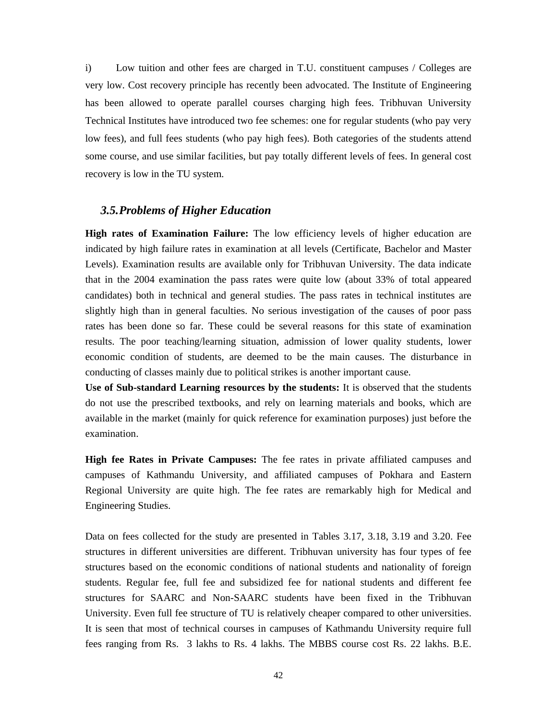i) Low tuition and other fees are charged in T.U. constituent campuses / Colleges are very low. Cost recovery principle has recently been advocated. The Institute of Engineering has been allowed to operate parallel courses charging high fees. Tribhuvan University Technical Institutes have introduced two fee schemes: one for regular students (who pay very low fees), and full fees students (who pay high fees). Both categories of the students attend some course, and use similar facilities, but pay totally different levels of fees. In general cost recovery is low in the TU system.

## *3.5.Problems of Higher Education*

**High rates of Examination Failure:** The low efficiency levels of higher education are indicated by high failure rates in examination at all levels (Certificate, Bachelor and Master Levels). Examination results are available only for Tribhuvan University. The data indicate that in the 2004 examination the pass rates were quite low (about 33% of total appeared candidates) both in technical and general studies. The pass rates in technical institutes are slightly high than in general faculties. No serious investigation of the causes of poor pass rates has been done so far. These could be several reasons for this state of examination results. The poor teaching/learning situation, admission of lower quality students, lower economic condition of students, are deemed to be the main causes. The disturbance in conducting of classes mainly due to political strikes is another important cause.

**Use of Sub-standard Learning resources by the students:** It is observed that the students do not use the prescribed textbooks, and rely on learning materials and books, which are available in the market (mainly for quick reference for examination purposes) just before the examination.

**High fee Rates in Private Campuses:** The fee rates in private affiliated campuses and campuses of Kathmandu University, and affiliated campuses of Pokhara and Eastern Regional University are quite high. The fee rates are remarkably high for Medical and Engineering Studies.

Data on fees collected for the study are presented in Tables 3.17, 3.18, 3.19 and 3.20. Fee structures in different universities are different. Tribhuvan university has four types of fee structures based on the economic conditions of national students and nationality of foreign students. Regular fee, full fee and subsidized fee for national students and different fee structures for SAARC and Non-SAARC students have been fixed in the Tribhuvan University. Even full fee structure of TU is relatively cheaper compared to other universities. It is seen that most of technical courses in campuses of Kathmandu University require full fees ranging from Rs. 3 lakhs to Rs. 4 lakhs. The MBBS course cost Rs. 22 lakhs. B.E.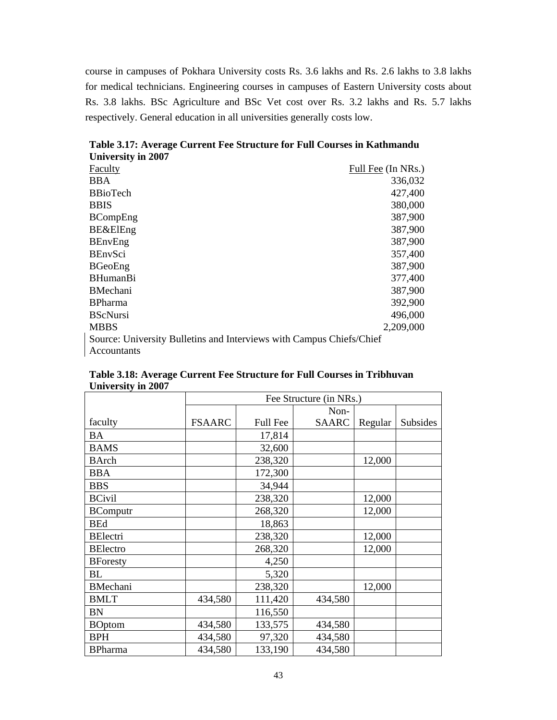course in campuses of Pokhara University costs Rs. 3.6 lakhs and Rs. 2.6 lakhs to 3.8 lakhs for medical technicians. Engineering courses in campuses of Eastern University costs about Rs. 3.8 lakhs. BSc Agriculture and BSc Vet cost over Rs. 3.2 lakhs and Rs. 5.7 lakhs respectively. General education in all universities generally costs low.

| UMINUSILY III 4007                                                   |                    |
|----------------------------------------------------------------------|--------------------|
| Faculty                                                              | Full Fee (In NRs.) |
| <b>BBA</b>                                                           | 336,032            |
| <b>BBioTech</b>                                                      | 427,400            |
| <b>BBIS</b>                                                          | 380,000            |
| <b>BCompEng</b>                                                      | 387,900            |
| <b>BE&amp;ElEng</b>                                                  | 387,900            |
| <b>BEnvEng</b>                                                       | 387,900            |
| <b>BEnvSci</b>                                                       | 357,400            |
| <b>BGeoEng</b>                                                       | 387,900            |
| <b>BHumanBi</b>                                                      | 377,400            |
| <b>BMechani</b>                                                      | 387,900            |
| <b>BPharma</b>                                                       | 392,900            |
| <b>BScNursi</b>                                                      | 496,000            |
| <b>MBBS</b>                                                          | 2,209,000          |
| Source: University Bulletins and Interviews with Campus Chiefs/Chief |                    |
| Accountants                                                          |                    |

**Table 3.17: Average Current Fee Structure for Full Courses in Kathmandu University in 2007** 

| UMVETSILY III 2007 |                         |                 |              |         |          |  |
|--------------------|-------------------------|-----------------|--------------|---------|----------|--|
|                    | Fee Structure (in NRs.) |                 |              |         |          |  |
|                    |                         |                 | Non-         |         |          |  |
| faculty            | <b>FSAARC</b>           | <b>Full Fee</b> | <b>SAARC</b> | Regular | Subsides |  |
| BA                 |                         | 17,814          |              |         |          |  |
| <b>BAMS</b>        |                         | 32,600          |              |         |          |  |
| <b>BArch</b>       |                         | 238,320         |              | 12,000  |          |  |
| <b>BBA</b>         |                         | 172,300         |              |         |          |  |
| <b>BBS</b>         |                         | 34,944          |              |         |          |  |
| <b>BCivil</b>      |                         | 238,320         |              | 12,000  |          |  |
| <b>BComputr</b>    |                         | 268,320         |              | 12,000  |          |  |
| <b>BEd</b>         |                         | 18,863          |              |         |          |  |
| <b>BElectri</b>    |                         | 238,320         |              | 12,000  |          |  |
| <b>BElectro</b>    |                         | 268,320         |              | 12,000  |          |  |
| <b>BForesty</b>    |                         | 4,250           |              |         |          |  |
| BL                 |                         | 5,320           |              |         |          |  |
| <b>BMechani</b>    |                         | 238,320         |              | 12,000  |          |  |
| <b>BMLT</b>        | 434,580                 | 111,420         | 434,580      |         |          |  |
| <b>BN</b>          |                         | 116,550         |              |         |          |  |
| <b>BOptom</b>      | 434,580                 | 133,575         | 434,580      |         |          |  |
| <b>BPH</b>         | 434,580                 | 97,320          | 434,580      |         |          |  |
| <b>BPharma</b>     | 434,580                 | 133,190         | 434,580      |         |          |  |

**Table 3.18: Average Current Fee Structure for Full Courses in Tribhuvan University in 2007**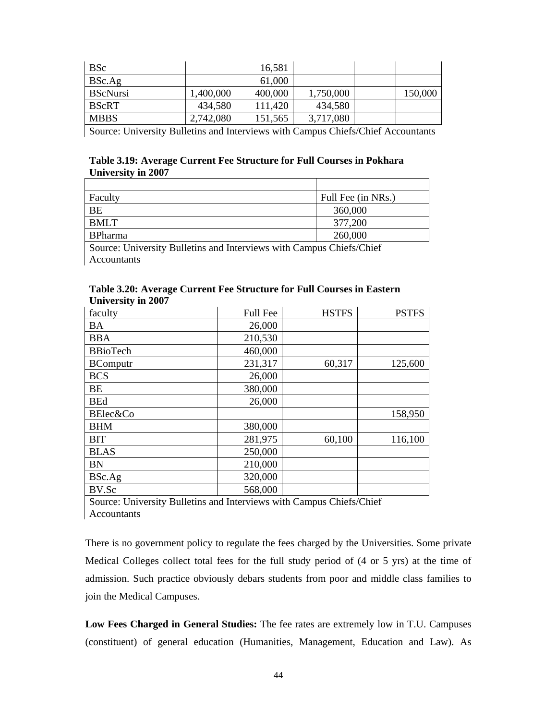| <b>BSc</b>      |           | 16,581  |           |         |
|-----------------|-----------|---------|-----------|---------|
| BSc.Ag          |           | 61,000  |           |         |
| <b>BScNursi</b> | ,400,000  | 400,000 | 1,750,000 | 150,000 |
| <b>BScRT</b>    | 434,580   | 111,420 | 434,580   |         |
| <b>MBBS</b>     | 2,742,080 | 151,565 | 3,717,080 |         |

Source: University Bulletins and Interviews with Campus Chiefs/Chief Accountants

## **Table 3.19: Average Current Fee Structure for Full Courses in Pokhara University in 2007**

| Faculty                                      | Full Fee (in NRs.)                 |
|----------------------------------------------|------------------------------------|
| <b>BE</b>                                    | 360,000                            |
| <b>BMLT</b>                                  | 377,200                            |
| <b>BPharma</b>                               | 260,000                            |
| $ -$<br>$\sim$<br>$\cdot$ $\sim$<br>$\cdots$ | $\sim$ $\sim$ $\sim$ $\sim$ $\sim$ |

Source: University Bulletins and Interviews with Campus Chiefs/Chief Accountants

### **Table 3.20: Average Current Fee Structure for Full Courses in Eastern University in 2007**

| faculty         | <b>Full Fee</b> | <b>HSTFS</b> | <b>PSTFS</b> |
|-----------------|-----------------|--------------|--------------|
| BA              | 26,000          |              |              |
| <b>BBA</b>      | 210,530         |              |              |
| <b>BBioTech</b> | 460,000         |              |              |
| <b>BComputr</b> | 231,317         | 60,317       | 125,600      |
| <b>BCS</b>      | 26,000          |              |              |
| BE              | 380,000         |              |              |
| <b>BEd</b>      | 26,000          |              |              |
| BElec&Co        |                 |              | 158,950      |
| <b>BHM</b>      | 380,000         |              |              |
| <b>BIT</b>      | 281,975         | 60,100       | 116,100      |
| <b>BLAS</b>     | 250,000         |              |              |
| <b>BN</b>       | 210,000         |              |              |
| BSc.Ag          | 320,000         |              |              |
| BV.Sc           | 568,000         |              |              |

Source: University Bulletins and Interviews with Campus Chiefs/Chief **Accountants** 

There is no government policy to regulate the fees charged by the Universities. Some private Medical Colleges collect total fees for the full study period of (4 or 5 yrs) at the time of admission. Such practice obviously debars students from poor and middle class families to join the Medical Campuses.

**Low Fees Charged in General Studies:** The fee rates are extremely low in T.U. Campuses (constituent) of general education (Humanities, Management, Education and Law). As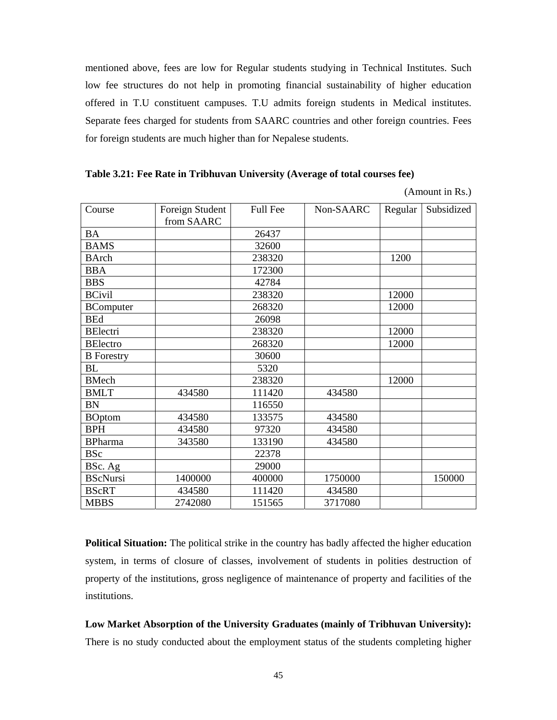mentioned above, fees are low for Regular students studying in Technical Institutes. Such low fee structures do not help in promoting financial sustainability of higher education offered in T.U constituent campuses. T.U admits foreign students in Medical institutes. Separate fees charged for students from SAARC countries and other foreign countries. Fees for foreign students are much higher than for Nepalese students.

|  |  |  | Table 3.21: Fee Rate in Tribhuvan University (Average of total courses fee) |
|--|--|--|-----------------------------------------------------------------------------|
|  |  |  |                                                                             |

(Amount in Rs.)

| Course            | Foreign Student | <b>Full Fee</b> | Non-SAARC | Regular | Subsidized |
|-------------------|-----------------|-----------------|-----------|---------|------------|
|                   | from SAARC      |                 |           |         |            |
| <b>BA</b>         |                 | 26437           |           |         |            |
| <b>BAMS</b>       |                 | 32600           |           |         |            |
| <b>BArch</b>      |                 | 238320          |           | 1200    |            |
| <b>BBA</b>        |                 | 172300          |           |         |            |
| <b>BBS</b>        |                 | 42784           |           |         |            |
| <b>BCivil</b>     |                 | 238320          |           | 12000   |            |
| <b>BComputer</b>  |                 | 268320          |           | 12000   |            |
| <b>BEd</b>        |                 | 26098           |           |         |            |
| <b>BElectri</b>   |                 | 238320          |           | 12000   |            |
| <b>BElectro</b>   |                 | 268320          |           | 12000   |            |
| <b>B</b> Forestry |                 | 30600           |           |         |            |
| BL                |                 | 5320            |           |         |            |
| <b>BMech</b>      |                 | 238320          |           | 12000   |            |
| <b>BMLT</b>       | 434580          | 111420          | 434580    |         |            |
| <b>BN</b>         |                 | 116550          |           |         |            |
| <b>BOptom</b>     | 434580          | 133575          | 434580    |         |            |
| <b>BPH</b>        | 434580          | 97320           | 434580    |         |            |
| <b>BPharma</b>    | 343580          | 133190          | 434580    |         |            |
| <b>BSc</b>        |                 | 22378           |           |         |            |
| BSc. Ag           |                 | 29000           |           |         |            |
| <b>BScNursi</b>   | 1400000         | 400000          | 1750000   |         | 150000     |
| <b>BScRT</b>      | 434580          | 111420          | 434580    |         |            |
| <b>MBBS</b>       | 2742080         | 151565          | 3717080   |         |            |

**Political Situation:** The political strike in the country has badly affected the higher education system, in terms of closure of classes, involvement of students in polities destruction of property of the institutions, gross negligence of maintenance of property and facilities of the institutions.

**Low Market Absorption of the University Graduates (mainly of Tribhuvan University):** There is no study conducted about the employment status of the students completing higher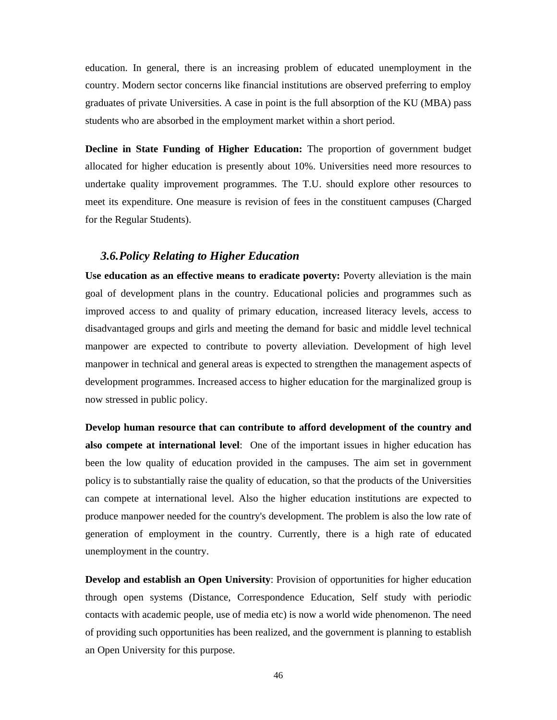education. In general, there is an increasing problem of educated unemployment in the country. Modern sector concerns like financial institutions are observed preferring to employ graduates of private Universities. A case in point is the full absorption of the KU (MBA) pass students who are absorbed in the employment market within a short period.

**Decline in State Funding of Higher Education:** The proportion of government budget allocated for higher education is presently about 10%. Universities need more resources to undertake quality improvement programmes. The T.U. should explore other resources to meet its expenditure. One measure is revision of fees in the constituent campuses (Charged for the Regular Students).

### *3.6.Policy Relating to Higher Education*

**Use education as an effective means to eradicate poverty:** Poverty alleviation is the main goal of development plans in the country. Educational policies and programmes such as improved access to and quality of primary education, increased literacy levels, access to disadvantaged groups and girls and meeting the demand for basic and middle level technical manpower are expected to contribute to poverty alleviation. Development of high level manpower in technical and general areas is expected to strengthen the management aspects of development programmes. Increased access to higher education for the marginalized group is now stressed in public policy.

**Develop human resource that can contribute to afford development of the country and also compete at international level**: One of the important issues in higher education has been the low quality of education provided in the campuses. The aim set in government policy is to substantially raise the quality of education, so that the products of the Universities can compete at international level. Also the higher education institutions are expected to produce manpower needed for the country's development. The problem is also the low rate of generation of employment in the country. Currently, there is a high rate of educated unemployment in the country.

**Develop and establish an Open University**: Provision of opportunities for higher education through open systems (Distance, Correspondence Education, Self study with periodic contacts with academic people, use of media etc) is now a world wide phenomenon. The need of providing such opportunities has been realized, and the government is planning to establish an Open University for this purpose.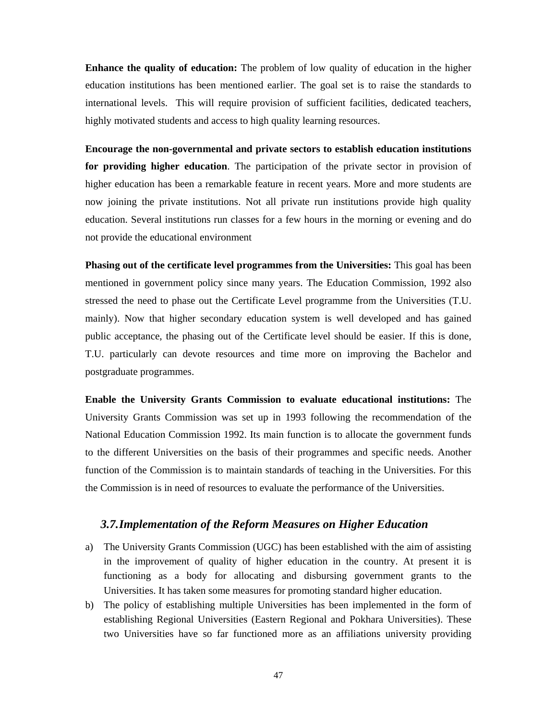**Enhance the quality of education:** The problem of low quality of education in the higher education institutions has been mentioned earlier. The goal set is to raise the standards to international levels. This will require provision of sufficient facilities, dedicated teachers, highly motivated students and access to high quality learning resources.

**Encourage the non-governmental and private sectors to establish education institutions for providing higher education**. The participation of the private sector in provision of higher education has been a remarkable feature in recent years. More and more students are now joining the private institutions. Not all private run institutions provide high quality education. Several institutions run classes for a few hours in the morning or evening and do not provide the educational environment

**Phasing out of the certificate level programmes from the Universities:** This goal has been mentioned in government policy since many years. The Education Commission, 1992 also stressed the need to phase out the Certificate Level programme from the Universities (T.U. mainly). Now that higher secondary education system is well developed and has gained public acceptance, the phasing out of the Certificate level should be easier. If this is done, T.U. particularly can devote resources and time more on improving the Bachelor and postgraduate programmes.

**Enable the University Grants Commission to evaluate educational institutions:** The University Grants Commission was set up in 1993 following the recommendation of the National Education Commission 1992. Its main function is to allocate the government funds to the different Universities on the basis of their programmes and specific needs. Another function of the Commission is to maintain standards of teaching in the Universities. For this the Commission is in need of resources to evaluate the performance of the Universities.

## *3.7.Implementation of the Reform Measures on Higher Education*

- a) The University Grants Commission (UGC) has been established with the aim of assisting in the improvement of quality of higher education in the country. At present it is functioning as a body for allocating and disbursing government grants to the Universities. It has taken some measures for promoting standard higher education.
- b) The policy of establishing multiple Universities has been implemented in the form of establishing Regional Universities (Eastern Regional and Pokhara Universities). These two Universities have so far functioned more as an affiliations university providing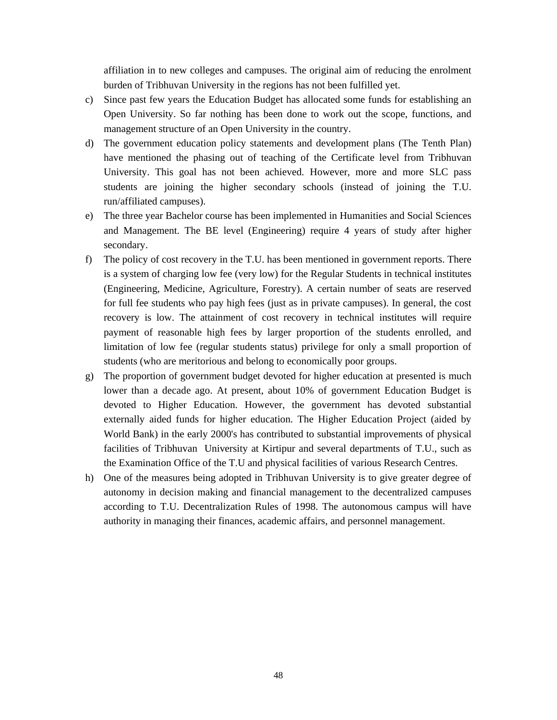affiliation in to new colleges and campuses. The original aim of reducing the enrolment burden of Tribhuvan University in the regions has not been fulfilled yet.

- c) Since past few years the Education Budget has allocated some funds for establishing an Open University. So far nothing has been done to work out the scope, functions, and management structure of an Open University in the country.
- d) The government education policy statements and development plans (The Tenth Plan) have mentioned the phasing out of teaching of the Certificate level from Tribhuvan University. This goal has not been achieved. However, more and more SLC pass students are joining the higher secondary schools (instead of joining the T.U. run/affiliated campuses).
- e) The three year Bachelor course has been implemented in Humanities and Social Sciences and Management. The BE level (Engineering) require 4 years of study after higher secondary.
- f) The policy of cost recovery in the T.U. has been mentioned in government reports. There is a system of charging low fee (very low) for the Regular Students in technical institutes (Engineering, Medicine, Agriculture, Forestry). A certain number of seats are reserved for full fee students who pay high fees (just as in private campuses). In general, the cost recovery is low. The attainment of cost recovery in technical institutes will require payment of reasonable high fees by larger proportion of the students enrolled, and limitation of low fee (regular students status) privilege for only a small proportion of students (who are meritorious and belong to economically poor groups.
- g) The proportion of government budget devoted for higher education at presented is much lower than a decade ago. At present, about 10% of government Education Budget is devoted to Higher Education. However, the government has devoted substantial externally aided funds for higher education. The Higher Education Project (aided by World Bank) in the early 2000's has contributed to substantial improvements of physical facilities of Tribhuvan University at Kirtipur and several departments of T.U., such as the Examination Office of the T.U and physical facilities of various Research Centres.
- h) One of the measures being adopted in Tribhuvan University is to give greater degree of autonomy in decision making and financial management to the decentralized campuses according to T.U. Decentralization Rules of 1998. The autonomous campus will have authority in managing their finances, academic affairs, and personnel management.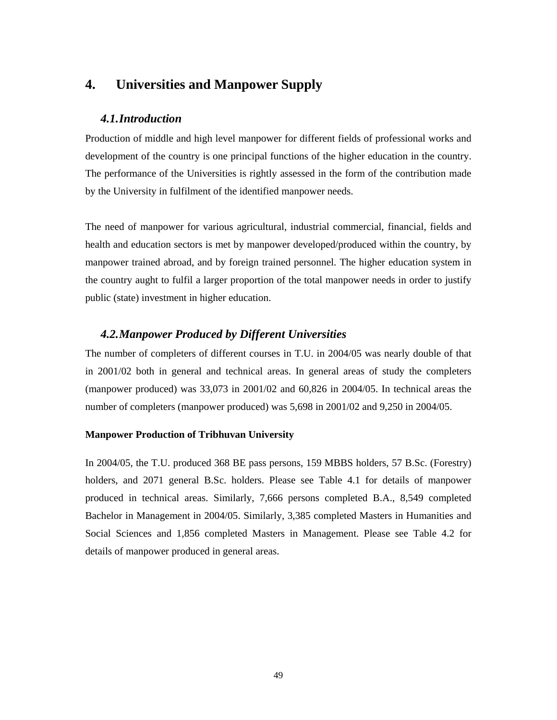# **4. Universities and Manpower Supply**

## *4.1.Introduction*

Production of middle and high level manpower for different fields of professional works and development of the country is one principal functions of the higher education in the country. The performance of the Universities is rightly assessed in the form of the contribution made by the University in fulfilment of the identified manpower needs.

The need of manpower for various agricultural, industrial commercial, financial, fields and health and education sectors is met by manpower developed/produced within the country, by manpower trained abroad, and by foreign trained personnel. The higher education system in the country aught to fulfil a larger proportion of the total manpower needs in order to justify public (state) investment in higher education.

## *4.2.Manpower Produced by Different Universities*

The number of completers of different courses in T.U. in 2004/05 was nearly double of that in 2001/02 both in general and technical areas. In general areas of study the completers (manpower produced) was 33,073 in 2001/02 and 60,826 in 2004/05. In technical areas the number of completers (manpower produced) was 5,698 in 2001/02 and 9,250 in 2004/05.

## **Manpower Production of Tribhuvan University**

In 2004/05, the T.U. produced 368 BE pass persons, 159 MBBS holders, 57 B.Sc. (Forestry) holders, and 2071 general B.Sc. holders. Please see Table 4.1 for details of manpower produced in technical areas. Similarly, 7,666 persons completed B.A., 8,549 completed Bachelor in Management in 2004/05. Similarly, 3,385 completed Masters in Humanities and Social Sciences and 1,856 completed Masters in Management. Please see Table 4.2 for details of manpower produced in general areas.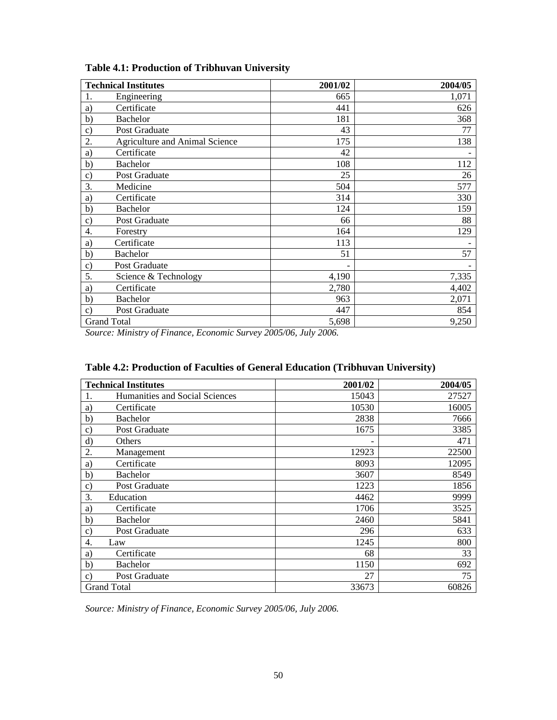|                 | <b>Technical Institutes</b>           | 2001/02 | 2004/05 |
|-----------------|---------------------------------------|---------|---------|
| 1.              | Engineering                           | 665     | 1,071   |
| a)              | Certificate                           | 441     | 626     |
| b)              | <b>Bachelor</b>                       | 181     | 368     |
| $\mathbf{c})$   | Post Graduate                         | 43      | 77      |
| 2.              | <b>Agriculture and Animal Science</b> | 175     | 138     |
| a)              | Certificate                           | 42      |         |
| b)              | <b>Bachelor</b>                       | 108     | 112     |
| $\mathcal{C}$ ) | Post Graduate                         | 25      | 26      |
| 3.              | Medicine                              | 504     | 577     |
| a)              | Certificate                           | 314     | 330     |
| b)              | <b>Bachelor</b>                       | 124     | 159     |
| $\mathbf{c})$   | Post Graduate                         | 66      | 88      |
| 4.              | Forestry                              | 164     | 129     |
| a)              | Certificate                           | 113     |         |
| b)              | <b>Bachelor</b>                       | 51      | 57      |
| $\mathbf{c})$   | Post Graduate                         |         |         |
| 5.              | Science & Technology                  | 4,190   | 7,335   |
| a)              | Certificate                           | 2,780   | 4,402   |
| b)              | <b>Bachelor</b>                       | 963     | 2,071   |
| $\mathcal{C}$ ) | Post Graduate                         | 447     | 854     |
|                 | <b>Grand Total</b>                    | 5,698   | 9,250   |

**Table 4.1: Production of Tribhuvan University** 

*Source: Ministry of Finance, Economic Survey 2005/06, July 2006.* 

| <b>Technical Institutes</b>          | 2001/02 | 2004/05 |
|--------------------------------------|---------|---------|
| Humanities and Social Sciences<br>1. | 15043   | 27527   |
| Certificate<br>a)                    | 10530   | 16005   |
| $\mathbf{b}$<br><b>Bachelor</b>      | 2838    | 7666    |
| Post Graduate<br>$\mathbf{c})$       | 1675    | 3385    |
| $\rm d)$<br>Others                   |         | 471     |
| 2.<br>Management                     | 12923   | 22500   |
| Certificate<br>a)                    | 8093    | 12095   |
| $\mathbf{b}$<br><b>Bachelor</b>      | 3607    | 8549    |
| Post Graduate<br>$\mathbf{C}$        | 1223    | 1856    |
| 3.<br>Education                      | 4462    | 9999    |
| Certificate<br>a)                    | 1706    | 3525    |
| <b>Bachelor</b><br>b)                | 2460    | 5841    |
| Post Graduate<br>$\mathbf{C}$        | 296     | 633     |
| Law<br>4.                            | 1245    | 800     |
| Certificate<br>a)                    | 68      | 33      |
| $\mathbf{b}$<br><b>Bachelor</b>      | 1150    | 692     |
| Post Graduate<br>$\mathcal{C}$       | 27      | 75      |
| <b>Grand Total</b>                   | 33673   | 60826   |

*Source: Ministry of Finance, Economic Survey 2005/06, July 2006.*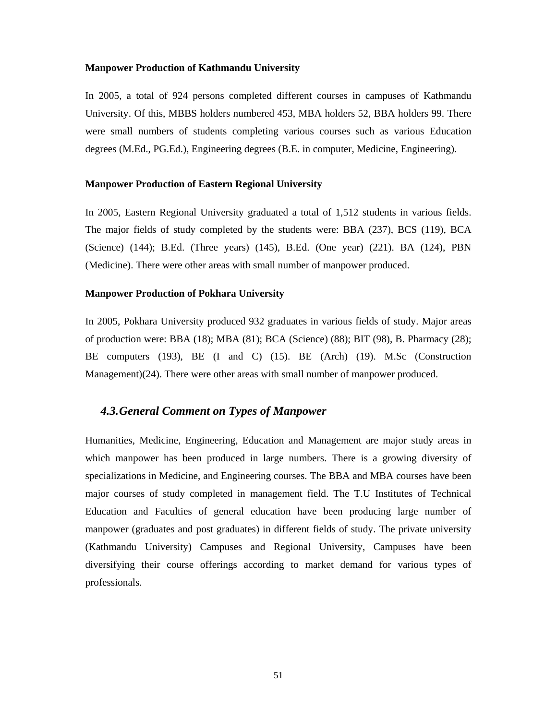#### **Manpower Production of Kathmandu University**

In 2005, a total of 924 persons completed different courses in campuses of Kathmandu University. Of this, MBBS holders numbered 453, MBA holders 52, BBA holders 99. There were small numbers of students completing various courses such as various Education degrees (M.Ed., PG.Ed.), Engineering degrees (B.E. in computer, Medicine, Engineering).

#### **Manpower Production of Eastern Regional University**

In 2005, Eastern Regional University graduated a total of 1,512 students in various fields. The major fields of study completed by the students were: BBA (237), BCS (119), BCA (Science) (144); B.Ed. (Three years) (145), B.Ed. (One year) (221). BA (124), PBN (Medicine). There were other areas with small number of manpower produced.

#### **Manpower Production of Pokhara University**

In 2005, Pokhara University produced 932 graduates in various fields of study. Major areas of production were: BBA (18); MBA (81); BCA (Science) (88); BIT (98), B. Pharmacy (28); BE computers (193), BE (I and C) (15). BE (Arch) (19). M.Sc (Construction Management)(24). There were other areas with small number of manpower produced.

## *4.3.General Comment on Types of Manpower*

Humanities, Medicine, Engineering, Education and Management are major study areas in which manpower has been produced in large numbers. There is a growing diversity of specializations in Medicine, and Engineering courses. The BBA and MBA courses have been major courses of study completed in management field. The T.U Institutes of Technical Education and Faculties of general education have been producing large number of manpower (graduates and post graduates) in different fields of study. The private university (Kathmandu University) Campuses and Regional University, Campuses have been diversifying their course offerings according to market demand for various types of professionals.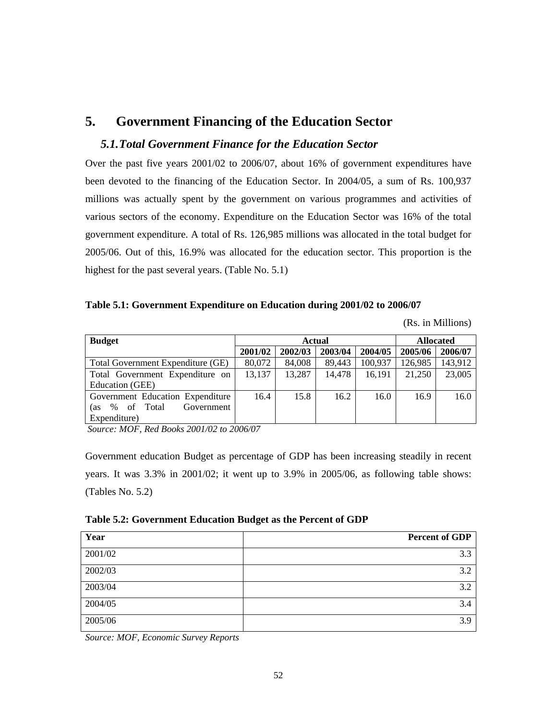# **5. Government Financing of the Education Sector**

## *5.1.Total Government Finance for the Education Sector*

Over the past five years 2001/02 to 2006/07, about 16% of government expenditures have been devoted to the financing of the Education Sector. In 2004/05, a sum of Rs. 100,937 millions was actually spent by the government on various programmes and activities of various sectors of the economy. Expenditure on the Education Sector was 16% of the total government expenditure. A total of Rs. 126,985 millions was allocated in the total budget for 2005/06. Out of this, 16.9% was allocated for the education sector. This proportion is the highest for the past several years. (Table No. 5.1)

## **Table 5.1: Government Expenditure on Education during 2001/02 to 2006/07**

(Rs. in Millions)

| <b>Budget</b>                         | <b>Actual</b> |         |         |         | <b>Allocated</b> |         |
|---------------------------------------|---------------|---------|---------|---------|------------------|---------|
|                                       | 2001/02       | 2002/03 | 2003/04 | 2004/05 | 2005/06          | 2006/07 |
| Total Government Expenditure (GE)     | 80,072        | 84,008  | 89,443  | 100,937 | 126,985          | 143,912 |
| Total Government Expenditure on       | 13,137        | 13,287  | 14,478  | 16,191  | 21,250           | 23,005  |
| Education (GEE)                       |               |         |         |         |                  |         |
| Government Education Expenditure      | 16.4          | 15.8    | 16.2    | 16.0    | 16.9             | 16.0    |
| Government<br>of Total<br>$\%$<br>as: |               |         |         |         |                  |         |
| Expenditure)                          |               |         |         |         |                  |         |

 *Source: MOF, Red Books 2001/02 to 2006/07* 

Government education Budget as percentage of GDP has been increasing steadily in recent years. It was 3.3% in 2001/02; it went up to 3.9% in 2005/06, as following table shows: (Tables No. 5.2)

**Table 5.2: Government Education Budget as the Percent of GDP** 

| Year    | <b>Percent of GDP</b> |
|---------|-----------------------|
| 2001/02 | 3.3                   |
| 2002/03 | 3.2                   |
| 2003/04 | 3.2                   |
| 2004/05 | 3.4                   |
| 2005/06 | 3.9                   |

*Source: MOF, Economic Survey Reports*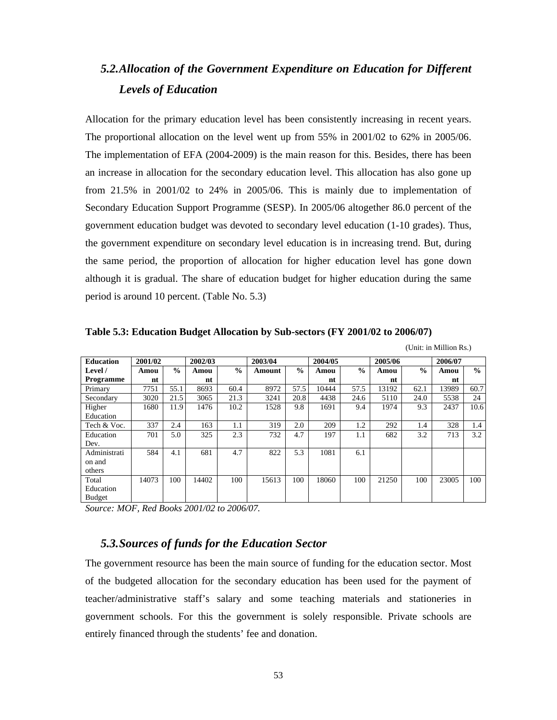# *5.2.Allocation of the Government Expenditure on Education for Different Levels of Education*

Allocation for the primary education level has been consistently increasing in recent years. The proportional allocation on the level went up from 55% in 2001/02 to 62% in 2005/06. The implementation of EFA (2004-2009) is the main reason for this. Besides, there has been an increase in allocation for the secondary education level. This allocation has also gone up from 21.5% in 2001/02 to 24% in 2005/06. This is mainly due to implementation of Secondary Education Support Programme (SESP). In 2005/06 altogether 86.0 percent of the government education budget was devoted to secondary level education (1-10 grades). Thus, the government expenditure on secondary level education is in increasing trend. But, during the same period, the proportion of allocation for higher education level has gone down although it is gradual. The share of education budget for higher education during the same period is around 10 percent. (Table No. 5.3)

**Table 5.3: Education Budget Allocation by Sub-sectors (FY 2001/02 to 2006/07)** 

(Unit: in Million Rs.)

| <b>Education</b> | 2001/02 |               | 2002/03 |      | 2003/04 |               | 2004/05 |               | 2005/06 |               | 2006/07 |      |
|------------------|---------|---------------|---------|------|---------|---------------|---------|---------------|---------|---------------|---------|------|
| Level /          | Amou    | $\frac{0}{0}$ | Amou    | $\%$ | Amount  | $\frac{6}{9}$ | Amou    | $\frac{0}{0}$ | Amou    | $\frac{0}{0}$ | Amou    | $\%$ |
| <b>Programme</b> | nt      |               | nt      |      |         |               | nt      |               | nt      |               | nt      |      |
| Primary          | 7751    | 55.1          | 8693    | 60.4 | 8972    | 57.5          | 10444   | 57.5          | 13192   | 62.1          | 13989   | 60.7 |
| Secondary        | 3020    | 21.5          | 3065    | 21.3 | 3241    | 20.8          | 4438    | 24.6          | 5110    | 24.0          | 5538    | 24   |
| Higher           | 1680    | 11.9          | 1476    | 10.2 | 1528    | 9.8           | 1691    | 9.4           | 1974    | 9.3           | 2437    | 10.6 |
| Education        |         |               |         |      |         |               |         |               |         |               |         |      |
| Tech & Voc.      | 337     | 2.4           | 163     | 1.1  | 319     | 2.0           | 209     | 1.2           | 292     | 1.4           | 328     | 1.4  |
| Education        | 701     | 5.0           | 325     | 2.3  | 732     | 4.7           | 197     | 1.1           | 682     | 3.2           | 713     | 3.2  |
| Dev.             |         |               |         |      |         |               |         |               |         |               |         |      |
| Administrati     | 584     | 4.1           | 681     | 4.7  | 822     | 5.3           | 1081    | 6.1           |         |               |         |      |
| on and           |         |               |         |      |         |               |         |               |         |               |         |      |
| others           |         |               |         |      |         |               |         |               |         |               |         |      |
| Total            | 14073   | 100           | 14402   | 100  | 15613   | 100           | 18060   | 100           | 21250   | 100           | 23005   | 100  |
| Education        |         |               |         |      |         |               |         |               |         |               |         |      |
| Budget           |         |               |         |      |         |               |         |               |         |               |         |      |

*Source: MOF, Red Books 2001/02 to 2006/07.* 

## *5.3.Sources of funds for the Education Sector*

The government resource has been the main source of funding for the education sector. Most of the budgeted allocation for the secondary education has been used for the payment of teacher/administrative staff's salary and some teaching materials and stationeries in government schools. For this the government is solely responsible. Private schools are entirely financed through the students' fee and donation.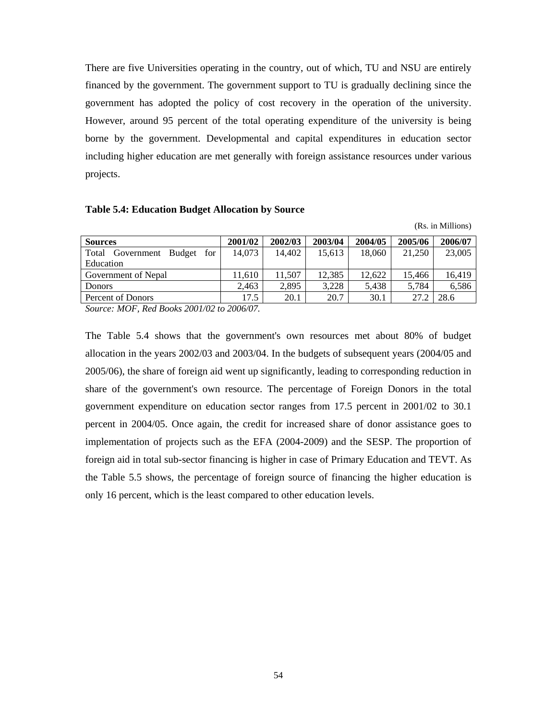There are five Universities operating in the country, out of which, TU and NSU are entirely financed by the government. The government support to TU is gradually declining since the government has adopted the policy of cost recovery in the operation of the university. However, around 95 percent of the total operating expenditure of the university is being borne by the government. Developmental and capital expenditures in education sector including higher education are met generally with foreign assistance resources under various projects.

#### **Table 5.4: Education Budget Allocation by Source**

(Rs. in Millions)

| <b>Sources</b>                              | 2001/02 | 2002/03 | 2003/04 | 2004/05 | 2005/06 | 2006/07 |
|---------------------------------------------|---------|---------|---------|---------|---------|---------|
| for<br>Total<br><b>Budget</b><br>Government | 14,073  | 14,402  | 15.613  | 18.060  | 21.250  | 23,005  |
| Education                                   |         |         |         |         |         |         |
| Government of Nepal                         | 11.610  | 11.507  | 12,385  | 12.622  | 15.466  | 16,419  |
| <b>Donors</b>                               | 2.463   | 2.895   | 3,228   | 5,438   | 5.784   | 6.586   |
| Percent of Donors                           | 17.5    | 20.1    | 20.7    | 30.1    | 27.2    | 28.6    |
|                                             |         |         |         |         |         |         |

*Source: MOF, Red Books 2001/02 to 2006/07.* 

The Table 5.4 shows that the government's own resources met about 80% of budget allocation in the years 2002/03 and 2003/04. In the budgets of subsequent years (2004/05 and 2005/06), the share of foreign aid went up significantly, leading to corresponding reduction in share of the government's own resource. The percentage of Foreign Donors in the total government expenditure on education sector ranges from 17.5 percent in 2001/02 to 30.1 percent in 2004/05. Once again, the credit for increased share of donor assistance goes to implementation of projects such as the EFA (2004-2009) and the SESP. The proportion of foreign aid in total sub-sector financing is higher in case of Primary Education and TEVT. As the Table 5.5 shows, the percentage of foreign source of financing the higher education is only 16 percent, which is the least compared to other education levels.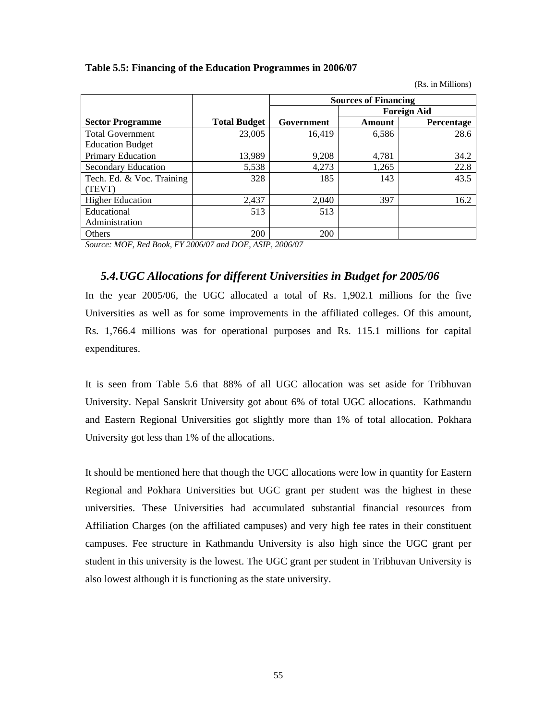### **Table 5.5: Financing of the Education Programmes in 2006/07**

(Rs. in Millions)

|                            |                     | <b>Sources of Financing</b> |        |                    |  |
|----------------------------|---------------------|-----------------------------|--------|--------------------|--|
|                            |                     |                             |        | <b>Foreign Aid</b> |  |
| <b>Sector Programme</b>    | <b>Total Budget</b> | Government                  | Amount | Percentage         |  |
| <b>Total Government</b>    | 23,005              | 16,419                      | 6,586  | 28.6               |  |
| <b>Education Budget</b>    |                     |                             |        |                    |  |
| <b>Primary Education</b>   | 13,989              | 9,208                       | 4,781  | 34.2               |  |
| <b>Secondary Education</b> | 5,538               | 4,273                       | 1,265  | 22.8               |  |
| Tech. Ed. & Voc. Training  | 328                 | 185                         | 143    | 43.5               |  |
| (TEVT)                     |                     |                             |        |                    |  |
| <b>Higher Education</b>    | 2,437               | 2,040                       | 397    | 16.2               |  |
| Educational                | 513                 | 513                         |        |                    |  |
| Administration             |                     |                             |        |                    |  |
| Others                     | 200                 | 200                         |        |                    |  |

*Source: MOF, Red Book, FY 2006/07 and DOE, ASIP, 2006/07* 

## *5.4.UGC Allocations for different Universities in Budget for 2005/06*

In the year 2005/06, the UGC allocated a total of Rs. 1,902.1 millions for the five Universities as well as for some improvements in the affiliated colleges. Of this amount, Rs. 1,766.4 millions was for operational purposes and Rs. 115.1 millions for capital expenditures.

It is seen from Table 5.6 that 88% of all UGC allocation was set aside for Tribhuvan University. Nepal Sanskrit University got about 6% of total UGC allocations. Kathmandu and Eastern Regional Universities got slightly more than 1% of total allocation. Pokhara University got less than 1% of the allocations.

It should be mentioned here that though the UGC allocations were low in quantity for Eastern Regional and Pokhara Universities but UGC grant per student was the highest in these universities. These Universities had accumulated substantial financial resources from Affiliation Charges (on the affiliated campuses) and very high fee rates in their constituent campuses. Fee structure in Kathmandu University is also high since the UGC grant per student in this university is the lowest. The UGC grant per student in Tribhuvan University is also lowest although it is functioning as the state university.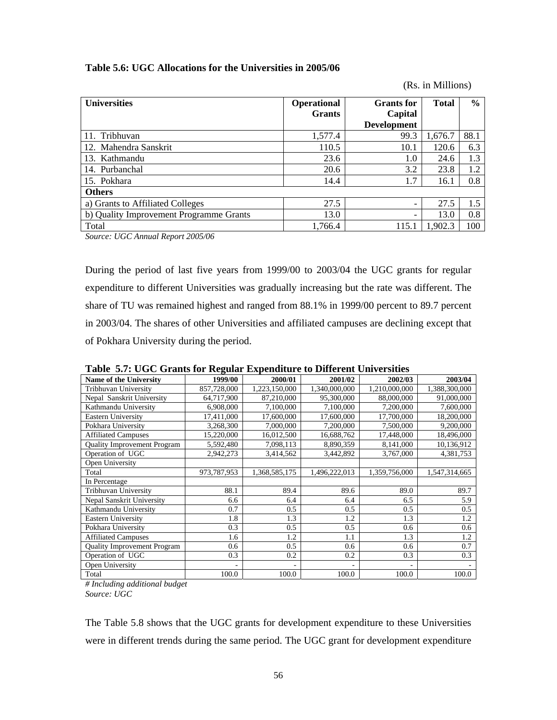| <b>Universities</b>                     | Operational<br><b>Grants</b> | <b>Grants</b> for<br>Capital<br><b>Development</b> | <b>Total</b> | $\frac{6}{10}$ |
|-----------------------------------------|------------------------------|----------------------------------------------------|--------------|----------------|
| 11. Tribhuvan                           | 1,577.4                      | 99.3                                               | 1,676.7      | 88.1           |
| 12. Mahendra Sanskrit                   | 110.5                        | 10.1                                               | 120.6        | 6.3            |
| 13. Kathmandu                           | 23.6                         | 1.0                                                | 24.6         | 1.3            |
| 14. Purbanchal                          | 20.6                         | 3.2                                                | 23.8         | 1.2            |
| 15. Pokhara                             | 14.4                         | 1.7                                                | 16.1         | 0.8            |
| <b>Others</b>                           |                              |                                                    |              |                |
| a) Grants to Affiliated Colleges        | 27.5                         | -                                                  | 27.5         | 1.5            |
| b) Quality Improvement Programme Grants | 13.0                         | -                                                  | 13.0         | 0.8            |
| Total                                   | 1,766.4                      | 115.1                                              | 1.902.3      | 100            |

(Rs. in Millions)

### **Table 5.6: UGC Allocations for the Universities in 2005/06**

*Source: UGC Annual Report 2005/06* 

During the period of last five years from 1999/00 to 2003/04 the UGC grants for regular expenditure to different Universities was gradually increasing but the rate was different. The share of TU was remained highest and ranged from 88.1% in 1999/00 percent to 89.7 percent in 2003/04. The shares of other Universities and affiliated campuses are declining except that of Pokhara University during the period.

|                                    | Table 3.7. OUC Grants for Kegular Expenditure to Different Chryslates |               |               |               |               |  |  |  |  |  |
|------------------------------------|-----------------------------------------------------------------------|---------------|---------------|---------------|---------------|--|--|--|--|--|
| <b>Name of the University</b>      | 1999/00                                                               | 2000/01       | 2001/02       | 2002/03       | 2003/04       |  |  |  |  |  |
| Tribhuvan University               | 857,728,000                                                           | 1,223,150,000 | 1,340,000,000 | 1,210,000,000 | 1,388,300,000 |  |  |  |  |  |
| Nepal Sanskrit University          | 64,717,900                                                            | 87,210,000    | 95,300,000    | 88,000,000    | 91,000,000    |  |  |  |  |  |
| Kathmandu University               | 6,908,000                                                             | 7,100,000     | 7,100,000     | 7,200,000     | 7,600,000     |  |  |  |  |  |
| <b>Eastern University</b>          | 17,411,000                                                            | 17,600,000    | 17,600,000    | 17,700,000    | 18,200,000    |  |  |  |  |  |
| Pokhara University                 | 3,268,300                                                             | 7,000,000     | 7,200,000     | 7,500,000     | 9,200,000     |  |  |  |  |  |
| <b>Affiliated Campuses</b>         | 15,220,000                                                            | 16,012,500    | 16,688,762    | 17,448,000    | 18,496,000    |  |  |  |  |  |
| <b>Quality Improvement Program</b> | 5,592,480                                                             | 7,098,113     | 8,890,359     | 8,141,000     | 10,136,912    |  |  |  |  |  |
| Operation of UGC                   | 2,942,273                                                             | 3,414,562     | 3,442,892     | 3,767,000     | 4,381,753     |  |  |  |  |  |
| Open University                    |                                                                       |               |               |               |               |  |  |  |  |  |
| Total                              | 973,787,953                                                           | 1,368,585,175 | 1,496,222,013 | 1,359,756,000 | 1,547,314,665 |  |  |  |  |  |
| In Percentage                      |                                                                       |               |               |               |               |  |  |  |  |  |
| Tribhuvan University               | 88.1                                                                  | 89.4          | 89.6          | 89.0          | 89.7          |  |  |  |  |  |
| Nepal Sanskrit University          | 6.6                                                                   | 6.4           | 6.4           | 6.5           | 5.9           |  |  |  |  |  |
| Kathmandu University               | 0.7                                                                   | 0.5           | 0.5           | 0.5           | 0.5           |  |  |  |  |  |
| <b>Eastern University</b>          | 1.8                                                                   | 1.3           | 1.2           | 1.3           | 1.2           |  |  |  |  |  |
| Pokhara University                 | 0.3                                                                   | 0.5           | 0.5           | 0.6           | 0.6           |  |  |  |  |  |
| <b>Affiliated Campuses</b>         | 1.6                                                                   | 1.2           | 1.1           | 1.3           | 1.2           |  |  |  |  |  |
| <b>Ouality Improvement Program</b> | 0.6                                                                   | 0.5           | 0.6           | 0.6           | 0.7           |  |  |  |  |  |
| Operation of UGC                   | 0.3                                                                   | 0.2           | 0.2           | 0.3           | 0.3           |  |  |  |  |  |
| Open University                    |                                                                       | ٠             |               | ۰             |               |  |  |  |  |  |
| Total                              | 100.0                                                                 | 100.0         | 100.0         | 100.0         | 100.0         |  |  |  |  |  |

**Table 5.7: UGC Grants for Regular Expenditure to Different Universities** 

*# Including additional budget Source: UGC*

The Table 5.8 shows that the UGC grants for development expenditure to these Universities were in different trends during the same period. The UGC grant for development expenditure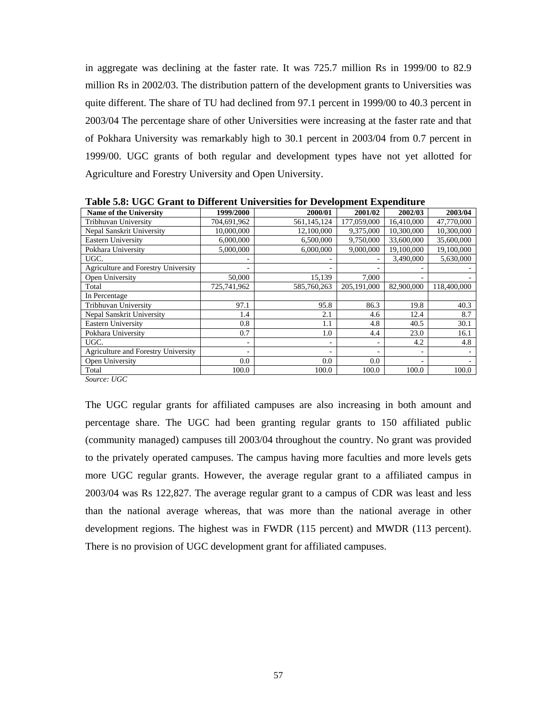in aggregate was declining at the faster rate. It was 725.7 million Rs in 1999/00 to 82.9 million Rs in 2002/03. The distribution pattern of the development grants to Universities was quite different. The share of TU had declined from 97.1 percent in 1999/00 to 40.3 percent in 2003/04 The percentage share of other Universities were increasing at the faster rate and that of Pokhara University was remarkably high to 30.1 percent in 2003/04 from 0.7 percent in 1999/00. UGC grants of both regular and development types have not yet allotted for Agriculture and Forestry University and Open University.

| Table 5.0. OGC Grant to Different Universities for Development Expenditure |             |             |             |            |             |
|----------------------------------------------------------------------------|-------------|-------------|-------------|------------|-------------|
| <b>Name of the University</b>                                              | 1999/2000   | 2000/01     | 2001/02     | 2002/03    | 2003/04     |
| Tribhuvan University                                                       | 704,691,962 | 561,145,124 | 177,059,000 | 16.410.000 | 47,770,000  |
| Nepal Sanskrit University                                                  | 10,000,000  | 12,100,000  | 9,375,000   | 10.300,000 | 10,300,000  |
| <b>Eastern University</b>                                                  | 6,000,000   | 6.500,000   | 9,750,000   | 33,600,000 | 35,600,000  |
| Pokhara University                                                         | 5,000,000   | 6,000,000   | 9,000,000   | 19,100,000 | 19,100,000  |
| UGC.                                                                       |             |             |             | 3,490,000  | 5,630,000   |
| Agriculture and Forestry University                                        |             |             |             |            |             |
| Open University                                                            | 50,000      | 15,139      | 7,000       |            |             |
| Total                                                                      | 725,741,962 | 585,760,263 | 205,191,000 | 82,900,000 | 118,400,000 |
| In Percentage                                                              |             |             |             |            |             |
| Tribhuvan Universitv                                                       | 97.1        | 95.8        | 86.3        | 19.8       | 40.3        |
| Nepal Sanskrit University                                                  | 1.4         | 2.1         | 4.6         | 12.4       | 8.7         |
| Eastern University                                                         | 0.8         | 1.1         | 4.8         | 40.5       | 30.1        |
| Pokhara University                                                         | 0.7         | 1.0         | 4.4         | 23.0       | 16.1        |
| UGC.                                                                       |             |             | ۰           | 4.2        | 4.8         |
| Agriculture and Forestry University                                        |             |             | ۰           |            |             |
| Open University                                                            | 0.0         | 0.0         | 0.0         |            |             |
| Total                                                                      | 100.0       | 100.0       | 100.0       | 100.0      | 100.0       |

**Table 5.8: UGC Grant to Different Universities for Development Expenditure** 

*Source: UGC*

The UGC regular grants for affiliated campuses are also increasing in both amount and percentage share. The UGC had been granting regular grants to 150 affiliated public (community managed) campuses till 2003/04 throughout the country. No grant was provided to the privately operated campuses. The campus having more faculties and more levels gets more UGC regular grants. However, the average regular grant to a affiliated campus in 2003/04 was Rs 122,827. The average regular grant to a campus of CDR was least and less than the national average whereas, that was more than the national average in other development regions. The highest was in FWDR (115 percent) and MWDR (113 percent). There is no provision of UGC development grant for affiliated campuses.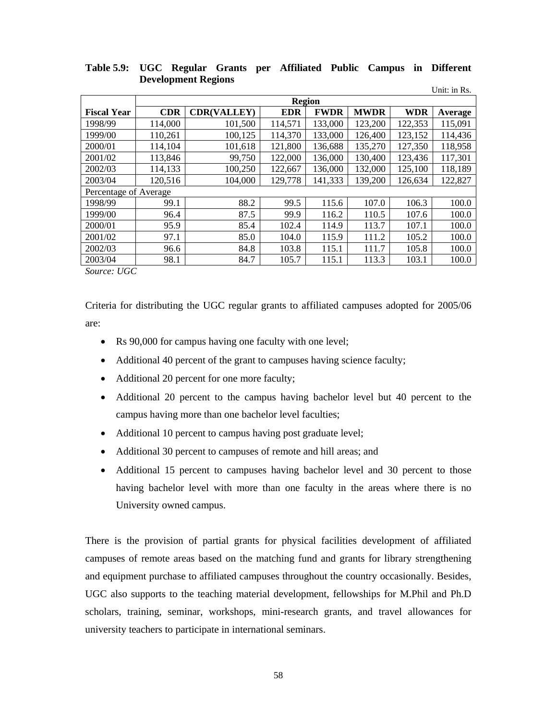|                       | Unit: in Rs. |                    |            |             |             |            |         |  |  |  |
|-----------------------|--------------|--------------------|------------|-------------|-------------|------------|---------|--|--|--|
|                       |              | <b>Region</b>      |            |             |             |            |         |  |  |  |
| <b>Fiscal Year</b>    | <b>CDR</b>   | <b>CDR(VALLEY)</b> | <b>EDR</b> | <b>FWDR</b> | <b>MWDR</b> | <b>WDR</b> | Average |  |  |  |
| 1998/99               | 114,000      | 101,500            | 114,571    | 133,000     | 123,200     | 122,353    | 115,091 |  |  |  |
| 1999/00               | 110,261      | 100,125            | 114,370    | 133,000     | 126,400     | 123,152    | 114,436 |  |  |  |
| 2000/01               | 114,104      | 101,618            | 121,800    | 136,688     | 135,270     | 127,350    | 118,958 |  |  |  |
| 2001/02               | 113,846      | 99,750             | 122,000    | 136,000     | 130,400     | 123,436    | 117,301 |  |  |  |
| 2002/03               | 114,133      | 100,250            | 122,667    | 136,000     | 132,000     | 125,100    | 118,189 |  |  |  |
| 2003/04               | 120,516      | 104,000            | 129,778    | 141,333     | 139,200     | 126,634    | 122,827 |  |  |  |
| Percentage of Average |              |                    |            |             |             |            |         |  |  |  |
| 1998/99               | 99.1         | 88.2               | 99.5       | 115.6       | 107.0       | 106.3      | 100.0   |  |  |  |
| 1999/00               | 96.4         | 87.5               | 99.9       | 116.2       | 110.5       | 107.6      | 100.0   |  |  |  |
| 2000/01               | 95.9         | 85.4               | 102.4      | 114.9       | 113.7       | 107.1      | 100.0   |  |  |  |
| 2001/02               | 97.1         | 85.0               | 104.0      | 115.9       | 111.2       | 105.2      | 100.0   |  |  |  |
| 2002/03               | 96.6         | 84.8               | 103.8      | 115.1       | 111.7       | 105.8      | 100.0   |  |  |  |
| 2003/04               | 98.1         | 84.7               | 105.7      | 115.1       | 113.3       | 103.1      | 100.0   |  |  |  |
| $T1 \cap$<br>$\sim$   |              |                    |            |             |             |            |         |  |  |  |

**Table 5.9: UGC Regular Grants per Affiliated Public Campus in Different Development Regions** 

*Source: UGC* 

Criteria for distributing the UGC regular grants to affiliated campuses adopted for 2005/06 are:

- Rs 90,000 for campus having one faculty with one level;
- Additional 40 percent of the grant to campuses having science faculty;
- Additional 20 percent for one more faculty;
- Additional 20 percent to the campus having bachelor level but 40 percent to the campus having more than one bachelor level faculties;
- Additional 10 percent to campus having post graduate level;
- Additional 30 percent to campuses of remote and hill areas; and
- Additional 15 percent to campuses having bachelor level and 30 percent to those having bachelor level with more than one faculty in the areas where there is no University owned campus.

There is the provision of partial grants for physical facilities development of affiliated campuses of remote areas based on the matching fund and grants for library strengthening and equipment purchase to affiliated campuses throughout the country occasionally. Besides, UGC also supports to the teaching material development, fellowships for M.Phil and Ph.D scholars, training, seminar, workshops, mini-research grants, and travel allowances for university teachers to participate in international seminars.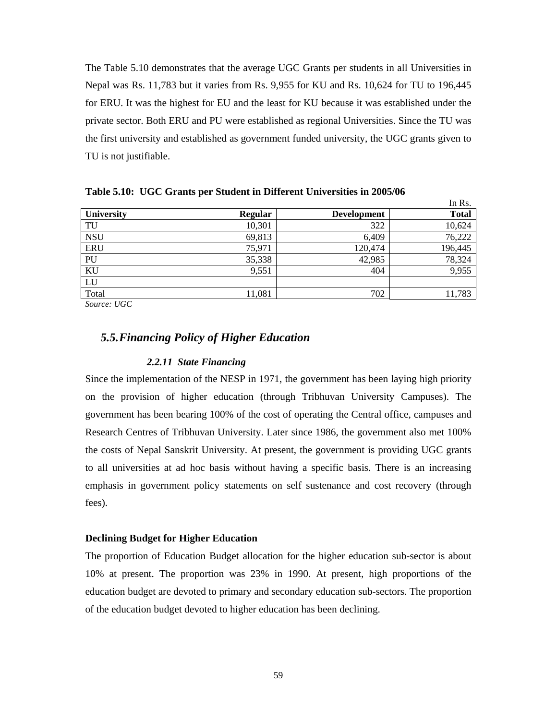The Table 5.10 demonstrates that the average UGC Grants per students in all Universities in Nepal was Rs. 11,783 but it varies from Rs. 9,955 for KU and Rs. 10,624 for TU to 196,445 for ERU. It was the highest for EU and the least for KU because it was established under the private sector. Both ERU and PU were established as regional Universities. Since the TU was the first university and established as government funded university, the UGC grants given to TU is not justifiable.

|                   |                |                    | ш глэ.       |
|-------------------|----------------|--------------------|--------------|
| <b>University</b> | <b>Regular</b> | <b>Development</b> | <b>Total</b> |
| TU                | 10,301         | 322                | 10,624       |
| <b>NSU</b>        | 69,813         | 6,409              | 76,222       |
| <b>ERU</b>        | 75,971         | 120,474            | 196,445      |
| PU                | 35,338         | 42,985             | 78,324       |
| KU                | 9,551          | 404                | 9,955        |
| LU                |                |                    |              |
| Total             | 11,081         | 702                | 11,783       |

 $\mathbf{L} \cdot \mathbf{D}$ 

**Table 5.10: UGC Grants per Student in Different Universities in 2005/06** 

*Source: UGC* 

## *5.5.Financing Policy of Higher Education*

#### *2.2.11 State Financing*

Since the implementation of the NESP in 1971, the government has been laying high priority on the provision of higher education (through Tribhuvan University Campuses). The government has been bearing 100% of the cost of operating the Central office, campuses and Research Centres of Tribhuvan University. Later since 1986, the government also met 100% the costs of Nepal Sanskrit University. At present, the government is providing UGC grants to all universities at ad hoc basis without having a specific basis. There is an increasing emphasis in government policy statements on self sustenance and cost recovery (through fees).

#### **Declining Budget for Higher Education**

The proportion of Education Budget allocation for the higher education sub-sector is about 10% at present. The proportion was 23% in 1990. At present, high proportions of the education budget are devoted to primary and secondary education sub-sectors. The proportion of the education budget devoted to higher education has been declining.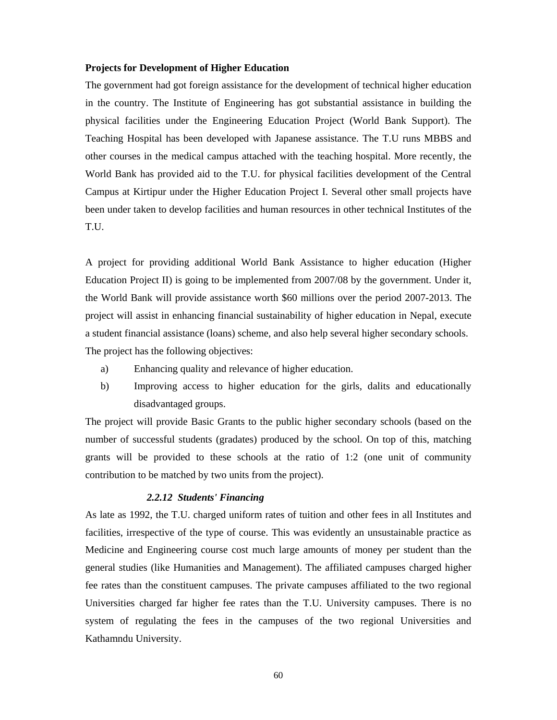#### **Projects for Development of Higher Education**

The government had got foreign assistance for the development of technical higher education in the country. The Institute of Engineering has got substantial assistance in building the physical facilities under the Engineering Education Project (World Bank Support). The Teaching Hospital has been developed with Japanese assistance. The T.U runs MBBS and other courses in the medical campus attached with the teaching hospital. More recently, the World Bank has provided aid to the T.U. for physical facilities development of the Central Campus at Kirtipur under the Higher Education Project I. Several other small projects have been under taken to develop facilities and human resources in other technical Institutes of the T.U.

A project for providing additional World Bank Assistance to higher education (Higher Education Project II) is going to be implemented from 2007/08 by the government. Under it, the World Bank will provide assistance worth \$60 millions over the period 2007-2013. The project will assist in enhancing financial sustainability of higher education in Nepal, execute a student financial assistance (loans) scheme, and also help several higher secondary schools. The project has the following objectives:

- a) Enhancing quality and relevance of higher education.
- b) Improving access to higher education for the girls, dalits and educationally disadvantaged groups.

The project will provide Basic Grants to the public higher secondary schools (based on the number of successful students (gradates) produced by the school. On top of this, matching grants will be provided to these schools at the ratio of 1:2 (one unit of community contribution to be matched by two units from the project).

#### *2.2.12 Students' Financing*

As late as 1992, the T.U. charged uniform rates of tuition and other fees in all Institutes and facilities, irrespective of the type of course. This was evidently an unsustainable practice as Medicine and Engineering course cost much large amounts of money per student than the general studies (like Humanities and Management). The affiliated campuses charged higher fee rates than the constituent campuses. The private campuses affiliated to the two regional Universities charged far higher fee rates than the T.U. University campuses. There is no system of regulating the fees in the campuses of the two regional Universities and Kathamndu University.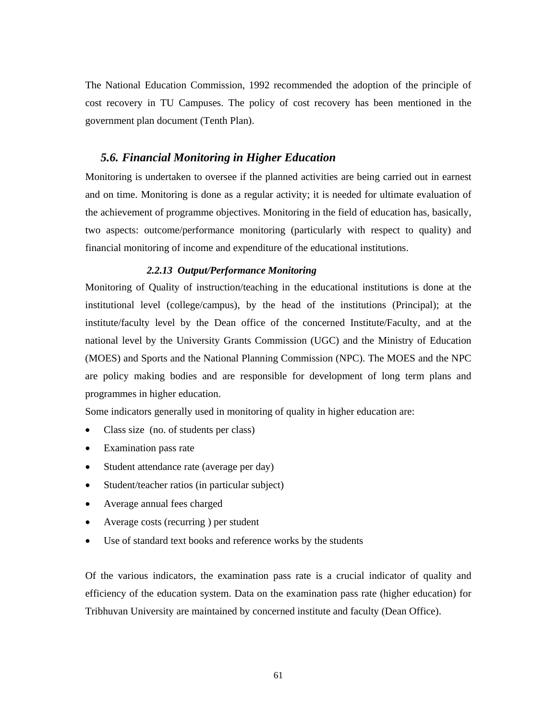The National Education Commission, 1992 recommended the adoption of the principle of cost recovery in TU Campuses. The policy of cost recovery has been mentioned in the government plan document (Tenth Plan).

### *5.6. Financial Monitoring in Higher Education*

Monitoring is undertaken to oversee if the planned activities are being carried out in earnest and on time. Monitoring is done as a regular activity; it is needed for ultimate evaluation of the achievement of programme objectives. Monitoring in the field of education has, basically, two aspects: outcome/performance monitoring (particularly with respect to quality) and financial monitoring of income and expenditure of the educational institutions.

### *2.2.13 Output/Performance Monitoring*

Monitoring of Quality of instruction/teaching in the educational institutions is done at the institutional level (college/campus), by the head of the institutions (Principal); at the institute/faculty level by the Dean office of the concerned Institute/Faculty, and at the national level by the University Grants Commission (UGC) and the Ministry of Education (MOES) and Sports and the National Planning Commission (NPC). The MOES and the NPC are policy making bodies and are responsible for development of long term plans and programmes in higher education.

Some indicators generally used in monitoring of quality in higher education are:

- Class size (no. of students per class)
- Examination pass rate
- Student attendance rate (average per day)
- Student/teacher ratios (in particular subject)
- Average annual fees charged
- Average costs (recurring ) per student
- Use of standard text books and reference works by the students

Of the various indicators, the examination pass rate is a crucial indicator of quality and efficiency of the education system. Data on the examination pass rate (higher education) for Tribhuvan University are maintained by concerned institute and faculty (Dean Office).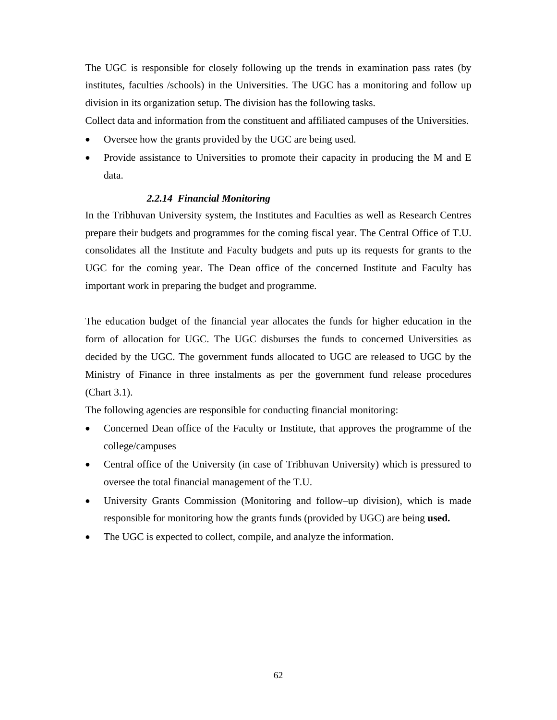The UGC is responsible for closely following up the trends in examination pass rates (by institutes, faculties /schools) in the Universities. The UGC has a monitoring and follow up division in its organization setup. The division has the following tasks.

Collect data and information from the constituent and affiliated campuses of the Universities.

- Oversee how the grants provided by the UGC are being used.
- Provide assistance to Universities to promote their capacity in producing the M and E data.

## *2.2.14 Financial Monitoring*

In the Tribhuvan University system, the Institutes and Faculties as well as Research Centres prepare their budgets and programmes for the coming fiscal year. The Central Office of T.U. consolidates all the Institute and Faculty budgets and puts up its requests for grants to the UGC for the coming year. The Dean office of the concerned Institute and Faculty has important work in preparing the budget and programme.

The education budget of the financial year allocates the funds for higher education in the form of allocation for UGC. The UGC disburses the funds to concerned Universities as decided by the UGC. The government funds allocated to UGC are released to UGC by the Ministry of Finance in three instalments as per the government fund release procedures (Chart 3.1).

The following agencies are responsible for conducting financial monitoring:

- Concerned Dean office of the Faculty or Institute, that approves the programme of the college/campuses
- Central office of the University (in case of Tribhuvan University) which is pressured to oversee the total financial management of the T.U.
- University Grants Commission (Monitoring and follow–up division), which is made responsible for monitoring how the grants funds (provided by UGC) are being **used.**
- The UGC is expected to collect, compile, and analyze the information.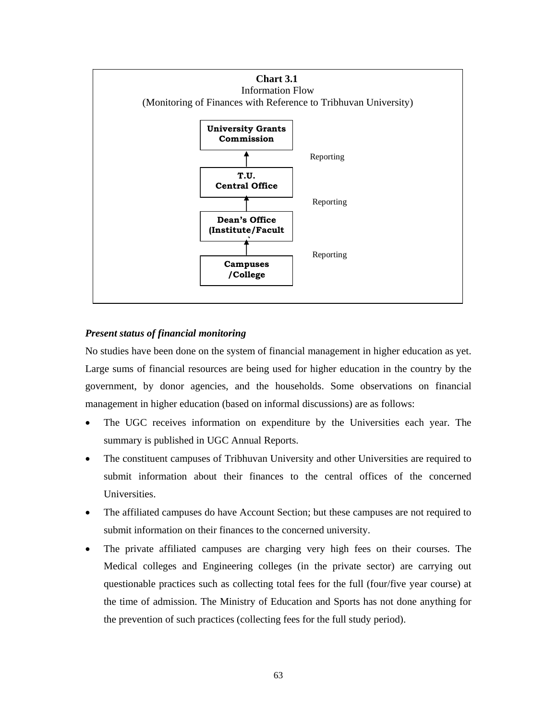

## *Present status of financial monitoring*

No studies have been done on the system of financial management in higher education as yet. Large sums of financial resources are being used for higher education in the country by the government, by donor agencies, and the households. Some observations on financial management in higher education (based on informal discussions) are as follows:

- The UGC receives information on expenditure by the Universities each year. The summary is published in UGC Annual Reports.
- The constituent campuses of Tribhuvan University and other Universities are required to submit information about their finances to the central offices of the concerned Universities.
- The affiliated campuses do have Account Section; but these campuses are not required to submit information on their finances to the concerned university.
- The private affiliated campuses are charging very high fees on their courses. The Medical colleges and Engineering colleges (in the private sector) are carrying out questionable practices such as collecting total fees for the full (four/five year course) at the time of admission. The Ministry of Education and Sports has not done anything for the prevention of such practices (collecting fees for the full study period).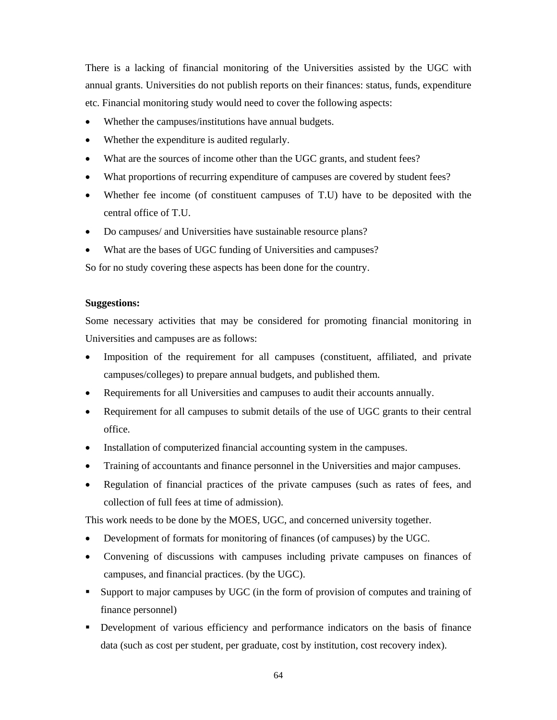There is a lacking of financial monitoring of the Universities assisted by the UGC with annual grants. Universities do not publish reports on their finances: status, funds, expenditure etc. Financial monitoring study would need to cover the following aspects:

- Whether the campuses/institutions have annual budgets.
- Whether the expenditure is audited regularly.
- What are the sources of income other than the UGC grants, and student fees?
- What proportions of recurring expenditure of campuses are covered by student fees?
- Whether fee income (of constituent campuses of T.U) have to be deposited with the central office of T.U.
- Do campuses/ and Universities have sustainable resource plans?
- What are the bases of UGC funding of Universities and campuses?

So for no study covering these aspects has been done for the country.

## **Suggestions:**

Some necessary activities that may be considered for promoting financial monitoring in Universities and campuses are as follows:

- Imposition of the requirement for all campuses (constituent, affiliated, and private campuses/colleges) to prepare annual budgets, and published them.
- Requirements for all Universities and campuses to audit their accounts annually.
- Requirement for all campuses to submit details of the use of UGC grants to their central office.
- Installation of computerized financial accounting system in the campuses.
- Training of accountants and finance personnel in the Universities and major campuses.
- Regulation of financial practices of the private campuses (such as rates of fees, and collection of full fees at time of admission).

This work needs to be done by the MOES, UGC, and concerned university together.

- Development of formats for monitoring of finances (of campuses) by the UGC.
- Convening of discussions with campuses including private campuses on finances of campuses, and financial practices. (by the UGC).
- Support to major campuses by UGC (in the form of provision of computes and training of finance personnel)
- Development of various efficiency and performance indicators on the basis of finance data (such as cost per student, per graduate, cost by institution, cost recovery index).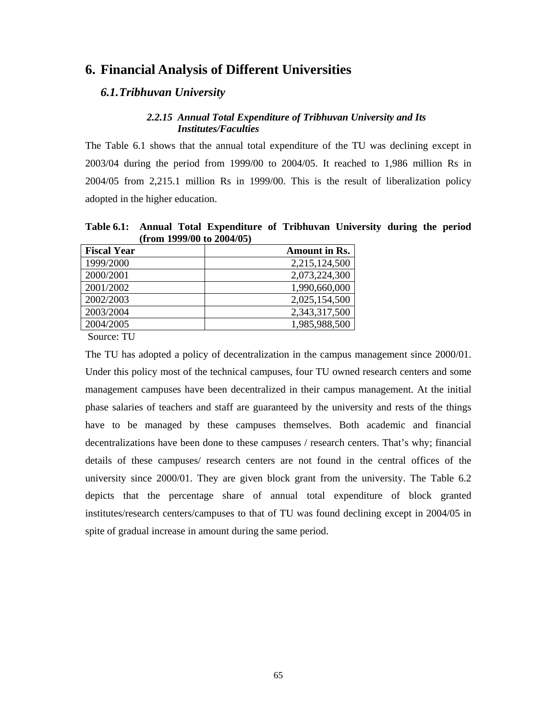## **6. Financial Analysis of Different Universities**

## *6.1.Tribhuvan University*

### *2.2.15 Annual Total Expenditure of Tribhuvan University and Its Institutes/Faculties*

The Table 6.1 shows that the annual total expenditure of the TU was declining except in 2003/04 during the period from 1999/00 to 2004/05. It reached to 1,986 million Rs in 2004/05 from 2,215.1 million Rs in 1999/00. This is the result of liberalization policy adopted in the higher education.

**Table 6.1: Annual Total Expenditure of Tribhuvan University during the period (from 1999/00 to 2004/05)** 

| <b>Fiscal Year</b> | <b>Amount in Rs.</b> |
|--------------------|----------------------|
| 1999/2000          | 2,215,124,500        |
| 2000/2001          | 2,073,224,300        |
| 2001/2002          | 1,990,660,000        |
| 2002/2003          | 2,025,154,500        |
| 2003/2004          | 2,343,317,500        |
| 2004/2005          | 1,985,988,500        |

Source: TU

The TU has adopted a policy of decentralization in the campus management since 2000/01. Under this policy most of the technical campuses, four TU owned research centers and some management campuses have been decentralized in their campus management. At the initial phase salaries of teachers and staff are guaranteed by the university and rests of the things have to be managed by these campuses themselves. Both academic and financial decentralizations have been done to these campuses / research centers. That's why; financial details of these campuses/ research centers are not found in the central offices of the university since 2000/01. They are given block grant from the university. The Table 6.2 depicts that the percentage share of annual total expenditure of block granted institutes/research centers/campuses to that of TU was found declining except in 2004/05 in spite of gradual increase in amount during the same period.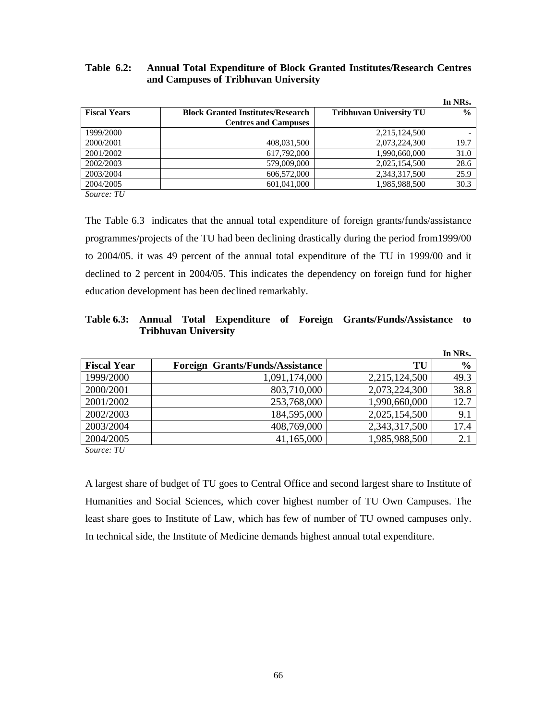| Table 6.2: | <b>Annual Total Expenditure of Block Granted Institutes/Research Centres</b> |
|------------|------------------------------------------------------------------------------|
|            | and Campuses of Tribhuvan University                                         |

|                     |                                          |                                | In NRs.       |
|---------------------|------------------------------------------|--------------------------------|---------------|
| <b>Fiscal Years</b> | <b>Block Granted Institutes/Research</b> | <b>Tribhuvan University TU</b> | $\frac{0}{0}$ |
|                     | <b>Centres and Campuses</b>              |                                |               |
| 1999/2000           |                                          | 2,215,124,500                  |               |
| 2000/2001           | 408,031,500                              | 2,073,224,300                  | 19.7          |
| 2001/2002           | 617.792,000                              | 1,990,660,000                  | 31.0          |
| 2002/2003           | 579,009,000                              | 2,025,154,500                  | 28.6          |
| 2003/2004           | 606,572,000                              | 2,343,317,500                  | 25.9          |
| 2004/2005           | 601.041.000                              | 1,985,988,500                  | 30.3          |

*Source: TU*

The Table 6.3 indicates that the annual total expenditure of foreign grants/funds/assistance programmes/projects of the TU had been declining drastically during the period from1999/00 to 2004/05. it was 49 percent of the annual total expenditure of the TU in 1999/00 and it declined to 2 percent in 2004/05. This indicates the dependency on foreign fund for higher education development has been declined remarkably.

## **Table 6.3: Annual Total Expenditure of Foreign Grants/Funds/Assistance to Tribhuvan University**

|                    |                                        |               | In NRs.       |
|--------------------|----------------------------------------|---------------|---------------|
| <b>Fiscal Year</b> | <b>Foreign Grants/Funds/Assistance</b> | TU            | $\frac{6}{9}$ |
| 1999/2000          | 1,091,174,000                          | 2,215,124,500 | 49.3          |
| 2000/2001          | 803,710,000                            | 2,073,224,300 | 38.8          |
| 2001/2002          | 253,768,000                            | 1,990,660,000 | 12.7          |
| 2002/2003          | 184,595,000                            | 2,025,154,500 | 9.1           |
| 2003/2004          | 408,769,000                            | 2,343,317,500 | 17.4          |
| 2004/2005          | 41,165,000                             | 1,985,988,500 | 2.1           |

*Source: TU* 

A largest share of budget of TU goes to Central Office and second largest share to Institute of Humanities and Social Sciences, which cover highest number of TU Own Campuses. The least share goes to Institute of Law, which has few of number of TU owned campuses only. In technical side, the Institute of Medicine demands highest annual total expenditure.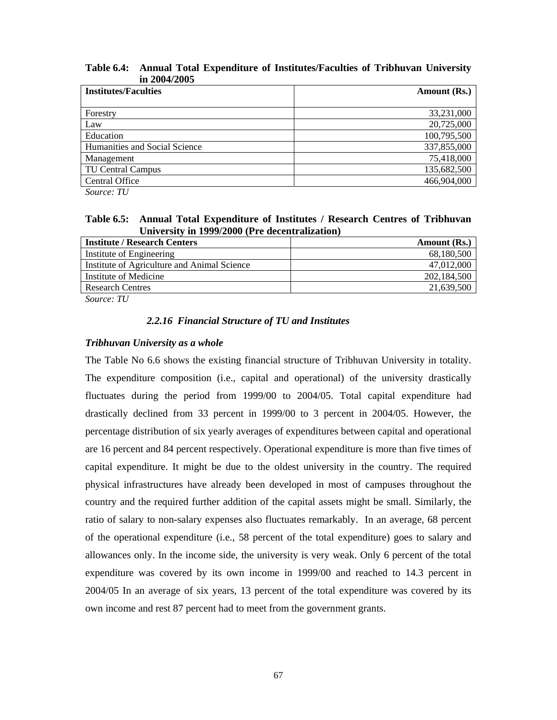| ш <i>e</i> vv <i>evv</i>      |              |
|-------------------------------|--------------|
| <b>Institutes/Faculties</b>   | Amount (Rs.) |
| Forestry                      | 33,231,000   |
| Law                           | 20,725,000   |
| Education                     | 100,795,500  |
| Humanities and Social Science | 337,855,000  |
| Management                    | 75,418,000   |
| TU Central Campus             | 135,682,500  |
| <b>Central Office</b>         | 466,904,000  |
|                               |              |

**Table 6.4: Annual Total Expenditure of Institutes/Faculties of Tribhuvan University in 2004/2005** 

*Source: TU* 

**Table 6.5: Annual Total Expenditure of Institutes / Research Centres of Tribhuvan University in 1999/2000 (Pre decentralization)** 

| Amount (Rs.) |
|--------------|
| 68,180,500   |
| 47,012,000   |
| 202.184.500  |
| 21,639,500   |
|              |

*Source: TU* 

### *2.2.16 Financial Structure of TU and Institutes*

### *Tribhuvan University as a whole*

The Table No 6.6 shows the existing financial structure of Tribhuvan University in totality. The expenditure composition (i.e., capital and operational) of the university drastically fluctuates during the period from 1999/00 to 2004/05. Total capital expenditure had drastically declined from 33 percent in 1999/00 to 3 percent in 2004/05. However, the percentage distribution of six yearly averages of expenditures between capital and operational are 16 percent and 84 percent respectively. Operational expenditure is more than five times of capital expenditure. It might be due to the oldest university in the country. The required physical infrastructures have already been developed in most of campuses throughout the country and the required further addition of the capital assets might be small. Similarly, the ratio of salary to non-salary expenses also fluctuates remarkably. In an average, 68 percent of the operational expenditure (i.e., 58 percent of the total expenditure) goes to salary and allowances only. In the income side, the university is very weak. Only 6 percent of the total expenditure was covered by its own income in 1999/00 and reached to 14.3 percent in 2004/05 In an average of six years, 13 percent of the total expenditure was covered by its own income and rest 87 percent had to meet from the government grants.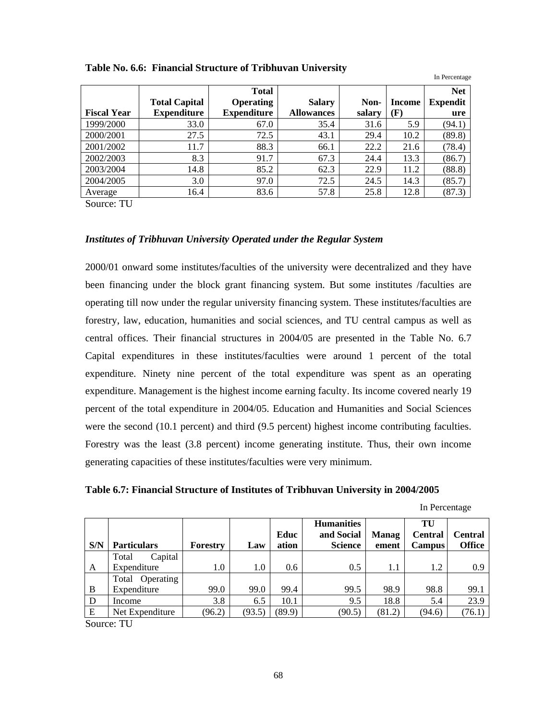|                    |                      | <b>Total</b>       |                   |        |        | <b>Net</b>      |
|--------------------|----------------------|--------------------|-------------------|--------|--------|-----------------|
|                    | <b>Total Capital</b> | <b>Operating</b>   | <b>Salary</b>     | Non-   | Income | <b>Expendit</b> |
| <b>Fiscal Year</b> | <b>Expenditure</b>   | <b>Expenditure</b> | <b>Allowances</b> | salary | F)     | ure             |
| 1999/2000          | 33.0                 | 67.0               | 35.4              | 31.6   | 5.9    | (94.1)          |
| 2000/2001          | 27.5                 | 72.5               | 43.1              | 29.4   | 10.2   | (89.8)          |
| 2001/2002          | 11.7                 | 88.3               | 66.1              | 22.2   | 21.6   | (78.4)          |
| 2002/2003          | 8.3                  | 91.7               | 67.3              | 24.4   | 13.3   | (86.7)          |
| 2003/2004          | 14.8                 | 85.2               | 62.3              | 22.9   | 11.2   | (88.8)          |
| 2004/2005          | 3.0                  | 97.0               | 72.5              | 24.5   | 14.3   | (85.7)          |
| Average            | 16.4                 | 83.6               | 57.8              | 25.8   | 12.8   | (87.3)          |

#### **Table No. 6.6: Financial Structure of Tribhuvan University**

Source: TU

#### *Institutes of Tribhuvan University Operated under the Regular System*

2000/01 onward some institutes/faculties of the university were decentralized and they have been financing under the block grant financing system. But some institutes /faculties are operating till now under the regular university financing system. These institutes/faculties are forestry, law, education, humanities and social sciences, and TU central campus as well as central offices. Their financial structures in 2004/05 are presented in the Table No. 6.7 Capital expenditures in these institutes/faculties were around 1 percent of the total expenditure. Ninety nine percent of the total expenditure was spent as an operating expenditure. Management is the highest income earning faculty. Its income covered nearly 19 percent of the total expenditure in 2004/05. Education and Humanities and Social Sciences were the second (10.1 percent) and third (9.5 percent) highest income contributing faculties. Forestry was the least (3.8 percent) income generating institute. Thus, their own income generating capacities of these institutes/faculties were very minimum.

| Table 6.7: Financial Structure of Institutes of Tribhuvan University in 2004/2005 |  |  |  |  |  |  |  |
|-----------------------------------------------------------------------------------|--|--|--|--|--|--|--|
|-----------------------------------------------------------------------------------|--|--|--|--|--|--|--|

In Percentage

In Percentage

|        |                    |                 |         |        | <b>Humanities</b> |              | TU             |                |
|--------|--------------------|-----------------|---------|--------|-------------------|--------------|----------------|----------------|
|        |                    |                 |         | Educ   | and Social        | <b>Manag</b> | <b>Central</b> | <b>Central</b> |
| S/N    | <b>Particulars</b> | <b>Forestry</b> | Law     | ation  | <b>Science</b>    | ement        | <b>Campus</b>  | <b>Office</b>  |
|        | Capital<br>Total   |                 |         |        |                   |              |                |                |
| A      | Expenditure        | 1.0             | $1.0\,$ | 0.6    | 0.5               | 1.1          | 1.2            | 0.9            |
|        | Operating<br>Total |                 |         |        |                   |              |                |                |
| B      | Expenditure        | 99.0            | 99.0    | 99.4   | 99.5              | 98.9         | 98.8           | 99.1           |
| D      | Income             | 3.8             | 6.5     | 10.1   | 9.5               | 18.8         | 5.4            | 23.9           |
| Ε      | Net Expenditure    | (96.2)          | (93.5)  | (89.9) | (90.5)            | (81.2)       | (94.6)         | (76.1)         |
| $\sim$ | ---                |                 |         |        |                   |              |                |                |

Source: TU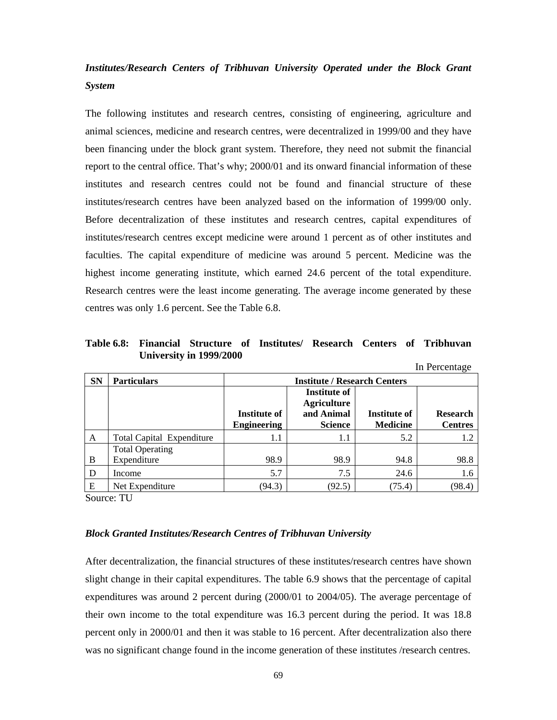# *Institutes/Research Centers of Tribhuvan University Operated under the Block Grant System*

The following institutes and research centres, consisting of engineering, agriculture and animal sciences, medicine and research centres, were decentralized in 1999/00 and they have been financing under the block grant system. Therefore, they need not submit the financial report to the central office. That's why; 2000/01 and its onward financial information of these institutes and research centres could not be found and financial structure of these institutes/research centres have been analyzed based on the information of 1999/00 only. Before decentralization of these institutes and research centres, capital expenditures of institutes/research centres except medicine were around 1 percent as of other institutes and faculties. The capital expenditure of medicine was around 5 percent. Medicine was the highest income generating institute, which earned 24.6 percent of the total expenditure. Research centres were the least income generating. The average income generated by these centres was only 1.6 percent. See the Table 6.8.

**Table 6.8: Financial Structure of Institutes/ Research Centers of Tribhuvan University in 1999/2000** 

|           |                                       |                                     |                                                                           |                                 | In Percentage                     |  |  |  |  |
|-----------|---------------------------------------|-------------------------------------|---------------------------------------------------------------------------|---------------------------------|-----------------------------------|--|--|--|--|
| <b>SN</b> | <b>Particulars</b>                    | <b>Institute / Research Centers</b> |                                                                           |                                 |                                   |  |  |  |  |
|           |                                       | Institute of<br><b>Engineering</b>  | <b>Institute of</b><br><b>Agriculture</b><br>and Animal<br><b>Science</b> | Institute of<br><b>Medicine</b> | <b>Research</b><br><b>Centres</b> |  |  |  |  |
| A         | <b>Total Capital Expenditure</b>      | 1.1                                 | 1.1                                                                       | 5.2                             | 1.2                               |  |  |  |  |
| B         | <b>Total Operating</b><br>Expenditure | 98.9                                | 98.9                                                                      | 94.8                            | 98.8                              |  |  |  |  |
| D         | Income                                | 5.7                                 | 7.5                                                                       | 24.6                            | 1.6                               |  |  |  |  |
| Ε         | Net Expenditure                       | (94.3)                              | (92.5)                                                                    | (75.4)                          | (98.4)                            |  |  |  |  |

Source: TU

#### *Block Granted Institutes/Research Centres of Tribhuvan University*

After decentralization, the financial structures of these institutes/research centres have shown slight change in their capital expenditures. The table 6.9 shows that the percentage of capital expenditures was around 2 percent during (2000/01 to 2004/05). The average percentage of their own income to the total expenditure was 16.3 percent during the period. It was 18.8 percent only in 2000/01 and then it was stable to 16 percent. After decentralization also there was no significant change found in the income generation of these institutes /research centres.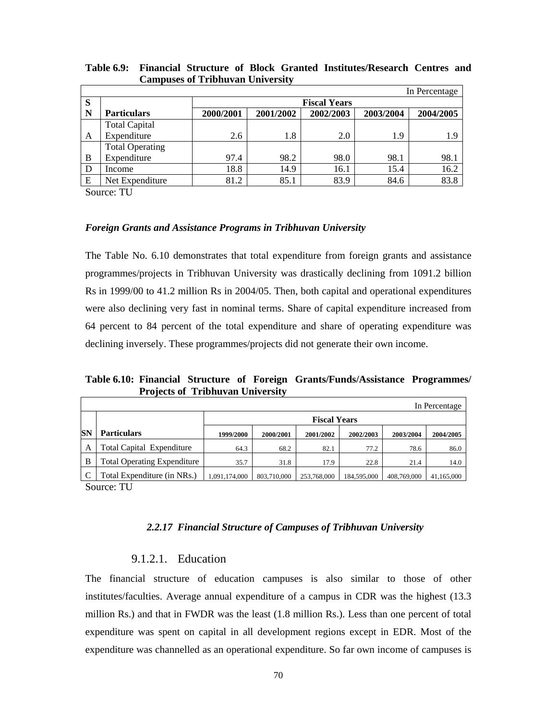|   |                        |                     |           |           |           | In Percentage |  |  |  |  |
|---|------------------------|---------------------|-----------|-----------|-----------|---------------|--|--|--|--|
| S |                        | <b>Fiscal Years</b> |           |           |           |               |  |  |  |  |
| N | <b>Particulars</b>     | 2000/2001           | 2001/2002 | 2002/2003 | 2003/2004 | 2004/2005     |  |  |  |  |
|   | <b>Total Capital</b>   |                     |           |           |           |               |  |  |  |  |
| A | Expenditure            | 2.6                 | 1.8       | 2.0       | 1.9       | 1.9           |  |  |  |  |
|   | <b>Total Operating</b> |                     |           |           |           |               |  |  |  |  |
| B | Expenditure            | 97.4                | 98.2      | 98.0      | 98.1      | 98.1          |  |  |  |  |
| D | Income                 | 18.8                | 14.9      | 16.1      | 15.4      | 16.2          |  |  |  |  |
| E | Net Expenditure        | 81.2                | 85.1      | 83.9      | 84.6      | 83.8          |  |  |  |  |

**Table 6.9: Financial Structure of Block Granted Institutes/Research Centres and Campuses of Tribhuvan University** 

Source: TU

#### *Foreign Grants and Assistance Programs in Tribhuvan University*

The Table No. 6.10 demonstrates that total expenditure from foreign grants and assistance programmes/projects in Tribhuvan University was drastically declining from 1091.2 billion Rs in 1999/00 to 41.2 million Rs in 2004/05. Then, both capital and operational expenditures were also declining very fast in nominal terms. Share of capital expenditure increased from 64 percent to 84 percent of the total expenditure and share of operating expenditure was declining inversely. These programmes/projects did not generate their own income.

**Table 6.10: Financial Structure of Foreign Grants/Funds/Assistance Programmes/ Projects of Tribhuvan University** 

|           |                                    |               |                     |             |             |             | In Percentage |  |  |  |
|-----------|------------------------------------|---------------|---------------------|-------------|-------------|-------------|---------------|--|--|--|
|           |                                    |               | <b>Fiscal Years</b> |             |             |             |               |  |  |  |
| <b>SN</b> | <b>Particulars</b>                 | 1999/2000     | 2000/2001           | 2001/2002   | 2002/2003   | 2003/2004   | 2004/2005     |  |  |  |
| А         | <b>Total Capital Expenditure</b>   | 64.3          | 68.2                | 82.1        | 77.2        | 78.6        | 86.0          |  |  |  |
| B         | <b>Total Operating Expenditure</b> | 35.7          | 31.8                | 17.9        | 22.8        | 21.4        | 14.0          |  |  |  |
|           | Total Expenditure (in NRs.)        | 1.091.174.000 | 803.710.000         | 253,768,000 | 184,595,000 | 408,769,000 | 41,165,000    |  |  |  |

Source: TU

### *2.2.17 Financial Structure of Campuses of Tribhuvan University*

### 9.1.2.1. Education

The financial structure of education campuses is also similar to those of other institutes/faculties. Average annual expenditure of a campus in CDR was the highest (13.3 million Rs.) and that in FWDR was the least (1.8 million Rs.). Less than one percent of total expenditure was spent on capital in all development regions except in EDR. Most of the expenditure was channelled as an operational expenditure. So far own income of campuses is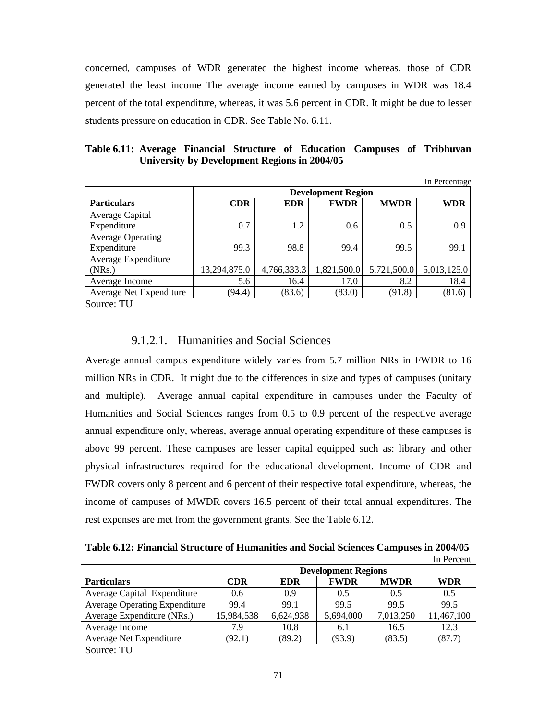concerned, campuses of WDR generated the highest income whereas, those of CDR generated the least income The average income earned by campuses in WDR was 18.4 percent of the total expenditure, whereas, it was 5.6 percent in CDR. It might be due to lesser students pressure on education in CDR. See Table No. 6.11.

|  |  |  |  |  |  |  | Table 6.11: Average Financial Structure of Education Campuses of Tribhuvan |
|--|--|--|--|--|--|--|----------------------------------------------------------------------------|
|  |  |  |  |  |  |  |                                                                            |

|                          |                                                               |             |             |             | In Percentage |  |  |  |  |
|--------------------------|---------------------------------------------------------------|-------------|-------------|-------------|---------------|--|--|--|--|
|                          | <b>Development Region</b>                                     |             |             |             |               |  |  |  |  |
| <b>Particulars</b>       | <b>MWDR</b><br><b>FWDR</b><br><b>CDR</b><br><b>EDR</b><br>WDR |             |             |             |               |  |  |  |  |
| Average Capital          |                                                               |             |             |             |               |  |  |  |  |
| Expenditure              | 0.7                                                           | 1.2         | 0.6         | 0.5         | 0.9           |  |  |  |  |
| <b>Average Operating</b> |                                                               |             |             |             |               |  |  |  |  |
| Expenditure              | 99.3                                                          | 98.8        | 99.4        | 99.5        | 99.1          |  |  |  |  |
| Average Expenditure      |                                                               |             |             |             |               |  |  |  |  |
| (NRs.)                   | 13,294,875.0                                                  | 4,766,333.3 | 1,821,500.0 | 5,721,500.0 | 5,013,125.0   |  |  |  |  |
| Average Income           | 5.6                                                           | 16.4        | 17.0        | 8.2         | 18.4          |  |  |  |  |
| Average Net Expenditure  | (94.4)                                                        | (83.6)      | (83.0)      | (91.8)      | (81.6)        |  |  |  |  |
| ———<br>$\sim$ $\sim$     |                                                               |             |             |             |               |  |  |  |  |

Source: TU

### 9.1.2.1. Humanities and Social Sciences

Average annual campus expenditure widely varies from 5.7 million NRs in FWDR to 16 million NRs in CDR. It might due to the differences in size and types of campuses (unitary and multiple). Average annual capital expenditure in campuses under the Faculty of Humanities and Social Sciences ranges from 0.5 to 0.9 percent of the respective average annual expenditure only, whereas, average annual operating expenditure of these campuses is above 99 percent. These campuses are lesser capital equipped such as: library and other physical infrastructures required for the educational development. Income of CDR and FWDR covers only 8 percent and 6 percent of their respective total expenditure, whereas, the income of campuses of MWDR covers 16.5 percent of their total annual expenditures. The rest expenses are met from the government grants. See the Table 6.12.

| Table 6.12: Financial Structure of Humanities and Social Sciences Campuses in 2004/05 |  |
|---------------------------------------------------------------------------------------|--|
|---------------------------------------------------------------------------------------|--|

|                                      |                            |            |             |             | In Percent |  |  |
|--------------------------------------|----------------------------|------------|-------------|-------------|------------|--|--|
|                                      | <b>Development Regions</b> |            |             |             |            |  |  |
| <b>Particulars</b>                   | <b>CDR</b>                 | <b>EDR</b> | <b>FWDR</b> | <b>MWDR</b> | <b>WDR</b> |  |  |
| Average Capital Expenditure          | 0.6                        | 0.9        | 0.5         | 0.5         | 0.5        |  |  |
| <b>Average Operating Expenditure</b> | 99.4                       | 99.1       | 99.5        | 99.5        | 99.5       |  |  |
| Average Expenditure (NRs.)           | 15,984,538                 | 6,624,938  | 5,694,000   | 7,013,250   | 11,467,100 |  |  |
| Average Income                       | 7.9                        | 10.8       | 6.1         | 16.5        | 12.3       |  |  |
| Average Net Expenditure              | (92.1)                     | (89.2)     | (93.9)      | (83.5)      | (87.7)     |  |  |
| $\alpha$ THE T                       |                            |            |             |             |            |  |  |

Source: TU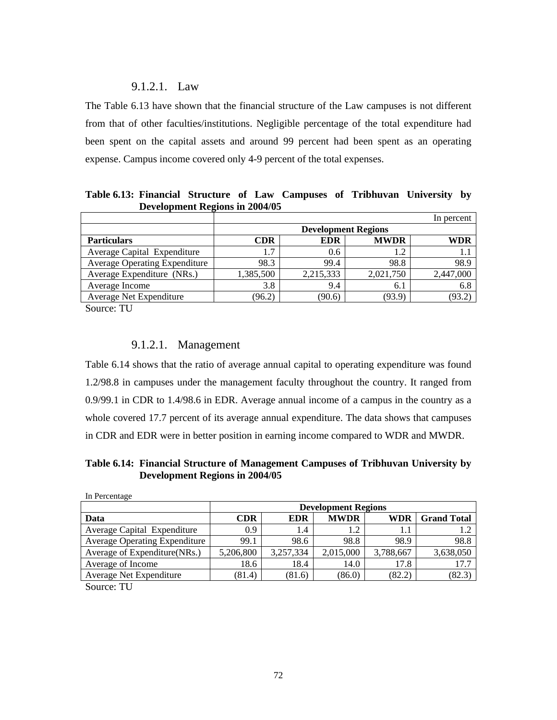## 9.1.2.1. Law

The Table 6.13 have shown that the financial structure of the Law campuses is not different from that of other faculties/institutions. Negligible percentage of the total expenditure had been spent on the capital assets and around 99 percent had been spent as an operating expense. Campus income covered only 4-9 percent of the total expenses.

**Table 6.13: Financial Structure of Law Campuses of Tribhuvan University by Development Regions in 2004/05** 

|           |            |             | In percent                 |
|-----------|------------|-------------|----------------------------|
|           |            |             |                            |
| CDR       | <b>EDR</b> | <b>MWDR</b> | WDR                        |
| 1.7       | 0.6        |             |                            |
| 98.3      | 99.4       | 98.8        | 98.9                       |
| 1,385,500 | 2,215,333  | 2,021,750   | 2,447,000                  |
| 3.8       | 9.4        | 6.1         | 6.8                        |
| (96.2)    | (90.6)     | (93.9)      | (93.2)                     |
|           |            |             | <b>Development Regions</b> |

Source: TU

## 9.1.2.1. Management

Table 6.14 shows that the ratio of average annual capital to operating expenditure was found 1.2/98.8 in campuses under the management faculty throughout the country. It ranged from 0.9/99.1 in CDR to 1.4/98.6 in EDR. Average annual income of a campus in the country as a whole covered 17.7 percent of its average annual expenditure. The data shows that campuses in CDR and EDR were in better position in earning income compared to WDR and MWDR.

**Table 6.14: Financial Structure of Management Campuses of Tribhuvan University by Development Regions in 2004/05** 

| In Percentage                        |                  |            |                            |           |                    |
|--------------------------------------|------------------|------------|----------------------------|-----------|--------------------|
|                                      |                  |            | <b>Development Regions</b> |           |                    |
| Data                                 | CDR              | <b>EDR</b> | <b>MWDR</b>                | WDR       | <b>Grand Total</b> |
| Average Capital Expenditure          | 0.9 <sup>°</sup> | 1.4        | 1.2                        | 1.1       |                    |
| <b>Average Operating Expenditure</b> | 99.1             | 98.6       | 98.8                       | 98.9      | 98.8               |
| Average of Expenditure(NRs.)         | 5,206,800        | 3,257,334  | 2,015,000                  | 3,788,667 | 3,638,050          |
| Average of Income                    | 18.6             | 18.4       | 14.0                       | 17.8      | 17.7               |
| Average Net Expenditure              | (81.4)           | (81.6)     | (86.0)                     | (82.2)    | (82.3)             |
| $\alpha$ $\pi$                       |                  |            |                            |           |                    |

Source: TU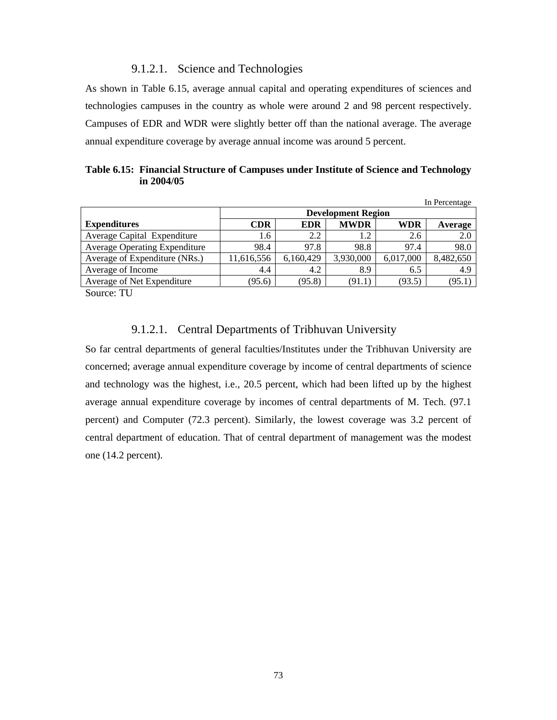### 9.1.2.1. Science and Technologies

As shown in Table 6.15, average annual capital and operating expenditures of sciences and technologies campuses in the country as whole were around 2 and 98 percent respectively. Campuses of EDR and WDR were slightly better off than the national average. The average annual expenditure coverage by average annual income was around 5 percent.

| Table 6.15: Financial Structure of Campuses under Institute of Science and Technology |
|---------------------------------------------------------------------------------------|
| in $2004/05$                                                                          |

|                                      |            |            |                           |            | In Percentage |
|--------------------------------------|------------|------------|---------------------------|------------|---------------|
|                                      |            |            | <b>Development Region</b> |            |               |
| <b>Expenditures</b>                  | <b>CDR</b> | <b>EDR</b> | <b>MWDR</b>               | <b>WDR</b> | Average       |
| Average Capital Expenditure          | 1.6        | 2.2        | 1.2                       | 2.6        | 2.0           |
| <b>Average Operating Expenditure</b> | 98.4       | 97.8       | 98.8                      | 97.4       | 98.0          |
| Average of Expenditure (NRs.)        | 11,616,556 | 6,160,429  | 3,930,000                 | 6,017,000  | 8,482,650     |
| Average of Income                    | 4.4        | 4.2        | 8.9                       | 6.5        | 4.9           |
| Average of Net Expenditure           | (95.6)     | (95.8)     | (91.1)                    | (93.5)     | (95.1         |
| $\sim$<br>$-1$                       |            |            |                           |            |               |

Source: TU

## 9.1.2.1. Central Departments of Tribhuvan University

So far central departments of general faculties/Institutes under the Tribhuvan University are concerned; average annual expenditure coverage by income of central departments of science and technology was the highest, i.e., 20.5 percent, which had been lifted up by the highest average annual expenditure coverage by incomes of central departments of M. Tech. (97.1 percent) and Computer (72.3 percent). Similarly, the lowest coverage was 3.2 percent of central department of education. That of central department of management was the modest one (14.2 percent).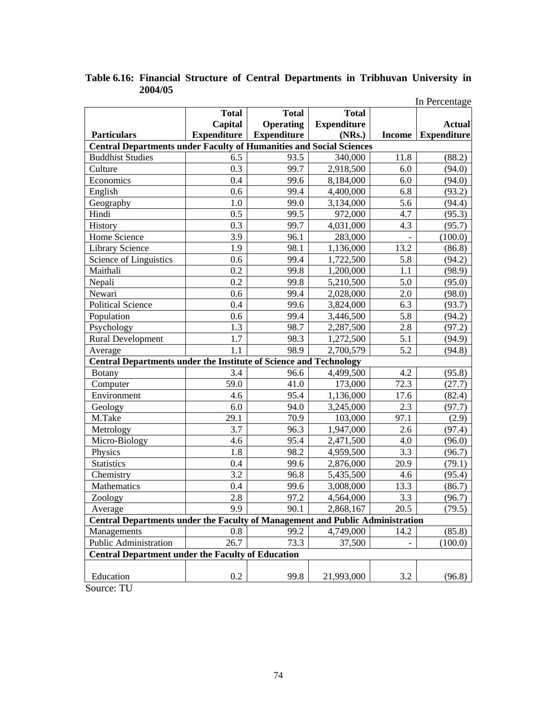|                                                                                      |                    |                    |                    |        | In Percentage      |
|--------------------------------------------------------------------------------------|--------------------|--------------------|--------------------|--------|--------------------|
|                                                                                      | <b>Total</b>       | <b>Total</b>       | <b>Total</b>       |        |                    |
|                                                                                      | Capital            | <b>Operating</b>   | <b>Expenditure</b> |        | <b>Actual</b>      |
| <b>Particulars</b>                                                                   | <b>Expenditure</b> | <b>Expenditure</b> | (NRs.)             | Income | <b>Expenditure</b> |
| <b>Central Departments under Faculty of Humanities and Social Sciences</b>           |                    |                    |                    |        |                    |
| <b>Buddhist Studies</b>                                                              | 6.5                | 93.5               | 340,000            | 11.8   | (88.2)             |
| Culture                                                                              | 0.3                | 99.7               | 2,918,500          | 6.0    | (94.0)             |
| Economics                                                                            | 0.4                | 99.6               | 8,184,000          | 6.0    | (94.0)             |
| English                                                                              | 0.6                | 99.4               | 4,400,000          | 6.8    | (93.2)             |
| Geography                                                                            | 1.0                | 99.0               | 3,134,000          | 5.6    | (94.4)             |
| Hindi                                                                                | 0.5                | 99.5               | 972,000            | 4.7    | (95.3)             |
| History                                                                              | 0.3                | 99.7               | 4,031,000          | 4.3    | (95.7)             |
| Home Science                                                                         | 3.9                | 96.1               | 283,000            |        | (100.0)            |
| Library Science                                                                      | 1.9                | 98.1               | 1,136,000          | 13.2   | (86.8)             |
| Science of Linguistics                                                               | 0.6                | 99.4               | 1,722,500          | 5.8    | (94.2)             |
| Maithali                                                                             | 0.2                | 99.8               | 1,200,000          | 1.1    | (98.9)             |
| Nepali                                                                               | 0.2                | 99.8               | 5,210,500          | 5.0    | (95.0)             |
| Newari                                                                               | 0.6                | 99.4               | 2,028,000          | 2.0    | (98.0)             |
| <b>Political Science</b>                                                             | 0.4                | 99.6               | 3,824,000          | 6.3    | (93.7)             |
| Population                                                                           | 0.6                | 99.4               | 3,446,500          | 5.8    | (94.2)             |
| Psychology                                                                           | 1.3                | 98.7               | 2,287,500          | 2.8    | (97.2)             |
| <b>Rural Development</b>                                                             | 1.7                | 98.3               | 1,272,500          | 5.1    | (94.9)             |
| Average                                                                              | 1.1                | 98.9               | 2,700,579          | 5.2    | (94.8)             |
| <b>Central Departments under the Institute of Science and Technology</b>             |                    |                    |                    |        |                    |
| <b>Botany</b>                                                                        | 3.4                | 96.6               | 4,499,500          | 4.2    | (95.8)             |
| Computer                                                                             | 59.0               | 41.0               | 173,000            | 72.3   | (27.7)             |
| Environment                                                                          | 4.6                | 95.4               | 1,136,000          | 17.6   | (82.4)             |
| Geology                                                                              | 6.0                | 94.0               | 3,245,000          | 2.3    | (97.7)             |
| M.Take                                                                               | 29.1               | 70.9               | 103,000            | 97.1   | (2.9)              |
| Metrology                                                                            | 3.7                | 96.3               | 1,947,000          | 2.6    | (97.4)             |
| Micro-Biology                                                                        | 4.6                | 95.4               | 2,471,500          | 4.0    | (96.0)             |
| Physics                                                                              | 1.8                | 98.2               | 4,959,500          | 3.3    | (96.7)             |
| <b>Statistics</b>                                                                    | 0.4                | 99.6               | 2,876,000          | 20.9   | (79.1)             |
| Chemistry                                                                            | 3.2                | 96.8               | 5,435,500          | 4.6    | (95.4)             |
| Mathematics                                                                          | 0.4                | 99.6               | 3,008,000          | 13.3   | (86.7)             |
| Zoology                                                                              | 2.8                | 97.2               | 4,564,000          | 3.3    | (96.7)             |
| Average                                                                              | 9.9                | 90.1               | 2,868,167          | 20.5   | (79.5)             |
| <b>Central Departments under the Faculty of Management and Public Administration</b> |                    |                    |                    |        |                    |
| Managements                                                                          | 0.8                | 99.2               | 4,749,000          | 14.2   | (85.8)             |
| Public Administration                                                                | 26.7               | 73.3               | 37,500             |        | (100.0)            |
| <b>Central Department under the Faculty of Education</b>                             |                    |                    |                    |        |                    |
| Education                                                                            | 0.2                | 99.8               | 21,993,000         | 3.2    | (96.8)             |

# **Table 6.16: Financial Structure of Central Departments in Tribhuvan University in 2004/05**

Source: TU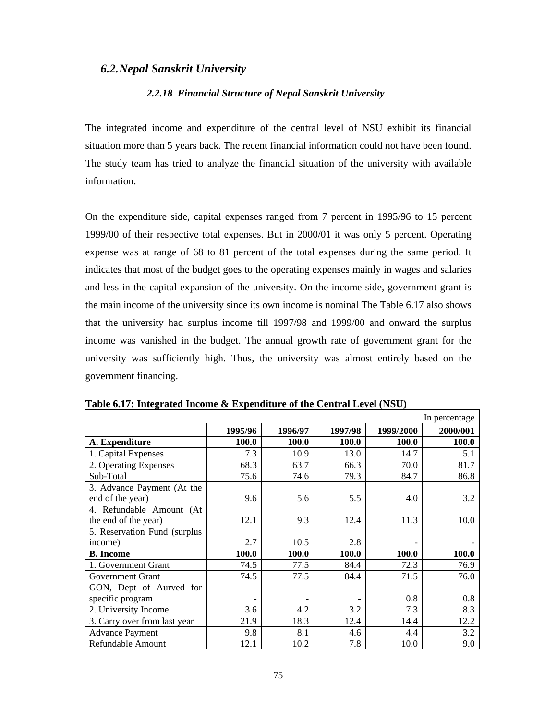### *6.2.Nepal Sanskrit University*

#### *2.2.18 Financial Structure of Nepal Sanskrit University*

The integrated income and expenditure of the central level of NSU exhibit its financial situation more than 5 years back. The recent financial information could not have been found. The study team has tried to analyze the financial situation of the university with available information.

On the expenditure side, capital expenses ranged from 7 percent in 1995/96 to 15 percent 1999/00 of their respective total expenses. But in 2000/01 it was only 5 percent. Operating expense was at range of 68 to 81 percent of the total expenses during the same period. It indicates that most of the budget goes to the operating expenses mainly in wages and salaries and less in the capital expansion of the university. On the income side, government grant is the main income of the university since its own income is nominal The Table 6.17 also shows that the university had surplus income till 1997/98 and 1999/00 and onward the surplus income was vanished in the budget. The annual growth rate of government grant for the university was sufficiently high. Thus, the university was almost entirely based on the government financing.

|                              |         |         |         |           | In percentage |
|------------------------------|---------|---------|---------|-----------|---------------|
|                              | 1995/96 | 1996/97 | 1997/98 | 1999/2000 | 2000/001      |
| A. Expenditure               | 100.0   | 100.0   | 100.0   | 100.0     | 100.0         |
| 1. Capital Expenses          | 7.3     | 10.9    | 13.0    | 14.7      | 5.1           |
| 2. Operating Expenses        | 68.3    | 63.7    | 66.3    | 70.0      | 81.7          |
| Sub-Total                    | 75.6    | 74.6    | 79.3    | 84.7      | 86.8          |
| 3. Advance Payment (At the   |         |         |         |           |               |
| end of the year)             | 9.6     | 5.6     | 5.5     | 4.0       | 3.2           |
| 4. Refundable Amount (At     |         |         |         |           |               |
| the end of the year)         | 12.1    | 9.3     | 12.4    | 11.3      | 10.0          |
| 5. Reservation Fund (surplus |         |         |         |           |               |
| income)                      | 2.7     | 10.5    | 2.8     |           |               |
| <b>B.</b> Income             | 100.0   | 100.0   | 100.0   | 100.0     | 100.0         |
| 1. Government Grant          | 74.5    | 77.5    | 84.4    | 72.3      | 76.9          |
| Government Grant             | 74.5    | 77.5    | 84.4    | 71.5      | 76.0          |
| GON, Dept of Aurved for      |         |         |         |           |               |
| specific program             |         |         |         | 0.8       | 0.8           |
| 2. University Income         | 3.6     | 4.2     | 3.2     | 7.3       | 8.3           |
| 3. Carry over from last year | 21.9    | 18.3    | 12.4    | 14.4      | 12.2          |
| <b>Advance Payment</b>       | 9.8     | 8.1     | 4.6     | 4.4       | 3.2           |
| Refundable Amount            | 12.1    | 10.2    | 7.8     | 10.0      | 9.0           |

**Table 6.17: Integrated Income & Expenditure of the Central Level (NSU)**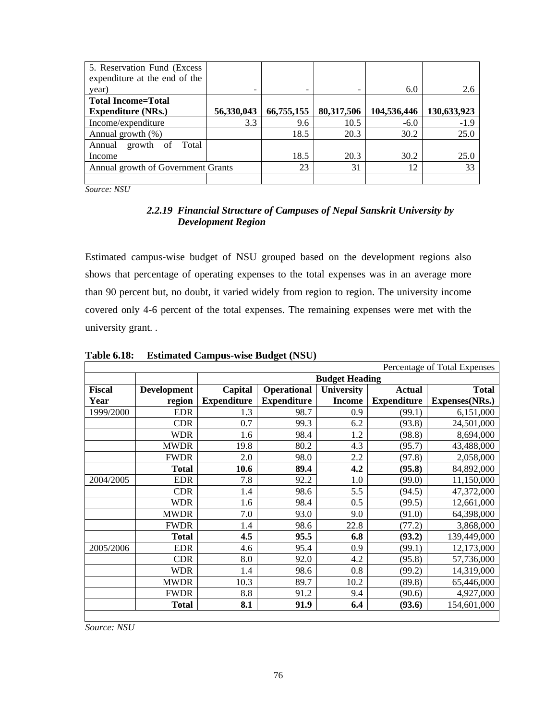| 5. Reservation Fund (Excess)       |            |            |            |             |             |
|------------------------------------|------------|------------|------------|-------------|-------------|
| expenditure at the end of the      |            |            |            |             |             |
| year)                              |            |            |            | 6.0         | 2.6         |
| <b>Total Income=Total</b>          |            |            |            |             |             |
| <b>Expenditure (NRs.)</b>          | 56,330,043 | 66,755,155 | 80,317,506 | 104,536,446 | 130,633,923 |
| Income/expenditure                 | 3.3        | 9.6        | 10.5       | $-6.0$      | $-1.9$      |
| Annual growth (%)                  |            | 18.5       | 20.3       | 30.2        | 25.0        |
| Total<br>growth of<br>Annual       |            |            |            |             |             |
| Income                             |            | 18.5       | 20.3       | 30.2        | 25.0        |
| Annual growth of Government Grants |            | 23         | 31         | 12          | 33          |
|                                    |            |            |            |             |             |

*Source: NSU*

### *2.2.19 Financial Structure of Campuses of Nepal Sanskrit University by Development Region*

Estimated campus-wise budget of NSU grouped based on the development regions also shows that percentage of operating expenses to the total expenses was in an average more than 90 percent but, no doubt, it varied widely from region to region. The university income covered only 4-6 percent of the total expenses. The remaining expenses were met with the university grant. .

| Percentage of Total Expenses |                    |                    |                                                   |               |                    |                |  |  |
|------------------------------|--------------------|--------------------|---------------------------------------------------|---------------|--------------------|----------------|--|--|
|                              |                    |                    | <b>Budget Heading</b>                             |               |                    |                |  |  |
| <b>Fiscal</b>                | <b>Development</b> | Capital            | <b>Operational</b><br>University<br><b>Actual</b> |               |                    |                |  |  |
| Year                         | region             | <b>Expenditure</b> | <b>Expenditure</b>                                | <b>Income</b> | <b>Expenditure</b> | Expenses(NRs.) |  |  |
| 1999/2000                    | <b>EDR</b>         | 1.3                | 98.7                                              | 0.9           | (99.1)             | 6,151,000      |  |  |
|                              | <b>CDR</b>         | 0.7                | 99.3                                              | 6.2           | (93.8)             | 24,501,000     |  |  |
|                              | <b>WDR</b>         | 1.6                | 98.4                                              | 1.2           | (98.8)             | 8,694,000      |  |  |
|                              | <b>MWDR</b>        | 19.8               | 80.2                                              | 4.3           | (95.7)             | 43,488,000     |  |  |
|                              | <b>FWDR</b>        | 2.0                | 98.0                                              | 2.2           | (97.8)             | 2,058,000      |  |  |
|                              | <b>Total</b>       | 10.6               | 89.4                                              | 4.2           | (95.8)             | 84,892,000     |  |  |
| 2004/2005                    | <b>EDR</b>         | 7.8                | 92.2                                              | 1.0           | (99.0)             | 11,150,000     |  |  |
|                              | <b>CDR</b>         | 1.4                | 98.6                                              | 5.5           | (94.5)             | 47,372,000     |  |  |
|                              | <b>WDR</b>         | 1.6                | 98.4                                              | 0.5           | (99.5)             | 12,661,000     |  |  |
|                              | <b>MWDR</b>        | 7.0                | 93.0                                              | 9.0           | (91.0)             | 64,398,000     |  |  |
|                              | <b>FWDR</b>        | 1.4                | 98.6                                              | 22.8          | (77.2)             | 3,868,000      |  |  |
|                              | <b>Total</b>       | 4.5                | 95.5                                              | 6.8           | (93.2)             | 139,449,000    |  |  |
| 2005/2006                    | <b>EDR</b>         | 4.6                | 95.4                                              | 0.9           | (99.1)             | 12,173,000     |  |  |
|                              | <b>CDR</b>         | 8.0                | 92.0                                              | 4.2           | (95.8)             | 57,736,000     |  |  |
|                              | <b>WDR</b>         | 1.4                | 98.6                                              | 0.8           | (99.2)             | 14,319,000     |  |  |
|                              | <b>MWDR</b>        | 10.3               | 89.7                                              | 10.2          | (89.8)             | 65,446,000     |  |  |
|                              | <b>FWDR</b>        | 8.8                | 91.2                                              | 9.4           | (90.6)             | 4,927,000      |  |  |
|                              | <b>Total</b>       | 8.1                | 91.9                                              | 6.4           | (93.6)             | 154,601,000    |  |  |

**Table 6.18: Estimated Campus-wise Budget (NSU)** 

*Source: NSU*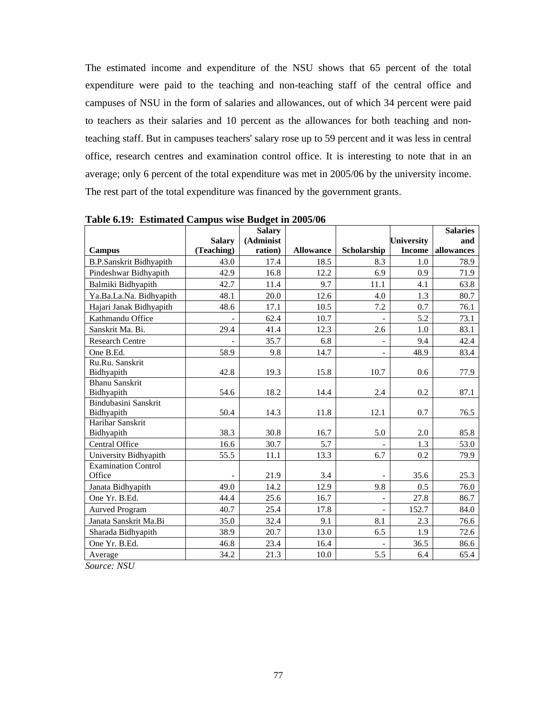The estimated income and expenditure of the NSU shows that 65 percent of the total expenditure were paid to the teaching and non-teaching staff of the central office and campuses of NSU in the form of salaries and allowances, out of which 34 percent were paid to teachers as their salaries and 10 percent as the allowances for both teaching and nonteaching staff. But in campuses teachers' salary rose up to 59 percent and it was less in central office, research centres and examination control office. It is interesting to note that in an average; only 6 percent of the total expenditure was met in 2005/06 by the university income. The rest part of the total expenditure was financed by the government grants.

|                                |               | <b>Salary</b> |                  |                          |                   | <b>Salaries</b> |
|--------------------------------|---------------|---------------|------------------|--------------------------|-------------------|-----------------|
|                                | <b>Salary</b> | (Administ     |                  |                          | <b>University</b> | and             |
| Campus                         | (Teaching)    | ration)       | <b>Allowance</b> | Scholarship              | <b>Income</b>     | allowances      |
| <b>B.P.Sanskrit Bidhyapith</b> | 43.0          | 17.4          | 18.5             | 8.3                      | 1.0               | 78.9            |
| Pindeshwar Bidhyapith          | 42.9          | 16.8          | 12.2             | 6.9                      | 0.9               | 71.9            |
| Balmiki Bidhyapith             | 42.7          | 11.4          | 9.7              | 11.1                     | 4.1               | 63.8            |
| Ya.Ba.La.Na. Bidhyapith        | 48.1          | 20.0          | 12.6             | 4.0                      | 1.3               | 80.7            |
| Hajari Janak Bidhyapith        | 48.6          | 17.1          | 10.5             | 7.2                      | 0.7               | 76.1            |
| Kathmandu Office               |               | 62.4          | 10.7             |                          | 5.2               | 73.1            |
| Sanskrit Ma. Bi.               | 29.4          | 41.4          | 12.3             | 2.6                      | 1.0               | 83.1            |
| <b>Research Centre</b>         |               | 35.7          | 6.8              |                          | 9.4               | 42.4            |
| One B.Ed.                      | 58.9          | 9.8           | 14.7             | $\blacksquare$           | 48.9              | 83.4            |
| Ru.Ru. Sanskrit                |               |               |                  |                          |                   |                 |
| Bidhyapith                     | 42.8          | 19.3          | 15.8             | 10.7                     | 0.6               | 77.9            |
| <b>Bhanu Sanskrit</b>          |               |               |                  |                          |                   |                 |
| Bidhyapith                     | 54.6          | 18.2          | 14.4             | 2.4                      | 0.2               | 87.1            |
| Bindubasini Sanskrit           |               |               |                  |                          |                   |                 |
| Bidhyapith                     | 50.4          | 14.3          | 11.8             | 12.1                     | 0.7               | 76.5            |
| Harihar Sanskrit               |               |               |                  |                          |                   |                 |
| Bidhyapith                     | 38.3          | 30.8          | 16.7             | 5.0                      | 2.0               | 85.8            |
| Central Office                 | 16.6          | 30.7          | 5.7              |                          | 1.3               | 53.0            |
| University Bidhyapith          | 55.5          | 11.1          | 13.3             | 6.7                      | 0.2               | 79.9            |
| <b>Examination Control</b>     |               |               |                  |                          |                   |                 |
| Office                         |               | 21.9          | 3.4              |                          | 35.6              | 25.3            |
| Janata Bidhyapith              | 49.0          | 14.2          | 12.9             | 9.8                      | 0.5               | 76.0            |
| One Yr. B.Ed.                  | 44.4          | 25.6          | 16.7             | $\overline{\phantom{a}}$ | 27.8              | 86.7            |
| <b>Aurved Program</b>          | 40.7          | 25.4          | 17.8             | $\overline{\phantom{a}}$ | 152.7             | 84.0            |
| Janata Sanskrit Ma.Bi          | 35.0          | 32.4          | 9.1              | 8.1                      | 2.3               | 76.6            |
| Sharada Bidhyapith             | 38.9          | 20.7          | 13.0             | 6.5                      | 1.9               | 72.6            |
| One Yr. B.Ed.                  | 46.8          | 23.4          | 16.4             |                          | 36.5              | 86.6            |
| Average                        | 34.2          | 21.3          | 10.0             | 5.5                      | 6.4               | 65.4            |

**Table 6.19: Estimated Campus wise Budget in 2005/06** 

*Source: NSU*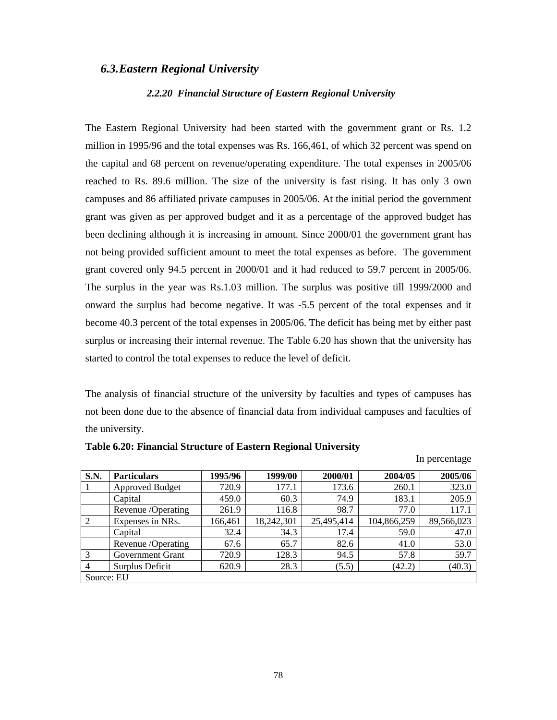### *6.3.Eastern Regional University*

#### *2.2.20 Financial Structure of Eastern Regional University*

The Eastern Regional University had been started with the government grant or Rs. 1.2 million in 1995/96 and the total expenses was Rs. 166,461, of which 32 percent was spend on the capital and 68 percent on revenue/operating expenditure. The total expenses in 2005/06 reached to Rs. 89.6 million. The size of the university is fast rising. It has only 3 own campuses and 86 affiliated private campuses in 2005/06. At the initial period the government grant was given as per approved budget and it as a percentage of the approved budget has been declining although it is increasing in amount. Since 2000/01 the government grant has not being provided sufficient amount to meet the total expenses as before. The government grant covered only 94.5 percent in 2000/01 and it had reduced to 59.7 percent in 2005/06. The surplus in the year was Rs.1.03 million. The surplus was positive till 1999/2000 and onward the surplus had become negative. It was -5.5 percent of the total expenses and it become 40.3 percent of the total expenses in 2005/06. The deficit has being met by either past surplus or increasing their internal revenue. The Table 6.20 has shown that the university has started to control the total expenses to reduce the level of deficit.

The analysis of financial structure of the university by faculties and types of campuses has not been done due to the absence of financial data from individual campuses and faculties of the university.

In percentage

| <b>S.N.</b>    | <b>Particulars</b>     | 1995/96 | 1999/00    | 2000/01    | 2004/05     | 2005/06    |  |  |  |
|----------------|------------------------|---------|------------|------------|-------------|------------|--|--|--|
|                | <b>Approved Budget</b> | 720.9   | 177.1      | 173.6      | 260.1       | 323.0      |  |  |  |
|                | Capital                | 459.0   | 60.3       | 74.9       | 183.1       | 205.9      |  |  |  |
|                | Revenue /Operating     | 261.9   | 116.8      | 98.7       | 77.0        | 117.1      |  |  |  |
| 2              | Expenses in NRs.       | 166,461 | 18,242,301 | 25,495,414 | 104,866,259 | 89,566,023 |  |  |  |
|                | Capital                | 32.4    | 34.3       | 17.4       | 59.0        | 47.0       |  |  |  |
|                | Revenue /Operating     | 67.6    | 65.7       | 82.6       | 41.0        | 53.0       |  |  |  |
| 3              | Government Grant       | 720.9   | 128.3      | 94.5       | 57.8        | 59.7       |  |  |  |
| $\overline{4}$ | Surplus Deficit        | 620.9   | 28.3       | (5.5)      | (42.2)      | (40.3)     |  |  |  |
|                | Source: EU             |         |            |            |             |            |  |  |  |

|  |  |  | Table 6.20: Financial Structure of Eastern Regional University |
|--|--|--|----------------------------------------------------------------|
|  |  |  |                                                                |

<sup>78</sup>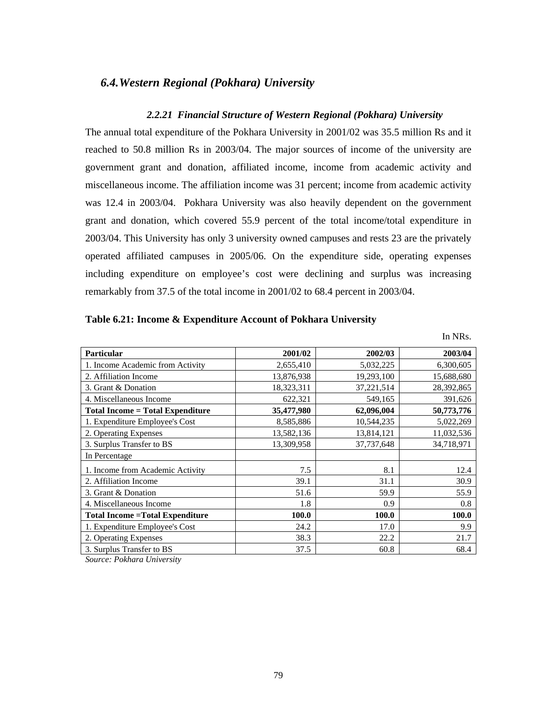## *6.4.Western Regional (Pokhara) University*

### *2.2.21 Financial Structure of Western Regional (Pokhara) University*

The annual total expenditure of the Pokhara University in 2001/02 was 35.5 million Rs and it reached to 50.8 million Rs in 2003/04. The major sources of income of the university are government grant and donation, affiliated income, income from academic activity and miscellaneous income. The affiliation income was 31 percent; income from academic activity was 12.4 in 2003/04. Pokhara University was also heavily dependent on the government grant and donation, which covered 55.9 percent of the total income/total expenditure in 2003/04. This University has only 3 university owned campuses and rests 23 are the privately operated affiliated campuses in 2005/06. On the expenditure side, operating expenses including expenditure on employee's cost were declining and surplus was increasing remarkably from 37.5 of the total income in 2001/02 to 68.4 percent in 2003/04.

| Table 6.21: Income & Expenditure Account of Pokhara University |  |  |  |
|----------------------------------------------------------------|--|--|--|
|                                                                |  |  |  |

|                                         |            |            | 111 1 Y INS. |
|-----------------------------------------|------------|------------|--------------|
| <b>Particular</b>                       | 2001/02    | 2002/03    | 2003/04      |
| 1. Income Academic from Activity        | 2,655,410  | 5,032,225  | 6,300,605    |
| 2. Affiliation Income                   | 13,876,938 | 19,293,100 | 15,688,680   |
| 3. Grant & Donation                     | 18,323,311 | 37,221,514 | 28,392,865   |
| 4. Miscellaneous Income                 | 622,321    | 549,165    | 391,626      |
| <b>Total Income = Total Expenditure</b> | 35,477,980 | 62,096,004 | 50,773,776   |
| 1. Expenditure Employee's Cost          | 8,585,886  | 10,544,235 | 5,022,269    |
| 2. Operating Expenses                   | 13,582,136 | 13,814,121 | 11,032,536   |
| 3. Surplus Transfer to BS               | 13,309,958 | 37,737,648 | 34,718,971   |
| In Percentage                           |            |            |              |
| 1. Income from Academic Activity        | 7.5        | 8.1        | 12.4         |
| 2. Affiliation Income                   | 39.1       | 31.1       | 30.9         |
| 3. Grant & Donation                     | 51.6       | 59.9       | 55.9         |
| 4. Miscellaneous Income                 | 1.8        | 0.9        | 0.8          |
| <b>Total Income = Total Expenditure</b> | 100.0      | 100.0      | 100.0        |
| 1. Expenditure Employee's Cost          | 24.2       | 17.0       | 9.9          |
| 2. Operating Expenses                   | 38.3       | 22.2       | 21.7         |
| 3. Surplus Transfer to BS               | 37.5       | 60.8       | 68.4         |

 $In <sub>ND<sub>a</sub></sub>$ 

*Source: Pokhara University*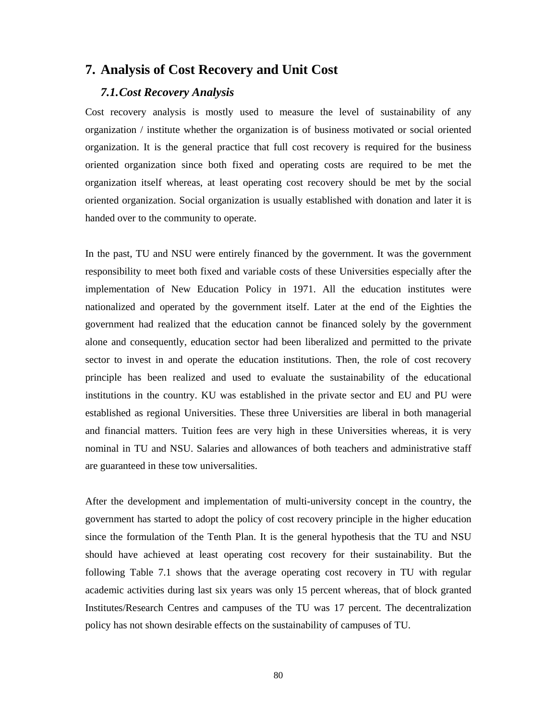# **7. Analysis of Cost Recovery and Unit Cost**

### *7.1.Cost Recovery Analysis*

Cost recovery analysis is mostly used to measure the level of sustainability of any organization / institute whether the organization is of business motivated or social oriented organization. It is the general practice that full cost recovery is required for the business oriented organization since both fixed and operating costs are required to be met the organization itself whereas, at least operating cost recovery should be met by the social oriented organization. Social organization is usually established with donation and later it is handed over to the community to operate.

In the past, TU and NSU were entirely financed by the government. It was the government responsibility to meet both fixed and variable costs of these Universities especially after the implementation of New Education Policy in 1971. All the education institutes were nationalized and operated by the government itself. Later at the end of the Eighties the government had realized that the education cannot be financed solely by the government alone and consequently, education sector had been liberalized and permitted to the private sector to invest in and operate the education institutions. Then, the role of cost recovery principle has been realized and used to evaluate the sustainability of the educational institutions in the country. KU was established in the private sector and EU and PU were established as regional Universities. These three Universities are liberal in both managerial and financial matters. Tuition fees are very high in these Universities whereas, it is very nominal in TU and NSU. Salaries and allowances of both teachers and administrative staff are guaranteed in these tow universalities.

After the development and implementation of multi-university concept in the country, the government has started to adopt the policy of cost recovery principle in the higher education since the formulation of the Tenth Plan. It is the general hypothesis that the TU and NSU should have achieved at least operating cost recovery for their sustainability. But the following Table 7.1 shows that the average operating cost recovery in TU with regular academic activities during last six years was only 15 percent whereas, that of block granted Institutes/Research Centres and campuses of the TU was 17 percent. The decentralization policy has not shown desirable effects on the sustainability of campuses of TU.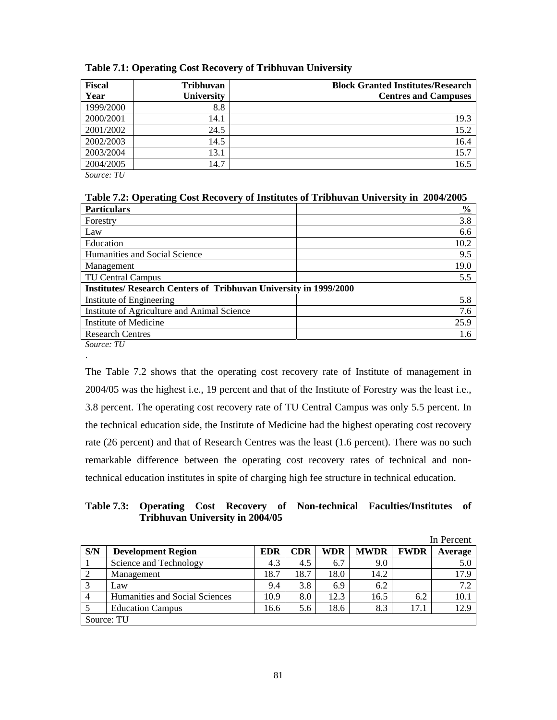| <b>Fiscal</b> | <b>Tribhuvan</b> | <b>Block Granted Institutes/Research</b> |
|---------------|------------------|------------------------------------------|
| Year          | University       | <b>Centres and Campuses</b>              |
| 1999/2000     | 8.8              |                                          |
| 2000/2001     | 14.1             | 19.3                                     |
| 2001/2002     | 24.5             | 15.2                                     |
| 2002/2003     | 14.5             | 16.4                                     |
| 2003/2004     | 13.1             | 15.7                                     |
| 2004/2005     | 14.7             | 16.5                                     |

### **Table 7.1: Operating Cost Recovery of Tribhuvan University**

*Source: TU* 

| Table 7.2: Operating Cost Recovery of Institutes of Tribhuvan University in 2004/2005 |  |  |
|---------------------------------------------------------------------------------------|--|--|
|                                                                                       |  |  |

| <b>Particulars</b>                                                       | $\frac{0}{0}$ |
|--------------------------------------------------------------------------|---------------|
| Forestry                                                                 | 3.8           |
| Law                                                                      | 6.6           |
| Education                                                                | 10.2          |
| Humanities and Social Science                                            | 9.5           |
| Management                                                               | 19.0          |
| <b>TU Central Campus</b>                                                 | 5.5           |
| <b>Institutes/ Research Centers of Tribhuvan University in 1999/2000</b> |               |
| Institute of Engineering                                                 | 5.8           |
| Institute of Agriculture and Animal Science                              | 7.6           |
| Institute of Medicine                                                    | 25.9          |
| <b>Research Centres</b>                                                  | 1.6           |
|                                                                          |               |

*Source: TU*  .

The Table 7.2 shows that the operating cost recovery rate of Institute of management in 2004/05 was the highest i.e., 19 percent and that of the Institute of Forestry was the least i.e., 3.8 percent. The operating cost recovery rate of TU Central Campus was only 5.5 percent. In the technical education side, the Institute of Medicine had the highest operating cost recovery rate (26 percent) and that of Research Centres was the least (1.6 percent). There was no such remarkable difference between the operating cost recovery rates of technical and nontechnical education institutes in spite of charging high fee structure in technical education.

### **Table 7.3: Operating Cost Recovery of Non-technical Faculties/Institutes of Tribhuvan University in 2004/05**

|                |                                |            |      |      |             |             | In Percent |
|----------------|--------------------------------|------------|------|------|-------------|-------------|------------|
| S/N            | <b>Development Region</b>      | <b>EDR</b> | CDR  | WDR  | <b>MWDR</b> | <b>FWDR</b> | Average    |
|                | Science and Technology         | 4.3        | 4.5  | 6.7  | 9.0         |             | 5.0        |
| 2              | Management                     | 18.7       | 18.7 | 18.0 | 14.2        |             | 17.9       |
|                | Law                            | 9.4        | 3.8  | 6.9  | 6.2         |             | 7.2        |
| $\overline{4}$ | Humanities and Social Sciences | 10.9       | 8.0  | 12.3 | 16.5        | 6.2         | 10.1       |
|                | <b>Education Campus</b>        | 16.6       | 5.6  | 18.6 | 8.3         | 17.1        | 12.9       |
|                | Source: TU                     |            |      |      |             |             |            |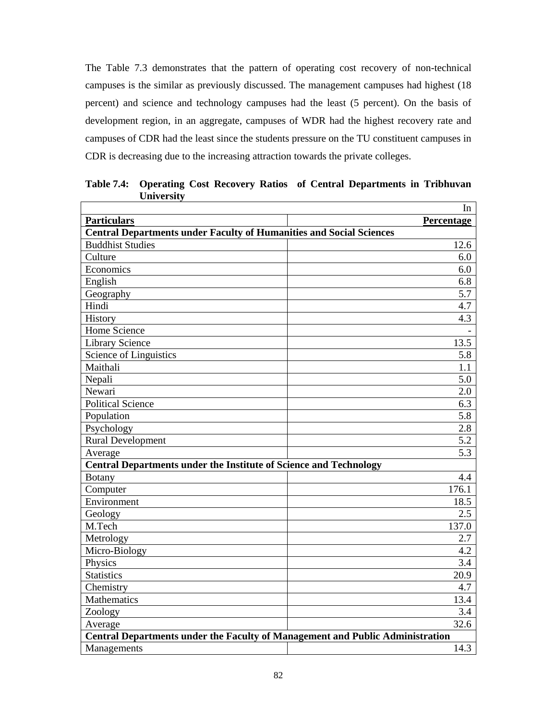The Table 7.3 demonstrates that the pattern of operating cost recovery of non-technical campuses is the similar as previously discussed. The management campuses had highest (18 percent) and science and technology campuses had the least (5 percent). On the basis of development region, in an aggregate, campuses of WDR had the highest recovery rate and campuses of CDR had the least since the students pressure on the TU constituent campuses in CDR is decreasing due to the increasing attraction towards the private colleges.

|                                                                               | In         |  |
|-------------------------------------------------------------------------------|------------|--|
| <b>Particulars</b>                                                            | Percentage |  |
| <b>Central Departments under Faculty of Humanities and Social Sciences</b>    |            |  |
| <b>Buddhist Studies</b>                                                       | 12.6       |  |
| Culture                                                                       | 6.0        |  |
| Economics                                                                     | 6.0        |  |
| English                                                                       | 6.8        |  |
| Geography                                                                     | 5.7        |  |
| Hindi                                                                         | 4.7        |  |
| History                                                                       | 4.3        |  |
| <b>Home Science</b>                                                           |            |  |
| <b>Library Science</b>                                                        | 13.5       |  |
| Science of Linguistics                                                        | 5.8        |  |
| Maithali                                                                      | 1.1        |  |
| Nepali                                                                        | 5.0        |  |
| Newari                                                                        | 2.0        |  |
| <b>Political Science</b>                                                      | 6.3        |  |
| Population                                                                    | 5.8        |  |
| Psychology                                                                    | 2.8        |  |
| <b>Rural Development</b>                                                      | 5.2        |  |
| Average                                                                       | 5.3        |  |
| <b>Central Departments under the Institute of Science and Technology</b>      |            |  |
| <b>Botany</b>                                                                 | 4.4        |  |
| Computer                                                                      | 176.1      |  |
| Environment                                                                   | 18.5       |  |
| Geology                                                                       | 2.5        |  |
| M.Tech                                                                        | 137.0      |  |
| Metrology                                                                     | 2.7        |  |
| Micro-Biology                                                                 | 4.2        |  |
| Physics                                                                       | 3.4        |  |
| <b>Statistics</b>                                                             | 20.9       |  |
| Chemistry                                                                     | 4.7        |  |
| Mathematics                                                                   | 13.4       |  |
| Zoology                                                                       | 3.4        |  |
| Average                                                                       | 32.6       |  |
| Central Departments under the Faculty of Management and Public Administration |            |  |
| Managements                                                                   | 14.3       |  |

**Table 7.4: Operating Cost Recovery Ratios of Central Departments in Tribhuvan University**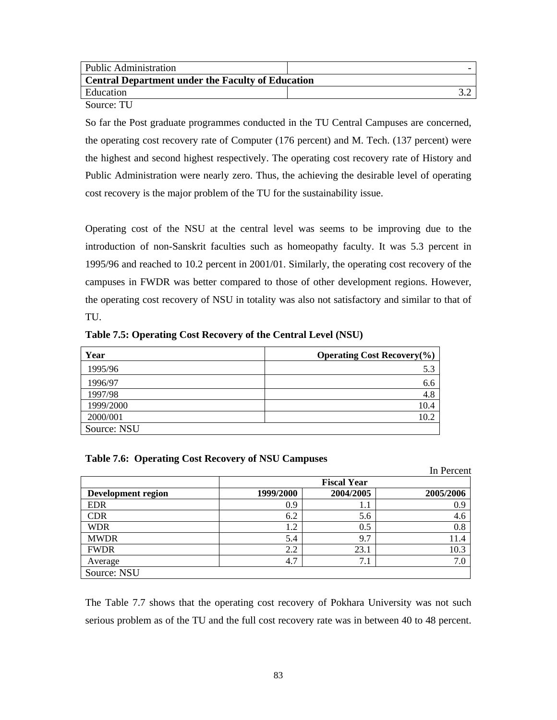| Public Administration                                    |  |
|----------------------------------------------------------|--|
| <b>Central Department under the Faculty of Education</b> |  |
| Education                                                |  |
| Source: TU                                               |  |

So far the Post graduate programmes conducted in the TU Central Campuses are concerned, the operating cost recovery rate of Computer (176 percent) and M. Tech. (137 percent) were the highest and second highest respectively. The operating cost recovery rate of History and Public Administration were nearly zero. Thus, the achieving the desirable level of operating cost recovery is the major problem of the TU for the sustainability issue.

Operating cost of the NSU at the central level was seems to be improving due to the introduction of non-Sanskrit faculties such as homeopathy faculty. It was 5.3 percent in 1995/96 and reached to 10.2 percent in 2001/01. Similarly, the operating cost recovery of the campuses in FWDR was better compared to those of other development regions. However, the operating cost recovery of NSU in totality was also not satisfactory and similar to that of TU.

| Year        | <b>Operating Cost Recovery</b> $(\%)$ |
|-------------|---------------------------------------|
| 1995/96     | 5.3                                   |
| 1996/97     | 6.6                                   |
| 1997/98     | 4.8                                   |
| 1999/2000   | 10.4                                  |
| 2000/001    | 10.2                                  |
| Source: NSU |                                       |

**Table 7.5: Operating Cost Recovery of the Central Level (NSU)** 

#### **Table 7.6: Operating Cost Recovery of NSU Campuses**

|                           |           |                    | In Percent |
|---------------------------|-----------|--------------------|------------|
|                           |           | <b>Fiscal Year</b> |            |
| <b>Development region</b> | 1999/2000 | 2004/2005          | 2005/2006  |
| <b>EDR</b>                | 0.9       | 1.1                | 0.9        |
| <b>CDR</b>                | 6.2       | 5.6                | 4.6        |
| <b>WDR</b>                | 1.2       | 0.5                | 0.8        |
| <b>MWDR</b>               | 5.4       | 9.7                | 11.4       |
| <b>FWDR</b>               | 2.2       | 23.1               | 10.3       |
| Average                   | 4.7       | 7.1                | 7.0        |
| Source: NSU               |           |                    |            |

The Table 7.7 shows that the operating cost recovery of Pokhara University was not such serious problem as of the TU and the full cost recovery rate was in between 40 to 48 percent.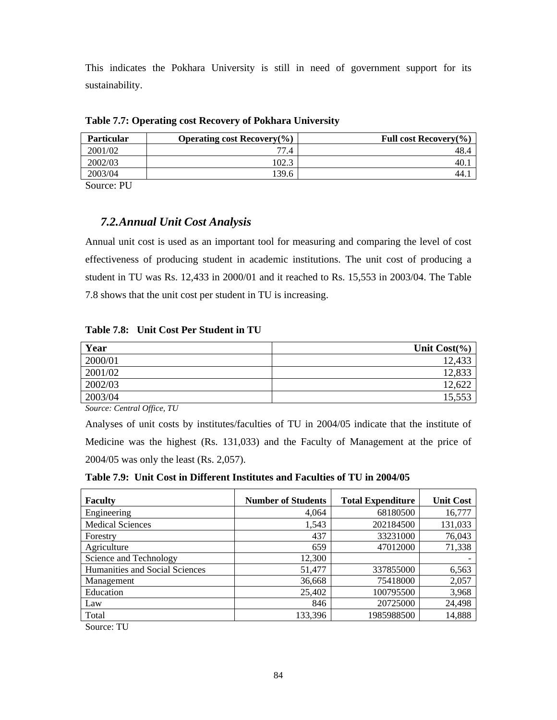This indicates the Pokhara University is still in need of government support for its sustainability.

| <b>Particular</b> | Operating cost Recovery $(\% )$ | Full cost Recovery $(\% )$ |
|-------------------|---------------------------------|----------------------------|
| 2001/02           | 77.4                            | 48.4                       |
| 2002/03           | 102.3                           | 40.1                       |
| 2003/04           | 139.6                           | 44.1                       |
| ___<br>___        |                                 |                            |

**Table 7.7: Operating cost Recovery of Pokhara University** 

Source: PU

# *7.2.Annual Unit Cost Analysis*

Annual unit cost is used as an important tool for measuring and comparing the level of cost effectiveness of producing student in academic institutions. The unit cost of producing a student in TU was Rs. 12,433 in 2000/01 and it reached to Rs. 15,553 in 2003/04. The Table 7.8 shows that the unit cost per student in TU is increasing.

| Table 7.8: Unit Cost Per Student in TU |
|----------------------------------------|
|----------------------------------------|

| Year    | Unit $Cost(\% )$ |
|---------|------------------|
| 2000/01 | 12,433           |
| 2001/02 | 12,833           |
| 2002/03 | 12,622           |
| 2003/04 | 15,553           |

*Source: Central Office, TU* 

Analyses of unit costs by institutes/faculties of TU in 2004/05 indicate that the institute of Medicine was the highest (Rs. 131,033) and the Faculty of Management at the price of 2004/05 was only the least (Rs. 2,057).

| <b>Faculty</b>                 | <b>Number of Students</b> | <b>Total Expenditure</b> | <b>Unit Cost</b> |
|--------------------------------|---------------------------|--------------------------|------------------|
| Engineering                    | 4,064                     | 68180500                 | 16,777           |
| <b>Medical Sciences</b>        | 1,543                     | 202184500                | 131,033          |
| Forestry                       | 437                       | 33231000                 | 76,043           |
| Agriculture                    | 659                       | 47012000                 | 71,338           |
| Science and Technology         | 12,300                    |                          |                  |
| Humanities and Social Sciences | 51,477                    | 337855000                | 6,563            |
| Management                     | 36,668                    | 75418000                 | 2,057            |
| Education                      | 25,402                    | 100795500                | 3,968            |
| Law                            | 846                       | 20725000                 | 24,498           |
| Total                          | 133,396                   | 1985988500               | 14,888           |
| $\alpha$ $\pi$                 |                           |                          |                  |

Source: TU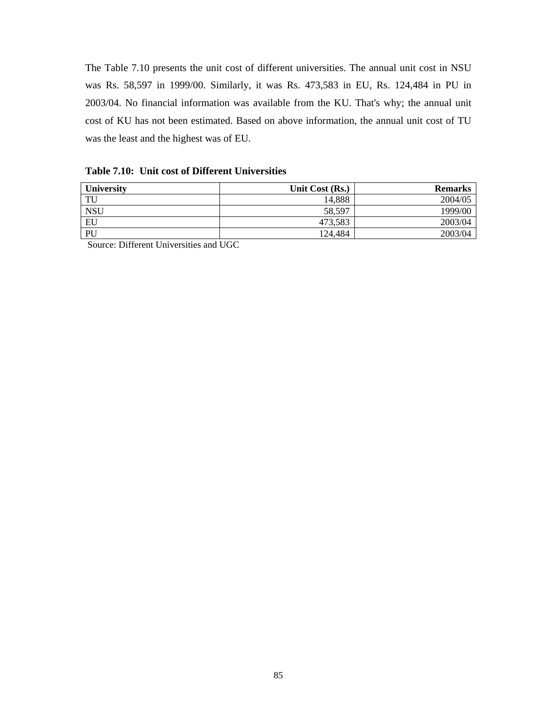The Table 7.10 presents the unit cost of different universities. The annual unit cost in NSU was Rs. 58,597 in 1999/00. Similarly, it was Rs. 473,583 in EU, Rs. 124,484 in PU in 2003/04. No financial information was available from the KU. That's why; the annual unit cost of KU has not been estimated. Based on above information, the annual unit cost of TU was the least and the highest was of EU.

**Table 7.10: Unit cost of Different Universities** 

| <b>University</b> | Unit Cost (Rs.) | <b>Remarks</b> |
|-------------------|-----------------|----------------|
| TU                | 14.888          | 2004/05        |
| <b>NSU</b>        | 58.597          | 1999/00        |
| EU                | 473,583         | 2003/04        |
| PU                | 124.484         | 2003/04        |

Source: Different Universities and UGC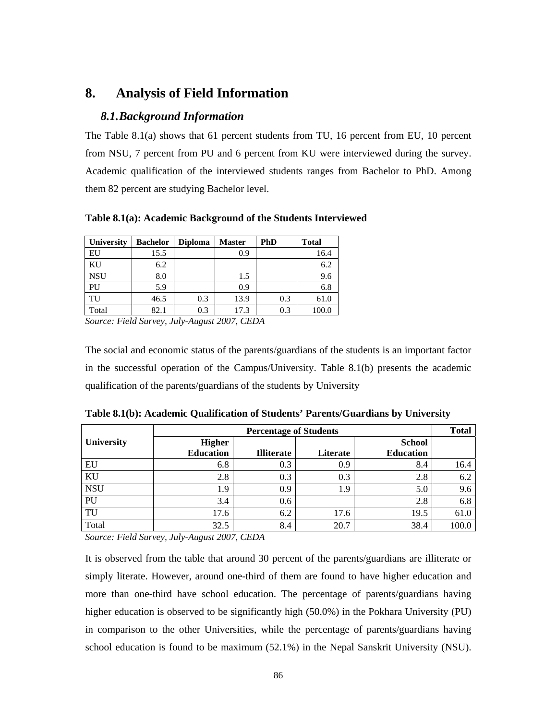# **8. Analysis of Field Information**

# *8.1.Background Information*

The Table 8.1(a) shows that 61 percent students from TU, 16 percent from EU, 10 percent from NSU, 7 percent from PU and 6 percent from KU were interviewed during the survey. Academic qualification of the interviewed students ranges from Bachelor to PhD. Among them 82 percent are studying Bachelor level.

**Table 8.1(a): Academic Background of the Students Interviewed** 

| University | <b>Bachelor</b> | <b>Diploma</b> | <b>Master</b> | PhD | <b>Total</b> |
|------------|-----------------|----------------|---------------|-----|--------------|
| EU         | 15.5            |                | 0.9           |     | 16.4         |
| KU         | 6.2             |                |               |     | 6.2          |
| <b>NSU</b> | 8.0             |                | 1.5           |     | 9.6          |
| PU         | 5.9             |                | 0.9           |     | 6.8          |
| TU         | 46.5            | 0.3            | 13.9          | 0.3 | 61.0         |
| Total      | 82.1            | 0.3            | 17.3          | 0.3 | 100.0        |

*Source: Field Survey, July-August 2007, CEDA* 

The social and economic status of the parents/guardians of the students is an important factor in the successful operation of the Campus/University. Table 8.1(b) presents the academic qualification of the parents/guardians of the students by University

|                   | <b>Percentage of Students</b> |                   |          |                  |       |  |  |  |  |  |  |
|-------------------|-------------------------------|-------------------|----------|------------------|-------|--|--|--|--|--|--|
| <b>University</b> | <b>Higher</b>                 |                   |          | <b>School</b>    |       |  |  |  |  |  |  |
|                   | <b>Education</b>              | <b>Illiterate</b> | Literate | <b>Education</b> |       |  |  |  |  |  |  |
| EU                | 6.8                           | 0.3               | 0.9      | 8.4              | 16.4  |  |  |  |  |  |  |
| KU                | 2.8                           | 0.3               | 0.3      | 2.8              | 6.2   |  |  |  |  |  |  |
| <b>NSU</b>        | 1.9                           | 0.9               | 1.9      | 5.0              | 9.6   |  |  |  |  |  |  |
| PU                | 3.4                           | 0.6               |          | 2.8              | 6.8   |  |  |  |  |  |  |
| TU                | 17.6                          | 6.2               | 17.6     | 19.5             | 61.0  |  |  |  |  |  |  |
| Total             | 32.5                          | 8.4               | 20.7     | 38.4             | 100.0 |  |  |  |  |  |  |

| Table 8.1(b): Academic Qualification of Students' Parents/Guardians by University |  |  |
|-----------------------------------------------------------------------------------|--|--|
|                                                                                   |  |  |

*Source: Field Survey, July-August 2007, CEDA* 

It is observed from the table that around 30 percent of the parents/guardians are illiterate or simply literate. However, around one-third of them are found to have higher education and more than one-third have school education. The percentage of parents/guardians having higher education is observed to be significantly high (50.0%) in the Pokhara University (PU) in comparison to the other Universities, while the percentage of parents/guardians having school education is found to be maximum (52.1%) in the Nepal Sanskrit University (NSU).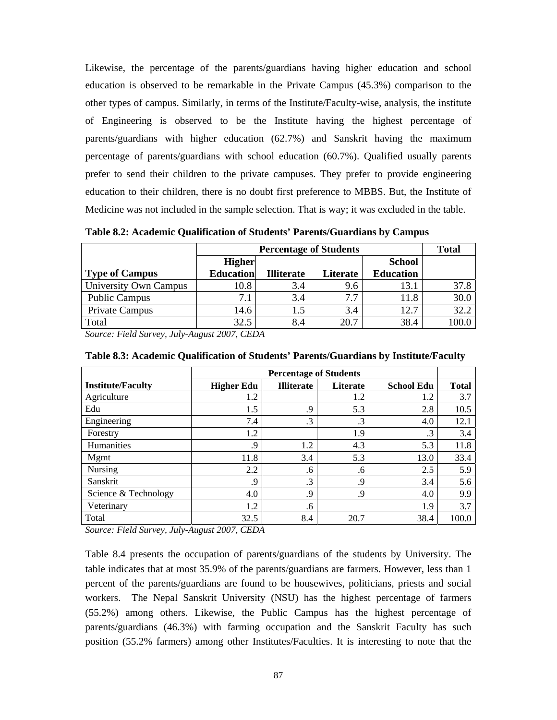Likewise, the percentage of the parents/guardians having higher education and school education is observed to be remarkable in the Private Campus (45.3%) comparison to the other types of campus. Similarly, in terms of the Institute/Faculty-wise, analysis, the institute of Engineering is observed to be the Institute having the highest percentage of parents/guardians with higher education (62.7%) and Sanskrit having the maximum percentage of parents/guardians with school education (60.7%). Qualified usually parents prefer to send their children to the private campuses. They prefer to provide engineering education to their children, there is no doubt first preference to MBBS. But, the Institute of Medicine was not included in the sample selection. That is way; it was excluded in the table.

**Table 8.2: Academic Qualification of Students' Parents/Guardians by Campus** 

|                       |                  | <b>Percentage of Students</b> |          |                  |       |  |  |  |  |  |  |  |  |
|-----------------------|------------------|-------------------------------|----------|------------------|-------|--|--|--|--|--|--|--|--|
|                       | <b>Higher</b>    |                               |          | <b>School</b>    |       |  |  |  |  |  |  |  |  |
| <b>Type of Campus</b> | <b>Education</b> | <b>Illiterate</b>             | Literate | <b>Education</b> |       |  |  |  |  |  |  |  |  |
| University Own Campus | 10.8             | 3.4                           | 9.6      | 13.1             | 37.8  |  |  |  |  |  |  |  |  |
| <b>Public Campus</b>  |                  | 3.4                           | 7.7      | 11.8             | 30.0  |  |  |  |  |  |  |  |  |
| Private Campus        | 14.6             | 1.5                           | 3.4      | 12.7             | 32.2  |  |  |  |  |  |  |  |  |
| Total                 | 32.5             | 8.4                           | 20.7     | 38.4             | 100.0 |  |  |  |  |  |  |  |  |

*Source: Field Survey, July-August 2007, CEDA* 

|                          |                   | <b>Percentage of Students</b> |           |                   |              |  |  |  |  |  |  |  |
|--------------------------|-------------------|-------------------------------|-----------|-------------------|--------------|--|--|--|--|--|--|--|
| <b>Institute/Faculty</b> | <b>Higher Edu</b> | <b>Illiterate</b>             | Literate  | <b>School Edu</b> | <b>Total</b> |  |  |  |  |  |  |  |
| Agriculture              | 1.2               |                               | 1.2       | 1.2               | 3.7          |  |  |  |  |  |  |  |
| Edu                      | 1.5               | .9                            | 5.3       | 2.8               | 10.5         |  |  |  |  |  |  |  |
| Engineering              | 7.4               | .3                            | $\cdot$ 3 | 4.0               | 12.1         |  |  |  |  |  |  |  |
| Forestry                 | 1.2               |                               | 1.9       | $\cdot$ 3         | 3.4          |  |  |  |  |  |  |  |
| Humanities               | .9                | 1.2                           | 4.3       | 5.3               | 11.8         |  |  |  |  |  |  |  |
| Mgmt                     | 11.8              | 3.4                           | 5.3       | 13.0              | 33.4         |  |  |  |  |  |  |  |
| Nursing                  | 2.2               | .6                            | .6        | 2.5               | 5.9          |  |  |  |  |  |  |  |
| Sanskrit                 | .9                | .3                            | .9        | 3.4               | 5.6          |  |  |  |  |  |  |  |
| Science & Technology     | 4.0               | .9                            | .9        | 4.0               | 9.9          |  |  |  |  |  |  |  |
| Veterinary               | 1.2               | .6                            |           | 1.9               | 3.7          |  |  |  |  |  |  |  |
| Total                    | 32.5              | 8.4                           | 20.7      | 38.4              | 100.0        |  |  |  |  |  |  |  |

**Table 8.3: Academic Qualification of Students' Parents/Guardians by Institute/Faculty** 

*Source: Field Survey, July-August 2007, CEDA* 

Table 8.4 presents the occupation of parents/guardians of the students by University. The table indicates that at most 35.9% of the parents/guardians are farmers. However, less than 1 percent of the parents/guardians are found to be housewives, politicians, priests and social workers. The Nepal Sanskrit University (NSU) has the highest percentage of farmers (55.2%) among others. Likewise, the Public Campus has the highest percentage of parents/guardians (46.3%) with farming occupation and the Sanskrit Faculty has such position (55.2% farmers) among other Institutes/Faculties. It is interesting to note that the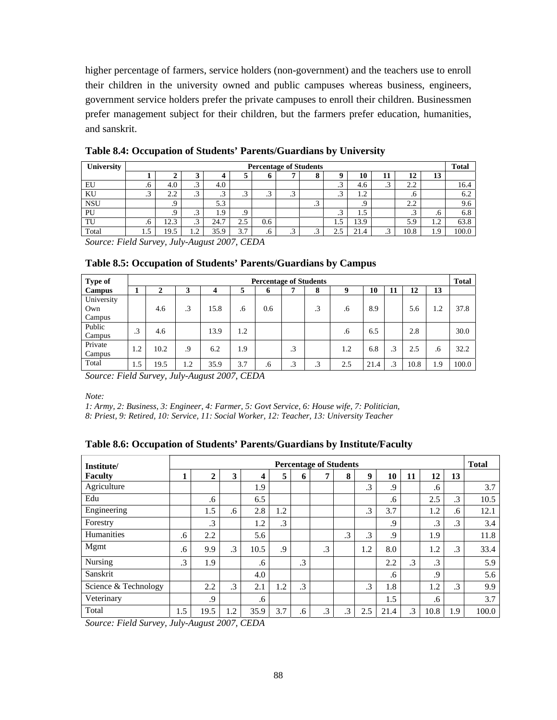higher percentage of farmers, service holders (non-government) and the teachers use to enroll their children in the university owned and public campuses whereas business, engineers, government service holders prefer the private campuses to enroll their children. Businessmen prefer management subject for their children, but the farmers prefer education, humanities, and sanskrit.

| University |          | <b>Percentage of Students</b> |              |      |                     |     |                |         |                |      |          |      |           | <b>Total</b> |
|------------|----------|-------------------------------|--------------|------|---------------------|-----|----------------|---------|----------------|------|----------|------|-----------|--------------|
|            |          |                               | ີ            |      |                     |     |                | 0       |                | 10   | 11       | 12   | 13        |              |
| EU         | $\sigma$ | 4.0                           | ⌒<br>ر.      | 4.0  |                     |     |                |         | . .            | 4.6  | ◠<br>ر., | 2.2  |           | 16.4         |
| KU         | ت ہ      | 2.2                           | $\sim$<br>ر. | ت    | . .                 |     | $\sim$<br>ر. . |         |                | 1.2  |          |      |           | 6.2          |
| <b>NSU</b> |          | .,                            |              | 5.3  |                     |     |                | سي      |                | .9   |          | 2.2  |           | 9.6          |
| PU         |          | .9                            | ⌒<br>ر.      | 1.9  |                     |     |                |         |                | 1.5  |          | . .  | $\cdot$ o | 6.8          |
| TU         | .6       | 12.3                          | ⌒<br>ر.      | 24.7 | 2.5                 | 0.6 |                |         | $\overline{1}$ | 13.9 |          | 5.9  | 1.2       | 63.8         |
| Total      | 1.5      | 19.5                          | $\gamma$<br> | 35.9 | 3.7                 | .b  | ◠<br>ر. .      | ∽<br>سي | ◠              | 21.4 | ◠<br>ر.  | 10.8 | 1.9       | 100.0        |
| $\sim$     | T:110    |                               | $T$ $T$ $A$  |      | $0.2007$ CFD $\ell$ |     |                |         |                |      |          |      |           |              |

**Table 8.4: Occupation of Students' Parents/Guardians by University** 

*Source: Field Survey, July-August 2007, CEDA* 

| Type of       | <b>Percentage of Students</b> |      |     |      |     |     |    |    |     |      |    |      | <b>Total</b> |       |
|---------------|-------------------------------|------|-----|------|-----|-----|----|----|-----|------|----|------|--------------|-------|
| <b>Campus</b> | л                             | 2    | 3   | 4    | 5   | 6   | 7  | 8  | 9   | 10   | 11 | 12   | 13           |       |
| University    |                               |      |     |      |     |     |    |    |     |      |    |      |              |       |
| Own           |                               | 4.6  | .3  | 15.8 | .6  | 0.6 |    | .3 | .6  | 8.9  |    | 5.6  | 1.2          | 37.8  |
| Campus        |                               |      |     |      |     |     |    |    |     |      |    |      |              |       |
| Public        | .3                            | 4.6  |     | 13.9 | 1.2 |     |    |    | .6  | 6.5  |    | 2.8  |              | 30.0  |
| Campus        |                               |      |     |      |     |     |    |    |     |      |    |      |              |       |
| Private       | 1.2                           | 10.2 | .9  | 6.2  | 1.9 |     | .3 |    | 1.2 | 6.8  | .3 | 2.5  | .6           | 32.2  |
| Campus        |                               |      |     |      |     |     |    |    |     |      |    |      |              |       |
| Total         | 1.5                           | 19.5 | 1.2 | 35.9 | 3.7 | .6  | .3 | .3 | 2.5 | 21.4 | .3 | 10.8 | 1.9          | 100.0 |

**Table 8.5: Occupation of Students' Parents/Guardians by Campus** 

*Source: Field Survey, July-August 2007, CEDA* 

*Note:* 

*1: Army, 2: Business, 3: Engineer, 4: Farmer, 5: Govt Service, 6: House wife, 7: Politician,* 

*8: Priest, 9: Retired, 10: Service, 11: Social Worker, 12: Teacher, 13: University Teacher* 

|  | Table 8.6: Occupation of Students' Parents/Guardians by Institute/Faculty |  |
|--|---------------------------------------------------------------------------|--|
|  |                                                                           |  |

| Institute/           | <b>Percentage of Students</b> |              |           |        |           |           |                |           |           |         | <b>Total</b> |           |           |       |
|----------------------|-------------------------------|--------------|-----------|--------|-----------|-----------|----------------|-----------|-----------|---------|--------------|-----------|-----------|-------|
| <b>Faculty</b>       |                               | $\mathbf{2}$ | 3         | 4      | 5         | 6         | $\overline{ }$ | 8         | 9         | 10      | 11           | 12        | 13        |       |
| Agriculture          |                               |              |           | 1.9    |           |           |                |           | $\cdot$ 3 | .9      |              | .6        |           | 3.7   |
| Edu                  |                               | .6           |           | 6.5    |           |           |                |           |           | .6      |              | 2.5       | $\cdot$ 3 | 10.5  |
| Engineering          |                               | 1.5          | .6        | 2.8    | 1.2       |           |                |           | $\cdot$ 3 | 3.7     |              | 1.2       | .6        | 12.1  |
| Forestry             |                               | $\cdot$ 3    |           | 1.2    | $\cdot$ 3 |           |                |           |           | .9      |              | $\cdot$ 3 | $\cdot$ 3 | 3.4   |
| <b>Humanities</b>    | .6                            | 2.2          |           | 5.6    |           |           |                | $\cdot$ 3 | $\cdot$ 3 | .9      |              | 1.9       |           | 11.8  |
| Mgmt                 | .6                            | 9.9          | $\cdot$ 3 | 10.5   | .9        |           | .3             |           | 1.2       | 8.0     |              | 1.2       | $\cdot$ 3 | 33.4  |
| Nursing              | $\cdot$ 3                     | 1.9          |           | $.6\,$ |           | $\cdot$ 3 |                |           |           | 2.2     | $\cdot$ 3    | $\cdot$ 3 |           | 5.9   |
| Sanskrit             |                               |              |           | 4.0    |           |           |                |           |           | $.6 \,$ |              | .9        |           | 5.6   |
| Science & Technology |                               | 2.2          | $\cdot$ 3 | 2.1    | 1.2       | $\cdot$ 3 |                |           | $\cdot$ 3 | 1.8     |              | 1.2       | $\cdot$ 3 | 9.9   |
| Veterinary           |                               | .9           |           | .6     |           |           |                |           |           | 1.5     |              | .6        |           | 3.7   |
| Total                | 1.5                           | 19.5         | 1.2       | 35.9   | 3.7       | .6        | .3             | $\cdot$ 3 | 2.5       | 21.4    | .3           | 10.8      | 1.9       | 100.0 |

*Source: Field Survey, July-August 2007, CEDA*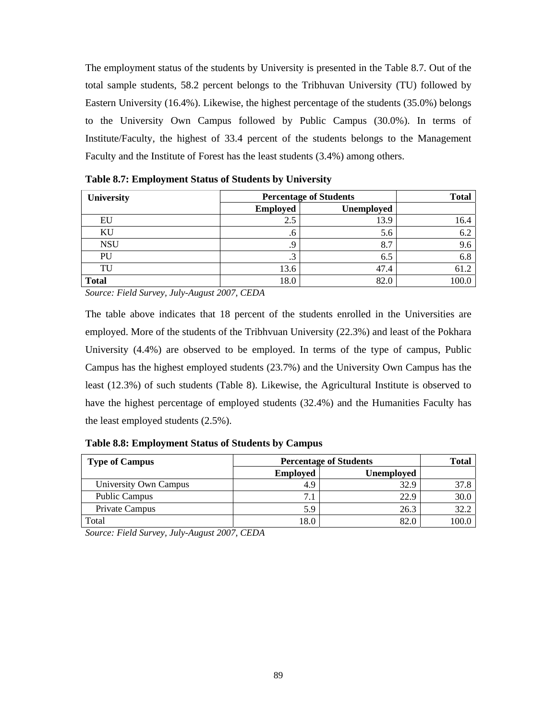The employment status of the students by University is presented in the Table 8.7. Out of the total sample students, 58.2 percent belongs to the Tribhuvan University (TU) followed by Eastern University (16.4%). Likewise, the highest percentage of the students (35.0%) belongs to the University Own Campus followed by Public Campus (30.0%). In terms of Institute/Faculty, the highest of 33.4 percent of the students belongs to the Management Faculty and the Institute of Forest has the least students (3.4%) among others.

| University   | <b>Percentage of Students</b> |            |       |  |  |
|--------------|-------------------------------|------------|-------|--|--|
|              | <b>Employed</b>               | Unemployed |       |  |  |
| EU           | 2.5                           | 13.9       | 16.4  |  |  |
| ΚU           | .6                            | 5.6        | 6.2   |  |  |
| <b>NSU</b>   | .9                            | 8.7        | 9.6   |  |  |
| PU           | .3                            | 6.5        | 6.8   |  |  |
| TU           | 13.6                          | 47.4       | 61.2  |  |  |
| <b>Total</b> | 18.0                          | 82.0       | 100.0 |  |  |

**Table 8.7: Employment Status of Students by University** 

*Source: Field Survey, July-August 2007, CEDA* 

The table above indicates that 18 percent of the students enrolled in the Universities are employed. More of the students of the Tribhvuan University (22.3%) and least of the Pokhara University (4.4%) are observed to be employed. In terms of the type of campus, Public Campus has the highest employed students (23.7%) and the University Own Campus has the least (12.3%) of such students (Table 8). Likewise, the Agricultural Institute is observed to have the highest percentage of employed students (32.4%) and the Humanities Faculty has the least employed students (2.5%).

| Table 8.8: Employment Status of Students by Campus |  |  |  |  |  |
|----------------------------------------------------|--|--|--|--|--|
|----------------------------------------------------|--|--|--|--|--|

| <b>Type of Campus</b> | <b>Percentage of Students</b> | <b>Total</b>      |       |
|-----------------------|-------------------------------|-------------------|-------|
|                       | <b>Employed</b>               | <b>Unemployed</b> |       |
| University Own Campus | 4.9                           | 32.9              | 37.8  |
| <b>Public Campus</b>  | 7.1                           | 22.9              | 30.0  |
| Private Campus        | 5.9                           | 26.3              | 32.2  |
| Total                 | 18.0                          | 82.0              | 100.0 |

*Source: Field Survey, July-August 2007, CEDA*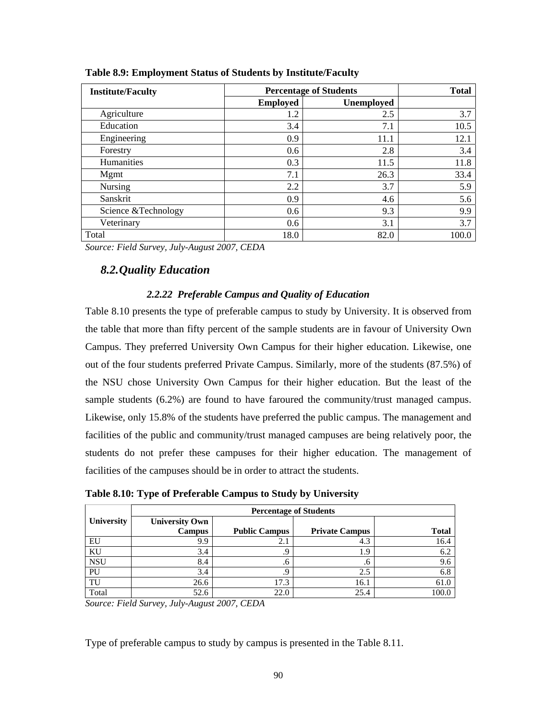|                 | <b>Total</b>      |                               |
|-----------------|-------------------|-------------------------------|
| <b>Employed</b> | <b>Unemployed</b> |                               |
| 1.2             | 2.5               | 3.7                           |
| 3.4             | 7.1               | 10.5                          |
| 0.9             | 11.1              | 12.1                          |
| 0.6             | 2.8               | 3.4                           |
| 0.3             | 11.5              | 11.8                          |
| 7.1             | 26.3              | 33.4                          |
| 2.2             | 3.7               | 5.9                           |
| 0.9             | 4.6               | 5.6                           |
| 0.6             | 9.3               | 9.9                           |
| 0.6             | 3.1               | 3.7                           |
| 18.0            | 82.0              | 100.0                         |
|                 |                   | <b>Percentage of Students</b> |

**Table 8.9: Employment Status of Students by Institute/Faculty** 

## *8.2.Quality Education*

### *2.2.22 Preferable Campus and Quality of Education*

Table 8.10 presents the type of preferable campus to study by University. It is observed from the table that more than fifty percent of the sample students are in favour of University Own Campus. They preferred University Own Campus for their higher education. Likewise, one out of the four students preferred Private Campus. Similarly, more of the students (87.5%) of the NSU chose University Own Campus for their higher education. But the least of the sample students (6.2%) are found to have faroured the community/trust managed campus. Likewise, only 15.8% of the students have preferred the public campus. The management and facilities of the public and community/trust managed campuses are being relatively poor, the students do not prefer these campuses for their higher education. The management of facilities of the campuses should be in order to attract the students.

| Table 0.10. Type of Freierable Campus to bluuy by Chrycistry |                       |                               |                       |              |  |  |  |  |  |
|--------------------------------------------------------------|-----------------------|-------------------------------|-----------------------|--------------|--|--|--|--|--|
|                                                              |                       | <b>Percentage of Students</b> |                       |              |  |  |  |  |  |
| <b>University</b>                                            | <b>University Own</b> |                               |                       |              |  |  |  |  |  |
|                                                              | <b>Campus</b>         | <b>Public Campus</b>          | <b>Private Campus</b> | <b>Total</b> |  |  |  |  |  |
| EU                                                           | 9.9                   | 2.1                           | 4.3                   | 16.4         |  |  |  |  |  |
| KU                                                           | 3.4                   |                               | $\cdot$ .9            | 6.2          |  |  |  |  |  |
| <b>NSU</b>                                                   | 8.4                   | .o                            | .6                    | 9.6          |  |  |  |  |  |
| PU                                                           | 3.4                   |                               |                       | 6.8          |  |  |  |  |  |

TU  $26.6$  17.3 16.1 61.0 Total 52.6 22.0 25.4 100.0

**Table 8.10: Type of Preferable Campus to Study by University** 

*Source: Field Survey, July-August 2007, CEDA* 

Type of preferable campus to study by campus is presented in the Table 8.11.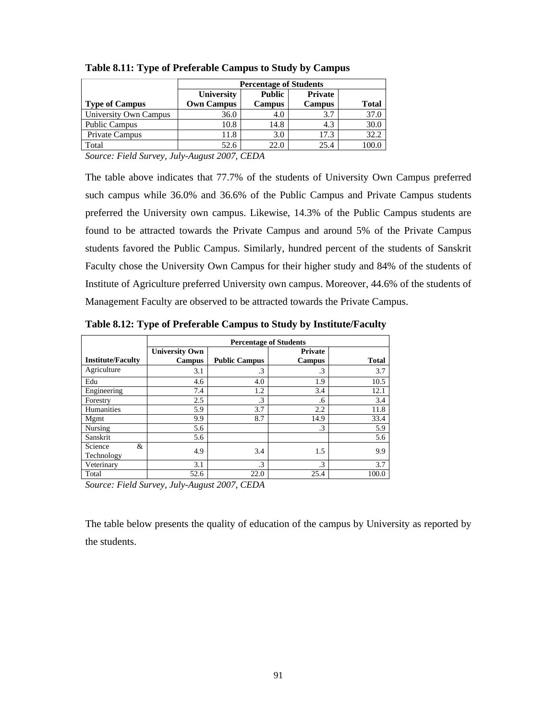|                       | <b>Percentage of Students</b> |               |                |              |  |  |  |
|-----------------------|-------------------------------|---------------|----------------|--------------|--|--|--|
|                       | University                    | Public        | <b>Private</b> |              |  |  |  |
| <b>Type of Campus</b> | <b>Own Campus</b>             | <b>Campus</b> | <b>Campus</b>  | <b>Total</b> |  |  |  |
| University Own Campus | 36.0                          | 4.0           | 3.7            | 37.0         |  |  |  |
| <b>Public Campus</b>  | 10.8                          | 14.8          | 4.3            | 30.0         |  |  |  |
| Private Campus        | 11.8                          | 3.0           | 17.3           | 32.2         |  |  |  |
| Total                 | 52.6                          | 22.0          | 25.4           | 100.0        |  |  |  |

**Table 8.11: Type of Preferable Campus to Study by Campus** 

The table above indicates that 77.7% of the students of University Own Campus preferred such campus while 36.0% and 36.6% of the Public Campus and Private Campus students preferred the University own campus. Likewise, 14.3% of the Public Campus students are found to be attracted towards the Private Campus and around 5% of the Private Campus students favored the Public Campus. Similarly, hundred percent of the students of Sanskrit Faculty chose the University Own Campus for their higher study and 84% of the students of Institute of Agriculture preferred University own campus. Moreover, 44.6% of the students of Management Faculty are observed to be attracted towards the Private Campus.

|                                                               | <b>Percentage of Students</b>          |                      |                          |       |  |  |  |  |
|---------------------------------------------------------------|----------------------------------------|----------------------|--------------------------|-------|--|--|--|--|
| <b>Institute/Faculty</b>                                      | <b>University Own</b><br><b>Campus</b> | <b>Public Campus</b> | Private<br><b>Campus</b> | Total |  |  |  |  |
| Agriculture                                                   | 3.1                                    | .3                   | .3                       | 3.7   |  |  |  |  |
| Edu                                                           | 4.6                                    | 4.0                  | 1.9                      | 10.5  |  |  |  |  |
| Engineering                                                   | 7.4                                    | 1.2                  | 3.4                      | 12.1  |  |  |  |  |
| Forestry                                                      | 2.5                                    | $\cdot$ 3            | .6                       | 3.4   |  |  |  |  |
| Humanities                                                    | 5.9                                    | 3.7                  | 2.2                      | 11.8  |  |  |  |  |
| Mgmt                                                          | 9.9                                    | 8.7                  | 14.9                     | 33.4  |  |  |  |  |
| Nursing                                                       | 5.6                                    |                      | .3                       | 5.9   |  |  |  |  |
| Sanskrit                                                      | 5.6                                    |                      |                          | 5.6   |  |  |  |  |
| Science<br>&<br>Technology                                    | 4.9                                    | 3.4                  | 1.5                      | 9.9   |  |  |  |  |
| Veterinary                                                    | 3.1                                    | .3                   | .3                       | 3.7   |  |  |  |  |
| Total                                                         | 52.6                                   | 22.0                 | 25.4                     | 100.0 |  |  |  |  |
| $\mathbf{r}$ $\mathbf{r}$ $\mathbf{r}$ $\mathbf{r}$<br>$\sim$ | <b>T</b> 1 4                           | $0.007$ $0.001$      |                          |       |  |  |  |  |

**Table 8.12: Type of Preferable Campus to Study by Institute/Faculty**

*Source: Field Survey, July-August 2007, CEDA* 

The table below presents the quality of education of the campus by University as reported by the students.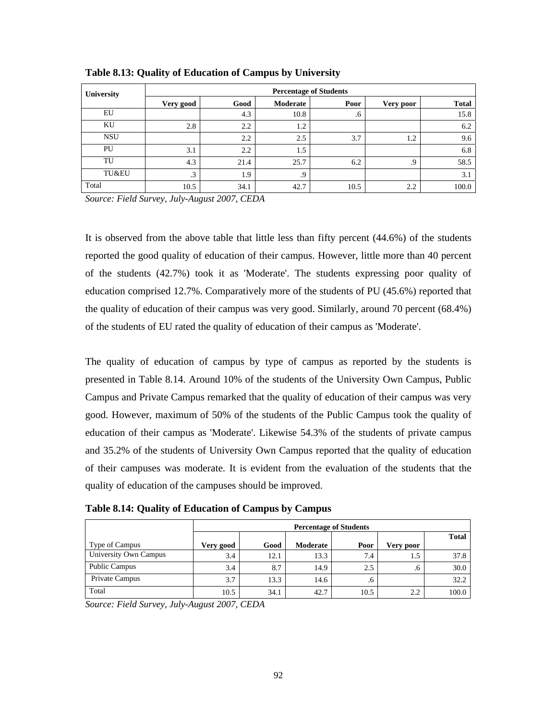| University | <b>Percentage of Students</b> |               |          |      |           |              |  |  |
|------------|-------------------------------|---------------|----------|------|-----------|--------------|--|--|
|            | Very good                     | Good          | Moderate | Poor | Very poor | <b>Total</b> |  |  |
| EU         |                               | 4.3           | 10.8     | .6   |           | 15.8         |  |  |
| KU         | 2.8                           | $2.2^{\circ}$ | 1.2      |      |           | 6.2          |  |  |
| <b>NSU</b> |                               | 2.2           | 2.5      | 3.7  | 1.2       | 9.6          |  |  |
| PU         | 3.1                           | 2.2           | 1.5      |      |           | 6.8          |  |  |
| TU         | 4.3                           | 21.4          | 25.7     | 6.2  | .9        | 58.5         |  |  |
| TU&EU      | $\cdot$ 3                     | 1.9           | .9       |      |           | 3.1          |  |  |
| Total      | 10.5                          | 34.1          | 42.7     | 10.5 | 2.2       | 100.0        |  |  |

**Table 8.13: Quality of Education of Campus by University** 

It is observed from the above table that little less than fifty percent (44.6%) of the students reported the good quality of education of their campus. However, little more than 40 percent of the students (42.7%) took it as 'Moderate'. The students expressing poor quality of education comprised 12.7%. Comparatively more of the students of PU (45.6%) reported that the quality of education of their campus was very good. Similarly, around 70 percent (68.4%) of the students of EU rated the quality of education of their campus as 'Moderate'.

The quality of education of campus by type of campus as reported by the students is presented in Table 8.14. Around 10% of the students of the University Own Campus, Public Campus and Private Campus remarked that the quality of education of their campus was very good. However, maximum of 50% of the students of the Public Campus took the quality of education of their campus as 'Moderate'. Likewise 54.3% of the students of private campus and 35.2% of the students of University Own Campus reported that the quality of education of their campuses was moderate. It is evident from the evaluation of the students that the quality of education of the campuses should be improved.

**Table 8.14: Quality of Education of Campus by Campus** 

|                       | <b>Percentage of Students</b> |      |          |         |           |              |  |  |
|-----------------------|-------------------------------|------|----------|---------|-----------|--------------|--|--|
| Type of Campus        | Very good                     | Good | Moderate | Poor    | Very poor | <b>Total</b> |  |  |
| University Own Campus | 3.4                           | 12.1 | 13.3     | 7.4     | 1.5       | 37.8         |  |  |
| Public Campus         | 3.4                           | 8.7  | 14.9     | 2.5     | .6        | 30.0         |  |  |
| Private Campus        | 3.7                           | 13.3 | 14.6     | $\cdot$ |           | 32.2         |  |  |
| Total                 | 10.5                          | 34.1 | 42.7     | 10.5    | 2.2       | 100.0        |  |  |

*Source: Field Survey, July-August 2007, CEDA*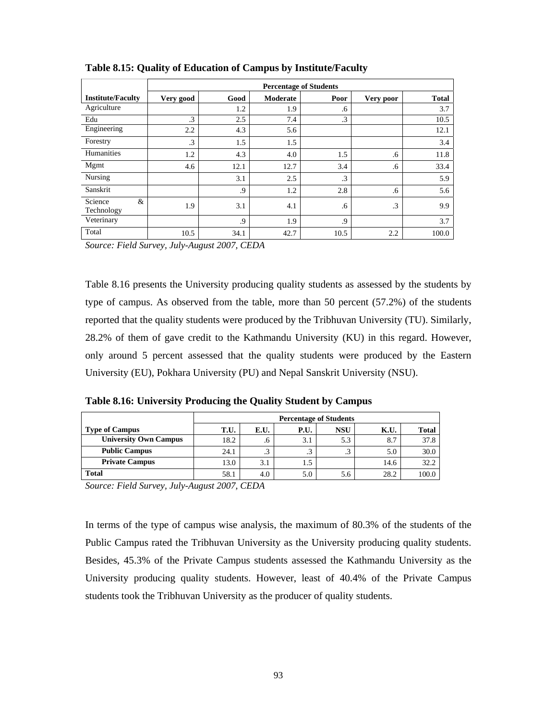|                            | <b>Percentage of Students</b> |      |          |           |           |              |  |
|----------------------------|-------------------------------|------|----------|-----------|-----------|--------------|--|
| <b>Institute/Faculty</b>   | Very good                     | Good | Moderate | Poor      | Very poor | <b>Total</b> |  |
| Agriculture                |                               | 1.2  | 1.9      | .6        |           | 3.7          |  |
| Edu                        | .3                            | 2.5  | 7.4      | $\cdot$ 3 |           | 10.5         |  |
| Engineering                | 2.2                           | 4.3  | 5.6      |           |           | 12.1         |  |
| Forestry                   | .3                            | 1.5  | 1.5      |           |           | 3.4          |  |
| Humanities                 | 1.2                           | 4.3  | 4.0      | 1.5       | .6        | 11.8         |  |
| Mgmt                       | 4.6                           | 12.1 | 12.7     | 3.4       | .6        | 33.4         |  |
| Nursing                    |                               | 3.1  | 2.5      | $\cdot$ 3 |           | 5.9          |  |
| Sanskrit                   |                               | .9   | 1.2      | 2.8       | .6        | 5.6          |  |
| Science<br>&<br>Technology | 1.9                           | 3.1  | 4.1      | .6        | .3        | 9.9          |  |
| Veterinary                 |                               | .9   | 1.9      | .9        |           | 3.7          |  |
| Total                      | 10.5                          | 34.1 | 42.7     | 10.5      | 2.2       | 100.0        |  |

**Table 8.15: Quality of Education of Campus by Institute/Faculty** 

Table 8.16 presents the University producing quality students as assessed by the students by type of campus. As observed from the table, more than 50 percent (57.2%) of the students reported that the quality students were produced by the Tribhuvan University (TU). Similarly, 28.2% of them of gave credit to the Kathmandu University (KU) in this regard. However, only around 5 percent assessed that the quality students were produced by the Eastern University (EU), Pokhara University (PU) and Nepal Sanskrit University (NSU).

**Table 8.16: University Producing the Quality Student by Campus**

|                              | <b>Percentage of Students</b> |         |      |            |      |       |  |
|------------------------------|-------------------------------|---------|------|------------|------|-------|--|
| <b>Type of Campus</b>        | T.U.                          | E.U.    | P.U. | <b>NSU</b> | K.U. | Total |  |
| <b>University Own Campus</b> | 18.2                          | $\cdot$ | 3.1  | 5.3        | 8.7  | 37.8  |  |
| <b>Public Campus</b>         | 24.1                          | .3      | ر.,  | ن          | 5.0  | 30.0  |  |
| <b>Private Campus</b>        | 13.0                          | 3.1     |      |            | 14.6 | 32.2  |  |
| <b>Total</b>                 | 58.1                          | 4.0     | 5.0  | 5.6        | 28.2 | 100.0 |  |

*Source: Field Survey, July-August 2007, CEDA* 

In terms of the type of campus wise analysis, the maximum of 80.3% of the students of the Public Campus rated the Tribhuvan University as the University producing quality students. Besides, 45.3% of the Private Campus students assessed the Kathmandu University as the University producing quality students. However, least of 40.4% of the Private Campus students took the Tribhuvan University as the producer of quality students.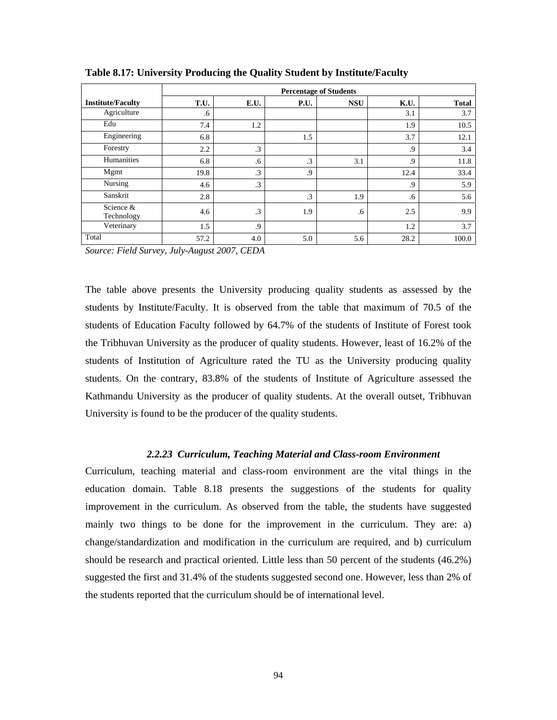|                          | <b>Percentage of Students</b> |           |           |            |      |              |  |
|--------------------------|-------------------------------|-----------|-----------|------------|------|--------------|--|
| <b>Institute/Faculty</b> | T.U.                          | E.U.      | P.U.      | <b>NSU</b> | K.U. | <b>Total</b> |  |
| Agriculture              | .6                            |           |           |            | 3.1  | 3.7          |  |
| Edu                      | 7.4                           | 1.2       |           |            | 1.9  | 10.5         |  |
| Engineering              | 6.8                           |           | 1.5       |            | 3.7  | 12.1         |  |
| Forestry                 | 2.2                           | $\cdot$ 3 |           |            | .9   | 3.4          |  |
| Humanities               | 6.8                           | .6        | $\cdot$ 3 | 3.1        | .9   | 11.8         |  |
| Mgmt                     | 19.8                          | $\cdot$ 3 | .9        |            | 12.4 | 33.4         |  |
| Nursing                  | 4.6                           | $\cdot$ 3 |           |            | .9   | 5.9          |  |
| Sanskrit                 | 2.8                           |           | $\cdot$ 3 | 1.9        | .6   | 5.6          |  |
| Science &<br>Technology  | 4.6                           | .3        | 1.9       | .6         | 2.5  | 9.9          |  |
| Veterinary               | 1.5                           | .9        |           |            | 1.2  | 3.7          |  |
| Total                    | 57.2                          | 4.0       | 5.0       | 5.6        | 28.2 | 100.0        |  |

**Table 8.17: University Producing the Quality Student by Institute/Faculty** 

The table above presents the University producing quality students as assessed by the students by Institute/Faculty. It is observed from the table that maximum of 70.5 of the students of Education Faculty followed by 64.7% of the students of Institute of Forest took the Tribhuvan University as the producer of quality students. However, least of 16.2% of the students of Institution of Agriculture rated the TU as the University producing quality students. On the contrary, 83.8% of the students of Institute of Agriculture assessed the Kathmandu University as the producer of quality students. At the overall outset, Tribhuvan University is found to be the producer of the quality students.

#### *2.2.23 Curriculum, Teaching Material and Class-room Environment*

Curriculum, teaching material and class-room environment are the vital things in the education domain. Table 8.18 presents the suggestions of the students for quality improvement in the curriculum. As observed from the table, the students have suggested mainly two things to be done for the improvement in the curriculum. They are: a) change/standardization and modification in the curriculum are required, and b) curriculum should be research and practical oriented. Little less than 50 percent of the students (46.2%) suggested the first and 31.4% of the students suggested second one. However, less than 2% of the students reported that the curriculum should be of international level.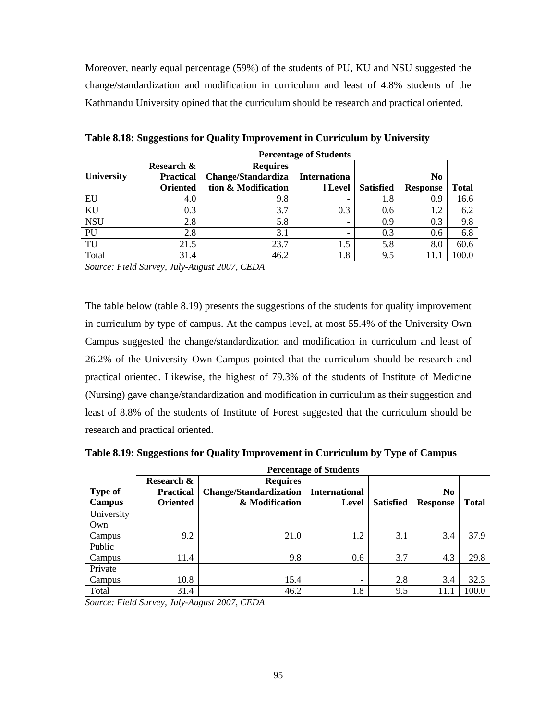Moreover, nearly equal percentage (59%) of the students of PU, KU and NSU suggested the change/standardization and modification in curriculum and least of 4.8% students of the Kathmandu University opined that the curriculum should be research and practical oriented.

|                   |                  | <b>Percentage of Students</b> |                          |                  |                 |       |  |  |  |  |  |
|-------------------|------------------|-------------------------------|--------------------------|------------------|-----------------|-------|--|--|--|--|--|
|                   | Research &       | <b>Requires</b>               |                          |                  |                 |       |  |  |  |  |  |
| <b>University</b> | <b>Practical</b> | Change/Standardiza            | <b>Internationa</b>      |                  | N <sub>0</sub>  |       |  |  |  |  |  |
|                   | <b>Oriented</b>  | tion & Modification           | l Level                  | <b>Satisfied</b> | <b>Response</b> | Total |  |  |  |  |  |
| EU                | 4.0              | 9.8                           | -                        | 1.8              | 0.9             | 16.6  |  |  |  |  |  |
| KU                | 0.3              | 3.7                           | 0.3                      | 0.6              | 1.2             | 6.2   |  |  |  |  |  |
| <b>NSU</b>        | 2.8              | 5.8                           |                          | 0.9              | 0.3             | 9.8   |  |  |  |  |  |
| PU                | 2.8              | 3.1                           | $\overline{\phantom{0}}$ | 0.3              | 0.6             | 6.8   |  |  |  |  |  |
| TU                | 21.5             | 23.7                          | 1.5                      | 5.8              | 8.0             | 60.6  |  |  |  |  |  |
| Total             | 31.4             | 46.2                          | 1.8                      | 9.5              |                 | 100.0 |  |  |  |  |  |

**Table 8.18: Suggestions for Quality Improvement in Curriculum by University** 

*Source: Field Survey, July-August 2007, CEDA* 

The table below (table 8.19) presents the suggestions of the students for quality improvement in curriculum by type of campus. At the campus level, at most 55.4% of the University Own Campus suggested the change/standardization and modification in curriculum and least of 26.2% of the University Own Campus pointed that the curriculum should be research and practical oriented. Likewise, the highest of 79.3% of the students of Institute of Medicine (Nursing) gave change/standardization and modification in curriculum as their suggestion and least of 8.8% of the students of Institute of Forest suggested that the curriculum should be research and practical oriented.

|                | <b>Percentage of Students</b> |                               |                      |                  |                 |              |  |  |  |
|----------------|-------------------------------|-------------------------------|----------------------|------------------|-----------------|--------------|--|--|--|
|                | Research &                    | <b>Requires</b>               |                      |                  |                 |              |  |  |  |
| <b>Type of</b> | <b>Practical</b>              | <b>Change/Standardization</b> | <b>International</b> |                  | N <sub>0</sub>  |              |  |  |  |
| <b>Campus</b>  | <b>Oriented</b>               | & Modification                | Level                | <b>Satisfied</b> | <b>Response</b> | <b>Total</b> |  |  |  |
| University     |                               |                               |                      |                  |                 |              |  |  |  |
| Own            |                               |                               |                      |                  |                 |              |  |  |  |
| Campus         | 9.2                           | 21.0                          | 1.2                  | 3.1              | 3.4             | 37.9         |  |  |  |
| Public         |                               |                               |                      |                  |                 |              |  |  |  |
| Campus         | 11.4                          | 9.8                           | 0.6                  | 3.7              | 4.3             | 29.8         |  |  |  |
| Private        |                               |                               |                      |                  |                 |              |  |  |  |
| Campus         | 10.8                          | 15.4                          |                      | 2.8              | 3.4             | 32.3         |  |  |  |
| Total          | 31.4                          | 46.2                          | 1.8                  | 9.5              | 11.1            | 100.0        |  |  |  |

**Table 8.19: Suggestions for Quality Improvement in Curriculum by Type of Campus** 

*Source: Field Survey, July-August 2007, CEDA*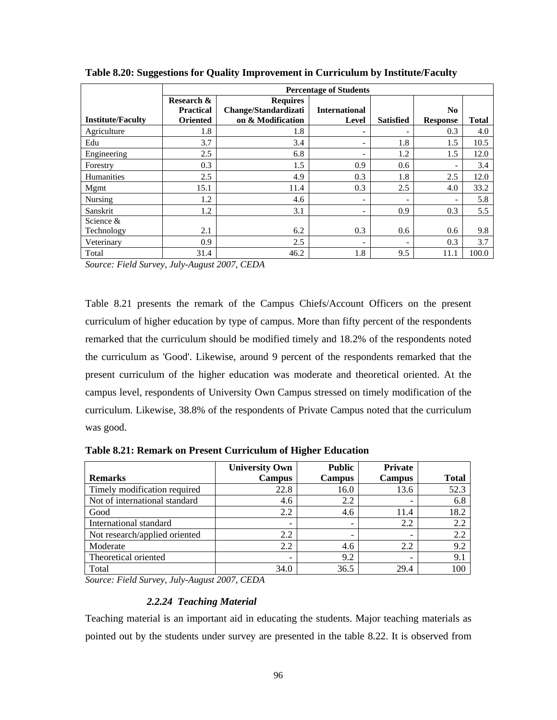|                          | <b>Percentage of Students</b>                     |                                                              |                               |                          |                                   |              |  |  |  |
|--------------------------|---------------------------------------------------|--------------------------------------------------------------|-------------------------------|--------------------------|-----------------------------------|--------------|--|--|--|
| <b>Institute/Faculty</b> | Research &<br><b>Practical</b><br><b>Oriented</b> | <b>Requires</b><br>Change/Standardizati<br>on & Modification | <b>International</b><br>Level | <b>Satisfied</b>         | N <sub>0</sub><br><b>Response</b> | <b>Total</b> |  |  |  |
| Agriculture              | 1.8                                               | 1.8                                                          | $\qquad \qquad \blacksquare$  | $\overline{\phantom{0}}$ | 0.3                               | 4.0          |  |  |  |
| Edu                      | 3.7                                               | 3.4                                                          | -                             | 1.8                      | 1.5                               | 10.5         |  |  |  |
| Engineering              | 2.5                                               | 6.8                                                          | -                             | 1.2                      | 1.5                               | 12.0         |  |  |  |
| Forestry                 | 0.3                                               | 1.5                                                          | 0.9                           | 0.6                      | -                                 | 3.4          |  |  |  |
| <b>Humanities</b>        | 2.5                                               | 4.9                                                          | 0.3                           | 1.8                      | 2.5                               | 12.0         |  |  |  |
| Mgmt                     | 15.1                                              | 11.4                                                         | 0.3                           | 2.5                      | 4.0                               | 33.2         |  |  |  |
| Nursing                  | 1.2                                               | 4.6                                                          | $\overline{\phantom{0}}$      | $\overline{\phantom{a}}$ | -                                 | 5.8          |  |  |  |
| Sanskrit                 | 1.2                                               | 3.1                                                          | $\overline{\phantom{0}}$      | 0.9                      | 0.3                               | 5.5          |  |  |  |
| Science &<br>Technology  | 2.1                                               | 6.2                                                          | 0.3                           | 0.6                      | 0.6                               | 9.8          |  |  |  |
| Veterinary               | 0.9                                               | 2.5                                                          | $\qquad \qquad \blacksquare$  | $\overline{\phantom{a}}$ | 0.3                               | 3.7          |  |  |  |
| Total                    | 31.4                                              | 46.2                                                         | 1.8                           | 9.5                      | 11.1                              | 100.0        |  |  |  |

**Table 8.20: Suggestions for Quality Improvement in Curriculum by Institute/Faculty** 

Table 8.21 presents the remark of the Campus Chiefs/Account Officers on the present curriculum of higher education by type of campus. More than fifty percent of the respondents remarked that the curriculum should be modified timely and 18.2% of the respondents noted the curriculum as 'Good'. Likewise, around 9 percent of the respondents remarked that the present curriculum of the higher education was moderate and theoretical oriented. At the campus level, respondents of University Own Campus stressed on timely modification of the curriculum. Likewise, 38.8% of the respondents of Private Campus noted that the curriculum was good.

|                               | <b>University Own</b>    | <b>Public</b> | Private       |              |
|-------------------------------|--------------------------|---------------|---------------|--------------|
| <b>Remarks</b>                | <b>Campus</b>            | <b>Campus</b> | <b>Campus</b> | <b>Total</b> |
| Timely modification required  | 22.8                     | 16.0          | 13.6          | 52.3         |
| Not of international standard | 4.6                      | 2.2           |               | 6.8          |
| Good                          | 2.2                      | 4.6           | 11.4          | 18.2         |
| International standard        | $\overline{\phantom{0}}$ | -             | 2.2           | 2.2          |
| Not research/applied oriented | 2.2                      |               |               | 2.2          |
| Moderate                      | 2.2                      | 4.6           | 2.2           | 9.2          |
| Theoretical oriented          |                          | 9.2           |               | 9.1          |
| Total                         | 34.0                     | 36.5          | 29.4          | 100          |

**Table 8.21: Remark on Present Curriculum of Higher Education** 

*Source: Field Survey, July-August 2007, CEDA* 

#### *2.2.24 Teaching Material*

Teaching material is an important aid in educating the students. Major teaching materials as pointed out by the students under survey are presented in the table 8.22. It is observed from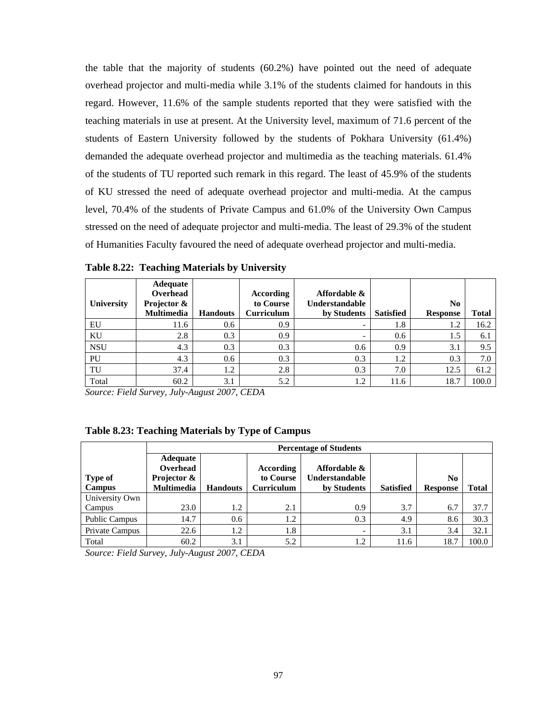the table that the majority of students (60.2%) have pointed out the need of adequate overhead projector and multi-media while 3.1% of the students claimed for handouts in this regard. However, 11.6% of the sample students reported that they were satisfied with the teaching materials in use at present. At the University level, maximum of 71.6 percent of the students of Eastern University followed by the students of Pokhara University (61.4%) demanded the adequate overhead projector and multimedia as the teaching materials. 61.4% of the students of TU reported such remark in this regard. The least of 45.9% of the students of KU stressed the need of adequate overhead projector and multi-media. At the campus level, 70.4% of the students of Private Campus and 61.0% of the University Own Campus stressed on the need of adequate projector and multi-media. The least of 29.3% of the student of Humanities Faculty favoured the need of adequate overhead projector and multi-media.

|            | <b>Adequate</b><br>Overhead |                 | According         | Affordable &          |                  |                 |       |
|------------|-----------------------------|-----------------|-------------------|-----------------------|------------------|-----------------|-------|
| University | Projector &                 |                 | to Course         | <b>Understandable</b> |                  | No.             |       |
|            | <b>Multimedia</b>           | <b>Handouts</b> | <b>Curriculum</b> | by Students           | <b>Satisfied</b> | <b>Response</b> | Total |
| EU         | 11.6                        | 0.6             | 0.9               |                       | 1.8              | 1.2             | 16.2  |
| KU         | 2.8                         | 0.3             | 0.9               |                       | 0.6              | 1.5             | 6.1   |
| <b>NSU</b> | 4.3                         | 0.3             | 0.3               | 0.6                   | 0.9              | 3.1             | 9.5   |
| PU         | 4.3                         | 0.6             | 0.3               | 0.3                   | 1.2              | 0.3             | 7.0   |
| TU         | 37.4                        | 1.2             | 2.8               | 0.3                   | 7.0              | 12.5            | 61.2  |
| Total      | 60.2                        | 3.1             | 5.2               | 1.2                   | 11.6             | 18.7            | 100.0 |

**Table 8.22: Teaching Materials by University** 

*Source: Field Survey, July-August 2007, CEDA* 

|                                 |                                  | <b>Percentage of Students</b> |                                |                                      |                  |                                   |              |  |  |  |  |
|---------------------------------|----------------------------------|-------------------------------|--------------------------------|--------------------------------------|------------------|-----------------------------------|--------------|--|--|--|--|
|                                 | Adequate<br>Overhead             | Affordable &<br>According     |                                |                                      |                  |                                   |              |  |  |  |  |
| <b>Type of</b><br><b>Campus</b> | Projector &<br><b>Multimedia</b> | <b>Handouts</b>               | to Course<br><b>Curriculum</b> | <b>Understandable</b><br>by Students | <b>Satisfied</b> | N <sub>0</sub><br><b>Response</b> | <b>Total</b> |  |  |  |  |
| University Own                  |                                  |                               |                                |                                      |                  |                                   |              |  |  |  |  |
| Campus                          | 23.0                             | 1.2                           | 2.1                            | 0.9                                  | 3.7              | 6.7                               | 37.7         |  |  |  |  |
| <b>Public Campus</b>            | 14.7                             | 0.6                           | 1.2                            | 0.3                                  | 4.9              | 8.6                               | 30.3         |  |  |  |  |
| Private Campus                  | 22.6                             | 1.2                           | 1.8                            | -                                    | 3.1              | 3.4                               | 32.1         |  |  |  |  |
| Total                           | 60.2                             | 3.1                           | 5.2                            | 1.2                                  | 11.6             | 18.7                              | 100.0        |  |  |  |  |

*Source: Field Survey, July-August 2007, CEDA*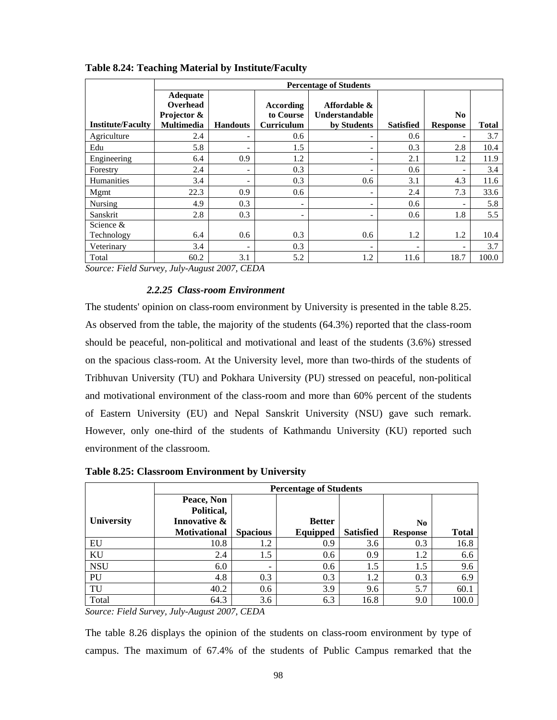|                          |                                                          | <b>Percentage of Students</b> |                                                    |                                                      |                          |                                   |              |  |  |  |  |
|--------------------------|----------------------------------------------------------|-------------------------------|----------------------------------------------------|------------------------------------------------------|--------------------------|-----------------------------------|--------------|--|--|--|--|
| <b>Institute/Faculty</b> | Adequate<br>Overhead<br>Projector &<br><b>Multimedia</b> | <b>Handouts</b>               | <b>According</b><br>to Course<br><b>Curriculum</b> | Affordable &<br><b>Understandable</b><br>by Students | <b>Satisfied</b>         | N <sub>0</sub><br><b>Response</b> | <b>Total</b> |  |  |  |  |
| Agriculture              | 2.4                                                      | $\qquad \qquad \blacksquare$  | 0.6                                                |                                                      | 0.6                      |                                   | 3.7          |  |  |  |  |
| Edu                      | 5.8                                                      | $\overline{\phantom{a}}$      | 1.5                                                | $\overline{\phantom{0}}$                             | 0.3                      | 2.8                               | 10.4         |  |  |  |  |
| Engineering              | 6.4                                                      | 0.9                           | 1.2                                                | $\overline{\phantom{0}}$                             | 2.1                      | 1.2                               | 11.9         |  |  |  |  |
| Forestry                 | 2.4                                                      | $\overline{\phantom{a}}$      | 0.3                                                | $\overline{\phantom{0}}$                             | 0.6                      |                                   | 3.4          |  |  |  |  |
| Humanities               | 3.4                                                      | ۰                             | 0.3                                                | 0.6                                                  | 3.1                      | 4.3                               | 11.6         |  |  |  |  |
| Mgmt                     | 22.3                                                     | 0.9                           | 0.6                                                | $\overline{\phantom{0}}$                             | 2.4                      | 7.3                               | 33.6         |  |  |  |  |
| Nursing                  | 4.9                                                      | 0.3                           |                                                    | $\qquad \qquad \blacksquare$                         | 0.6                      |                                   | 5.8          |  |  |  |  |
| Sanskrit                 | 2.8                                                      | 0.3                           |                                                    | $\overline{\phantom{0}}$                             | 0.6                      | 1.8                               | 5.5          |  |  |  |  |
| Science $&$              |                                                          |                               |                                                    |                                                      |                          |                                   |              |  |  |  |  |
| Technology               | 6.4                                                      | 0.6                           | 0.3                                                | 0.6                                                  | 1.2                      | 1.2                               | 10.4         |  |  |  |  |
| Veterinary               | 3.4                                                      | $\overline{\phantom{0}}$      | 0.3                                                | -                                                    | $\overline{\phantom{a}}$ | $\overline{\phantom{a}}$          | 3.7          |  |  |  |  |
| Total                    | 60.2                                                     | 3.1                           | 5.2                                                | 1.2                                                  | 11.6                     | 18.7                              | 100.0        |  |  |  |  |

### **Table 8.24: Teaching Material by Institute/Faculty**

*Source: Field Survey, July-August 2007, CEDA* 

### *2.2.25 Class-room Environment*

The students' opinion on class-room environment by University is presented in the table 8.25. As observed from the table, the majority of the students (64.3%) reported that the class-room should be peaceful, non-political and motivational and least of the students (3.6%) stressed on the spacious class-room. At the University level, more than two-thirds of the students of Tribhuvan University (TU) and Pokhara University (PU) stressed on peaceful, non-political and motivational environment of the class-room and more than 60% percent of the students of Eastern University (EU) and Nepal Sanskrit University (NSU) gave such remark. However, only one-third of the students of Kathmandu University (KU) reported such environment of the classroom.

|            |                     | <b>Percentage of Students</b> |               |                  |                 |              |  |  |  |  |
|------------|---------------------|-------------------------------|---------------|------------------|-----------------|--------------|--|--|--|--|
|            | Peace, Non          |                               |               |                  |                 |              |  |  |  |  |
|            | Political,          |                               |               |                  |                 |              |  |  |  |  |
| University | Innovative &        |                               | <b>Better</b> |                  | N <sub>0</sub>  |              |  |  |  |  |
|            | <b>Motivational</b> | <b>Spacious</b>               | Equipped      | <b>Satisfied</b> | <b>Response</b> | <b>Total</b> |  |  |  |  |
| EU         | 10.8                | 1.2                           | 0.9           | 3.6              | 0.3             | 16.8         |  |  |  |  |
| KU         | 2.4                 | 1.5                           | 0.6           | 0.9              | 1.2             | 6.6          |  |  |  |  |
| <b>NSU</b> | 6.0                 | $\overline{\phantom{0}}$      | 0.6           | 1.5              | 1.5             | 9.6          |  |  |  |  |
| PU         | 4.8                 | 0.3                           | 0.3           | 1.2              | 0.3             | 6.9          |  |  |  |  |
| TU         | 40.2                | 0.6                           | 3.9           | 9.6              | 5.7             | 60.1         |  |  |  |  |
| Total      | 64.3                | 3.6                           | 6.3           | 16.8             | 9.0             | 100.0        |  |  |  |  |

**Table 8.25: Classroom Environment by University** 

*Source: Field Survey, July-August 2007, CEDA* 

The table 8.26 displays the opinion of the students on class-room environment by type of campus. The maximum of 67.4% of the students of Public Campus remarked that the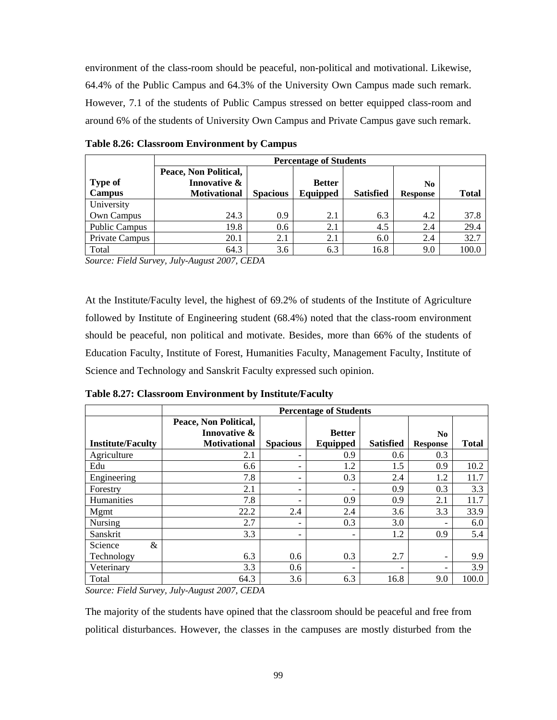environment of the class-room should be peaceful, non-political and motivational. Likewise, 64.4% of the Public Campus and 64.3% of the University Own Campus made such remark. However, 7.1 of the students of Public Campus stressed on better equipped class-room and around 6% of the students of University Own Campus and Private Campus gave such remark.

|                      | <b>Percentage of Students</b>         |                                 |          |                  |                 |              |  |  |  |  |
|----------------------|---------------------------------------|---------------------------------|----------|------------------|-----------------|--------------|--|--|--|--|
| <b>Type of</b>       | Peace, Non Political,<br>Innovative & | <b>Better</b><br>N <sub>0</sub> |          |                  |                 |              |  |  |  |  |
| <b>Campus</b>        | <b>Motivational</b>                   | <b>Spacious</b>                 | Equipped | <b>Satisfied</b> | <b>Response</b> | <b>Total</b> |  |  |  |  |
| University           |                                       |                                 |          |                  |                 |              |  |  |  |  |
| Own Campus           | 24.3                                  | 0.9                             | 2.1      | 6.3              | 4.2             | 37.8         |  |  |  |  |
| <b>Public Campus</b> | 19.8                                  | 0.6                             | 2.1      | 4.5              | 2.4             | 29.4         |  |  |  |  |
| Private Campus       | 20.1                                  | 2.1                             | 2.1      | 6.0              | 2.4             | 32.7         |  |  |  |  |
| Total                | 64.3                                  | 3.6                             | 6.3      | 16.8             | 9.0             | 100.0        |  |  |  |  |

**Table 8.26: Classroom Environment by Campus** 

*Source: Field Survey, July-August 2007, CEDA* 

At the Institute/Faculty level, the highest of 69.2% of students of the Institute of Agriculture followed by Institute of Engineering student (68.4%) noted that the class-room environment should be peaceful, non political and motivate. Besides, more than 66% of the students of Education Faculty, Institute of Forest, Humanities Faculty, Management Faculty, Institute of Science and Technology and Sanskrit Faculty expressed such opinion.

**Table 8.27: Classroom Environment by Institute/Faculty** 

|                          |                       | <b>Percentage of Students</b> |               |                  |                 |              |  |  |  |  |  |
|--------------------------|-----------------------|-------------------------------|---------------|------------------|-----------------|--------------|--|--|--|--|--|
|                          | Peace, Non Political, |                               |               |                  |                 |              |  |  |  |  |  |
|                          | Innovative &          |                               | <b>Better</b> |                  | N <sub>0</sub>  |              |  |  |  |  |  |
| <b>Institute/Faculty</b> | <b>Motivational</b>   | <b>Spacious</b>               | Equipped      | <b>Satisfied</b> | <b>Response</b> | <b>Total</b> |  |  |  |  |  |
| Agriculture              | 2.1                   |                               | 0.9           | 0.6              | 0.3             |              |  |  |  |  |  |
| Edu                      | 6.6                   |                               | 1.2           | 1.5              | 0.9             | 10.2         |  |  |  |  |  |
| Engineering              | 7.8                   |                               | 0.3           | 2.4              | 1.2             | 11.7         |  |  |  |  |  |
| Forestry                 | 2.1                   |                               |               | 0.9              | 0.3             | 3.3          |  |  |  |  |  |
| Humanities               | 7.8                   |                               | 0.9           | 0.9              | 2.1             | 11.7         |  |  |  |  |  |
| Mgmt                     | 22.2                  | 2.4                           | 2.4           | 3.6              | 3.3             | 33.9         |  |  |  |  |  |
| <b>Nursing</b>           | 2.7                   |                               | 0.3           | 3.0              |                 | 6.0          |  |  |  |  |  |
| Sanskrit                 | 3.3                   |                               |               | 1.2              | 0.9             | 5.4          |  |  |  |  |  |
| Science<br>&             |                       |                               |               |                  |                 |              |  |  |  |  |  |
| Technology               | 6.3                   | 0.6                           | 0.3           | 2.7              | -               | 9.9          |  |  |  |  |  |
| Veterinary               | 3.3                   | 0.6                           |               |                  |                 | 3.9          |  |  |  |  |  |
| Total                    | 64.3                  | 3.6                           | 6.3           | 16.8             | 9.0             | 100.0        |  |  |  |  |  |

*Source: Field Survey, July-August 2007, CEDA* 

The majority of the students have opined that the classroom should be peaceful and free from political disturbances. However, the classes in the campuses are mostly disturbed from the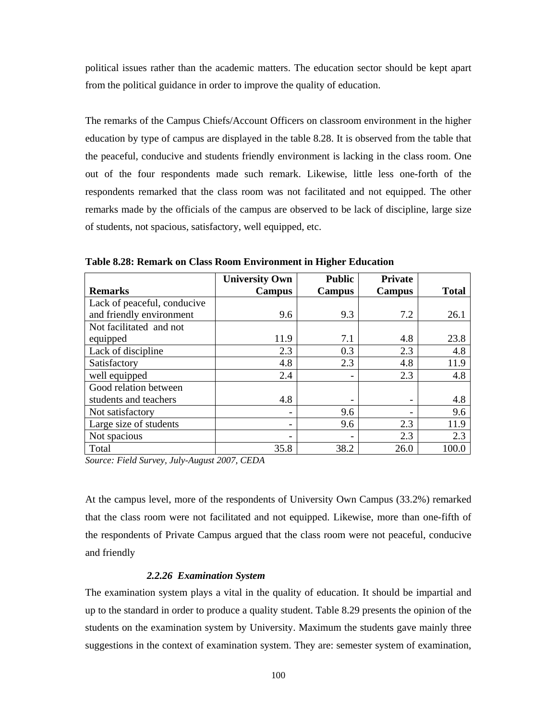political issues rather than the academic matters. The education sector should be kept apart from the political guidance in order to improve the quality of education.

The remarks of the Campus Chiefs/Account Officers on classroom environment in the higher education by type of campus are displayed in the table 8.28. It is observed from the table that the peaceful, conducive and students friendly environment is lacking in the class room. One out of the four respondents made such remark. Likewise, little less one-forth of the respondents remarked that the class room was not facilitated and not equipped. The other remarks made by the officials of the campus are observed to be lack of discipline, large size of students, not spacious, satisfactory, well equipped, etc.

|                             | <b>University Own</b> | <b>Public</b> | <b>Private</b> |              |
|-----------------------------|-----------------------|---------------|----------------|--------------|
| <b>Remarks</b>              | Campus                | <b>Campus</b> | Campus         | <b>Total</b> |
| Lack of peaceful, conducive |                       |               |                |              |
| and friendly environment    | 9.6                   | 9.3           | 7.2            | 26.1         |
| Not facilitated and not     |                       |               |                |              |
| equipped                    | 11.9                  | 7.1           | 4.8            | 23.8         |
| Lack of discipline          | 2.3                   | 0.3           | 2.3            | 4.8          |
| Satisfactory                | 4.8                   | 2.3           | 4.8            | 11.9         |
| well equipped               | 2.4                   |               | 2.3            | 4.8          |
| Good relation between       |                       |               |                |              |
| students and teachers       | 4.8                   |               |                | 4.8          |
| Not satisfactory            |                       | 9.6           |                | 9.6          |
| Large size of students      |                       | 9.6           | 2.3            | 11.9         |
| Not spacious                |                       |               | 2.3            | 2.3          |
| Total                       | 35.8                  | 38.2          | 26.0           | 100.0        |

**Table 8.28: Remark on Class Room Environment in Higher Education** 

*Source: Field Survey, July-August 2007, CEDA* 

At the campus level, more of the respondents of University Own Campus (33.2%) remarked that the class room were not facilitated and not equipped. Likewise, more than one-fifth of the respondents of Private Campus argued that the class room were not peaceful, conducive and friendly

#### *2.2.26 Examination System*

The examination system plays a vital in the quality of education. It should be impartial and up to the standard in order to produce a quality student. Table 8.29 presents the opinion of the students on the examination system by University. Maximum the students gave mainly three suggestions in the context of examination system. They are: semester system of examination,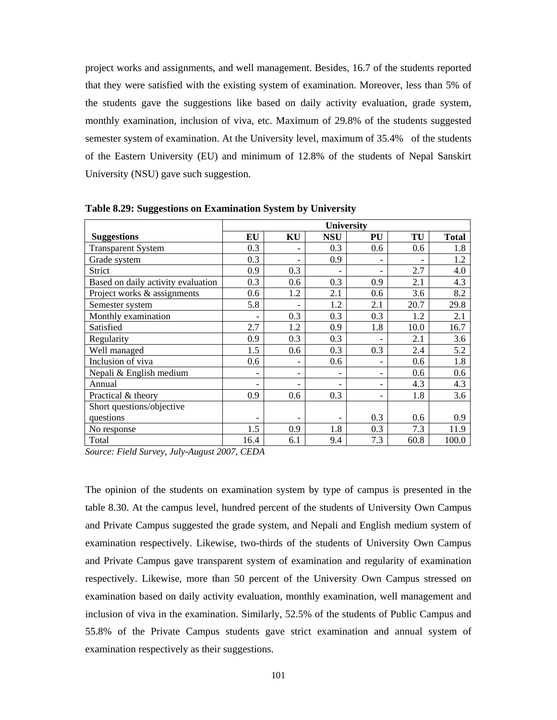project works and assignments, and well management. Besides, 16.7 of the students reported that they were satisfied with the existing system of examination. Moreover, less than 5% of the students gave the suggestions like based on daily activity evaluation, grade system, monthly examination, inclusion of viva, etc. Maximum of 29.8% of the students suggested semester system of examination. At the University level, maximum of 35.4% of the students of the Eastern University (EU) and minimum of 12.8% of the students of Nepal Sanskirt University (NSU) gave such suggestion.

|                                    | <b>University</b>        |                          |            |     |      |              |  |
|------------------------------------|--------------------------|--------------------------|------------|-----|------|--------------|--|
| <b>Suggestions</b>                 | EU                       | KU                       | <b>NSU</b> | PU  | TU   | <b>Total</b> |  |
| <b>Transparent System</b>          | 0.3                      |                          | 0.3        | 0.6 | 0.6  | 1.8          |  |
| Grade system                       | 0.3                      |                          | 0.9        |     |      | 1.2          |  |
| Strict                             | 0.9                      | 0.3                      |            | -   | 2.7  | 4.0          |  |
| Based on daily activity evaluation | 0.3                      | 0.6                      | 0.3        | 0.9 | 2.1  | 4.3          |  |
| Project works & assignments        | 0.6                      | 1.2                      | 2.1        | 0.6 | 3.6  | 8.2          |  |
| Semester system                    | 5.8                      |                          | 1.2        | 2.1 | 20.7 | 29.8         |  |
| Monthly examination                |                          | 0.3                      | 0.3        | 0.3 | 1.2  | 2.1          |  |
| Satisfied                          | 2.7                      | 1.2                      | 0.9        | 1.8 | 10.0 | 16.7         |  |
| Regularity                         | 0.9                      | 0.3                      | 0.3        |     | 2.1  | 3.6          |  |
| Well managed                       | 1.5                      | 0.6                      | 0.3        | 0.3 | 2.4  | 5.2          |  |
| Inclusion of viva                  | 0.6                      | $\overline{\phantom{0}}$ | 0.6        | -   | 0.6  | 1.8          |  |
| Nepali & English medium            |                          | $\qquad \qquad$          |            | ۳   | 0.6  | 0.6          |  |
| Annual                             |                          | $\overline{\phantom{0}}$ | ۰          | -   | 4.3  | 4.3          |  |
| Practical & theory                 | 0.9                      | 0.6                      | 0.3        | -   | 1.8  | 3.6          |  |
| Short questions/objective          |                          |                          |            |     |      |              |  |
| questions                          | $\overline{\phantom{a}}$ |                          |            | 0.3 | 0.6  | 0.9          |  |
| No response                        | 1.5                      | 0.9                      | 1.8        | 0.3 | 7.3  | 11.9         |  |
| Total                              | 16.4                     | 6.1                      | 9.4        | 7.3 | 60.8 | 100.0        |  |

**Table 8.29: Suggestions on Examination System by University**

*Source: Field Survey, July-August 2007, CEDA* 

The opinion of the students on examination system by type of campus is presented in the table 8.30. At the campus level, hundred percent of the students of University Own Campus and Private Campus suggested the grade system, and Nepali and English medium system of examination respectively. Likewise, two-thirds of the students of University Own Campus and Private Campus gave transparent system of examination and regularity of examination respectively. Likewise, more than 50 percent of the University Own Campus stressed on examination based on daily activity evaluation, monthly examination, well management and inclusion of viva in the examination. Similarly, 52.5% of the students of Public Campus and 55.8% of the Private Campus students gave strict examination and annual system of examination respectively as their suggestions.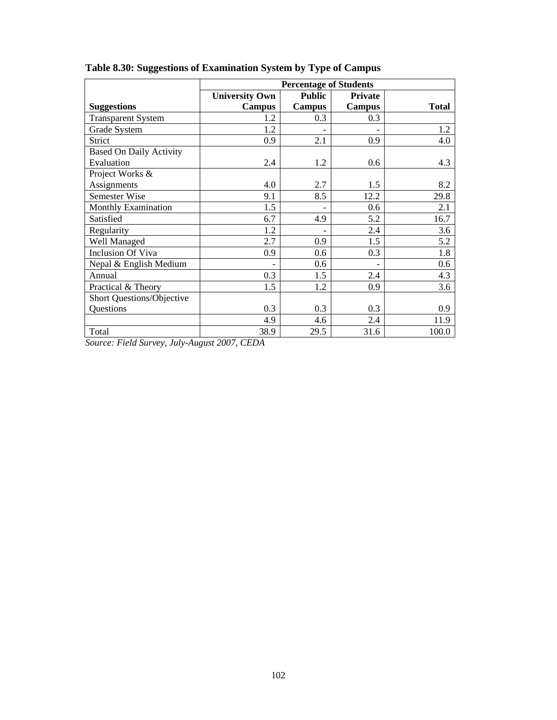|                                | <b>Percentage of Students</b> |               |                |              |  |  |  |
|--------------------------------|-------------------------------|---------------|----------------|--------------|--|--|--|
|                                | <b>University Own</b>         | <b>Public</b> | <b>Private</b> |              |  |  |  |
| <b>Suggestions</b>             | Campus                        | <b>Campus</b> | <b>Campus</b>  | <b>Total</b> |  |  |  |
| <b>Transparent System</b>      | 1.2                           | 0.3           | 0.3            |              |  |  |  |
| Grade System                   | 1.2                           | ۰             |                | 1.2          |  |  |  |
| Strict                         | 0.9                           | 2.1           | 0.9            | 4.0          |  |  |  |
| <b>Based On Daily Activity</b> |                               |               |                |              |  |  |  |
| Evaluation                     | 2.4                           | 1.2           | 0.6            | 4.3          |  |  |  |
| Project Works &                |                               |               |                |              |  |  |  |
| Assignments                    | 4.0                           | 2.7           | 1.5            | 8.2          |  |  |  |
| <b>Semester Wise</b>           | 9.1                           | 8.5           | 12.2           | 29.8         |  |  |  |
| <b>Monthly Examination</b>     | 1.5                           |               | 0.6            | 2.1          |  |  |  |
| Satisfied                      | 6.7                           | 4.9           | 5.2            | 16.7         |  |  |  |
| Regularity                     | 1.2                           | -             | 2.4            | 3.6          |  |  |  |
| Well Managed                   | 2.7                           | 0.9           | 1.5            | 5.2          |  |  |  |
| <b>Inclusion Of Viva</b>       | 0.9                           | 0.6           | 0.3            | 1.8          |  |  |  |
| Nepal & English Medium         |                               | 0.6           |                | 0.6          |  |  |  |
| Annual                         | 0.3                           | 1.5           | 2.4            | 4.3          |  |  |  |
| Practical & Theory             | 1.5                           | 1.2           | 0.9            | 3.6          |  |  |  |
| Short Questions/Objective      |                               |               |                |              |  |  |  |
| Questions                      | 0.3                           | 0.3           | 0.3            | 0.9          |  |  |  |
|                                | 4.9                           | 4.6           | 2.4            | 11.9         |  |  |  |
| Total                          | 38.9                          | 29.5          | 31.6           | 100.0        |  |  |  |

# **Table 8.30: Suggestions of Examination System by Type of Campus**

*Source: Field Survey, July-August 2007, CEDA*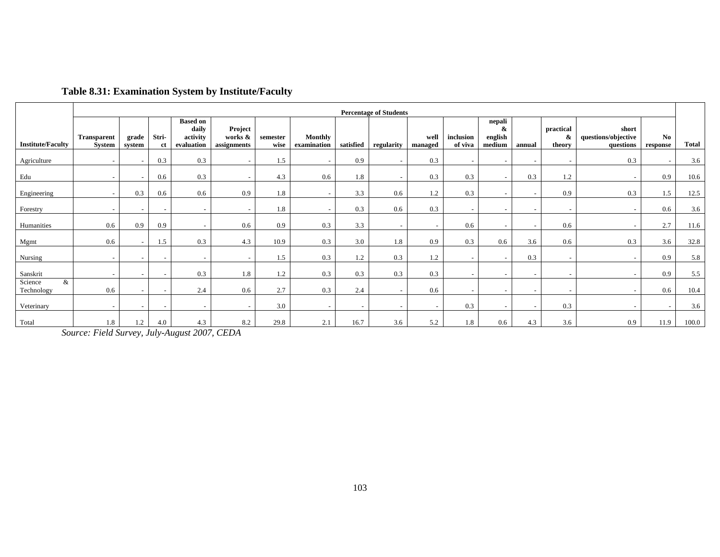|                            |                              |                          |                          |                                                    |                                   |                  |                               |           | <b>Percentage of Students</b> |                 |                          |                                  |                          |                          |                                           |                |              |
|----------------------------|------------------------------|--------------------------|--------------------------|----------------------------------------------------|-----------------------------------|------------------|-------------------------------|-----------|-------------------------------|-----------------|--------------------------|----------------------------------|--------------------------|--------------------------|-------------------------------------------|----------------|--------------|
| <b>Institute/Faculty</b>   | <b>Transparent</b><br>System | grade<br>system          | Stri-<br>ct              | <b>Based on</b><br>daily<br>activity<br>evaluation | Project<br>works &<br>assignments | semester<br>wise | <b>Monthly</b><br>examination | satisfied | regularity                    | well<br>managed | inclusion<br>of viva     | nepali<br>&<br>english<br>medium | annual                   | practical<br>&<br>theory | short<br>questions/objective<br>questions | No<br>response | <b>Total</b> |
| Agriculture                |                              |                          | 0.3                      | 0.3                                                | $\sim$                            | 1.5              |                               | 0.9       |                               | 0.3             |                          |                                  |                          | $\overline{\phantom{a}}$ | 0.3                                       |                | 3.6          |
| Edu                        |                              | $\overline{\phantom{0}}$ | 0.6                      | 0.3                                                | $\overline{\phantom{a}}$          | 4.3              | 0.6                           | 1.8       |                               | 0.3             | 0.3                      | $\overline{\phantom{a}}$         | 0.3                      | 1.2                      |                                           | 0.9            | 10.6         |
| Engineering                | $\overline{\phantom{a}}$     | 0.3                      | 0.6                      | 0.6                                                | 0.9                               | 1.8              |                               | 3.3       | 0.6                           | 1.2             | 0.3                      | $\overline{\phantom{0}}$         | $\sim$                   | 0.9                      | 0.3                                       | 1.5            | 12.5         |
| Forestry                   |                              |                          | $\overline{\phantom{a}}$ |                                                    |                                   | 1.8              |                               | 0.3       | 0.6                           | 0.3             |                          |                                  |                          |                          |                                           | 0.6            | 3.6          |
| Humanities                 | 0.6                          | 0.9                      | 0.9                      |                                                    | 0.6                               | 0.9              | 0.3                           | 3.3       |                               |                 | 0.6                      |                                  | $\overline{\phantom{a}}$ | 0.6                      |                                           | 2.7            | 11.6         |
| Mgmt                       | 0.6                          | $\sim$                   | .5                       | 0.3                                                | 4.3                               | 10.9             | 0.3                           | 3.0       | 1.8                           | 0.9             | 0.3                      | 0.6                              | 3.6                      | 0.6                      | 0.3                                       | 3.6            | 32.8         |
| Nursing                    | $\overline{\phantom{a}}$     | $\overline{\phantom{0}}$ | $-$                      |                                                    | $\tilde{\phantom{a}}$             | 1.5              | 0.3                           | 1.2       | 0.3                           | 1.2             | $\sim$                   |                                  | 0.3                      | $\overline{\phantom{a}}$ | $\overline{\phantom{a}}$                  | 0.9            | 5.8          |
| Sanskrit                   | $\sim$                       | $\overline{\phantom{a}}$ | $-$                      | 0.3                                                | 1.8                               | 1.2              | 0.3                           | 0.3       | 0.3                           | 0.3             | $\overline{\phantom{0}}$ | -                                | $\overline{\phantom{a}}$ | $\overline{\phantom{a}}$ | $\overline{\phantom{a}}$                  | 0.9            | 5.5          |
| Science<br>&<br>Technology | 0.6                          |                          | $\overline{\phantom{0}}$ | 2.4                                                | 0.6                               | 2.7              | 0.3                           | 2.4       |                               | 0.6             |                          |                                  |                          |                          |                                           | 0.6            | 10.4         |
| Veterinary                 | $\overline{\phantom{a}}$     | $\sim$                   | $\overline{\phantom{a}}$ | $\sim$                                             | $\overline{\phantom{a}}$          | 3.0              | $\overline{\phantom{a}}$      |           | $\overline{\phantom{a}}$      | ۰               | 0.3                      |                                  | $\overline{\phantom{a}}$ | 0.3                      | $\overline{\phantom{a}}$                  |                | 3.6          |
| Total                      | 1.8                          | 1.2                      | 4.0                      | 4.3                                                | 8.2                               | 29.8             | 2.1                           | 16.7      | 3.6                           | 5.2             | 1.8                      | 0.6                              | 4.3                      | 3.6                      | 0.9                                       | 11.9           | 100.0        |

# **Table 8.31: Examination System by Institute/Faculty**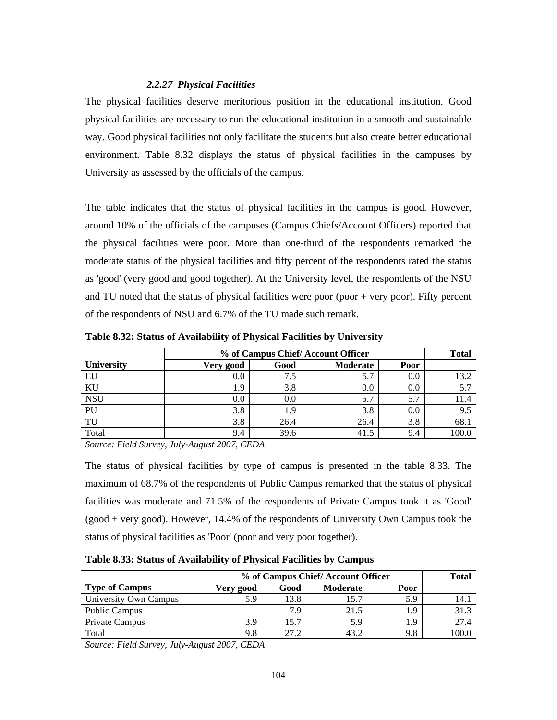## *2.2.27 Physical Facilities*

The physical facilities deserve meritorious position in the educational institution. Good physical facilities are necessary to run the educational institution in a smooth and sustainable way. Good physical facilities not only facilitate the students but also create better educational environment. Table 8.32 displays the status of physical facilities in the campuses by University as assessed by the officials of the campus.

The table indicates that the status of physical facilities in the campus is good. However, around 10% of the officials of the campuses (Campus Chiefs/Account Officers) reported that the physical facilities were poor. More than one-third of the respondents remarked the moderate status of the physical facilities and fifty percent of the respondents rated the status as 'good' (very good and good together). At the University level, the respondents of the NSU and TU noted that the status of physical facilities were poor (poor  $+$  very poor). Fifty percent of the respondents of NSU and 6.7% of the TU made such remark.

|                   | % of Campus Chief/Account Officer |      | <b>Total</b> |         |      |
|-------------------|-----------------------------------|------|--------------|---------|------|
| <b>University</b> | Very good                         | Good | Moderate     | Poor    |      |
| EU                | $0.0\,$                           | 7.5  | 5.7          | $0.0\,$ | 13.2 |
| KU                | 1.9                               | 3.8  | 0.0          | 0.0     | 5.7  |
| <b>NSU</b>        | $0.0\,$                           | 0.0  | 5.7          | 5.7     | 11.4 |
| PU                | 3.8                               | - 9  | 3.8          | 0.0     | 9.5  |
| TU                | 3.8                               | 26.4 | 26.4         | 3.8     | 68.  |
| Total             | 9.4                               | 39.6 | 41.5         | 9.4     |      |

**Table 8.32: Status of Availability of Physical Facilities by University** 

*Source: Field Survey, July-August 2007, CEDA* 

The status of physical facilities by type of campus is presented in the table 8.33. The maximum of 68.7% of the respondents of Public Campus remarked that the status of physical facilities was moderate and 71.5% of the respondents of Private Campus took it as 'Good' (good + very good). However, 14.4% of the respondents of University Own Campus took the status of physical facilities as 'Poor' (poor and very poor together).

**Table 8.33: Status of Availability of Physical Facilities by Campus** 

|                       | % of Campus Chief/Account Officer | Total |          |      |       |
|-----------------------|-----------------------------------|-------|----------|------|-------|
| <b>Type of Campus</b> | Very good                         | Good  | Moderate | Poor |       |
| University Own Campus | 5.9                               | 13.8  | 15.7     | 5.9  | 14.1  |
| <b>Public Campus</b>  |                                   | 7.9   | 21.5     | 1.9  | 31.3  |
| Private Campus        | 3.9                               | 15.7  | 5.9      | 1.9  | 27.4  |
| Total                 | 9.8                               | 27.2  | 43.2     | 9.8  | 00.0، |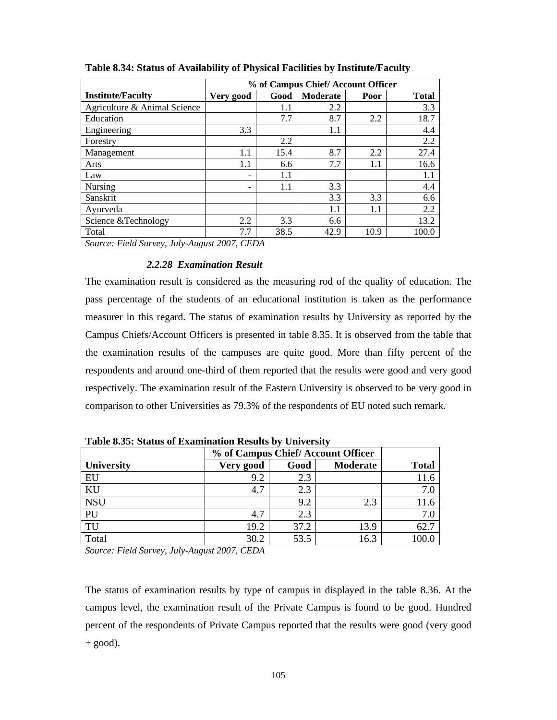|                                        | % of Campus Chief/Account Officer |      |          |      |              |  |  |
|----------------------------------------|-----------------------------------|------|----------|------|--------------|--|--|
| <b>Institute/Faculty</b>               | Very good                         | Good | Moderate | Poor | <b>Total</b> |  |  |
| Agriculture & Animal Science           |                                   | 1.1  | 2.2      |      | 3.3          |  |  |
| Education                              |                                   | 7.7  | 8.7      | 2.2  | 18.7         |  |  |
| Engineering                            | 3.3                               |      | 1.1      |      | 4.4          |  |  |
| Forestry                               |                                   | 2.2  |          |      | 2.2          |  |  |
| Management                             | 1.1                               | 15.4 | 8.7      | 2.2  | 27.4         |  |  |
| Arts                                   | 1.1                               | 6.6  | 7.7      | 1.1  | 16.6         |  |  |
| Law                                    |                                   | 1.1  |          |      | 1.1          |  |  |
| Nursing                                |                                   | 1.1  | 3.3      |      | 4.4          |  |  |
| Sanskrit                               |                                   |      | 3.3      | 3.3  | 6.6          |  |  |
| Ayurveda                               |                                   |      | 1.1      | 1.1  | 2.2          |  |  |
| Science & Technology                   | 2.2                               | 3.3  | 6.6      |      | 13.2         |  |  |
| Total                                  | 7.7                               | 38.5 | 42.9     | 10.9 | 100.0        |  |  |
| $F: IIG \t I14 \t .007 GID1$<br>$\sim$ |                                   |      |          |      |              |  |  |

**Table 8.34: Status of Availability of Physical Facilities by Institute/Faculty** 

## *2.2.28 Examination Result*

The examination result is considered as the measuring rod of the quality of education. The pass percentage of the students of an educational institution is taken as the performance measurer in this regard. The status of examination results by University as reported by the Campus Chiefs/Account Officers is presented in table 8.35. It is observed from the table that the examination results of the campuses are quite good. More than fifty percent of the respondents and around one-third of them reported that the results were good and very good respectively. The examination result of the Eastern University is observed to be very good in comparison to other Universities as 79.3% of the respondents of EU noted such remark.

|                   |           | % of Campus Chief/Account Officer |          |              |
|-------------------|-----------|-----------------------------------|----------|--------------|
| <b>University</b> | Very good | Good                              | Moderate | <b>Total</b> |
| EU                | 9.2       | 2.3                               |          | 11.6         |
| KU                | 4.7       | 2.3                               |          | 7.0          |
| <b>NSU</b>        |           | 9.2                               | 2.3      | 11.6         |
| PU                | 4.7       | 2.3                               |          | 7.0          |
| TU                | 19.2      | 37.2                              | 13.9     | 62.7         |
| Total             | 30.2      | 53.5                              | 16.3     | 100.0        |

**Table 8.35: Status of Examination Results by University** 

*Source: Field Survey, July-August 2007, CEDA* 

The status of examination results by type of campus in displayed in the table 8.36. At the campus level, the examination result of the Private Campus is found to be good. Hundred percent of the respondents of Private Campus reported that the results were good (very good  $+$  good).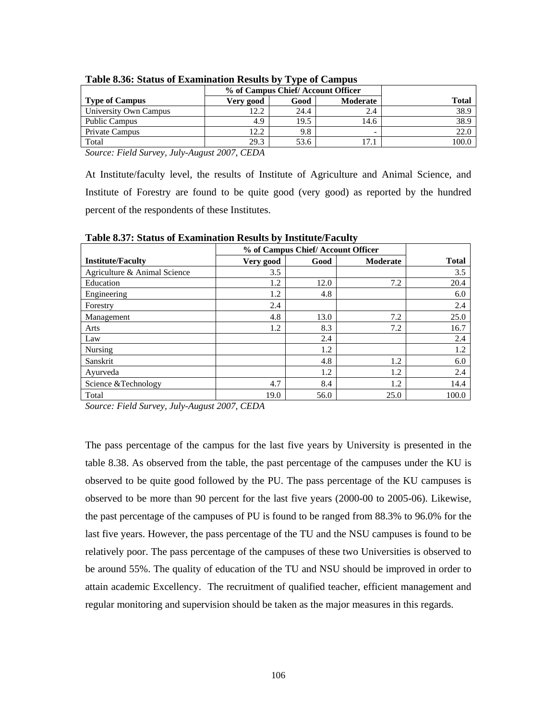|                       |           | % of Campus Chief/Account Officer |          |       |
|-----------------------|-----------|-----------------------------------|----------|-------|
| <b>Type of Campus</b> | Very good | Good                              | Moderate | Total |
| University Own Campus | 12.2      | 24.4                              |          | 38.9  |
| <b>Public Campus</b>  | 4.9       | 19.5                              | 14.6     | 38.9  |
| Private Campus        | 12.2      | 9.8                               |          | 22.0  |
| Total                 | 29.3      | 53.6                              | 17.1     | 100.0 |

| Table 8.36: Status of Examination Results by Type of Campus |  |  |  |
|-------------------------------------------------------------|--|--|--|
|                                                             |  |  |  |

At Institute/faculty level, the results of Institute of Agriculture and Animal Science, and Institute of Forestry are found to be quite good (very good) as reported by the hundred percent of the respondents of these Institutes.

|                              |           | % of Campus Chief/Account Officer |                 |              |  |  |  |  |  |
|------------------------------|-----------|-----------------------------------|-----------------|--------------|--|--|--|--|--|
| <b>Institute/Faculty</b>     | Very good | Good                              | <b>Moderate</b> | <b>Total</b> |  |  |  |  |  |
| Agriculture & Animal Science | 3.5       |                                   |                 | 3.5          |  |  |  |  |  |
| Education                    | 1.2       | 12.0                              | 7.2             | 20.4         |  |  |  |  |  |
| Engineering                  | 1.2       | 4.8                               |                 | 6.0          |  |  |  |  |  |
| Forestry                     | 2.4       |                                   |                 | 2.4          |  |  |  |  |  |
| Management                   | 4.8       | 13.0                              | 7.2             | 25.0         |  |  |  |  |  |
| Arts                         | 1.2       | 8.3                               | 7.2             | 16.7         |  |  |  |  |  |
| Law                          |           | 2.4                               |                 | 2.4          |  |  |  |  |  |
| Nursing                      |           | 1.2                               |                 | 1.2          |  |  |  |  |  |
| Sanskrit                     |           | 4.8                               | 1.2             | 6.0          |  |  |  |  |  |
| Ayurveda                     |           | 1.2                               | 1.2             | 2.4          |  |  |  |  |  |
| Science & Technology         | 4.7       | 8.4                               | 1.2             | 14.4         |  |  |  |  |  |
| Total                        | 19.0      | 56.0                              | 25.0            | 100.0        |  |  |  |  |  |

**Table 8.37: Status of Examination Results by Institute/Faculty** 

*Source: Field Survey, July-August 2007, CEDA* 

The pass percentage of the campus for the last five years by University is presented in the table 8.38. As observed from the table, the past percentage of the campuses under the KU is observed to be quite good followed by the PU. The pass percentage of the KU campuses is observed to be more than 90 percent for the last five years (2000-00 to 2005-06). Likewise, the past percentage of the campuses of PU is found to be ranged from 88.3% to 96.0% for the last five years. However, the pass percentage of the TU and the NSU campuses is found to be relatively poor. The pass percentage of the campuses of these two Universities is observed to be around 55%. The quality of education of the TU and NSU should be improved in order to attain academic Excellency. The recruitment of qualified teacher, efficient management and regular monitoring and supervision should be taken as the major measures in this regards.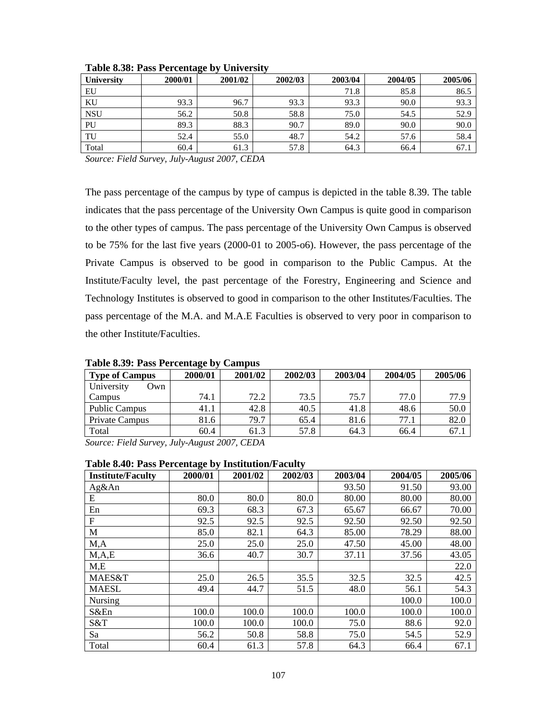| <b>University</b> | 2000/01 | 2001/02 | 2002/03 | 2003/04 | 2004/05 | 2005/06 |
|-------------------|---------|---------|---------|---------|---------|---------|
| EU                |         |         |         | 71.8    | 85.8    | 86.5    |
| KU                | 93.3    | 96.7    | 93.3    | 93.3    | 90.0    | 93.3    |
| <b>NSU</b>        | 56.2    | 50.8    | 58.8    | 75.0    | 54.5    | 52.9    |
| PU                | 89.3    | 88.3    | 90.7    | 89.0    | 90.0    | 90.0    |
| TU                | 52.4    | 55.0    | 48.7    | 54.2    | 57.6    | 58.4    |
| Total             | 60.4    | 61.3    | 57.8    | 64.3    | 66.4    | 67.1    |

**Table 8.38: Pass Percentage by University** 

The pass percentage of the campus by type of campus is depicted in the table 8.39. The table indicates that the pass percentage of the University Own Campus is quite good in comparison to the other types of campus. The pass percentage of the University Own Campus is observed to be 75% for the last five years (2000-01 to 2005-o6). However, the pass percentage of the Private Campus is observed to be good in comparison to the Public Campus. At the Institute/Faculty level, the past percentage of the Forestry, Engineering and Science and Technology Institutes is observed to good in comparison to the other Institutes/Faculties. The pass percentage of the M.A. and M.A.E Faculties is observed to very poor in comparison to the other Institute/Faculties.

| Tuble 0107 : I uss I cleanuage b<br><u>Camba</u> |                                        |                 |         |         |         |         |  |
|--------------------------------------------------|----------------------------------------|-----------------|---------|---------|---------|---------|--|
| <b>Type of Campus</b>                            | 2000/01                                | 2001/02         | 2002/03 | 2003/04 | 2004/05 | 2005/06 |  |
| University<br>Own                                |                                        |                 |         |         |         |         |  |
| Campus                                           | 74.1                                   | 72.2            | 73.5    | 75.7    | 77.0    | 77.9    |  |
| <b>Public Campus</b>                             | 41.1                                   | 42.8            | 40.5    | 41.8    | 48.6    | 50.0    |  |
| <b>Private Campus</b>                            | 81.6                                   | 79.7            | 65.4    | 81.6    | 77.1    | 82.0    |  |
| Total                                            | 60.4                                   | 61.3            | 57.8    | 64.3    | 66.4    | 67.1    |  |
| $\mathbf{r}$ $\mathbf{r}$ $\mathbf{r}$<br>$\sim$ | $\mathbf{r}$ $\mathbf{r}$ $\mathbf{r}$ | $0.007$ $0.001$ |         |         |         |         |  |

**Table 8.39: Pass Percentage by Campus** 

*Source: Field Survey, July-August 2007, CEDA* 

#### **Table 8.40: Pass Percentage by Institution/Faculty**

| <b>Institute/Faculty</b> | 2000/01 | 2001/02 | 2002/03 | 2003/04 | 2004/05 | 2005/06 |
|--------------------------|---------|---------|---------|---------|---------|---------|
| Ag&An                    |         |         |         | 93.50   | 91.50   | 93.00   |
| E                        | 80.0    | 80.0    | 80.0    | 80.00   | 80.00   | 80.00   |
| En                       | 69.3    | 68.3    | 67.3    | 65.67   | 66.67   | 70.00   |
| F                        | 92.5    | 92.5    | 92.5    | 92.50   | 92.50   | 92.50   |
| M                        | 85.0    | 82.1    | 64.3    | 85.00   | 78.29   | 88.00   |
| M, A                     | 25.0    | 25.0    | 25.0    | 47.50   | 45.00   | 48.00   |
| M, A, E                  | 36.6    | 40.7    | 30.7    | 37.11   | 37.56   | 43.05   |
| M,E                      |         |         |         |         |         | 22.0    |
| MAES&T                   | 25.0    | 26.5    | 35.5    | 32.5    | 32.5    | 42.5    |
| <b>MAESL</b>             | 49.4    | 44.7    | 51.5    | 48.0    | 56.1    | 54.3    |
| <b>Nursing</b>           |         |         |         |         | 100.0   | 100.0   |
| S&En                     | 100.0   | 100.0   | 100.0   | 100.0   | 100.0   | 100.0   |
| S&T                      | 100.0   | 100.0   | 100.0   | 75.0    | 88.6    | 92.0    |
| Sa                       | 56.2    | 50.8    | 58.8    | 75.0    | 54.5    | 52.9    |
| Total                    | 60.4    | 61.3    | 57.8    | 64.3    | 66.4    | 67.1    |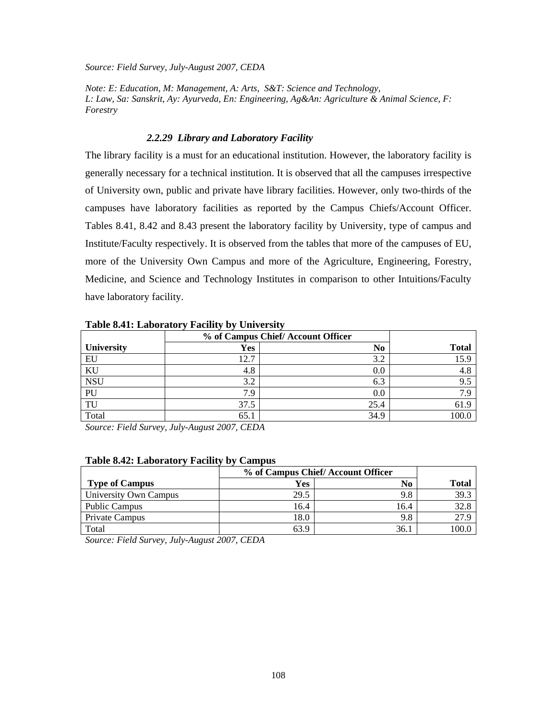*Note: E: Education, M: Management, A: Arts, S&T: Science and Technology, L: Law, Sa: Sanskrit, Ay: Ayurveda, En: Engineering, Ag&An: Agriculture & Animal Science, F: Forestry* 

#### *2.2.29 Library and Laboratory Facility*

The library facility is a must for an educational institution. However, the laboratory facility is generally necessary for a technical institution. It is observed that all the campuses irrespective of University own, public and private have library facilities. However, only two-thirds of the campuses have laboratory facilities as reported by the Campus Chiefs/Account Officer. Tables 8.41, 8.42 and 8.43 present the laboratory facility by University, type of campus and Institute/Faculty respectively. It is observed from the tables that more of the campuses of EU, more of the University Own Campus and more of the Agriculture, Engineering, Forestry, Medicine, and Science and Technology Institutes in comparison to other Intuitions/Faculty have laboratory facility.

| Tuble of H. Euborntoff Tuchley by Chrysley |                                   |                |              |  |  |  |  |  |
|--------------------------------------------|-----------------------------------|----------------|--------------|--|--|--|--|--|
|                                            | % of Campus Chief/Account Officer |                |              |  |  |  |  |  |
| <b>University</b>                          | <b>Yes</b>                        | N <sub>0</sub> | <b>Total</b> |  |  |  |  |  |
| EU                                         | 12.7                              | 3.2            | 15.9         |  |  |  |  |  |
| KU                                         | 4.8                               | 0.0            | 4.8          |  |  |  |  |  |
| <b>NSU</b>                                 | 3.2                               | 6.3            | 9.5          |  |  |  |  |  |
| PU                                         | 7.9                               | 0.0            | 7.9          |  |  |  |  |  |
| TU                                         | 37.5                              | 25.4           | 61.9         |  |  |  |  |  |
| Total                                      | 65.1                              | 34.9           | 100.0        |  |  |  |  |  |
|                                            |                                   |                |              |  |  |  |  |  |

**Table 8.41: Laboratory Facility by University** 

*Source: Field Survey, July-August 2007, CEDA* 

#### **Table 8.42: Laboratory Facility by Campus**

|                       | % of Campus Chief/Account Officer |      |              |
|-----------------------|-----------------------------------|------|--------------|
| <b>Type of Campus</b> | Yes                               | No   | <b>Total</b> |
| University Own Campus | 29.5                              | 9.8  | 39.3         |
| <b>Public Campus</b>  | 16.4                              | 16.4 | 32.8         |
| Private Campus        | 18.0                              | 9.8  | 27.9         |
| Total                 | 63.9                              | 36.  | 100.0        |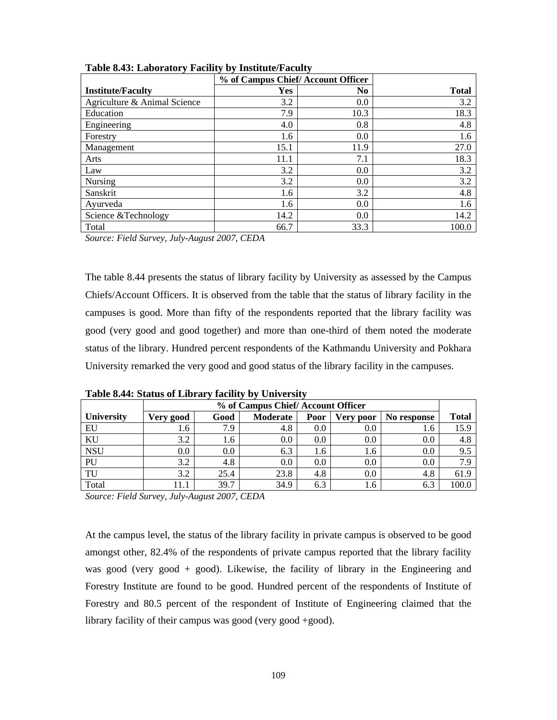|                              | % of Campus Chief/Account Officer |                |              |
|------------------------------|-----------------------------------|----------------|--------------|
| <b>Institute/Faculty</b>     | Yes                               | N <sub>0</sub> | <b>Total</b> |
| Agriculture & Animal Science | 3.2                               | 0.0            | 3.2          |
| Education                    | 7.9                               | 10.3           | 18.3         |
| Engineering                  | 4.0                               | 0.8            | 4.8          |
| Forestry                     | 1.6                               | 0.0            | 1.6          |
| Management                   | 15.1                              | 11.9           | 27.0         |
| Arts                         | 11.1                              | 7.1            | 18.3         |
| Law                          | 3.2                               | 0.0            | 3.2          |
| Nursing                      | 3.2                               | 0.0            | 3.2          |
| Sanskrit                     | 1.6                               | 3.2            | 4.8          |
| Ayurveda                     | 1.6                               | 0.0            | 1.6          |
| Science &Technology          | 14.2                              | 0.0            | 14.2         |
| Total                        | 66.7                              | 33.3           | 100.0        |

**Table 8.43: Laboratory Facility by Institute/Faculty** 

The table 8.44 presents the status of library facility by University as assessed by the Campus Chiefs/Account Officers. It is observed from the table that the status of library facility in the campuses is good. More than fifty of the respondents reported that the library facility was good (very good and good together) and more than one-third of them noted the moderate status of the library. Hundred percent respondents of the Kathmandu University and Pokhara University remarked the very good and good status of the library facility in the campuses.

|                   | % of Campus Chief/Account Officer |      |          |      |           |             |              |
|-------------------|-----------------------------------|------|----------|------|-----------|-------------|--------------|
| <b>University</b> | Very good                         | Good | Moderate | Poor | Very poor | No response | <b>Total</b> |
| EU                | 1.6                               | 7.9  | 4.8      | 0.0  | 0.0       | 1.6         | 15.9         |
| KU                | 3.2                               | 1.6  | 0.0      | 0.0  | 0.0       | 0.0         | 4.8          |
| <b>NSU</b>        | $0.0\,$                           | 0.0  | 6.3      | 1.6  | 1.6       | 0.0         | 9.5          |
| PU                | 3.2                               | 4.8  | 0.0      | 0.0  | 0.0       | 0.0         | 7.9          |
| TU                | 3.2                               | 25.4 | 23.8     | 4.8  | 0.0       | 4.8         | 61.9         |
| Total             | 11.1                              | 39.7 | 34.9     | 6.3  | 1.6       | 6.3         | 100.0        |

**Table 8.44: Status of Library facility by University** 

*Source: Field Survey, July-August 2007, CEDA* 

At the campus level, the status of the library facility in private campus is observed to be good amongst other, 82.4% of the respondents of private campus reported that the library facility was good (very good + good). Likewise, the facility of library in the Engineering and Forestry Institute are found to be good. Hundred percent of the respondents of Institute of Forestry and 80.5 percent of the respondent of Institute of Engineering claimed that the library facility of their campus was good (very good +good).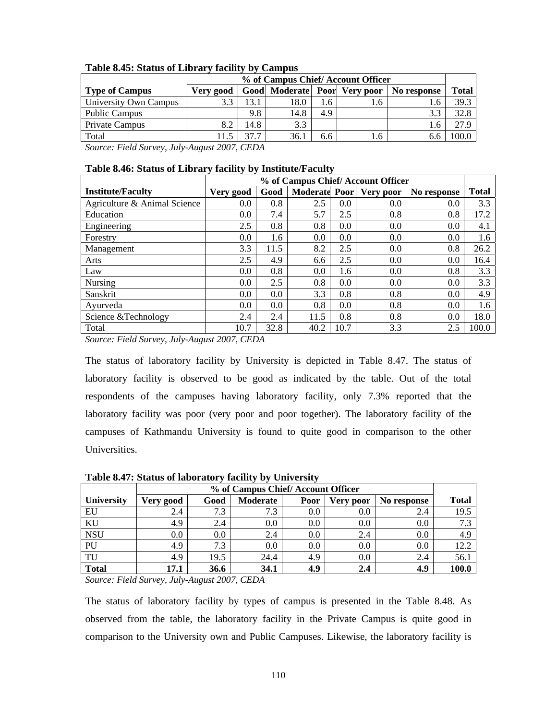|                       |           | % of Campus Chief/Account Officer                    |      |     |     |     |       |  |  |
|-----------------------|-----------|------------------------------------------------------|------|-----|-----|-----|-------|--|--|
| <b>Type of Campus</b> | Very good | Total<br>Good Moderate Poor Very poor<br>No response |      |     |     |     |       |  |  |
| University Own Campus |           | 13.1                                                 | 18.0 | 1.6 | 1.6 | 1.6 | 39.3  |  |  |
| Public Campus         |           | 9.8                                                  | 14.8 | 4.9 |     |     | 32.8  |  |  |
| <b>Private Campus</b> |           | 14.8                                                 | 3.3  |     |     |     | 27.9  |  |  |
| Total                 |           | 37.7                                                 | 36.1 | 6.6 | l.6 |     | 100.0 |  |  |

## **Table 8.45: Status of Library facility by Campus**

*Source: Field Survey, July-August 2007, CEDA* 

# **Table 8.46: Status of Library facility by Institute/Faculty**

|                              |           | % of Campus Chief/Account Officer |                      |      |           |             |              |  |  |
|------------------------------|-----------|-----------------------------------|----------------------|------|-----------|-------------|--------------|--|--|
| <b>Institute/Faculty</b>     | Very good | Good                              | <b>Moderate Poor</b> |      | Very poor | No response | <b>Total</b> |  |  |
| Agriculture & Animal Science | 0.0       | 0.8                               | 2.5                  | 0.0  | 0.0       | 0.0         | 3.3          |  |  |
| Education                    | $0.0\,$   | 7.4                               | 5.7                  | 2.5  | 0.8       | 0.8         | 17.2         |  |  |
| Engineering                  | 2.5       | 0.8                               | 0.8                  | 0.0  | 0.0       | 0.0         | 4.1          |  |  |
| Forestry                     | 0.0       | 1.6                               | 0.0                  | 0.0  | 0.0       | 0.0         | 1.6          |  |  |
| Management                   | 3.3       | 11.5                              | 8.2                  | 2.5  | 0.0       | 0.8         | 26.2         |  |  |
| Arts                         | 2.5       | 4.9                               | 6.6                  | 2.5  | 0.0       | 0.0         | 16.4         |  |  |
| Law                          | $0.0\,$   | 0.8                               | 0.0                  | 1.6  | 0.0       | 0.8         | 3.3          |  |  |
| Nursing                      | 0.0       | 2.5                               | 0.8                  | 0.0  | 0.0       | 0.0         | 3.3          |  |  |
| Sanskrit                     | $0.0\,$   | 0.0                               | 3.3                  | 0.8  | 0.8       | 0.0         | 4.9          |  |  |
| Ayurveda                     | 0.0       | 0.0                               | 0.8                  | 0.0  | 0.8       | 0.0         | 1.6          |  |  |
| Science & Technology         | 2.4       | 2.4                               | 11.5                 | 0.8  | 0.8       | 0.0         | 18.0         |  |  |
| Total                        | 10.7      | 32.8                              | 40.2                 | 10.7 | 3.3       | 2.5         | 100.0        |  |  |

*Source: Field Survey, July-August 2007, CEDA* 

The status of laboratory facility by University is depicted in Table 8.47. The status of laboratory facility is observed to be good as indicated by the table. Out of the total respondents of the campuses having laboratory facility, only 7.3% reported that the laboratory facility was poor (very poor and poor together). The laboratory facility of the campuses of Kathmandu University is found to quite good in comparison to the other Universities.

|                   | % of Campus Chief/Account Officer |      |          |      |           |             |              |
|-------------------|-----------------------------------|------|----------|------|-----------|-------------|--------------|
| <b>University</b> | Very good                         | Good | Moderate | Poor | Very poor | No response | <b>Total</b> |
| EU                | 2.4                               | 7.3  | 7.3      | 0.0  | 0.0       | 2.4         | 19.5         |
| KU                | 4.9                               | 2.4  | 0.0      | 0.0  | 0.0       | 0.0         | 7.3          |
| <b>NSU</b>        | $0.0\,$                           | 0.0  | 2.4      | 0.0  | 2.4       | 0.0         | 4.9          |
| PU                | 4.9                               | 7.3  | 0.0      | 0.0  | 0.0       | 0.0         | 12.2         |
| TU                | 4.9                               | 19.5 | 24.4     | 4.9  | 0.0       | 2.4         | 56.1         |
| <b>Total</b>      | 17.1                              | 36.6 | 34.1     | 4.9  | 2.4       | 4.9         | <b>100.0</b> |

**Table 8.47: Status of laboratory facility by University** 

*Source: Field Survey, July-August 2007, CEDA* 

The status of laboratory facility by types of campus is presented in the Table 8.48. As observed from the table, the laboratory facility in the Private Campus is quite good in comparison to the University own and Public Campuses. Likewise, the laboratory facility is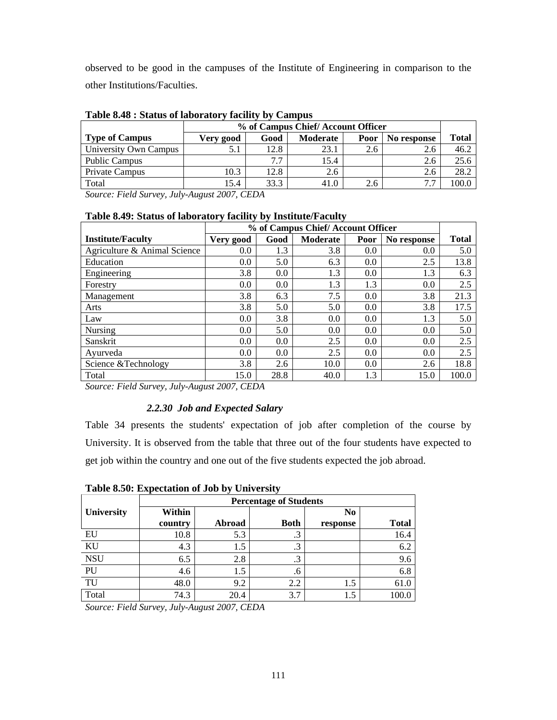observed to be good in the campuses of the Institute of Engineering in comparison to the other Institutions/Faculties.

|                       |           | % of Campus Chief/Account Officer       |      |     |     |       |  |  |
|-----------------------|-----------|-----------------------------------------|------|-----|-----|-------|--|--|
| <b>Type of Campus</b> | Very good | Good<br>No response<br>Moderate<br>Poor |      |     |     |       |  |  |
| University Own Campus | 5.1       | 12.8                                    | 23.1 | 2.6 | 2.6 | 46.2  |  |  |
| <b>Public Campus</b>  |           | 77                                      | 15.4 |     | 2.6 | 25.6  |  |  |
| Private Campus        | 10.3      | 12.8                                    | 2.6  |     | 2.6 | 28.2  |  |  |
| Total                 | 15.4      | 33.3                                    | 41.0 | 2.6 | 7.7 | .00.0 |  |  |

**Table 8.48 : Status of laboratory facility by Campus** 

*Source: Field Survey, July-August 2007, CEDA* 

|                              |           | % of Campus Chief/Account Officer |                 |      |             |              |  |  |
|------------------------------|-----------|-----------------------------------|-----------------|------|-------------|--------------|--|--|
| <b>Institute/Faculty</b>     | Very good | Good                              | <b>Moderate</b> | Poor | No response | <b>Total</b> |  |  |
| Agriculture & Animal Science | 0.0       | 1.3                               | 3.8             | 0.0  | 0.0         | 5.0          |  |  |
| Education                    | 0.0       | 5.0                               | 6.3             | 0.0  | 2.5         | 13.8         |  |  |
| Engineering                  | 3.8       | 0.0                               | 1.3             | 0.0  | 1.3         | 6.3          |  |  |
| Forestry                     | 0.0       | 0.0                               | 1.3             | 1.3  | 0.0         | 2.5          |  |  |
| Management                   | 3.8       | 6.3                               | 7.5             | 0.0  | 3.8         | 21.3         |  |  |
| Arts                         | 3.8       | 5.0                               | 5.0             | 0.0  | 3.8         | 17.5         |  |  |
| Law                          | 0.0       | 3.8                               | 0.0             | 0.0  | 1.3         | 5.0          |  |  |
| Nursing                      | 0.0       | 5.0                               | 0.0             | 0.0  | 0.0         | 5.0          |  |  |
| Sanskrit                     | 0.0       | 0.0                               | 2.5             | 0.0  | 0.0         | 2.5          |  |  |
| Avurveda                     | 0.0       | 0.0                               | 2.5             | 0.0  | 0.0         | 2.5          |  |  |
| Science & Technology         | 3.8       | 2.6                               | 10.0            | 0.0  | 2.6         | 18.8         |  |  |
| Total                        | 15.0      | 28.8                              | 40.0            | 1.3  | 15.0        | 100.0        |  |  |

#### **Table 8.49: Status of laboratory facility by Institute/Faculty**

*Source: Field Survey, July-August 2007, CEDA* 

## *2.2.30 Job and Expected Salary*

Table 34 presents the students' expectation of job after completion of the course by University. It is observed from the table that three out of the four students have expected to get job within the country and one out of the five students expected the job abroad.

| THOIC OIL OF EMPLOYMENT OF GOD BY CHIFFIND |                               |        |             |                |              |  |
|--------------------------------------------|-------------------------------|--------|-------------|----------------|--------------|--|
|                                            | <b>Percentage of Students</b> |        |             |                |              |  |
| University                                 | Within                        |        |             | N <sub>0</sub> |              |  |
|                                            | country                       | Abroad | <b>Both</b> | response       | <b>Total</b> |  |
| EU                                         | 10.8                          | 5.3    | $\cdot$ 3   |                | 16.4         |  |
| KU                                         | 4.3                           | 1.5    | .3          |                | 6.2          |  |
| <b>NSU</b>                                 | 6.5                           | 2.8    | .3          |                | 9.6          |  |
| PU                                         | 4.6                           | 1.5    | .6          |                | 6.8          |  |
| TU                                         | 48.0                          | 9.2    | 2.2         | 1.5            | 61.0         |  |
| Total                                      | 74.3                          | 20.4   | 3.7         | 1.5            | 100.0        |  |
|                                            |                               |        |             |                |              |  |

**Table 8.50: Expectation of Job by University**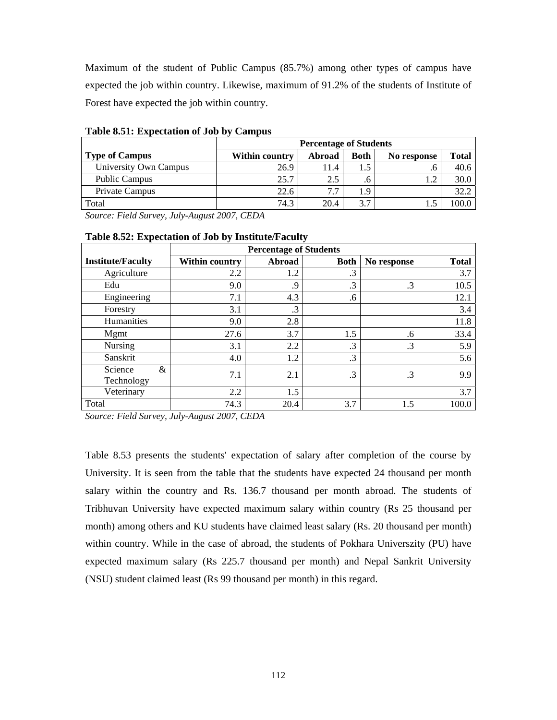Maximum of the student of Public Campus (85.7%) among other types of campus have expected the job within country. Likewise, maximum of 91.2% of the students of Institute of Forest have expected the job within country.

|                       | <b>Percentage of Students</b> |        |             |                |              |  |  |  |
|-----------------------|-------------------------------|--------|-------------|----------------|--------------|--|--|--|
| <b>Type of Campus</b> | Within country                | Abroad | <b>Both</b> | No response    | <b>Total</b> |  |  |  |
| University Own Campus | 26.9                          | 11.4   | 1.5         | . $\mathsf{n}$ | 40.6         |  |  |  |
| <b>Public Campus</b>  | 25.7                          | 2.5    | .b          | 1.2            | 30.0         |  |  |  |
| Private Campus        | 22.6                          | 7.7    | 1.9         |                | 32.2         |  |  |  |
| Total                 | 74.3                          | 20.4   | 3.7         |                | 00.0         |  |  |  |

**Table 8.51: Expectation of Job by Campus** 

*Source: Field Survey, July-August 2007, CEDA* 

| <b>Institute/Faculty</b>   | <b>Within country</b> | Abroad | <b>Both</b> | No response | <b>Total</b> |
|----------------------------|-----------------------|--------|-------------|-------------|--------------|
| Agriculture                | 2.2                   | 1.2    | .3          |             | 3.7          |
| Edu                        | 9.0                   | 9.     | .3          | .3          | 10.5         |
| Engineering                | 7.1                   | 4.3    | .6          |             | 12.1         |
| Forestry                   | 3.1                   | .3     |             |             | 3.4          |
| Humanities                 | 9.0                   | 2.8    |             |             | 11.8         |
| Mgmt                       | 27.6                  | 3.7    | 1.5         | .6          | 33.4         |
| <b>Nursing</b>             | 3.1                   | 2.2    | $\cdot$ 3   | .3          | 5.9          |
| Sanskrit                   | 4.0                   | 1.2    | .3          |             | 5.6          |
| Science<br>&<br>Technology | 7.1                   | 2.1    | $\cdot$ 3   | .3          | 9.9          |
| Veterinary                 | 2.2                   | 1.5    |             |             | 3.7          |
| Total                      | 74.3                  | 20.4   | 3.7         | 1.5         | 100.0        |

#### **Table 8.52: Expectation of Job by Institute/Faculty**

*Source: Field Survey, July-August 2007, CEDA* 

Table 8.53 presents the students' expectation of salary after completion of the course by University. It is seen from the table that the students have expected 24 thousand per month salary within the country and Rs. 136.7 thousand per month abroad. The students of Tribhuvan University have expected maximum salary within country (Rs 25 thousand per month) among others and KU students have claimed least salary (Rs. 20 thousand per month) within country. While in the case of abroad, the students of Pokhara Universzity (PU) have expected maximum salary (Rs 225.7 thousand per month) and Nepal Sankrit University (NSU) student claimed least (Rs 99 thousand per month) in this regard.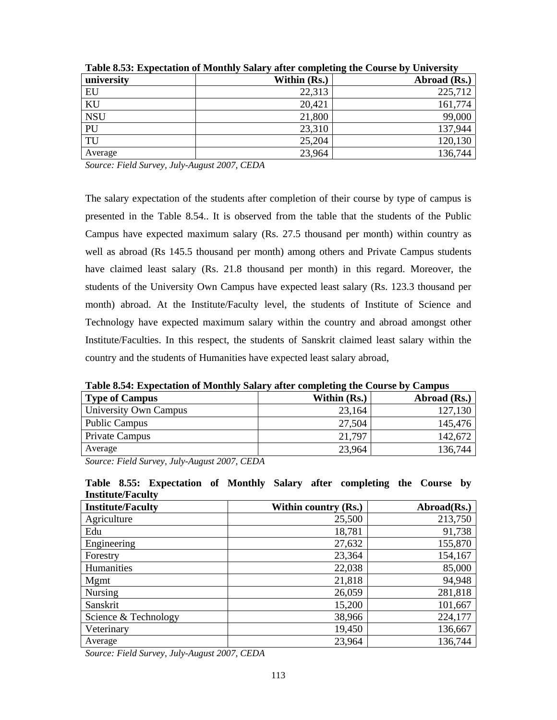|            | $- - - - - -$ | $\frac{1}{2}$<br>$\sim$ $\sim$ $\sim$ $\sim$ $\sim$ $\sim$ $\sim$ |
|------------|---------------|-------------------------------------------------------------------|
| university | Within (Rs.)  | Abroad (Rs.)                                                      |
| EU         | 22,313        | 225,712                                                           |
| KU         | 20,421        | 161,774                                                           |
| <b>NSU</b> | 21,800        | 99,000                                                            |
| PU         | 23,310        | 137,944                                                           |
| TU         | 25,204        | 120,130                                                           |
| Average    | 23,964        | 136,744                                                           |

**Table 8.53: Expectation of Monthly Salary after completing the Course by University** 

The salary expectation of the students after completion of their course by type of campus is presented in the Table 8.54.. It is observed from the table that the students of the Public Campus have expected maximum salary (Rs. 27.5 thousand per month) within country as well as abroad (Rs 145.5 thousand per month) among others and Private Campus students have claimed least salary (Rs. 21.8 thousand per month) in this regard. Moreover, the students of the University Own Campus have expected least salary (Rs. 123.3 thousand per month) abroad. At the Institute/Faculty level, the students of Institute of Science and Technology have expected maximum salary within the country and abroad amongst other Institute/Faculties. In this respect, the students of Sanskrit claimed least salary within the country and the students of Humanities have expected least salary abroad,

**Table 8.54: Expectation of Monthly Salary after completing the Course by Campus** 

| <b>Type of Campus</b>                                                                      | Within (Rs.) | Abroad (Rs.) |
|--------------------------------------------------------------------------------------------|--------------|--------------|
| University Own Campus                                                                      | 23,164       | 127,130      |
| <b>Public Campus</b>                                                                       | 27,504       | 145,476      |
| <b>Private Campus</b>                                                                      | 21,797       | 142,672      |
| Average                                                                                    | 23,964       | 136,744      |
| $I$ $I$ $A$ $A$ $A$ $A$ $B$ $A$ $F$ $A$<br>$\alpha$ $\mathbf{r}$ $\mathbf{r}$ $\mathbf{r}$ |              |              |

*Source: Field Survey, July-August 2007, CEDA* 

**Table 8.55: Expectation of Monthly Salary after completing the Course by Institute/Faculty** 

| <b>Institute/Faculty</b> | Within country (Rs.) | Abroad(Rs.) |
|--------------------------|----------------------|-------------|
| Agriculture              | 25,500               | 213,750     |
| Edu                      | 18,781               | 91,738      |
| Engineering              | 27,632               | 155,870     |
| Forestry                 | 23,364               | 154,167     |
| Humanities               | 22,038               | 85,000      |
| Mgmt                     | 21,818               | 94,948      |
| <b>Nursing</b>           | 26,059               | 281,818     |
| Sanskrit                 | 15,200               | 101,667     |
| Science & Technology     | 38,966               | 224,177     |
| Veterinary               | 19,450               | 136,667     |
| Average                  | 23,964               | 136,744     |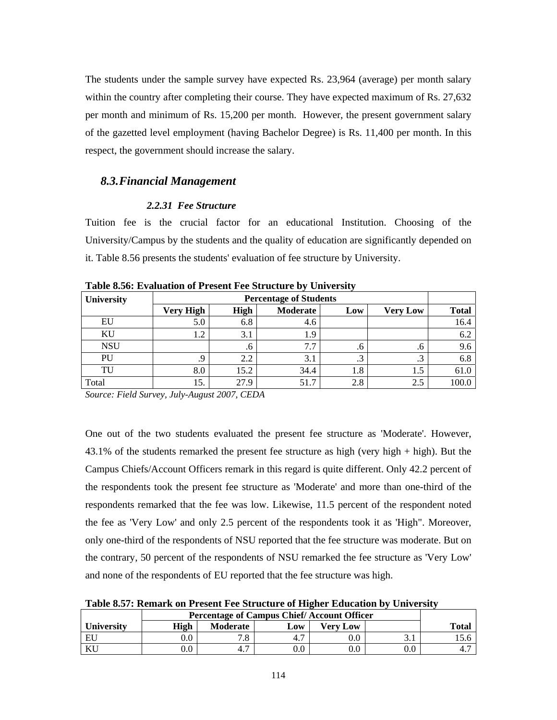The students under the sample survey have expected Rs. 23,964 (average) per month salary within the country after completing their course. They have expected maximum of Rs. 27,632 per month and minimum of Rs. 15,200 per month. However, the present government salary of the gazetted level employment (having Bachelor Degree) is Rs. 11,400 per month. In this respect, the government should increase the salary.

#### *8.3.Financial Management*

#### *2.2.31 Fee Structure*

Tuition fee is the crucial factor for an educational Institution. Choosing of the University/Campus by the students and the quality of education are significantly depended on it. Table 8.56 presents the students' evaluation of fee structure by University.

| University | <b>Percentage of Students</b> |              |          |     |                 |              |
|------------|-------------------------------|--------------|----------|-----|-----------------|--------------|
|            | <b>Very High</b>              | <b>High</b>  | Moderate | Low | <b>Very Low</b> | <b>Total</b> |
| EU         | 5.0                           | 6.8          | 4.6      |     |                 | 16.4         |
| KU         | 1.2                           | 3.1          | 1.9      |     |                 | 6.2          |
| <b>NSU</b> |                               | $\mathbf{a}$ | 1.7      | .o  | .b              | 9.6          |
| PU         | .9                            | 2.2          | 3.1      | ن   | د.              | 6.8          |
| TU         | 8.0                           | 15.2         | 34.4     | 1.8 | 1.5             | 61.0         |
| Total      | 15.                           | 27.9         | 51.7     | 2.8 | 2.5             | 100.0        |
| ______     | _ _ _                         | --------     |          |     |                 |              |

**Table 8.56: Evaluation of Present Fee Structure by University** 

*Source: Field Survey, July-August 2007, CEDA* 

One out of the two students evaluated the present fee structure as 'Moderate'. However, 43.1% of the students remarked the present fee structure as high (very high + high). But the Campus Chiefs/Account Officers remark in this regard is quite different. Only 42.2 percent of the respondents took the present fee structure as 'Moderate' and more than one-third of the respondents remarked that the fee was low. Likewise, 11.5 percent of the respondent noted the fee as 'Very Low' and only 2.5 percent of the respondents took it as 'High". Moreover, only one-third of the respondents of NSU reported that the fee structure was moderate. But on the contrary, 50 percent of the respondents of NSU remarked the fee structure as 'Very Low' and none of the respondents of EU reported that the fee structure was high.

**Table 8.57: Remark on Present Fee Structure of Higher Education by University** 

|                   | <b>Percentage of Campus Chief/Account Officer</b> |                 |     |          |     |              |  |
|-------------------|---------------------------------------------------|-----------------|-----|----------|-----|--------------|--|
| <b>University</b> | High                                              | <b>Moderate</b> | Low | Verv Low |     | <b>Total</b> |  |
| EU                | 0.0                                               | ۰.٥             |     | $0.0\,$  | ۰.۱ |              |  |
| ΛU                | $0.0\,$                                           | 4.1             |     | $0.0\,$  | 0.0 |              |  |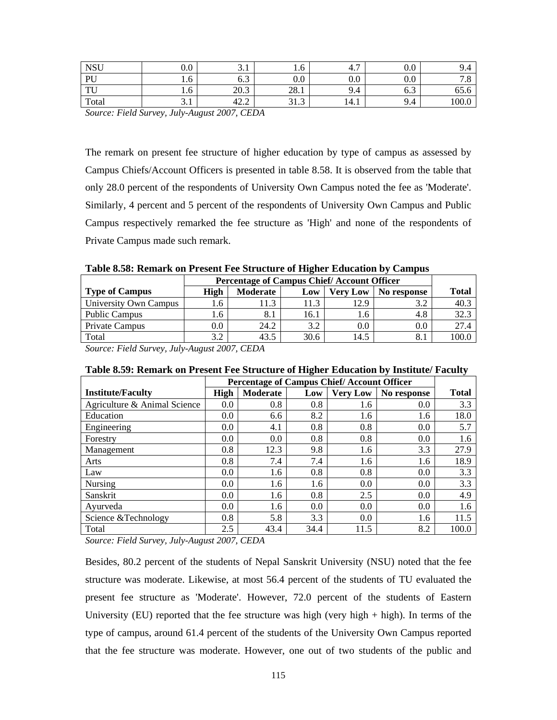| <b>NSU</b>        | $\sim$ $\sim$<br>v.v | J.I                  | 1.0                     | $\overline{ }$<br>┱. ៸ | 0.0 |            |
|-------------------|----------------------|----------------------|-------------------------|------------------------|-----|------------|
| PU                | 1.0                  | $\sim$ $\sim$<br>0.S | 0.0                     | Λ Λ<br>v.v             | 0.0 | 7. 0       |
| <b>TTI</b><br>1 U | 1.0                  | 20.2<br>20.3         | 201<br>20.1             | 9.4                    | U.J | --<br>02.0 |
| Total             | ◡.                   | 42.2                 | $\sim$ 1<br>$\sim$<br>ر | 14.1                   | 9.4 | 100.0      |

The remark on present fee structure of higher education by type of campus as assessed by Campus Chiefs/Account Officers is presented in table 8.58. It is observed from the table that only 28.0 percent of the respondents of University Own Campus noted the fee as 'Moderate'. Similarly, 4 percent and 5 percent of the respondents of University Own Campus and Public Campus respectively remarked the fee structure as 'High' and none of the respondents of Private Campus made such remark.

**Table 8.58: Remark on Present Fee Structure of Higher Education by Campus** 

|                       | <b>Percentage of Campus Chief/Account Officer</b> |          |      |                 |             |       |
|-----------------------|---------------------------------------------------|----------|------|-----------------|-------------|-------|
| <b>Type of Campus</b> | High                                              | Moderate | Low  | <b>Very Low</b> | No response | Total |
| University Own Campus | 1.6                                               | 11.3     | 11.3 | 12.9            | 3.2         | 40.3  |
| <b>Public Campus</b>  | 1.6                                               | 8.1      | 16.1 | l.6             | 4.8         | 32.3  |
| Private Campus        | $0.0\,$                                           | 24.2     | 3.2  | 0.0             | $\rm 0.0$   | 27.4  |
| Total                 | 3.2                                               | 43.5     | 30.6 | 14.5            | 8.1         | 100.0 |

*Source: Field Survey, July-August 2007, CEDA* 

|                              | <b>Percentage of Campus Chief/Account Officer</b> |          |      |                 |             |              |
|------------------------------|---------------------------------------------------|----------|------|-----------------|-------------|--------------|
| <b>Institute/Faculty</b>     | <b>High</b>                                       | Moderate | Low  | <b>Very Low</b> | No response | <b>Total</b> |
| Agriculture & Animal Science | 0.0                                               | 0.8      | 0.8  | 1.6             | 0.0         | 3.3          |
| Education                    | 0.0                                               | 6.6      | 8.2  | 1.6             | 1.6         | 18.0         |
| Engineering                  | 0.0                                               | 4.1      | 0.8  | 0.8             | 0.0         | 5.7          |
| Forestry                     | 0.0                                               | 0.0      | 0.8  | 0.8             | 0.0         | 1.6          |
| Management                   | 0.8                                               | 12.3     | 9.8  | 1.6             | 3.3         | 27.9         |
| Arts                         | 0.8                                               | 7.4      | 7.4  | 1.6             | 1.6         | 18.9         |
| Law                          | 0.0                                               | 1.6      | 0.8  | 0.8             | 0.0         | 3.3          |
| Nursing                      | 0.0                                               | 1.6      | 1.6  | 0.0             | 0.0         | 3.3          |
| Sanskrit                     | 0.0                                               | 1.6      | 0.8  | 2.5             | 0.0         | 4.9          |
| Ayurveda                     | 0.0                                               | 1.6      | 0.0  | 0.0             | 0.0         | 1.6          |
| Science & Technology         | 0.8                                               | 5.8      | 3.3  | 0.0             | 1.6         | 11.5         |
| Total                        | 2.5                                               | 43.4     | 34.4 | 11.5            | 8.2         | 100.0        |

*Source: Field Survey, July-August 2007, CEDA* 

Besides, 80.2 percent of the students of Nepal Sanskrit University (NSU) noted that the fee structure was moderate. Likewise, at most 56.4 percent of the students of TU evaluated the present fee structure as 'Moderate'. However, 72.0 percent of the students of Eastern University (EU) reported that the fee structure was high (very high + high). In terms of the type of campus, around 61.4 percent of the students of the University Own Campus reported that the fee structure was moderate. However, one out of two students of the public and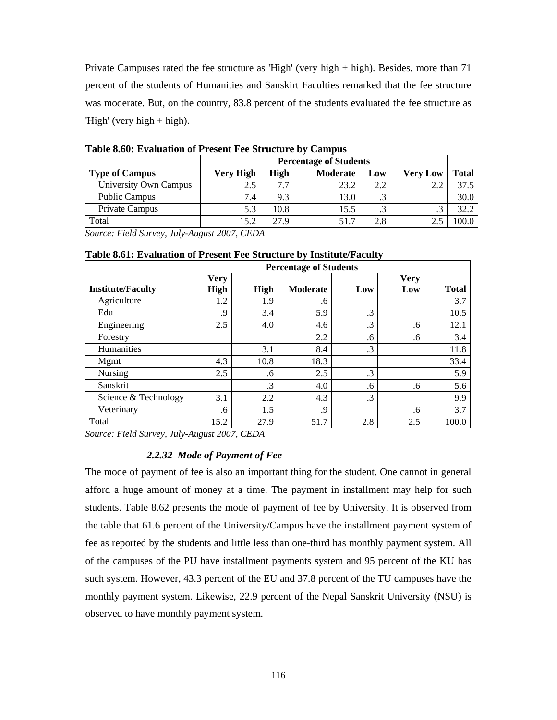Private Campuses rated the fee structure as 'High' (very high + high). Besides, more than 71 percent of the students of Humanities and Sanskirt Faculties remarked that the fee structure was moderate. But, on the country, 83.8 percent of the students evaluated the fee structure as 'High' (very high + high).

|                       | <b>Percentage of Students</b> |      |                 |     |                 |       |  |
|-----------------------|-------------------------------|------|-----------------|-----|-----------------|-------|--|
| <b>Type of Campus</b> | Very High                     | High | <b>Moderate</b> | Low | <b>Very Low</b> | Total |  |
| University Own Campus | 2.5                           | 7.7  | 23.2            | 2.2 |                 | 37.5  |  |
| <b>Public Campus</b>  | 7.4                           | 9.3  | 13.0            | ر . |                 | 30.0  |  |
| Private Campus        | 5.3                           | 10.8 | 15.5            | ت   | ت               | 32.2  |  |
| Total                 | 15.2                          | 27.9 | 51.7            | 2.8 |                 | 100.0 |  |

**Table 8.60: Evaluation of Present Fee Structure by Campus** 

*Source: Field Survey, July-August 2007, CEDA* 

|                          |             | <b>Percentage of Students</b> |          |     |             |              |
|--------------------------|-------------|-------------------------------|----------|-----|-------------|--------------|
|                          | <b>Very</b> |                               |          |     | <b>Very</b> |              |
| <b>Institute/Faculty</b> | <b>High</b> | <b>High</b>                   | Moderate | Low | Low         | <b>Total</b> |
| Agriculture              | 1.2         | 1.9                           | .6       |     |             | 3.7          |
| Edu                      | .9          | 3.4                           | 5.9      | .3  |             | 10.5         |
| Engineering              | 2.5         | 4.0                           | 4.6      | .3  | .6          | 12.1         |
| Forestry                 |             |                               | 2.2      | .6  | .6          | 3.4          |
| Humanities               |             | 3.1                           | 8.4      | .3  |             | 11.8         |
| Mgmt                     | 4.3         | 10.8                          | 18.3     |     |             | 33.4         |
| Nursing                  | 2.5         | .6                            | 2.5      | .3  |             | 5.9          |
| Sanskrit                 |             | $\cdot$ 3                     | 4.0      | .6  | .6          | 5.6          |
| Science & Technology     | 3.1         | 2.2                           | 4.3      | .3  |             | 9.9          |
| Veterinary               | .6          | 1.5                           | .9       |     | .6          | 3.7          |
| Total                    | 15.2        | 27.9                          | 51.7     | 2.8 | 2.5         | 100.0        |

**Table 8.61: Evaluation of Present Fee Structure by Institute/Faculty** 

*Source: Field Survey, July-August 2007, CEDA* 

#### *2.2.32 Mode of Payment of Fee*

The mode of payment of fee is also an important thing for the student. One cannot in general afford a huge amount of money at a time. The payment in installment may help for such students. Table 8.62 presents the mode of payment of fee by University. It is observed from the table that 61.6 percent of the University/Campus have the installment payment system of fee as reported by the students and little less than one-third has monthly payment system. All of the campuses of the PU have installment payments system and 95 percent of the KU has such system. However, 43.3 percent of the EU and 37.8 percent of the TU campuses have the monthly payment system. Likewise, 22.9 percent of the Nepal Sanskrit University (NSU) is observed to have monthly payment system.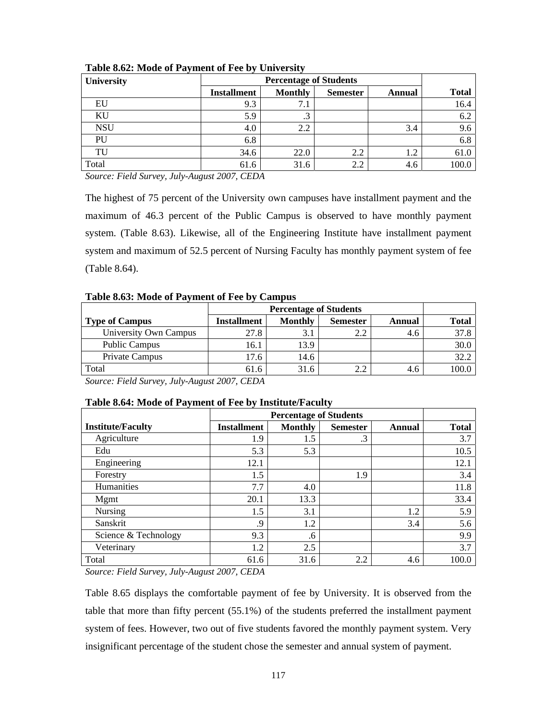| University |                    |                |                 |        |              |
|------------|--------------------|----------------|-----------------|--------|--------------|
|            | <b>Installment</b> | <b>Monthly</b> | <b>Semester</b> | Annual | <b>Total</b> |
| EU         | 9.3                | 7.1            |                 |        | 16.4         |
| KU         | 5.9                | ⌒<br>.3        |                 |        | 6.2          |
| <b>NSU</b> | 4.0                | 2.2            |                 | 3.4    | 9.6          |
| PU         | 6.8                |                |                 |        | 6.8          |
| TU         | 34.6               | 22.0           | 2.2             | 1.2    | 61.0         |
| Total      | 61.6               | 31.6           | 2.2             | 4.6    | 100.0        |

**Table 8.62: Mode of Payment of Fee by University** 

The highest of 75 percent of the University own campuses have installment payment and the maximum of 46.3 percent of the Public Campus is observed to have monthly payment system. (Table 8.63). Likewise, all of the Engineering Institute have installment payment system and maximum of 52.5 percent of Nursing Faculty has monthly payment system of fee (Table 8.64).

|  |  | Table 8.63: Mode of Payment of Fee by Campus |  |
|--|--|----------------------------------------------|--|
|--|--|----------------------------------------------|--|

| <b>Type of Campus</b> | <b>Installment</b> | <b>Monthly</b> | <b>Semester</b> | Annual | <b>Total</b> |
|-----------------------|--------------------|----------------|-----------------|--------|--------------|
| University Own Campus | 27.8               |                |                 | 4.6    | 37.8         |
| <b>Public Campus</b>  | 16.1               | 13.9           |                 |        | 30.0         |
| Private Campus        | 17.6               | 14.6           |                 |        | 32.2         |
| Total                 | 61.6               | 31.6           |                 | 4.O    | 100.0        |

*Source: Field Survey, July-August 2007, CEDA* 

|  | Table 8.64: Mode of Payment of Fee by Institute/Faculty |  |
|--|---------------------------------------------------------|--|
|  |                                                         |  |

| <b>Institute/Faculty</b> | <b>Installment</b> | Monthly | <b>Semester</b> | Annual | <b>Total</b> |
|--------------------------|--------------------|---------|-----------------|--------|--------------|
| Agriculture              | 1.9                | 1.5     | $\cdot$ 3       |        | 3.7          |
| Edu                      | 5.3                | 5.3     |                 |        | 10.5         |
| Engineering              | 12.1               |         |                 |        | 12.1         |
| Forestry                 | 1.5                |         | 1.9             |        | 3.4          |
| Humanities               | 7.7                | 4.0     |                 |        | 11.8         |
| Mgmt                     | 20.1               | 13.3    |                 |        | 33.4         |
| Nursing                  | 1.5                | 3.1     |                 | 1.2    | 5.9          |
| Sanskrit                 | .9                 | 1.2     |                 | 3.4    | 5.6          |
| Science & Technology     | 9.3                | .6      |                 |        | 9.9          |
| Veterinary               | 1.2                | 2.5     |                 |        | 3.7          |
| Total                    | 61.6               | 31.6    | 2.2             | 4.6    | 100.0        |

*Source: Field Survey, July-August 2007, CEDA* 

Table 8.65 displays the comfortable payment of fee by University. It is observed from the table that more than fifty percent (55.1%) of the students preferred the installment payment system of fees. However, two out of five students favored the monthly payment system. Very insignificant percentage of the student chose the semester and annual system of payment.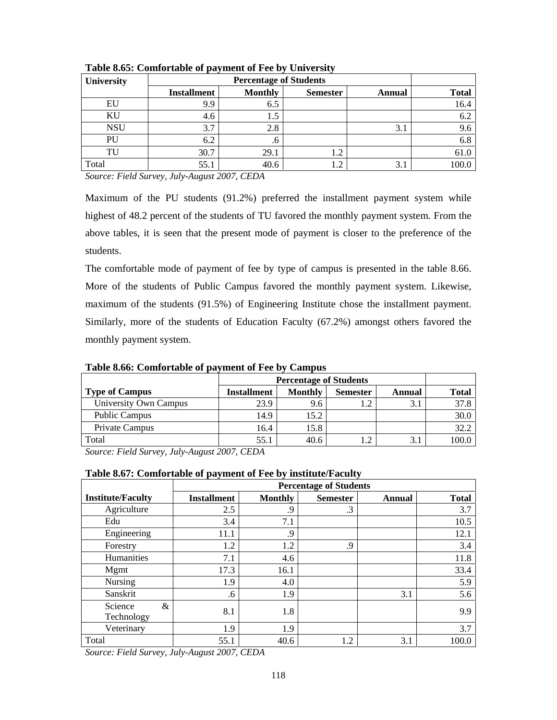| University |                    |                                                    |     |     |       |  |  |  |  |
|------------|--------------------|----------------------------------------------------|-----|-----|-------|--|--|--|--|
|            | <b>Installment</b> | <b>Monthly</b><br><b>Semester</b><br><b>Annual</b> |     |     |       |  |  |  |  |
| EU         | 9.9                | 6.5                                                |     |     | 16.4  |  |  |  |  |
| ΚU         | 4.6                | 1.5                                                |     |     | 6.2   |  |  |  |  |
| <b>NSU</b> | 3.7                | 2.8                                                |     | 3.1 | 9.6   |  |  |  |  |
| PU         | 6.2                | .6                                                 |     |     | 6.8   |  |  |  |  |
| TU         | 30.7               | 29.1                                               | 1.2 |     | 61.0  |  |  |  |  |
| Total      | 55.1               | 40.6                                               | 1.2 | 3.1 | 100.0 |  |  |  |  |

**Table 8.65: Comfortable of payment of Fee by University** 

Maximum of the PU students (91.2%) preferred the installment payment system while highest of 48.2 percent of the students of TU favored the monthly payment system. From the above tables, it is seen that the present mode of payment is closer to the preference of the students.

The comfortable mode of payment of fee by type of campus is presented in the table 8.66. More of the students of Public Campus favored the monthly payment system. Likewise, maximum of the students (91.5%) of Engineering Institute chose the installment payment. Similarly, more of the students of Education Faculty (67.2%) amongst others favored the monthly payment system.

|                    |                | <b>Percentage of Students</b> |        |              |  |  |  |  |  |
|--------------------|----------------|-------------------------------|--------|--------------|--|--|--|--|--|
| <b>Installment</b> | <b>Monthly</b> | <b>Semester</b>               | Annual | <b>Total</b> |  |  |  |  |  |
| 23.9               | 9.6            | 1.4                           | 3.1    | 37.8         |  |  |  |  |  |
| 14.9               | 15.2           |                               |        | 30.0         |  |  |  |  |  |
| 16.4               | 15.8           |                               |        | 32.2         |  |  |  |  |  |
| 55.1               | 40.6           | $\bigcap$                     | 3.1    | 100.0        |  |  |  |  |  |
|                    |                |                               |        |              |  |  |  |  |  |

**Table 8.66: Comfortable of payment of Fee by Campus** 

*Source: Field Survey, July-August 2007, CEDA* 

#### **Table 8.67: Comfortable of payment of Fee by institute/Faculty**

|                            | <b>Percentage of Students</b> |                |                 |        |              |  |  |  |  |
|----------------------------|-------------------------------|----------------|-----------------|--------|--------------|--|--|--|--|
| <b>Institute/Faculty</b>   | <b>Installment</b>            | <b>Monthly</b> | <b>Semester</b> | Annual | <b>Total</b> |  |  |  |  |
| Agriculture                | 2.5                           | .9             | $\cdot$ 3       |        | 3.7          |  |  |  |  |
| Edu                        | 3.4                           | 7.1            |                 |        | 10.5         |  |  |  |  |
| Engineering                | 11.1                          | .9             |                 |        | 12.1         |  |  |  |  |
| Forestry                   | 1.2                           | 1.2            | .9              |        | 3.4          |  |  |  |  |
| Humanities                 | 7.1                           | 4.6            |                 |        | 11.8         |  |  |  |  |
| Mgmt                       | 17.3                          | 16.1           |                 |        | 33.4         |  |  |  |  |
| <b>Nursing</b>             | 1.9                           | 4.0            |                 |        | 5.9          |  |  |  |  |
| Sanskrit                   | .6                            | 1.9            |                 | 3.1    | 5.6          |  |  |  |  |
| Science<br>&<br>Technology | 8.1                           | 1.8            |                 |        | 9.9          |  |  |  |  |
| Veterinary                 | 1.9                           | 1.9            |                 |        | 3.7          |  |  |  |  |
| Total                      | 55.1                          | 40.6           | 1.2             | 3.1    | 100.0        |  |  |  |  |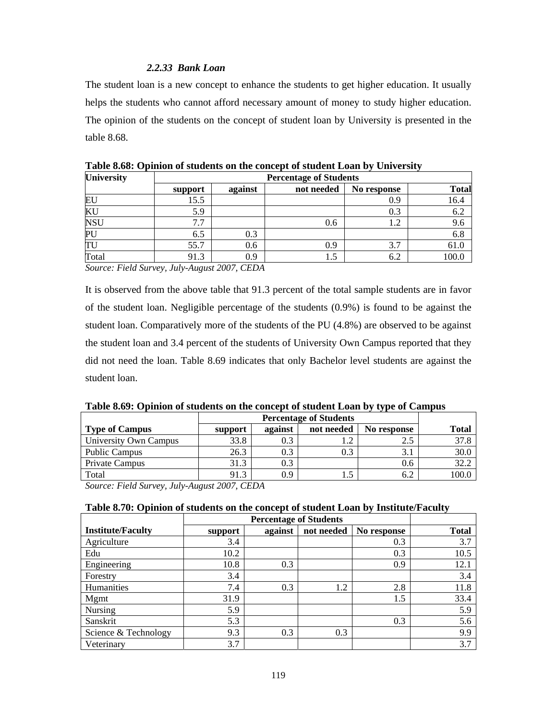#### *2.2.33 Bank Loan*

The student loan is a new concept to enhance the students to get higher education. It usually helps the students who cannot afford necessary amount of money to study higher education. The opinion of the students on the concept of student loan by University is presented in the table 8.68.

| <b>University</b> |         | <b>Percentage of Students</b> |            |             |              |  |  |  |  |  |  |
|-------------------|---------|-------------------------------|------------|-------------|--------------|--|--|--|--|--|--|
|                   | support | against                       | not needed | No response | <b>Total</b> |  |  |  |  |  |  |
| EU                | 15.5    |                               |            | 0.9         | 16.4         |  |  |  |  |  |  |
| KU                | 5.9     |                               |            | 0.3         | 6.2          |  |  |  |  |  |  |
| <b>NSU</b>        | 7.7     |                               | 0.6        | 1.2         | 9.6          |  |  |  |  |  |  |
| PL                | 6.5     | 0.3                           |            |             | 6.8          |  |  |  |  |  |  |
| TU                | 55.7    | 0.6                           | 0.9        | 3.7         | 61.0         |  |  |  |  |  |  |
| Total             | 91.3    | 0.9                           | 1.5        | 6.2         | 100.0        |  |  |  |  |  |  |

**Table 8.68: Opinion of students on the concept of student Loan by University** 

*Source: Field Survey, July-August 2007, CEDA* 

It is observed from the above table that 91.3 percent of the total sample students are in favor of the student loan. Negligible percentage of the students (0.9%) is found to be against the student loan. Comparatively more of the students of the PU (4.8%) are observed to be against the student loan and 3.4 percent of the students of University Own Campus reported that they did not need the loan. Table 8.69 indicates that only Bachelor level students are against the student loan.

| Table 8.69: Opinion of students on the concept of student Loan by type of Campus |  |  |  |  |
|----------------------------------------------------------------------------------|--|--|--|--|
|                                                                                  |  |  |  |  |

| <b>Type of Campus</b> | support | <b>Total</b> |     |     |       |
|-----------------------|---------|--------------|-----|-----|-------|
| University Own Campus | 33.8    | 0.3          |     | 2.5 | 37.8  |
| <b>Public Campus</b>  | 26.3    | 0.3          | 0.3 | 3.1 | 30.0  |
| Private Campus        | 31.3    | U.J          |     | 0.6 | 32.2  |
| Total                 | 91.3    | 0.9          |     | 6.2 | 100.0 |

*Source: Field Survey, July-August 2007, CEDA* 

## **Table 8.70: Opinion of students on the concept of student Loan by Institute/Faculty**

| <b>Institute/Faculty</b> | support | against | not needed | No response | <b>Total</b> |
|--------------------------|---------|---------|------------|-------------|--------------|
| Agriculture              | 3.4     |         |            | 0.3         | 3.7          |
| Edu                      | 10.2    |         |            | 0.3         | 10.5         |
| Engineering              | 10.8    | 0.3     |            | 0.9         | 12.1         |
| Forestry                 | 3.4     |         |            |             | 3.4          |
| Humanities               | 7.4     | 0.3     | 1.2        | 2.8         | 11.8         |
| Mgmt                     | 31.9    |         |            | 1.5         | 33.4         |
| Nursing                  | 5.9     |         |            |             | 5.9          |
| Sanskrit                 | 5.3     |         |            | 0.3         | 5.6          |
| Science & Technology     | 9.3     | 0.3     | 0.3        |             | 9.9          |
| Veterinary               | 3.7     |         |            |             | 3.7          |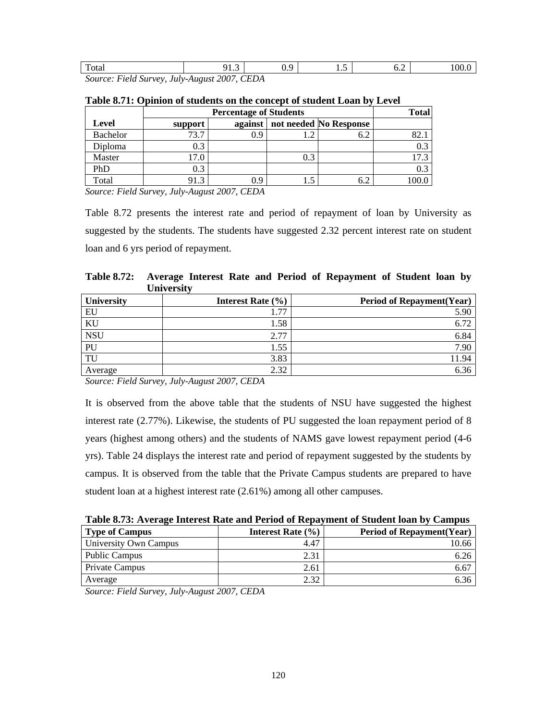| $\mathbf{r}$<br>Total    |                      |  | ຸ                                                       | ⌒<br>. .<br>◡ ・ | $\cdot\cdot$ | ∪.∠ |  |
|--------------------------|----------------------|--|---------------------------------------------------------|-----------------|--------------|-----|--|
| $\overline{\phantom{a}}$ | $\sim$ $\sim$ $\sim$ |  | $\sim$ $\sim$ $\sim$ $\sim$ $\sim$ $\sim$ $\sim$ $\sim$ |                 |              |     |  |

|                 |              | <b>Total</b> |     |                        |      |
|-----------------|--------------|--------------|-----|------------------------|------|
| Level           | support      | against      |     | not needed No Response |      |
| <b>Bachelor</b> | 73.7         | 0.9          |     | 6.2                    | 82.1 |
| Diploma         | 0.3          |              |     |                        | 0.3  |
| Master          | 17.0         |              | 0.3 |                        | .7.3 |
| PhD             | 0.3          |              |     |                        | 0.3  |
| Total           | $\mathbf{a}$ | 0.9          | L.J | 6.2                    |      |

| Table 8.71: Opinion of students on the concept of student Loan by Level |
|-------------------------------------------------------------------------|
|-------------------------------------------------------------------------|

*Source: Field Survey, July-August 2007, CEDA* 

Table 8.72 presents the interest rate and period of repayment of loan by University as suggested by the students. The students have suggested 2.32 percent interest rate on student loan and 6 yrs period of repayment.

**Table 8.72: Average Interest Rate and Period of Repayment of Student loan by University** 

| <b>University</b> | Interest Rate $(\% )$ | <b>Period of Repayment (Year)</b> |
|-------------------|-----------------------|-----------------------------------|
| EU                | .77                   | 5.90                              |
| KU                | 1.58                  | 6.72                              |
| <b>NSU</b>        | 2.77                  | 6.84                              |
| PU                | 1.55                  | 7.90                              |
| TU                | 3.83                  | 11.94                             |
| Average           | 2.32                  | 6.36                              |

*Source: Field Survey, July-August 2007, CEDA* 

It is observed from the above table that the students of NSU have suggested the highest interest rate (2.77%). Likewise, the students of PU suggested the loan repayment period of 8 years (highest among others) and the students of NAMS gave lowest repayment period (4-6 yrs). Table 24 displays the interest rate and period of repayment suggested by the students by campus. It is observed from the table that the Private Campus students are prepared to have student loan at a highest interest rate (2.61%) among all other campuses.

| <b>Type of Campus</b> | Interest Rate $(\% )$ | <b>Period of Repayment</b> (Year) |
|-----------------------|-----------------------|-----------------------------------|
| University Own Campus | 4.47                  | 10.66                             |
| <b>Public Campus</b>  | 2.31                  | 6.26                              |
| Private Campus        | 2.61                  | 6.67                              |
| Average               | 2.32                  | 6.36                              |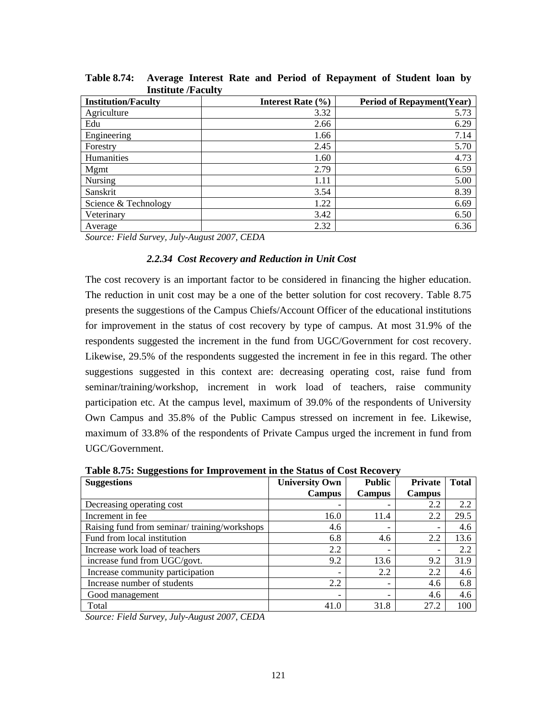| mondiale / I acuity        |                       |                                   |
|----------------------------|-----------------------|-----------------------------------|
| <b>Institution/Faculty</b> | Interest Rate $(\% )$ | <b>Period of Repayment (Year)</b> |
| Agriculture                | 3.32                  | 5.73                              |
| Edu                        | 2.66                  | 6.29                              |
| Engineering                | 1.66                  | 7.14                              |
| Forestry                   | 2.45                  | 5.70                              |
| Humanities                 | 1.60                  | 4.73                              |
| Mgmt                       | 2.79                  | 6.59                              |
| <b>Nursing</b>             | 1.11                  | 5.00                              |
| Sanskrit                   | 3.54                  | 8.39                              |
| Science & Technology       | 1.22                  | 6.69                              |
| Veterinary                 | 3.42                  | 6.50                              |
| Average                    | 2.32                  | 6.36                              |

**Table 8.74: Average Interest Rate and Period of Repayment of Student loan by Institute /Faculty** 

#### *2.2.34 Cost Recovery and Reduction in Unit Cost*

The cost recovery is an important factor to be considered in financing the higher education. The reduction in unit cost may be a one of the better solution for cost recovery. Table 8.75 presents the suggestions of the Campus Chiefs/Account Officer of the educational institutions for improvement in the status of cost recovery by type of campus. At most 31.9% of the respondents suggested the increment in the fund from UGC/Government for cost recovery. Likewise, 29.5% of the respondents suggested the increment in fee in this regard. The other suggestions suggested in this context are: decreasing operating cost, raise fund from seminar/training/workshop, increment in work load of teachers, raise community participation etc. At the campus level, maximum of 39.0% of the respondents of University Own Campus and 35.8% of the Public Campus stressed on increment in fee. Likewise, maximum of 33.8% of the respondents of Private Campus urged the increment in fund from UGC/Government.

**Table 8.75: Suggestions for Improvement in the Status of Cost Recovery** 

| There on $\epsilon$ , supposed to the problems in the status of $\epsilon$ ost field $\epsilon$ . |                       |                          |               |              |  |  |  |  |
|---------------------------------------------------------------------------------------------------|-----------------------|--------------------------|---------------|--------------|--|--|--|--|
| <b>Suggestions</b>                                                                                | <b>University Own</b> | <b>Public</b>            | Private       | <b>Total</b> |  |  |  |  |
|                                                                                                   | <b>Campus</b>         | <b>Campus</b>            | <b>Campus</b> |              |  |  |  |  |
| Decreasing operating cost                                                                         |                       | $\overline{\phantom{a}}$ | 2.2           | 2.2          |  |  |  |  |
| Increment in fee                                                                                  | 16.0                  | 11.4                     | 2.2           | 29.5         |  |  |  |  |
| Raising fund from seminar/training/workshops                                                      | 4.6                   | $\overline{\phantom{a}}$ | -             | 4.6          |  |  |  |  |
| Fund from local institution                                                                       | 6.8                   | 4.6                      | 2.2           | 13.6         |  |  |  |  |
| Increase work load of teachers                                                                    | 2.2                   | $\overline{\phantom{a}}$ |               | 2.2          |  |  |  |  |
| increase fund from UGC/govt.                                                                      | 9.2                   | 13.6                     | 9.2           | 31.9         |  |  |  |  |
| Increase community participation                                                                  |                       | 2.2                      | 2.2           | 4.6          |  |  |  |  |
| Increase number of students                                                                       | 2.2                   | $\overline{\phantom{a}}$ | 4.6           | 6.8          |  |  |  |  |
| Good management                                                                                   | -                     | $\overline{\phantom{a}}$ | 4.6           | 4.6          |  |  |  |  |
| Total                                                                                             | 41.0                  | 31.8                     | 27.2          | 100          |  |  |  |  |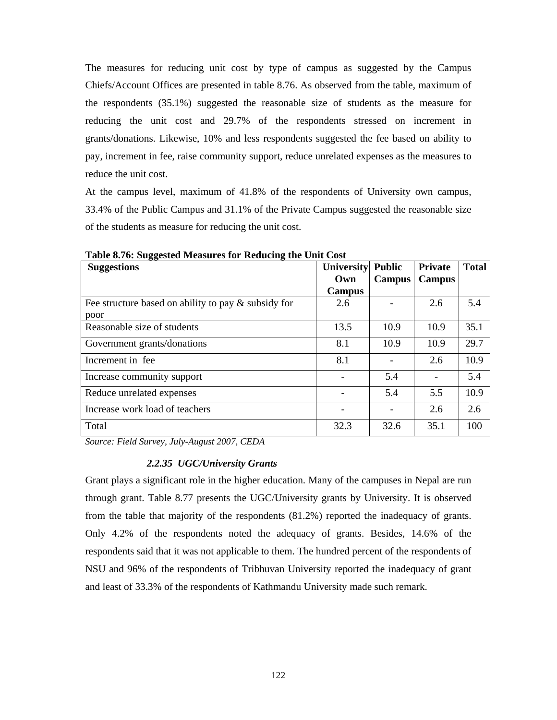The measures for reducing unit cost by type of campus as suggested by the Campus Chiefs/Account Offices are presented in table 8.76. As observed from the table, maximum of the respondents (35.1%) suggested the reasonable size of students as the measure for reducing the unit cost and 29.7% of the respondents stressed on increment in grants/donations. Likewise, 10% and less respondents suggested the fee based on ability to pay, increment in fee, raise community support, reduce unrelated expenses as the measures to reduce the unit cost.

At the campus level, maximum of 41.8% of the respondents of University own campus, 33.4% of the Public Campus and 31.1% of the Private Campus suggested the reasonable size of the students as measure for reducing the unit cost.

| <b>Suggestions</b>                                     | <b>University</b> Public<br>Own | <b>Campus</b> | <b>Private</b><br><b>Campus</b> | <b>Total</b> |
|--------------------------------------------------------|---------------------------------|---------------|---------------------------------|--------------|
|                                                        | Campus                          |               |                                 |              |
| Fee structure based on ability to pay $\&$ subsidy for | 2.6                             |               | 2.6                             | 5.4          |
| poor                                                   |                                 |               |                                 |              |
| Reasonable size of students                            | 13.5                            | 10.9          | 10.9                            | 35.1         |
| Government grants/donations                            | 8.1                             | 10.9          | 10.9                            | 29.7         |
| Increment in fee                                       | 8.1                             |               | 2.6                             | 10.9         |
| Increase community support                             |                                 | 5.4           |                                 | 5.4          |
| Reduce unrelated expenses                              |                                 | 5.4           | 5.5                             | 10.9         |
| Increase work load of teachers                         |                                 |               | 2.6                             | 2.6          |
| Total                                                  | 32.3                            | 32.6          | 35.1                            | 100          |

**Table 8.76: Suggested Measures for Reducing the Unit Cost** 

*Source: Field Survey, July-August 2007, CEDA* 

#### *2.2.35 UGC/University Grants*

Grant plays a significant role in the higher education. Many of the campuses in Nepal are run through grant. Table 8.77 presents the UGC/University grants by University. It is observed from the table that majority of the respondents (81.2%) reported the inadequacy of grants. Only 4.2% of the respondents noted the adequacy of grants. Besides, 14.6% of the respondents said that it was not applicable to them. The hundred percent of the respondents of NSU and 96% of the respondents of Tribhuvan University reported the inadequacy of grant and least of 33.3% of the respondents of Kathmandu University made such remark.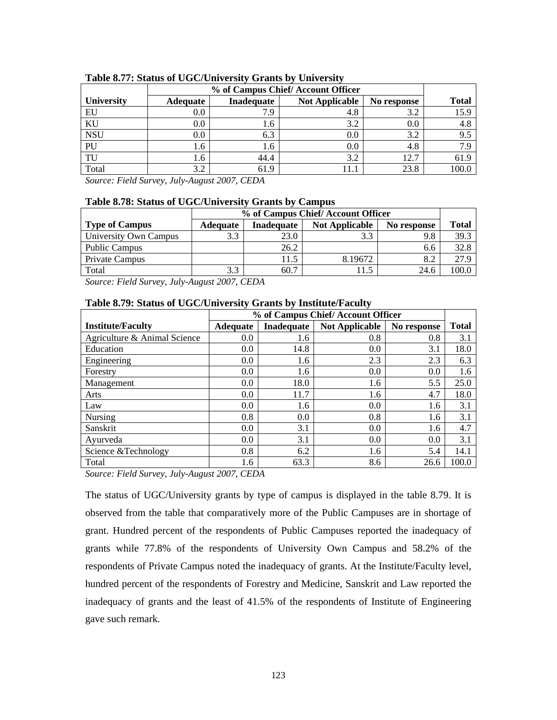|                   | % of Campus Chief/Account Officer |            |                       |             |              |
|-------------------|-----------------------------------|------------|-----------------------|-------------|--------------|
| <b>University</b> | Adequate                          | Inadequate | <b>Not Applicable</b> | No response | <b>Total</b> |
| EU                | 0.0                               | 7.9        | 4.8                   | 3.2         | 15.9         |
| KU                | $0.0\,$                           | 1.6        | 3.2                   | 0.0         | 4.8          |
| <b>NSU</b>        | $0.0\,$                           | 6.3        | 0.0                   | 3.2         | 9.5          |
| PU                | 1.6                               | 1.6        | $0.0\,$               | 4.8         | 7.S          |
| TU                | 1.6                               | 44.4       | 3.2                   | 12.7        | 61.9         |
| Total             | 3.2                               | 61.9       |                       | 23.8        |              |

#### **Table 8.77: Status of UGC/University Grants by University**

*Source: Field Survey, July-August 2007, CEDA* 

#### **Table 8.78: Status of UGC/University Grants by Campus**

|                       |                 | % of Campus Chief/Account Officer |                       |             |       |  |
|-----------------------|-----------------|-----------------------------------|-----------------------|-------------|-------|--|
| <b>Type of Campus</b> | <b>Adequate</b> | Inadequate                        | <b>Not Applicable</b> | No response | Total |  |
| University Own Campus | 3.3             | 23.0                              | 3.3                   | 9.8         | 39.3  |  |
| <b>Public Campus</b>  |                 | 26.2                              |                       | 6.6         | 32.8  |  |
| Private Campus        |                 | 11.5                              | 8.19672               | 8.2         | 27.9  |  |
| Total                 | 3.3             | 60.7                              | 1.5                   | 24.6        | 100.0 |  |

*Source: Field Survey, July-August 2007, CEDA* 

| Table 8.79: Status of UGC/University Grants by Institute/Faculty |  |  |  |  |
|------------------------------------------------------------------|--|--|--|--|
|------------------------------------------------------------------|--|--|--|--|

|                              |                 | % of Campus Chief/Account Officer |                       |             |              |  |  |
|------------------------------|-----------------|-----------------------------------|-----------------------|-------------|--------------|--|--|
| <b>Institute/Faculty</b>     | <b>Adequate</b> | Inadequate                        | <b>Not Applicable</b> | No response | <b>Total</b> |  |  |
| Agriculture & Animal Science | 0.0             | 1.6                               | 0.8                   | 0.8         | 3.1          |  |  |
| Education                    | 0.0             | 14.8                              | 0.0                   | 3.1         | 18.0         |  |  |
| Engineering                  | 0.0             | 1.6                               | 2.3                   | 2.3         | 6.3          |  |  |
| Forestry                     | 0.0             | 1.6                               | 0.0                   | 0.0         | 1.6          |  |  |
| Management                   | 0.0             | 18.0                              | 1.6                   | 5.5         | 25.0         |  |  |
| Arts                         | 0.0             | 11.7                              | 1.6                   | 4.7         | 18.0         |  |  |
| Law                          | 0.0             | 1.6                               | 0.0                   | 1.6         | 3.1          |  |  |
| Nursing                      | 0.8             | 0.0                               | 0.8                   | 1.6         | 3.1          |  |  |
| Sanskrit                     | 0.0             | 3.1                               | 0.0                   | 1.6         | 4.7          |  |  |
| Ayurveda                     | 0.0             | 3.1                               | 0.0                   | 0.0         | 3.1          |  |  |
| Science & Technology         | 0.8             | 6.2                               | 1.6                   | 5.4         | 14.1         |  |  |
| Total                        | 1.6             | 63.3                              | 8.6                   | 26.6        | 100.0        |  |  |

*Source: Field Survey, July-August 2007, CEDA* 

The status of UGC/University grants by type of campus is displayed in the table 8.79. It is observed from the table that comparatively more of the Public Campuses are in shortage of grant. Hundred percent of the respondents of Public Campuses reported the inadequacy of grants while 77.8% of the respondents of University Own Campus and 58.2% of the respondents of Private Campus noted the inadequacy of grants. At the Institute/Faculty level, hundred percent of the respondents of Forestry and Medicine, Sanskrit and Law reported the inadequacy of grants and the least of 41.5% of the respondents of Institute of Engineering gave such remark.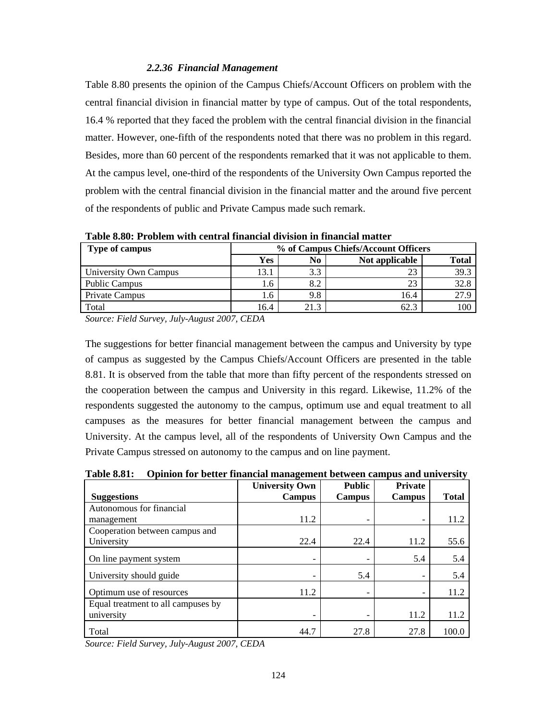#### *2.2.36 Financial Management*

Table 8.80 presents the opinion of the Campus Chiefs/Account Officers on problem with the central financial division in financial matter by type of campus. Out of the total respondents, 16.4 % reported that they faced the problem with the central financial division in the financial matter. However, one-fifth of the respondents noted that there was no problem in this regard. Besides, more than 60 percent of the respondents remarked that it was not applicable to them. At the campus level, one-third of the respondents of the University Own Campus reported the problem with the central financial division in the financial matter and the around five percent of the respondents of public and Private Campus made such remark.

| Type of campus        | % of Campus Chiefs/Account Officers |      |                |       |  |  |
|-----------------------|-------------------------------------|------|----------------|-------|--|--|
|                       | <b>Yes</b>                          | No   | Not applicable | Total |  |  |
| University Own Campus | 13.1                                | 3.3  |                | 39.3  |  |  |
| <b>Public Campus</b>  | 1.6                                 | 8.2  | 23             | 32.8  |  |  |
| Private Campus        | 1.6                                 | 9.8  | 16.4           | 27.9  |  |  |
| Total                 | 16.4                                | 21.3 | 62.3           | 100   |  |  |

**Table 8.80: Problem with central financial division in financial matter** 

*Source: Field Survey, July-August 2007, CEDA* 

The suggestions for better financial management between the campus and University by type of campus as suggested by the Campus Chiefs/Account Officers are presented in the table 8.81. It is observed from the table that more than fifty percent of the respondents stressed on the cooperation between the campus and University in this regard. Likewise, 11.2% of the respondents suggested the autonomy to the campus, optimum use and equal treatment to all campuses as the measures for better financial management between the campus and University. At the campus level, all of the respondents of University Own Campus and the Private Campus stressed on autonomy to the campus and on line payment.

**Table 8.81: Opinion for better financial management between campus and university** 

|                                    | <b>University Own</b>    | <b>Public</b> | <b>Private</b> |              |
|------------------------------------|--------------------------|---------------|----------------|--------------|
| <b>Suggestions</b>                 | <b>Campus</b>            | Campus        | Campus         | <b>Total</b> |
| Autonomous for financial           |                          |               |                |              |
| management                         | 11.2                     |               |                | 11.2         |
| Cooperation between campus and     |                          |               |                |              |
| University                         | 22.4                     | 22.4          | 11.2           | 55.6         |
| On line payment system             | $\overline{\phantom{a}}$ |               | 5.4            | 5.4          |
| University should guide            | $\qquad \qquad$          | 5.4           |                | 5.4          |
| Optimum use of resources           | 11.2                     |               |                | 11.2         |
| Equal treatment to all campuses by |                          |               |                |              |
| university                         | $\qquad \qquad$          |               | 11.2           | 11.2         |
| Total                              | 44.7                     | 27.8          | 27.8           | 100.0        |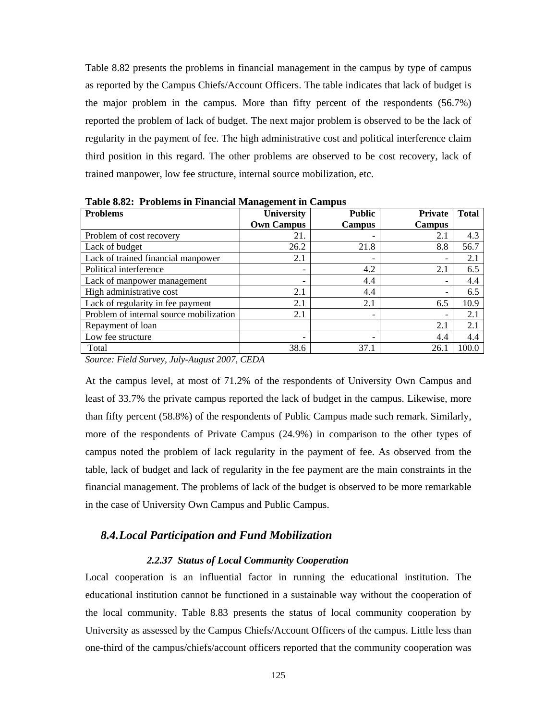Table 8.82 presents the problems in financial management in the campus by type of campus as reported by the Campus Chiefs/Account Officers. The table indicates that lack of budget is the major problem in the campus. More than fifty percent of the respondents (56.7%) reported the problem of lack of budget. The next major problem is observed to be the lack of regularity in the payment of fee. The high administrative cost and political interference claim third position in this regard. The other problems are observed to be cost recovery, lack of trained manpower, low fee structure, internal source mobilization, etc.

| таріс 0.02. - і горіснія ні і піансіаі манаgeнісні ні санірая             |                   |                          |                |              |  |  |  |  |  |
|---------------------------------------------------------------------------|-------------------|--------------------------|----------------|--------------|--|--|--|--|--|
| <b>Problems</b>                                                           | <b>University</b> | <b>Public</b>            | <b>Private</b> | <b>Total</b> |  |  |  |  |  |
|                                                                           | <b>Own Campus</b> | <b>Campus</b>            | <b>Campus</b>  |              |  |  |  |  |  |
| Problem of cost recovery                                                  | 21.               |                          | 2.1            | 4.3          |  |  |  |  |  |
| Lack of budget                                                            | 26.2              | 21.8                     | 8.8            | 56.7         |  |  |  |  |  |
| Lack of trained financial manpower                                        | 2.1               |                          |                | 2.1          |  |  |  |  |  |
| Political interference                                                    | -                 | 4.2                      | 2.1            | 6.5          |  |  |  |  |  |
| Lack of manpower management                                               |                   | 4.4                      |                | 4.4          |  |  |  |  |  |
| High administrative cost                                                  | 2.1               | 4.4                      | -              | 6.5          |  |  |  |  |  |
| Lack of regularity in fee payment                                         | 2.1               | 2.1                      | 6.5            | 10.9         |  |  |  |  |  |
| Problem of internal source mobilization                                   | 2.1               | $\overline{\phantom{a}}$ |                | 2.1          |  |  |  |  |  |
| Repayment of loan                                                         |                   |                          | 2.1            | 2.1          |  |  |  |  |  |
| Low fee structure                                                         | -                 | -                        | 4.4            | 4.4          |  |  |  |  |  |
| Total                                                                     | 38.6              | 37.1                     | 26.1           | 100.0        |  |  |  |  |  |
| $-1$ $-1$<br>$\cdots$<br>$\sim$ $\sim$ $\sim$ $\sim$ $\sim$ $\sim$ $\sim$ |                   |                          |                |              |  |  |  |  |  |

**Table 8.82: Problems in Financial Management in Campus** 

*Source: Field Survey, July-August 2007, CEDA* 

At the campus level, at most of 71.2% of the respondents of University Own Campus and least of 33.7% the private campus reported the lack of budget in the campus. Likewise, more than fifty percent (58.8%) of the respondents of Public Campus made such remark. Similarly, more of the respondents of Private Campus (24.9%) in comparison to the other types of campus noted the problem of lack regularity in the payment of fee. As observed from the table, lack of budget and lack of regularity in the fee payment are the main constraints in the financial management. The problems of lack of the budget is observed to be more remarkable in the case of University Own Campus and Public Campus.

# *8.4.Local Participation and Fund Mobilization*

#### *2.2.37 Status of Local Community Cooperation*

Local cooperation is an influential factor in running the educational institution. The educational institution cannot be functioned in a sustainable way without the cooperation of the local community. Table 8.83 presents the status of local community cooperation by University as assessed by the Campus Chiefs/Account Officers of the campus. Little less than one-third of the campus/chiefs/account officers reported that the community cooperation was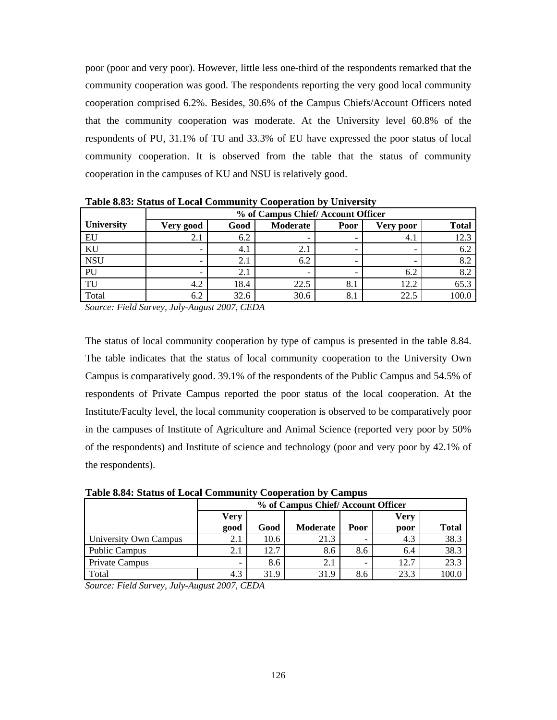poor (poor and very poor). However, little less one-third of the respondents remarked that the community cooperation was good. The respondents reporting the very good local community cooperation comprised 6.2%. Besides, 30.6% of the Campus Chiefs/Account Officers noted that the community cooperation was moderate. At the University level 60.8% of the respondents of PU, 31.1% of TU and 33.3% of EU have expressed the poor status of local community cooperation. It is observed from the table that the status of community cooperation in the campuses of KU and NSU is relatively good.

|                   | % of Campus Chief/Account Officer |      |          |                          |           |              |  |  |  |
|-------------------|-----------------------------------|------|----------|--------------------------|-----------|--------------|--|--|--|
| <b>University</b> | Very good                         | Good | Moderate | Poor                     | Very poor | <b>Total</b> |  |  |  |
| EU                | 2.1                               | 6.2  |          | -                        | 4.1       | 12.3         |  |  |  |
| KU                |                                   | 4.1  | 2.1      | -                        |           | 6.2          |  |  |  |
| <b>NSU</b>        |                                   | 2.   | 6.2      | $\overline{\phantom{0}}$ |           | 8.2          |  |  |  |
| PU                |                                   | 4. J | -        | -                        | 6.2       | 8.2          |  |  |  |
| TU                | 4.2                               | 18.4 | 22.5     | 8.1                      | 12.2      | 65.3         |  |  |  |
| Total             | 6.2                               | 32.6 | 30.6     | 8.1                      | 22.5      | 100.0        |  |  |  |

**Table 8.83: Status of Local Community Cooperation by University** 

*Source: Field Survey, July-August 2007, CEDA* 

The status of local community cooperation by type of campus is presented in the table 8.84. The table indicates that the status of local community cooperation to the University Own Campus is comparatively good. 39.1% of the respondents of the Public Campus and 54.5% of respondents of Private Campus reported the poor status of the local cooperation. At the Institute/Faculty level, the local community cooperation is observed to be comparatively poor in the campuses of Institute of Agriculture and Animal Science (reported very poor by 50% of the respondents) and Institute of science and technology (poor and very poor by 42.1% of the respondents).

**Table 8.84: Status of Local Community Cooperation by Campus** 

|                       | % of Campus Chief/Account Officer |      |          |      |      |              |  |  |  |
|-----------------------|-----------------------------------|------|----------|------|------|--------------|--|--|--|
|                       | Very                              | Very |          |      |      |              |  |  |  |
|                       | good                              | Good | Moderate | Poor | poor | <b>Total</b> |  |  |  |
| University Own Campus | 2.1                               | 10.6 | 21.3     |      | 4.3  | 38.3         |  |  |  |
| <b>Public Campus</b>  | 2.1                               | 12.7 | 8.6      | 8.6  | 6.4  | 38.3         |  |  |  |
| Private Campus        | -                                 | 8.6  | 2.1      |      | 12.7 | 23.3         |  |  |  |
| Total                 | 4.3                               | 31.9 | 31.9     | 8.6  | 23.3 |              |  |  |  |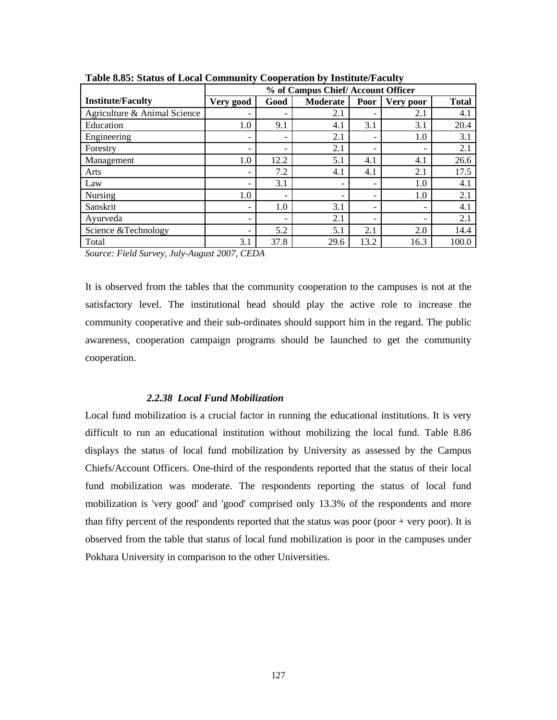|                              | % of Campus Chief/Account Officer |      |          |      |                          |              |  |  |
|------------------------------|-----------------------------------|------|----------|------|--------------------------|--------------|--|--|
| <b>Institute/Faculty</b>     | Very good                         | Good | Moderate | Poor | Very poor                | <b>Total</b> |  |  |
| Agriculture & Animal Science | -                                 |      | 2.1      |      | 2.1                      | 4.1          |  |  |
| Education                    | 1.0                               | 9.1  | 4.1      | 3.1  | 3.1                      | 20.4         |  |  |
| Engineering                  | -                                 |      | 2.1      |      | 1.0                      | 3.1          |  |  |
| Forestry                     | $\overline{\phantom{0}}$          |      | 2.1      |      |                          | 2.1          |  |  |
| Management                   | 1.0                               | 12.2 | 5.1      | 4.1  | 4.1                      | 26.6         |  |  |
| Arts                         | -                                 | 7.2  | 4.1      | 4.1  | 2.1                      | 17.5         |  |  |
| Law                          | -                                 | 3.1  |          |      | 1.0                      | 4.1          |  |  |
| Nursing                      | 1.0                               |      |          |      | 1.0                      | 2.1          |  |  |
| Sanskrit                     | $\overline{\phantom{a}}$          | 1.0  | 3.1      |      | $\overline{\phantom{0}}$ | 4.1          |  |  |
| Ayurveda                     | $\overline{\phantom{a}}$          |      | 2.1      |      |                          | 2.1          |  |  |
| Science &Technology          | -                                 | 5.2  | 5.1      | 2.1  | 2.0                      | 14.4         |  |  |
| Total                        | 3.1                               | 37.8 | 29.6     | 13.2 | 16.3                     | 100.0        |  |  |

**Table 8.85: Status of Local Community Cooperation by Institute/Faculty** 

It is observed from the tables that the community cooperation to the campuses is not at the satisfactory level. The institutional head should play the active role to increase the community cooperative and their sub-ordinates should support him in the regard. The public awareness, cooperation campaign programs should be launched to get the community cooperation.

#### *2.2.38 Local Fund Mobilization*

Local fund mobilization is a crucial factor in running the educational institutions. It is very difficult to run an educational institution without mobilizing the local fund. Table 8.86 displays the status of local fund mobilization by University as assessed by the Campus Chiefs/Account Officers. One-third of the respondents reported that the status of their local fund mobilization was moderate. The respondents reporting the status of local fund mobilization is 'very good' and 'good' comprised only 13.3% of the respondents and more than fifty percent of the respondents reported that the status was poor (poor  $+$  very poor). It is observed from the table that status of local fund mobilization is poor in the campuses under Pokhara University in comparison to the other Universities.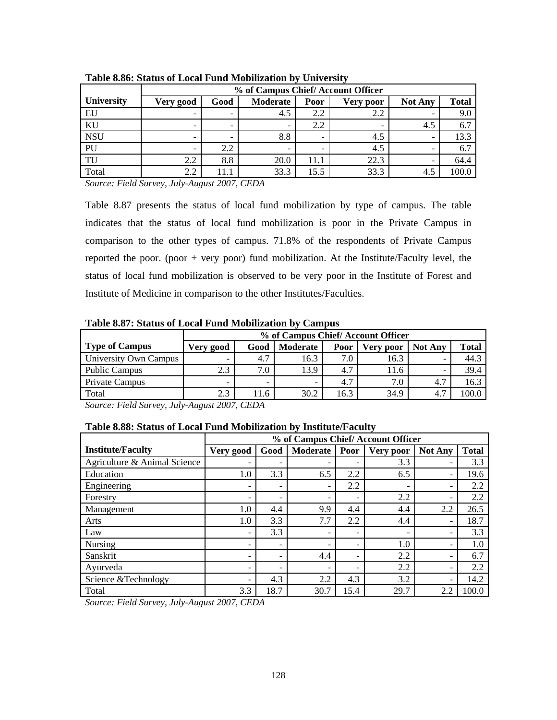|            | % of Campus Chief/Account Officer |                          |                          |                          |                  |                          |              |  |  |  |
|------------|-----------------------------------|--------------------------|--------------------------|--------------------------|------------------|--------------------------|--------------|--|--|--|
| University | Very good                         | Good                     | Moderate                 | Poor                     | <b>Very poor</b> | <b>Not Any</b>           | <b>Total</b> |  |  |  |
| EU         |                                   | $\overline{\phantom{a}}$ | 4.5                      | 2.2                      | 2.2              |                          | 9.0          |  |  |  |
| KU         | $\overline{\phantom{0}}$          | $\overline{\phantom{0}}$ | $\overline{\phantom{0}}$ | 2.2                      |                  | 4.5                      | 6.7          |  |  |  |
| <b>NSU</b> | $\overline{\phantom{0}}$          | $\overline{\phantom{0}}$ | 8.8                      | $\overline{\phantom{0}}$ | 4.5              | $\overline{\phantom{0}}$ | 13.3         |  |  |  |
| PU         |                                   | 2.2                      | $\overline{\phantom{0}}$ |                          | 4.5              |                          | 6.7          |  |  |  |
| TU         | 2.2                               | 8.8                      | 20.0                     | 11.1                     | 22.3             |                          | 64.4         |  |  |  |
| Total      | 2.2                               |                          | 33.3                     | 15.5                     | 33.3             | 4.5                      | 100.0        |  |  |  |

**Table 8.86: Status of Local Fund Mobilization by University** 

Table 8.87 presents the status of local fund mobilization by type of campus. The table indicates that the status of local fund mobilization is poor in the Private Campus in comparison to the other types of campus. 71.8% of the respondents of Private Campus reported the poor. (poor + very poor) fund mobilization. At the Institute/Faculty level, the status of local fund mobilization is observed to be very poor in the Institute of Forest and Institute of Medicine in comparison to the other Institutes/Faculties.

|                       |                          | % of Campus Chief/Account Officer |          |         |           |                |              |  |
|-----------------------|--------------------------|-----------------------------------|----------|---------|-----------|----------------|--------------|--|
| <b>Type of Campus</b> | Very good                | Good                              | Moderate | Poor    | Very poor | <b>Not Any</b> | <b>Total</b> |  |
| University Own Campus | $\overline{\phantom{0}}$ | 4.7                               | 16.3     | $7.0$ . | 16.3      |                | 44.3         |  |
| <b>Public Campus</b>  | 2.3                      | 7.0                               | 13.9     | 4.7     | 11.6      |                | 39.4         |  |
| Private Campus        | -                        | -                                 | -        | 4.7     | 7.0       | 4.7            | 16.3         |  |
| Total                 | 2.3                      | 11.6                              | 30.2     | 16.3    | 34.9      | 4.7            | 100.0        |  |

*Source: Field Survey, July-August 2007, CEDA* 

|  | Table 8.88: Status of Local Fund Mobilization by Institute/Faculty |
|--|--------------------------------------------------------------------|
|  |                                                                    |

|                              |           | % of Campus Chief/Account Officer |          |                          |                          |                          |              |  |
|------------------------------|-----------|-----------------------------------|----------|--------------------------|--------------------------|--------------------------|--------------|--|
| <b>Institute/Faculty</b>     | Very good | Good                              | Moderate | Poor                     | Very poor                | <b>Not Any</b>           | <b>Total</b> |  |
| Agriculture & Animal Science |           |                                   | -        |                          | 3.3                      |                          | 3.3          |  |
| Education                    | $1.0\,$   | 3.3                               | 6.5      | 2.2                      | 6.5                      |                          | 19.6         |  |
| Engineering                  |           | $\overline{\phantom{0}}$          | -        | 2.2                      |                          | $\overline{\phantom{0}}$ | 2.2          |  |
| Forestry                     |           | $\overline{\phantom{0}}$          | -        |                          | 2.2                      |                          | 2.2          |  |
| Management                   | 1.0       | 4.4                               | 9.9      | 4.4                      | 4.4                      | 2.2                      | 26.5         |  |
| Arts                         | 1.0       | 3.3                               | 7.7      | 2.2                      | 4.4                      | $\overline{\phantom{0}}$ | 18.7         |  |
| Law                          |           | 3.3                               | -        | $\overline{\phantom{0}}$ | $\overline{\phantom{0}}$ | $\overline{\phantom{0}}$ | 3.3          |  |
| Nursing                      |           | $\overline{\phantom{0}}$          | -        |                          | 1.0                      |                          | 1.0          |  |
| Sanskrit                     |           | $\overline{\phantom{0}}$          | 4.4      |                          | 2.2                      |                          | 6.7          |  |
| Ayurveda                     |           | $\overline{\phantom{0}}$          | -        |                          | 2.2                      |                          | 2.2          |  |
| Science & Technology         |           | 4.3                               | 2.2      | 4.3                      | 3.2                      |                          | 14.2         |  |
| Total                        | 3.3       | 18.7                              | 30.7     | 15.4                     | 29.7                     | 2.2                      | 100.0        |  |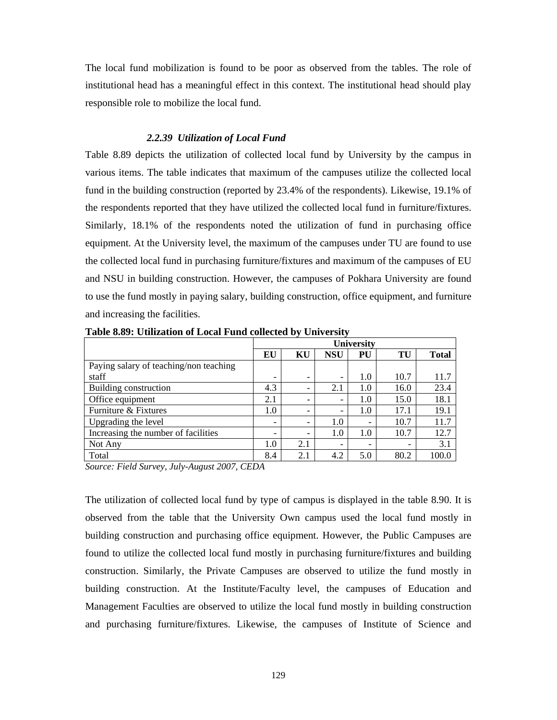The local fund mobilization is found to be poor as observed from the tables. The role of institutional head has a meaningful effect in this context. The institutional head should play responsible role to mobilize the local fund.

#### *2.2.39 Utilization of Local Fund*

Table 8.89 depicts the utilization of collected local fund by University by the campus in various items. The table indicates that maximum of the campuses utilize the collected local fund in the building construction (reported by 23.4% of the respondents). Likewise, 19.1% of the respondents reported that they have utilized the collected local fund in furniture/fixtures. Similarly, 18.1% of the respondents noted the utilization of fund in purchasing office equipment. At the University level, the maximum of the campuses under TU are found to use the collected local fund in purchasing furniture/fixtures and maximum of the campuses of EU and NSU in building construction. However, the campuses of Pokhara University are found to use the fund mostly in paying salary, building construction, office equipment, and furniture and increasing the facilities.

|                                        | <b>University</b>        |                          |                          |     |      |              |
|----------------------------------------|--------------------------|--------------------------|--------------------------|-----|------|--------------|
|                                        | EU                       | KU                       | <b>NSU</b>               | PU  | TU   | <b>Total</b> |
| Paying salary of teaching/non teaching |                          |                          |                          |     |      |              |
| staff                                  | $\overline{\phantom{0}}$ | $\overline{\phantom{0}}$ | $\overline{\phantom{0}}$ | 1.0 | 10.7 | 11.7         |
| Building construction                  | 4.3                      | $\overline{\phantom{0}}$ | 2.1                      | 1.0 | 16.0 | 23.4         |
| Office equipment                       | 2.1                      |                          | $\overline{\phantom{0}}$ | 1.0 | 15.0 | 18.1         |
| Furniture & Fixtures                   | 1.0                      | -                        | $\overline{\phantom{0}}$ | 1.0 | 17.1 | 19.1         |
| Upgrading the level                    | $\overline{\phantom{a}}$ | -                        | 1.0                      | -   | 10.7 | 11.7         |
| Increasing the number of facilities    | -                        | -                        | $1.0\,$                  | 1.0 | 10.7 | 12.7         |
| Not Any                                | 1.0                      | 2.1                      | $\overline{\phantom{0}}$ | -   |      | 3.1          |
| Total                                  | 8.4                      | 2.1                      | 4.2                      | 5.0 | 80.2 | 100.0        |

**Table 8.89: Utilization of Local Fund collected by University** 

*Source: Field Survey, July-August 2007, CEDA* 

The utilization of collected local fund by type of campus is displayed in the table 8.90. It is observed from the table that the University Own campus used the local fund mostly in building construction and purchasing office equipment. However, the Public Campuses are found to utilize the collected local fund mostly in purchasing furniture/fixtures and building construction. Similarly, the Private Campuses are observed to utilize the fund mostly in building construction. At the Institute/Faculty level, the campuses of Education and Management Faculties are observed to utilize the local fund mostly in building construction and purchasing furniture/fixtures. Likewise, the campuses of Institute of Science and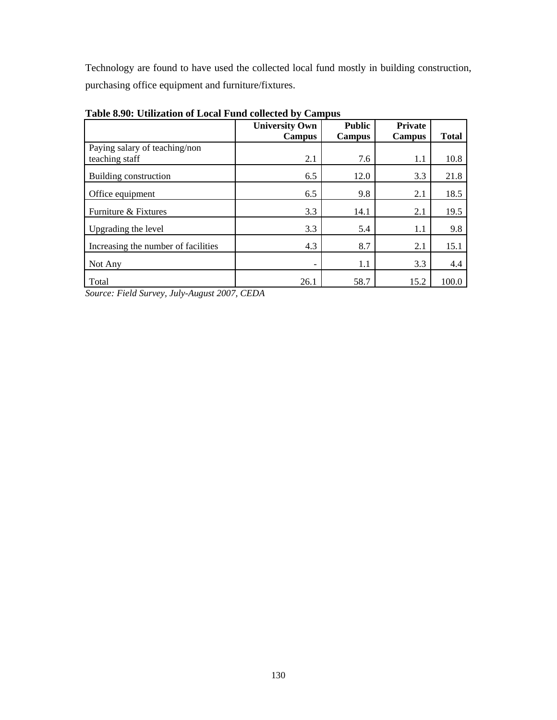Technology are found to have used the collected local fund mostly in building construction, purchasing office equipment and furniture/fixtures.

|                                     | <b>University Own</b><br><b>Campus</b> | <b>Public</b><br><b>Campus</b> | <b>Private</b><br><b>Campus</b> | <b>Total</b> |
|-------------------------------------|----------------------------------------|--------------------------------|---------------------------------|--------------|
| Paying salary of teaching/non       |                                        |                                |                                 |              |
| teaching staff                      | 2.1                                    | 7.6                            | 1.1                             | 10.8         |
| Building construction               | 6.5                                    | 12.0                           | 3.3                             | 21.8         |
| Office equipment                    | 6.5                                    | 9.8                            | 2.1                             | 18.5         |
| Furniture & Fixtures                | 3.3                                    | 14.1                           | 2.1                             | 19.5         |
| Upgrading the level                 | 3.3                                    | 5.4                            | 1.1                             | 9.8          |
| Increasing the number of facilities | 4.3                                    | 8.7                            | 2.1                             | 15.1         |
| Not Any                             |                                        | 1.1                            | 3.3                             | 4.4          |
| Total                               | 26.1                                   | 58.7                           | 15.2                            | 100.0        |

**Table 8.90: Utilization of Local Fund collected by Campus**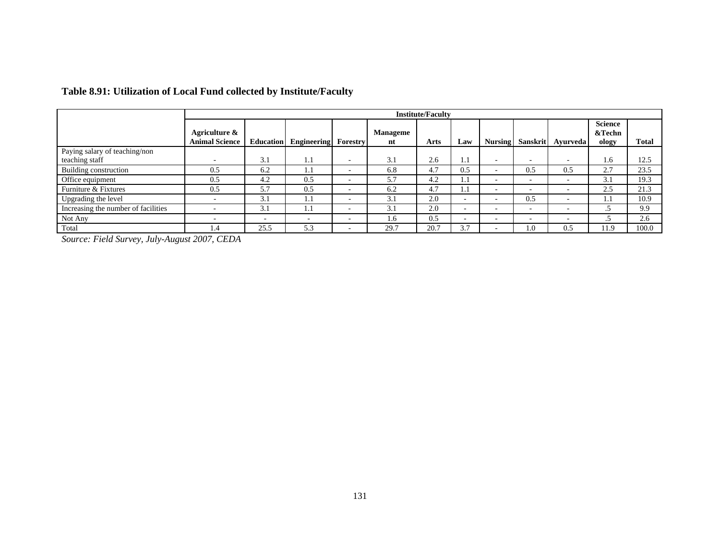|                                     |                                        | <b>Institute/Faculty</b> |                             |                          |                |      |                          |                          |                          |                          |                                   |              |
|-------------------------------------|----------------------------------------|--------------------------|-----------------------------|--------------------------|----------------|------|--------------------------|--------------------------|--------------------------|--------------------------|-----------------------------------|--------------|
|                                     | Agriculture &<br><b>Animal Science</b> | Education                | <b>Engineering</b> Forestry |                          | Manageme<br>nt | Arts | Law                      | <b>Nursing</b>           | Sanskrit                 | Avurveda                 | <b>Science</b><br>&Techn<br>ology | <b>Total</b> |
| Paying salary of teaching/non       |                                        |                          |                             |                          |                |      |                          |                          |                          |                          |                                   |              |
| teaching staff                      | ۰                                      | 3.1                      | 1.1                         | $\overline{\phantom{a}}$ | 3.1            | 2.6  | 1.1                      | $\overline{\phantom{a}}$ | $\overline{\phantom{a}}$ | $\overline{\phantom{a}}$ | 1.6                               | 12.5         |
| Building construction               | 0.5                                    | 6.2                      | 1.1                         | $\overline{\phantom{0}}$ | 6.8            | 4.7  | 0.5                      | $\overline{\phantom{a}}$ | 0.5                      | 0.5                      | 2.7                               | 23.5         |
| Office equipment                    | 0.5                                    | 4.2                      | 0.5                         | $\overline{\phantom{0}}$ | 5.7            | 4.2  | 1.1                      | $\overline{\phantom{a}}$ | $\overline{\phantom{a}}$ | $\overline{\phantom{a}}$ | 3.1                               | 19.3         |
| Furniture & Fixtures                | 0.5                                    | 5.7                      | 0.5                         | $\overline{\phantom{a}}$ | 6.2            | 4.7  | 1.1                      | $\overline{\phantom{a}}$ | $\overline{a}$           | -                        | 2.5                               | 21.3         |
| Upgrading the level                 | ۰                                      | 3.1                      | 1.1                         | $\overline{\phantom{0}}$ | 3.1            | 2.0  | $\sim$                   | $\sim$                   | 0.5                      |                          | 1.1                               | 10.9         |
| Increasing the number of facilities |                                        | 3.1                      | 1.1                         | -                        | 3.1            | 2.0  | $\overline{a}$           | $\overline{\phantom{a}}$ | $\overline{\phantom{a}}$ |                          |                                   | 9.9          |
| Not Any                             | ۰                                      | $\overline{\phantom{a}}$ | $\overline{\phantom{0}}$    | $\overline{\phantom{0}}$ | $1.6^{\circ}$  | 0.5  | $\overline{\phantom{a}}$ | $\overline{\phantom{a}}$ | $\overline{\phantom{a}}$ | $\overline{\phantom{a}}$ | . . 7                             | 2.6          |
| Total                               | . .4                                   | 25.5                     | 5.3                         | $\overline{\phantom{0}}$ | 29.7           | 20.7 | 3.7                      | $\overline{\phantom{a}}$ | 1.0                      | 0.5                      | 11.9                              | 100.0        |

# **Table 8.91: Utilization of Local Fund collected by Institute/Faculty**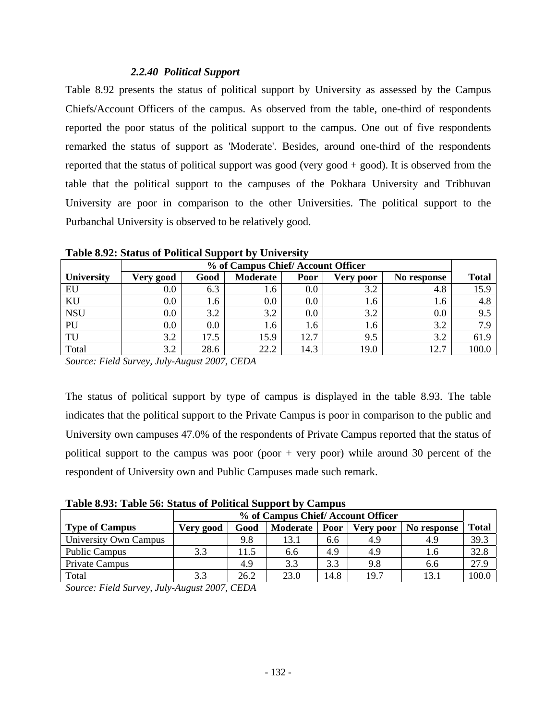## *2.2.40 Political Support*

Table 8.92 presents the status of political support by University as assessed by the Campus Chiefs/Account Officers of the campus. As observed from the table, one-third of respondents reported the poor status of the political support to the campus. One out of five respondents remarked the status of support as 'Moderate'. Besides, around one-third of the respondents reported that the status of political support was good (very good  $+$  good). It is observed from the table that the political support to the campuses of the Pokhara University and Tribhuvan University are poor in comparison to the other Universities. The political support to the Purbanchal University is observed to be relatively good.

|                   | % of Campus Chief/Account Officer |         |                 |      |                 |             |              |  |
|-------------------|-----------------------------------|---------|-----------------|------|-----------------|-------------|--------------|--|
| <b>University</b> | Very good                         | Good    | <b>Moderate</b> | Poor | Very poor       | No response | <b>Total</b> |  |
| EU                | $0.0\,$                           | 6.3     | 1.6             | 0.0  | 3.2             | 4.8         | 15.9         |  |
| KU                | $0.0\,$                           | 1.6     | 0.0             | 0.0  | .6 <sub>1</sub> | 1.6         | 4.8          |  |
| <b>NSU</b>        | $0.0\,$                           | 3.2     | 3.2             | 0.0  | 3.2             | $0.0\,$     | 9.5          |  |
| PU                | $0.0\,$                           | $0.0\,$ | 1.6             | 1.6  | 1.6             | 3.2         | 7.9          |  |
| TU                | 3.2                               | 17.5    | 15.9            | 12.7 | 9.5             | 3.2         | 61.9         |  |
| Total             | 3.2                               | 28.6    | 22.2            | 14.3 | 19.0            | 12.7        | 100.0        |  |

**Table 8.92: Status of Political Support by University** 

*Source: Field Survey, July-August 2007, CEDA* 

The status of political support by type of campus is displayed in the table 8.93. The table indicates that the political support to the Private Campus is poor in comparison to the public and University own campuses 47.0% of the respondents of Private Campus reported that the status of political support to the campus was poor (poor  $+$  very poor) while around 30 percent of the respondent of University own and Public Campuses made such remark.

**Table 8.93: Table 56: Status of Political Support by Campus** 

| Tuble 01201 Tuble collourup of I onthem pupport by Cumpub |           |                                   |                 |      |                  |             |              |  |  |  |
|-----------------------------------------------------------|-----------|-----------------------------------|-----------------|------|------------------|-------------|--------------|--|--|--|
|                                                           |           | % of Campus Chief/Account Officer |                 |      |                  |             |              |  |  |  |
| <b>Type of Campus</b>                                     | Very good | Good                              | <b>Moderate</b> | Poor | <b>Very poor</b> | No response | <b>Total</b> |  |  |  |
| University Own Campus                                     |           | 9.8                               | l3.1            | 6.6  | 4.9              | 4.9         | 39.3         |  |  |  |
| <b>Public Campus</b>                                      | 3.3       | 11.5                              | 6.6             | 4.9  | 4.9              | l.6         | 32.8         |  |  |  |
| Private Campus                                            |           | 4.9                               | 3.3             | 3.3  | 9.8              | 6.6         | 27.9         |  |  |  |
| Total                                                     | 3.3       | 26.2                              | 23.0            | 14.8 | 19.7             | 13.1        | 100.0        |  |  |  |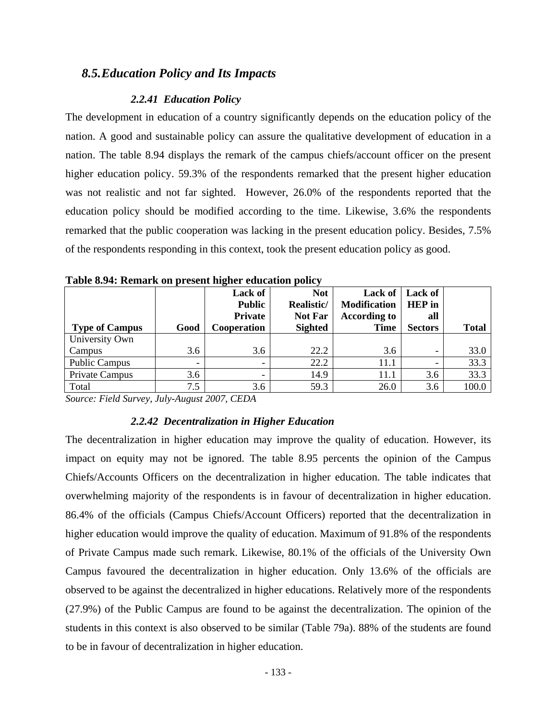# *8.5.Education Policy and Its Impacts*

#### *2.2.41 Education Policy*

The development in education of a country significantly depends on the education policy of the nation. A good and sustainable policy can assure the qualitative development of education in a nation. The table 8.94 displays the remark of the campus chiefs/account officer on the present higher education policy. 59.3% of the respondents remarked that the present higher education was not realistic and not far sighted. However, 26.0% of the respondents reported that the education policy should be modified according to the time. Likewise, 3.6% the respondents remarked that the public cooperation was lacking in the present education policy. Besides, 7.5% of the respondents responding in this context, took the present education policy as good.

|                       |                          | Lack of<br><b>Public</b><br><b>Private</b> | <b>Not</b><br>Realistic/<br><b>Not Far</b> | Lack of<br><b>Modification</b><br><b>According to</b> | Lack of<br><b>HEP</b> in<br>all |              |
|-----------------------|--------------------------|--------------------------------------------|--------------------------------------------|-------------------------------------------------------|---------------------------------|--------------|
| <b>Type of Campus</b> | Good                     | Cooperation                                | <b>Sighted</b>                             | <b>Time</b>                                           | <b>Sectors</b>                  | <b>Total</b> |
| University Own        |                          |                                            |                                            |                                                       |                                 |              |
| Campus                | 3.6                      | 3.6                                        | 22.2                                       | 3.6                                                   | -                               | 33.0         |
| <b>Public Campus</b>  | $\overline{\phantom{0}}$ |                                            | 22.2                                       | 11.1                                                  |                                 | 33.3         |
| Private Campus        | 3.6                      |                                            | 14.9                                       | 11.1                                                  | 3.6                             | 33.3         |
| Total                 | 7.5                      | 3.6                                        | 59.3                                       | 26.0                                                  | 3.6                             | 100.0        |

**Table 8.94: Remark on present higher education policy** 

*Source: Field Survey, July-August 2007, CEDA* 

## *2.2.42 Decentralization in Higher Education*

The decentralization in higher education may improve the quality of education. However, its impact on equity may not be ignored. The table 8.95 percents the opinion of the Campus Chiefs/Accounts Officers on the decentralization in higher education. The table indicates that overwhelming majority of the respondents is in favour of decentralization in higher education. 86.4% of the officials (Campus Chiefs/Account Officers) reported that the decentralization in higher education would improve the quality of education. Maximum of 91.8% of the respondents of Private Campus made such remark. Likewise, 80.1% of the officials of the University Own Campus favoured the decentralization in higher education. Only 13.6% of the officials are observed to be against the decentralized in higher educations. Relatively more of the respondents (27.9%) of the Public Campus are found to be against the decentralization. The opinion of the students in this context is also observed to be similar (Table 79a). 88% of the students are found to be in favour of decentralization in higher education.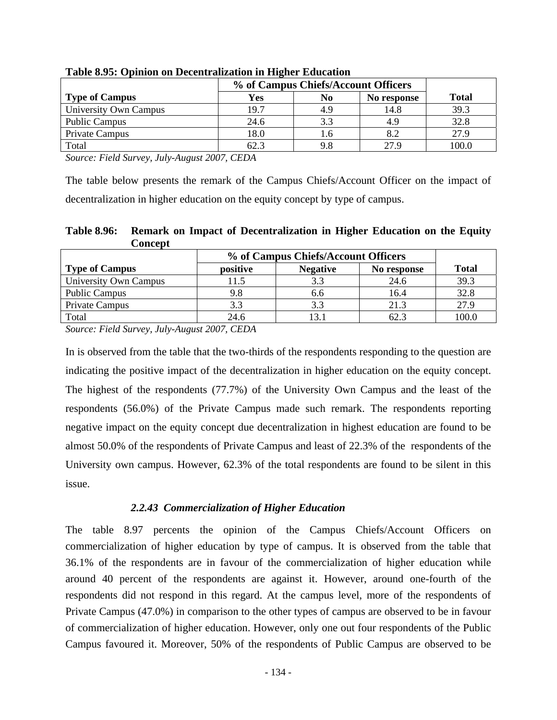|                       | % of Campus Chiefs/Account Officers |     |             |              |
|-----------------------|-------------------------------------|-----|-------------|--------------|
| <b>Type of Campus</b> | Yes                                 | No  | No response | <b>Total</b> |
| University Own Campus | 19.7                                | 4.9 | 14.8        | 39.3         |
| <b>Public Campus</b>  | 24.6                                | 3.3 |             | 32.8         |
| Private Campus        | 18.0                                | 1.6 |             | 27.9         |
| Total                 | 62.3                                | 9.8 | 27.9        | 100.0        |

**Table 8.95: Opinion on Decentralization in Higher Education** 

The table below presents the remark of the Campus Chiefs/Account Officer on the impact of decentralization in higher education on the equity concept by type of campus.

**Table 8.96: Remark on Impact of Decentralization in Higher Education on the Equity Concept** 

|                       | % of Campus Chiefs/Account Officers |                 |             |       |
|-----------------------|-------------------------------------|-----------------|-------------|-------|
| <b>Type of Campus</b> | positive                            | <b>Negative</b> | No response | Total |
| University Own Campus | 1.5                                 | 3.3             | 24.6        | 39.3  |
| <b>Public Campus</b>  | 9.8                                 | 6.6             | 16.4        | 32.8  |
| Private Campus        | 3.3                                 | 3.3             | 21.3        | 27.9  |
| Total                 | 24.6                                | l3.1            | 62.3        | 100.0 |

*Source: Field Survey, July-August 2007, CEDA* 

In is observed from the table that the two-thirds of the respondents responding to the question are indicating the positive impact of the decentralization in higher education on the equity concept. The highest of the respondents (77.7%) of the University Own Campus and the least of the respondents (56.0%) of the Private Campus made such remark. The respondents reporting negative impact on the equity concept due decentralization in highest education are found to be almost 50.0% of the respondents of Private Campus and least of 22.3% of the respondents of the University own campus. However, 62.3% of the total respondents are found to be silent in this issue.

# *2.2.43 Commercialization of Higher Education*

The table 8.97 percents the opinion of the Campus Chiefs/Account Officers on commercialization of higher education by type of campus. It is observed from the table that 36.1% of the respondents are in favour of the commercialization of higher education while around 40 percent of the respondents are against it. However, around one-fourth of the respondents did not respond in this regard. At the campus level, more of the respondents of Private Campus (47.0%) in comparison to the other types of campus are observed to be in favour of commercialization of higher education. However, only one out four respondents of the Public Campus favoured it. Moreover, 50% of the respondents of Public Campus are observed to be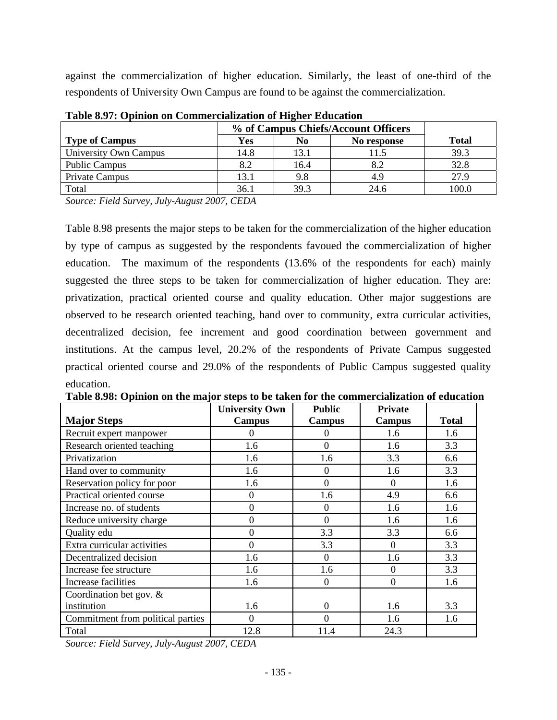against the commercialization of higher education. Similarly, the least of one-third of the respondents of University Own Campus are found to be against the commercialization.

|                       | % of Campus Chiefs/Account Officers |      |             |              |  |  |  |
|-----------------------|-------------------------------------|------|-------------|--------------|--|--|--|
| <b>Type of Campus</b> | Yes                                 | No.  | No response | <b>Total</b> |  |  |  |
| University Own Campus | 14.8                                | 13.1 |             | 39.3         |  |  |  |
| <b>Public Campus</b>  | 8.2                                 | 16.4 | 8.2         | 32.8         |  |  |  |
| Private Campus        | 13.1                                | 9.8  | 4.9         | 27.9         |  |  |  |
| Total                 | 36.1                                | 39.3 | 24.6        | 100.0        |  |  |  |

**Table 8.97: Opinion on Commercialization of Higher Education** 

*Source: Field Survey, July-August 2007, CEDA* 

Table 8.98 presents the major steps to be taken for the commercialization of the higher education by type of campus as suggested by the respondents favoued the commercialization of higher education. The maximum of the respondents (13.6% of the respondents for each) mainly suggested the three steps to be taken for commercialization of higher education. They are: privatization, practical oriented course and quality education. Other major suggestions are observed to be research oriented teaching, hand over to community, extra curricular activities, decentralized decision, fee increment and good coordination between government and institutions. At the campus level, 20.2% of the respondents of Private Campus suggested practical oriented course and 29.0% of the respondents of Public Campus suggested quality education.

|                                   | <b>University Own</b> | <b>Public</b>    | <b>Private</b>   |              |
|-----------------------------------|-----------------------|------------------|------------------|--------------|
| <b>Major Steps</b>                | <b>Campus</b>         | Campus           | <b>Campus</b>    | <b>Total</b> |
| Recruit expert manpower           | $\theta$              | $\Omega$         | 1.6              | 1.6          |
| Research oriented teaching        | 1.6                   | $\overline{0}$   | 1.6              | 3.3          |
| Privatization                     | 1.6                   | 1.6              | 3.3              | 6.6          |
| Hand over to community            | 1.6                   | $\overline{0}$   | 1.6              | 3.3          |
| Reservation policy for poor       | 1.6                   | $\overline{0}$   | $\Omega$         | 1.6          |
| Practical oriented course         | $\boldsymbol{0}$      | 1.6              | 4.9              | 6.6          |
| Increase no. of students          | $\overline{0}$        | $\overline{0}$   | 1.6              | 1.6          |
| Reduce university charge          | $\overline{0}$        | $\overline{0}$   | 1.6              | 1.6          |
| Quality edu                       | $\overline{0}$        | 3.3              | 3.3              | 6.6          |
| Extra curricular activities       | $\overline{0}$        | 3.3              | $\Omega$         | 3.3          |
| Decentralized decision            | 1.6                   | $\overline{0}$   | 1.6              | 3.3          |
| Increase fee structure            | 1.6                   | 1.6              | $\Omega$         | 3.3          |
| Increase facilities               | 1.6                   | $\boldsymbol{0}$ | $\boldsymbol{0}$ | 1.6          |
| Coordination bet gov. $&$         |                       |                  |                  |              |
| institution                       | 1.6                   | $\overline{0}$   | 1.6              | 3.3          |
| Commitment from political parties | $\theta$              | 0                | 1.6              | 1.6          |
| Total                             | 12.8                  | 11.4             | 24.3             |              |

**Table 8.98: Opinion on the major steps to be taken for the commercialization of education**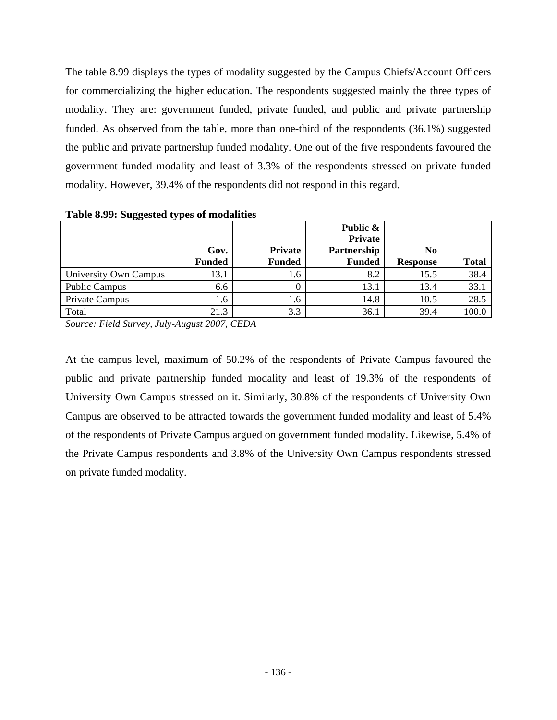The table 8.99 displays the types of modality suggested by the Campus Chiefs/Account Officers for commercializing the higher education. The respondents suggested mainly the three types of modality. They are: government funded, private funded, and public and private partnership funded. As observed from the table, more than one-third of the respondents (36.1%) suggested the public and private partnership funded modality. One out of the five respondents favoured the government funded modality and least of 3.3% of the respondents stressed on private funded modality. However, 39.4% of the respondents did not respond in this regard.

|                       |               |                | Public &<br><b>Private</b> |                 |              |
|-----------------------|---------------|----------------|----------------------------|-----------------|--------------|
|                       | Gov.          | <b>Private</b> | Partnership                | N <sub>0</sub>  |              |
|                       | <b>Funded</b> | <b>Funded</b>  | <b>Funded</b>              | <b>Response</b> | <b>Total</b> |
| University Own Campus | 13.1          | 1.6            | 8.2                        | 15.5            | 38.4         |
| <b>Public Campus</b>  | 6.6           |                | 13.1                       | 13.4            | 33.1         |
| Private Campus        | 1.6           | 1.6            | 14.8                       | 10.5            | 28.5         |
| Total                 | 21.3          | 3.3            | 36.1                       | 39.4            | 100.0        |

**Table 8.99: Suggested types of modalities** 

*Source: Field Survey, July-August 2007, CEDA* 

At the campus level, maximum of 50.2% of the respondents of Private Campus favoured the public and private partnership funded modality and least of 19.3% of the respondents of University Own Campus stressed on it. Similarly, 30.8% of the respondents of University Own Campus are observed to be attracted towards the government funded modality and least of 5.4% of the respondents of Private Campus argued on government funded modality. Likewise, 5.4% of the Private Campus respondents and 3.8% of the University Own Campus respondents stressed on private funded modality.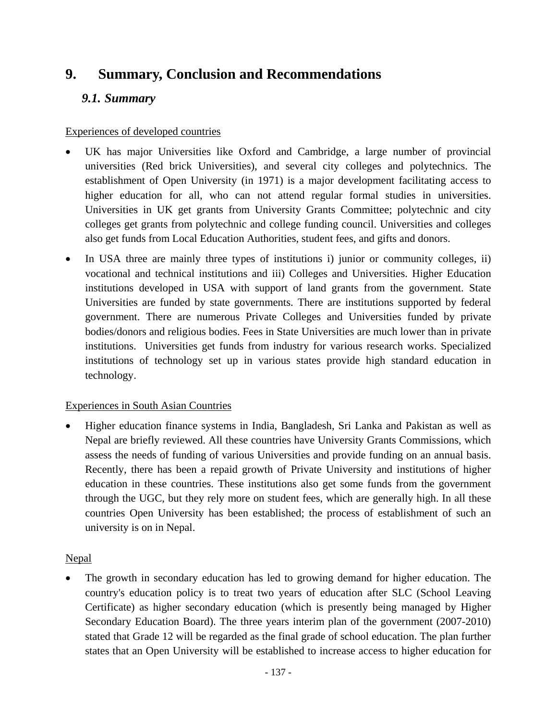# **9. Summary, Conclusion and Recommendations**

# *9.1. Summary*

# Experiences of developed countries

- UK has major Universities like Oxford and Cambridge, a large number of provincial universities (Red brick Universities), and several city colleges and polytechnics. The establishment of Open University (in 1971) is a major development facilitating access to higher education for all, who can not attend regular formal studies in universities. Universities in UK get grants from University Grants Committee; polytechnic and city colleges get grants from polytechnic and college funding council. Universities and colleges also get funds from Local Education Authorities, student fees, and gifts and donors.
- In USA three are mainly three types of institutions i) junior or community colleges, ii) vocational and technical institutions and iii) Colleges and Universities. Higher Education institutions developed in USA with support of land grants from the government. State Universities are funded by state governments. There are institutions supported by federal government. There are numerous Private Colleges and Universities funded by private bodies/donors and religious bodies. Fees in State Universities are much lower than in private institutions. Universities get funds from industry for various research works. Specialized institutions of technology set up in various states provide high standard education in technology.

# Experiences in South Asian Countries

• Higher education finance systems in India, Bangladesh, Sri Lanka and Pakistan as well as Nepal are briefly reviewed. All these countries have University Grants Commissions, which assess the needs of funding of various Universities and provide funding on an annual basis. Recently, there has been a repaid growth of Private University and institutions of higher education in these countries. These institutions also get some funds from the government through the UGC, but they rely more on student fees, which are generally high. In all these countries Open University has been established; the process of establishment of such an university is on in Nepal.

# **Nepal**

The growth in secondary education has led to growing demand for higher education. The country's education policy is to treat two years of education after SLC (School Leaving Certificate) as higher secondary education (which is presently being managed by Higher Secondary Education Board). The three years interim plan of the government (2007-2010) stated that Grade 12 will be regarded as the final grade of school education. The plan further states that an Open University will be established to increase access to higher education for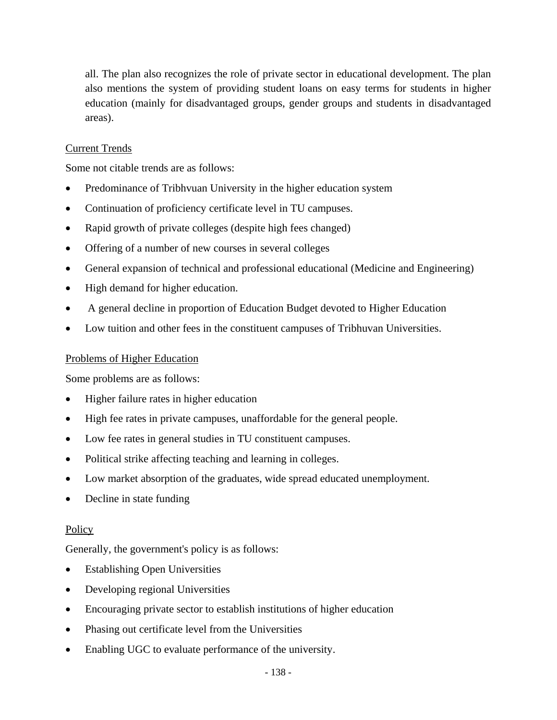all. The plan also recognizes the role of private sector in educational development. The plan also mentions the system of providing student loans on easy terms for students in higher education (mainly for disadvantaged groups, gender groups and students in disadvantaged areas).

# Current Trends

Some not citable trends are as follows:

- Predominance of Tribhvuan University in the higher education system
- Continuation of proficiency certificate level in TU campuses.
- Rapid growth of private colleges (despite high fees changed)
- Offering of a number of new courses in several colleges
- General expansion of technical and professional educational (Medicine and Engineering)
- High demand for higher education.
- A general decline in proportion of Education Budget devoted to Higher Education
- Low tuition and other fees in the constituent campuses of Tribhuvan Universities.

## Problems of Higher Education

Some problems are as follows:

- Higher failure rates in higher education
- High fee rates in private campuses, unaffordable for the general people.
- Low fee rates in general studies in TU constituent campuses.
- Political strike affecting teaching and learning in colleges.
- Low market absorption of the graduates, wide spread educated unemployment.
- Decline in state funding

## **Policy**

Generally, the government's policy is as follows:

- **Establishing Open Universities**
- Developing regional Universities
- Encouraging private sector to establish institutions of higher education
- Phasing out certificate level from the Universities
- Enabling UGC to evaluate performance of the university.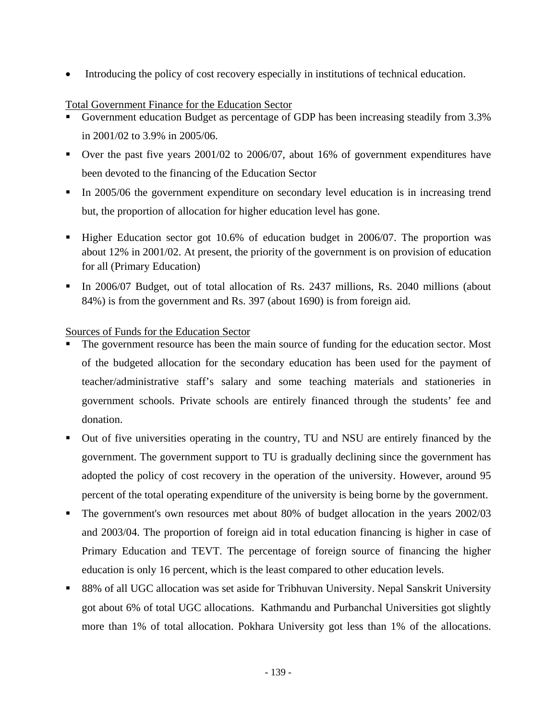• Introducing the policy of cost recovery especially in institutions of technical education.

#### Total Government Finance for the Education Sector

- Government education Budget as percentage of GDP has been increasing steadily from 3.3% in 2001/02 to 3.9% in 2005/06.
- Over the past five years 2001/02 to 2006/07, about 16% of government expenditures have been devoted to the financing of the Education Sector
- In 2005/06 the government expenditure on secondary level education is in increasing trend but, the proportion of allocation for higher education level has gone.
- Higher Education sector got 10.6% of education budget in 2006/07. The proportion was about 12% in 2001/02. At present, the priority of the government is on provision of education for all (Primary Education)
- In 2006/07 Budget, out of total allocation of Rs. 2437 millions, Rs. 2040 millions (about 84%) is from the government and Rs. 397 (about 1690) is from foreign aid.

#### Sources of Funds for the Education Sector

- The government resource has been the main source of funding for the education sector. Most of the budgeted allocation for the secondary education has been used for the payment of teacher/administrative staff's salary and some teaching materials and stationeries in government schools. Private schools are entirely financed through the students' fee and donation.
- Out of five universities operating in the country, TU and NSU are entirely financed by the government. The government support to TU is gradually declining since the government has adopted the policy of cost recovery in the operation of the university. However, around 95 percent of the total operating expenditure of the university is being borne by the government.
- The government's own resources met about 80% of budget allocation in the years  $2002/03$ and 2003/04. The proportion of foreign aid in total education financing is higher in case of Primary Education and TEVT. The percentage of foreign source of financing the higher education is only 16 percent, which is the least compared to other education levels.
- 88% of all UGC allocation was set aside for Tribhuvan University. Nepal Sanskrit University got about 6% of total UGC allocations. Kathmandu and Purbanchal Universities got slightly more than 1% of total allocation. Pokhara University got less than 1% of the allocations.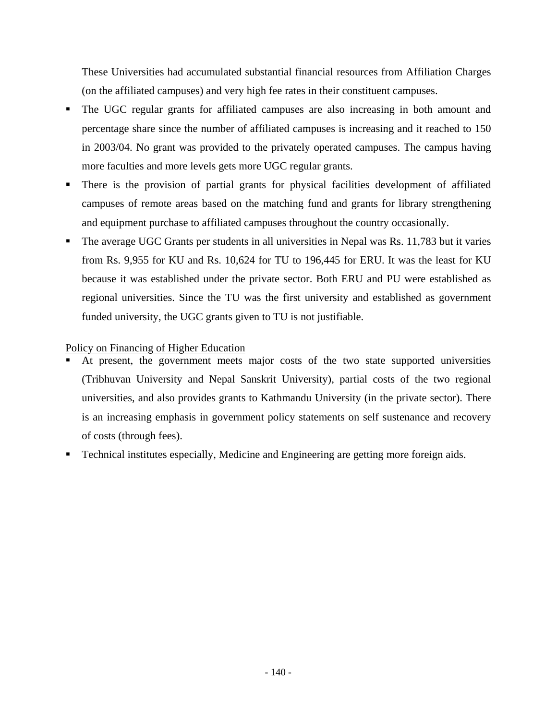These Universities had accumulated substantial financial resources from Affiliation Charges (on the affiliated campuses) and very high fee rates in their constituent campuses.

- The UGC regular grants for affiliated campuses are also increasing in both amount and percentage share since the number of affiliated campuses is increasing and it reached to 150 in 2003/04. No grant was provided to the privately operated campuses. The campus having more faculties and more levels gets more UGC regular grants.
- There is the provision of partial grants for physical facilities development of affiliated campuses of remote areas based on the matching fund and grants for library strengthening and equipment purchase to affiliated campuses throughout the country occasionally.
- The average UGC Grants per students in all universities in Nepal was Rs. 11,783 but it varies from Rs. 9,955 for KU and Rs. 10,624 for TU to 196,445 for ERU. It was the least for KU because it was established under the private sector. Both ERU and PU were established as regional universities. Since the TU was the first university and established as government funded university, the UGC grants given to TU is not justifiable.

#### Policy on Financing of Higher Education

- At present, the government meets major costs of the two state supported universities (Tribhuvan University and Nepal Sanskrit University), partial costs of the two regional universities, and also provides grants to Kathmandu University (in the private sector). There is an increasing emphasis in government policy statements on self sustenance and recovery of costs (through fees).
- Technical institutes especially, Medicine and Engineering are getting more foreign aids.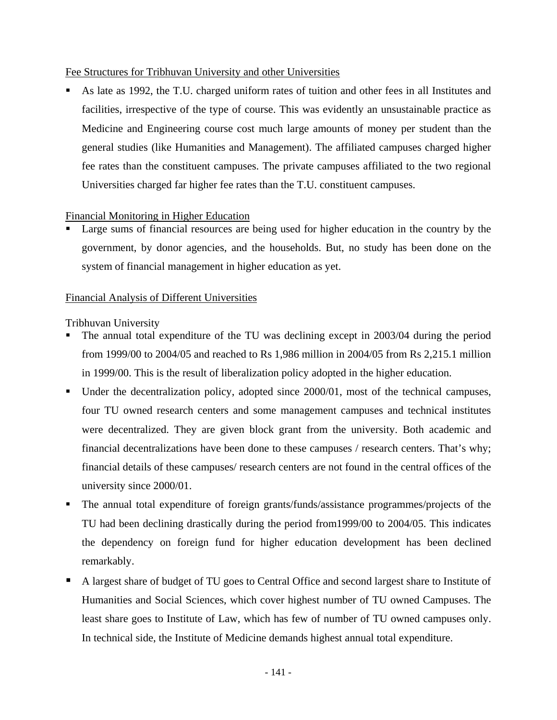#### Fee Structures for Tribhuvan University and other Universities

 As late as 1992, the T.U. charged uniform rates of tuition and other fees in all Institutes and facilities, irrespective of the type of course. This was evidently an unsustainable practice as Medicine and Engineering course cost much large amounts of money per student than the general studies (like Humanities and Management). The affiliated campuses charged higher fee rates than the constituent campuses. The private campuses affiliated to the two regional Universities charged far higher fee rates than the T.U. constituent campuses.

#### Financial Monitoring in Higher Education

 Large sums of financial resources are being used for higher education in the country by the government, by donor agencies, and the households. But, no study has been done on the system of financial management in higher education as yet.

#### Financial Analysis of Different Universities

Tribhuvan University

- The annual total expenditure of the TU was declining except in 2003/04 during the period from 1999/00 to 2004/05 and reached to Rs 1,986 million in 2004/05 from Rs 2,215.1 million in 1999/00. This is the result of liberalization policy adopted in the higher education.
- Under the decentralization policy, adopted since 2000/01, most of the technical campuses, four TU owned research centers and some management campuses and technical institutes were decentralized. They are given block grant from the university. Both academic and financial decentralizations have been done to these campuses / research centers. That's why; financial details of these campuses/ research centers are not found in the central offices of the university since 2000/01.
- The annual total expenditure of foreign grants/funds/assistance programmes/projects of the TU had been declining drastically during the period from1999/00 to 2004/05. This indicates the dependency on foreign fund for higher education development has been declined remarkably.
- A largest share of budget of TU goes to Central Office and second largest share to Institute of Humanities and Social Sciences, which cover highest number of TU owned Campuses. The least share goes to Institute of Law, which has few of number of TU owned campuses only. In technical side, the Institute of Medicine demands highest annual total expenditure.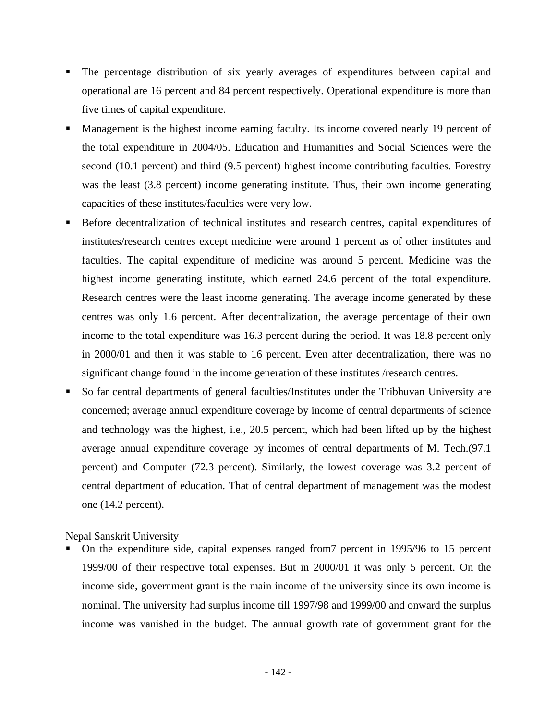- The percentage distribution of six yearly averages of expenditures between capital and operational are 16 percent and 84 percent respectively. Operational expenditure is more than five times of capital expenditure.
- Management is the highest income earning faculty. Its income covered nearly 19 percent of the total expenditure in 2004/05. Education and Humanities and Social Sciences were the second (10.1 percent) and third (9.5 percent) highest income contributing faculties. Forestry was the least (3.8 percent) income generating institute. Thus, their own income generating capacities of these institutes/faculties were very low.
- Before decentralization of technical institutes and research centres, capital expenditures of institutes/research centres except medicine were around 1 percent as of other institutes and faculties. The capital expenditure of medicine was around 5 percent. Medicine was the highest income generating institute, which earned 24.6 percent of the total expenditure. Research centres were the least income generating. The average income generated by these centres was only 1.6 percent. After decentralization, the average percentage of their own income to the total expenditure was 16.3 percent during the period. It was 18.8 percent only in 2000/01 and then it was stable to 16 percent. Even after decentralization, there was no significant change found in the income generation of these institutes /research centres.
- So far central departments of general faculties/Institutes under the Tribhuvan University are concerned; average annual expenditure coverage by income of central departments of science and technology was the highest, i.e., 20.5 percent, which had been lifted up by the highest average annual expenditure coverage by incomes of central departments of M. Tech.(97.1 percent) and Computer (72.3 percent). Similarly, the lowest coverage was 3.2 percent of central department of education. That of central department of management was the modest one (14.2 percent).

Nepal Sanskrit University

 On the expenditure side, capital expenses ranged from7 percent in 1995/96 to 15 percent 1999/00 of their respective total expenses. But in 2000/01 it was only 5 percent. On the income side, government grant is the main income of the university since its own income is nominal. The university had surplus income till 1997/98 and 1999/00 and onward the surplus income was vanished in the budget. The annual growth rate of government grant for the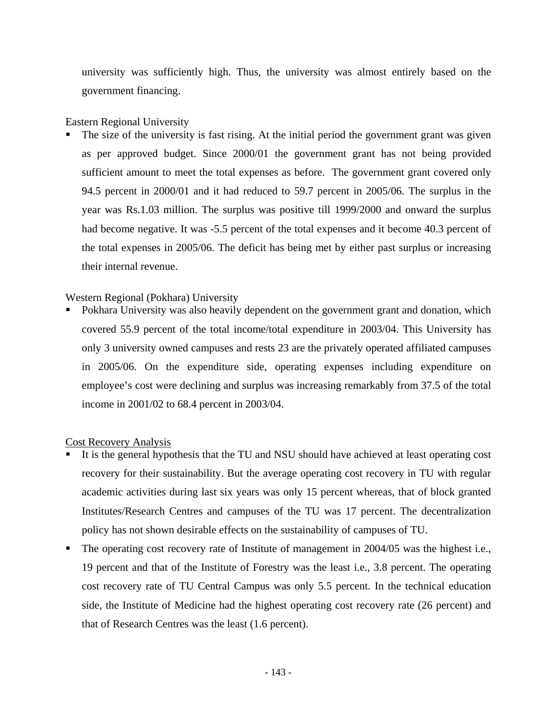university was sufficiently high. Thus, the university was almost entirely based on the government financing.

#### Eastern Regional University

 The size of the university is fast rising. At the initial period the government grant was given as per approved budget. Since 2000/01 the government grant has not being provided sufficient amount to meet the total expenses as before. The government grant covered only 94.5 percent in 2000/01 and it had reduced to 59.7 percent in 2005/06. The surplus in the year was Rs.1.03 million. The surplus was positive till 1999/2000 and onward the surplus had become negative. It was  $-5.5$  percent of the total expenses and it become 40.3 percent of the total expenses in 2005/06. The deficit has being met by either past surplus or increasing their internal revenue.

#### Western Regional (Pokhara) University

 Pokhara University was also heavily dependent on the government grant and donation, which covered 55.9 percent of the total income/total expenditure in 2003/04. This University has only 3 university owned campuses and rests 23 are the privately operated affiliated campuses in 2005/06. On the expenditure side, operating expenses including expenditure on employee's cost were declining and surplus was increasing remarkably from 37.5 of the total income in 2001/02 to 68.4 percent in 2003/04.

#### Cost Recovery Analysis

- It is the general hypothesis that the TU and NSU should have achieved at least operating cost recovery for their sustainability. But the average operating cost recovery in TU with regular academic activities during last six years was only 15 percent whereas, that of block granted Institutes/Research Centres and campuses of the TU was 17 percent. The decentralization policy has not shown desirable effects on the sustainability of campuses of TU.
- The operating cost recovery rate of Institute of management in 2004/05 was the highest i.e., 19 percent and that of the Institute of Forestry was the least i.e., 3.8 percent. The operating cost recovery rate of TU Central Campus was only 5.5 percent. In the technical education side, the Institute of Medicine had the highest operating cost recovery rate (26 percent) and that of Research Centres was the least (1.6 percent).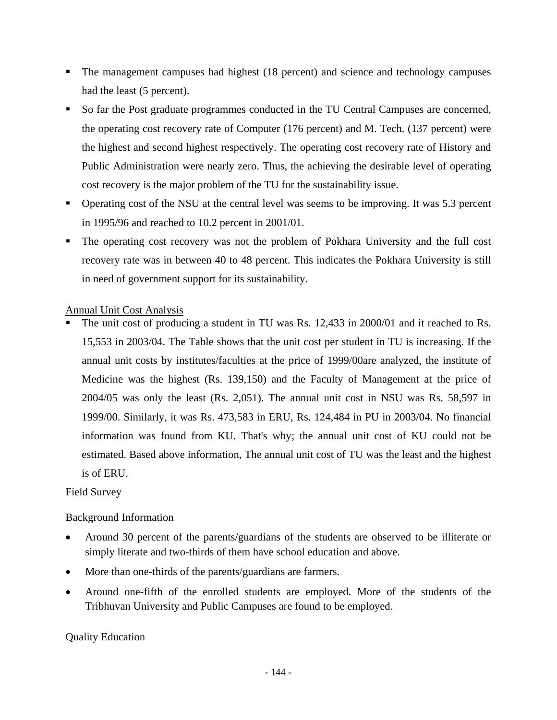- The management campuses had highest (18 percent) and science and technology campuses had the least (5 percent).
- So far the Post graduate programmes conducted in the TU Central Campuses are concerned, the operating cost recovery rate of Computer (176 percent) and M. Tech. (137 percent) were the highest and second highest respectively. The operating cost recovery rate of History and Public Administration were nearly zero. Thus, the achieving the desirable level of operating cost recovery is the major problem of the TU for the sustainability issue.
- Operating cost of the NSU at the central level was seems to be improving. It was 5.3 percent in 1995/96 and reached to 10.2 percent in 2001/01.
- The operating cost recovery was not the problem of Pokhara University and the full cost recovery rate was in between 40 to 48 percent. This indicates the Pokhara University is still in need of government support for its sustainability.

#### Annual Unit Cost Analysis

 The unit cost of producing a student in TU was Rs. 12,433 in 2000/01 and it reached to Rs. 15,553 in 2003/04. The Table shows that the unit cost per student in TU is increasing. If the annual unit costs by institutes/faculties at the price of 1999/00are analyzed, the institute of Medicine was the highest (Rs. 139,150) and the Faculty of Management at the price of 2004/05 was only the least (Rs. 2,051). The annual unit cost in NSU was Rs. 58,597 in 1999/00. Similarly, it was Rs. 473,583 in ERU, Rs. 124,484 in PU in 2003/04. No financial information was found from KU. That's why; the annual unit cost of KU could not be estimated. Based above information, The annual unit cost of TU was the least and the highest is of ERU.

#### Field Survey

#### Background Information

- Around 30 percent of the parents/guardians of the students are observed to be illiterate or simply literate and two-thirds of them have school education and above.
- More than one-thirds of the parents/guardians are farmers.
- Around one-fifth of the enrolled students are employed. More of the students of the Tribhuvan University and Public Campuses are found to be employed.

#### Quality Education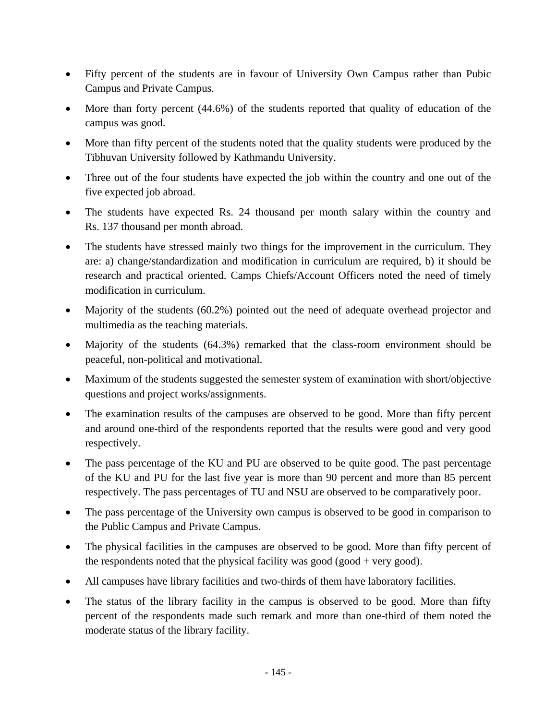- Fifty percent of the students are in favour of University Own Campus rather than Pubic Campus and Private Campus.
- More than forty percent (44.6%) of the students reported that quality of education of the campus was good.
- More than fifty percent of the students noted that the quality students were produced by the Tibhuvan University followed by Kathmandu University.
- Three out of the four students have expected the job within the country and one out of the five expected job abroad.
- The students have expected Rs. 24 thousand per month salary within the country and Rs. 137 thousand per month abroad.
- The students have stressed mainly two things for the improvement in the curriculum. They are: a) change/standardization and modification in curriculum are required, b) it should be research and practical oriented. Camps Chiefs/Account Officers noted the need of timely modification in curriculum.
- Majority of the students (60.2%) pointed out the need of adequate overhead projector and multimedia as the teaching materials.
- Majority of the students (64.3%) remarked that the class-room environment should be peaceful, non-political and motivational.
- Maximum of the students suggested the semester system of examination with short/objective questions and project works/assignments.
- The examination results of the campuses are observed to be good. More than fifty percent and around one-third of the respondents reported that the results were good and very good respectively.
- The pass percentage of the KU and PU are observed to be quite good. The past percentage of the KU and PU for the last five year is more than 90 percent and more than 85 percent respectively. The pass percentages of TU and NSU are observed to be comparatively poor.
- The pass percentage of the University own campus is observed to be good in comparison to the Public Campus and Private Campus.
- The physical facilities in the campuses are observed to be good. More than fifty percent of the respondents noted that the physical facility was good (good  $+$  very good).
- All campuses have library facilities and two-thirds of them have laboratory facilities.
- The status of the library facility in the campus is observed to be good. More than fifty percent of the respondents made such remark and more than one-third of them noted the moderate status of the library facility.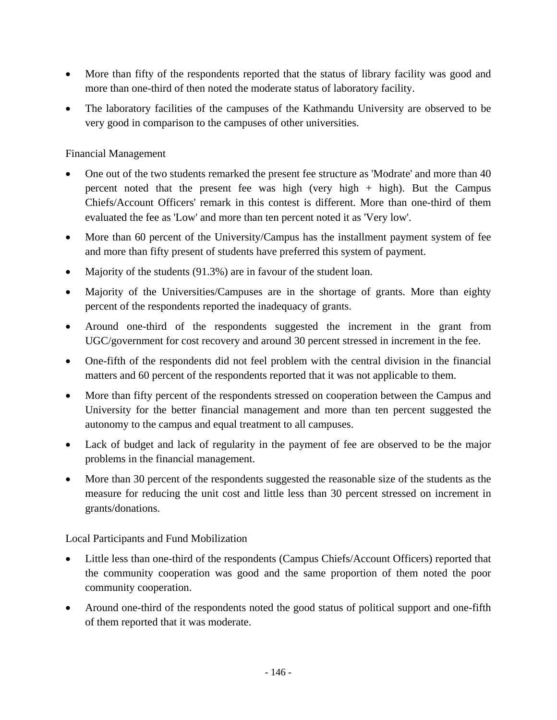- More than fifty of the respondents reported that the status of library facility was good and more than one-third of then noted the moderate status of laboratory facility.
- The laboratory facilities of the campuses of the Kathmandu University are observed to be very good in comparison to the campuses of other universities.

#### Financial Management

- One out of the two students remarked the present fee structure as 'Modrate' and more than 40 percent noted that the present fee was high (very high  $+$  high). But the Campus Chiefs/Account Officers' remark in this contest is different. More than one-third of them evaluated the fee as 'Low' and more than ten percent noted it as 'Very low'.
- More than 60 percent of the University/Campus has the installment payment system of fee and more than fifty present of students have preferred this system of payment.
- Majority of the students (91.3%) are in favour of the student loan.
- Majority of the Universities/Campuses are in the shortage of grants. More than eighty percent of the respondents reported the inadequacy of grants.
- Around one-third of the respondents suggested the increment in the grant from UGC/government for cost recovery and around 30 percent stressed in increment in the fee.
- One-fifth of the respondents did not feel problem with the central division in the financial matters and 60 percent of the respondents reported that it was not applicable to them.
- More than fifty percent of the respondents stressed on cooperation between the Campus and University for the better financial management and more than ten percent suggested the autonomy to the campus and equal treatment to all campuses.
- Lack of budget and lack of regularity in the payment of fee are observed to be the major problems in the financial management.
- More than 30 percent of the respondents suggested the reasonable size of the students as the measure for reducing the unit cost and little less than 30 percent stressed on increment in grants/donations.

Local Participants and Fund Mobilization

- Little less than one-third of the respondents (Campus Chiefs/Account Officers) reported that the community cooperation was good and the same proportion of them noted the poor community cooperation.
- Around one-third of the respondents noted the good status of political support and one-fifth of them reported that it was moderate.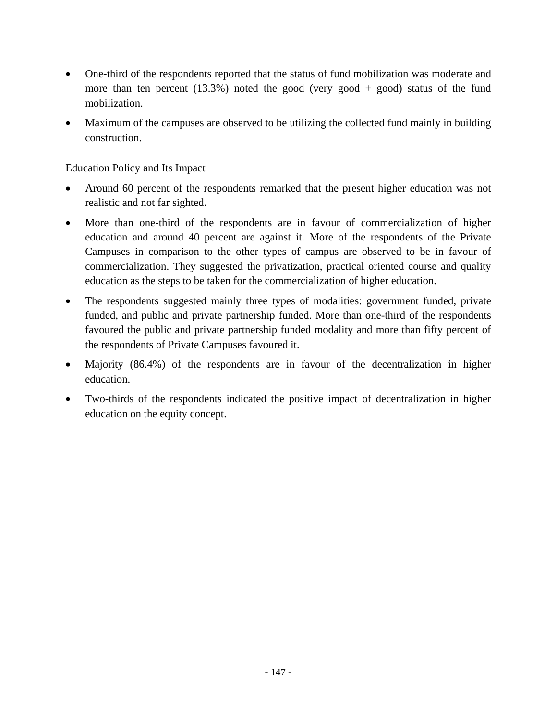- One-third of the respondents reported that the status of fund mobilization was moderate and more than ten percent  $(13.3%)$  noted the good (very good + good) status of the fund mobilization.
- Maximum of the campuses are observed to be utilizing the collected fund mainly in building construction.

Education Policy and Its Impact

- Around 60 percent of the respondents remarked that the present higher education was not realistic and not far sighted.
- More than one-third of the respondents are in favour of commercialization of higher education and around 40 percent are against it. More of the respondents of the Private Campuses in comparison to the other types of campus are observed to be in favour of commercialization. They suggested the privatization, practical oriented course and quality education as the steps to be taken for the commercialization of higher education.
- The respondents suggested mainly three types of modalities: government funded, private funded, and public and private partnership funded. More than one-third of the respondents favoured the public and private partnership funded modality and more than fifty percent of the respondents of Private Campuses favoured it.
- Majority (86.4%) of the respondents are in favour of the decentralization in higher education.
- Two-thirds of the respondents indicated the positive impact of decentralization in higher education on the equity concept.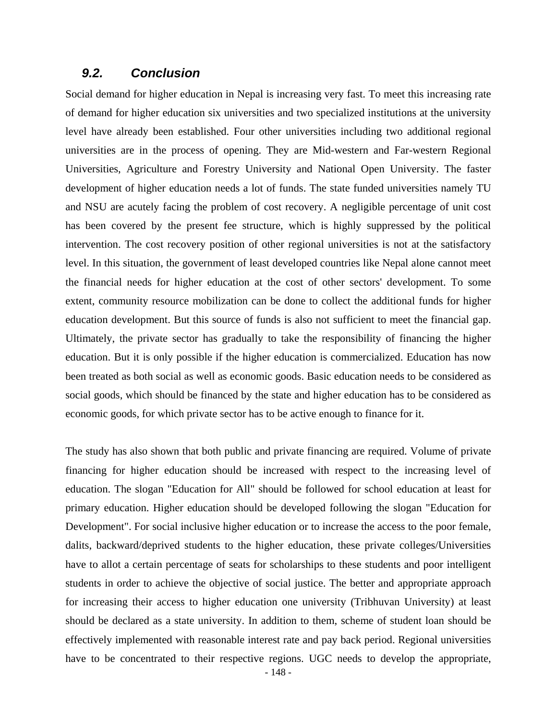#### *9.2. Conclusion*

Social demand for higher education in Nepal is increasing very fast. To meet this increasing rate of demand for higher education six universities and two specialized institutions at the university level have already been established. Four other universities including two additional regional universities are in the process of opening. They are Mid-western and Far-western Regional Universities, Agriculture and Forestry University and National Open University. The faster development of higher education needs a lot of funds. The state funded universities namely TU and NSU are acutely facing the problem of cost recovery. A negligible percentage of unit cost has been covered by the present fee structure, which is highly suppressed by the political intervention. The cost recovery position of other regional universities is not at the satisfactory level. In this situation, the government of least developed countries like Nepal alone cannot meet the financial needs for higher education at the cost of other sectors' development. To some extent, community resource mobilization can be done to collect the additional funds for higher education development. But this source of funds is also not sufficient to meet the financial gap. Ultimately, the private sector has gradually to take the responsibility of financing the higher education. But it is only possible if the higher education is commercialized. Education has now been treated as both social as well as economic goods. Basic education needs to be considered as social goods, which should be financed by the state and higher education has to be considered as economic goods, for which private sector has to be active enough to finance for it.

The study has also shown that both public and private financing are required. Volume of private financing for higher education should be increased with respect to the increasing level of education. The slogan "Education for All" should be followed for school education at least for primary education. Higher education should be developed following the slogan "Education for Development". For social inclusive higher education or to increase the access to the poor female, dalits, backward/deprived students to the higher education, these private colleges/Universities have to allot a certain percentage of seats for scholarships to these students and poor intelligent students in order to achieve the objective of social justice. The better and appropriate approach for increasing their access to higher education one university (Tribhuvan University) at least should be declared as a state university. In addition to them, scheme of student loan should be effectively implemented with reasonable interest rate and pay back period. Regional universities have to be concentrated to their respective regions. UGC needs to develop the appropriate,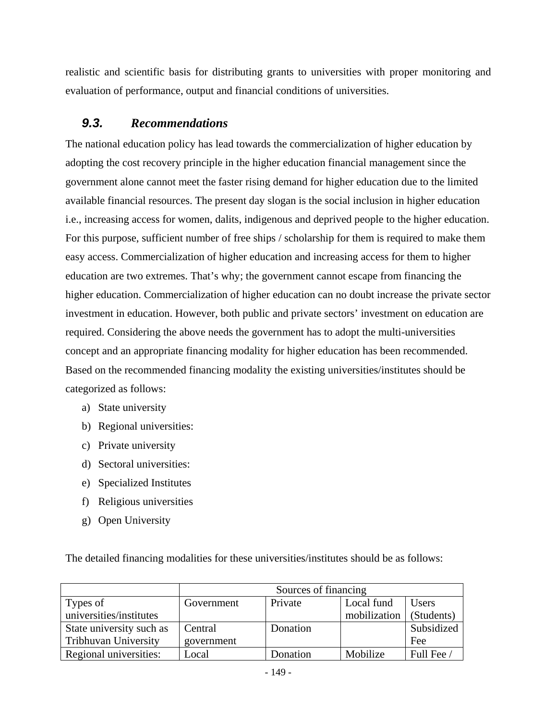realistic and scientific basis for distributing grants to universities with proper monitoring and evaluation of performance, output and financial conditions of universities.

## *9.3. Recommendations*

The national education policy has lead towards the commercialization of higher education by adopting the cost recovery principle in the higher education financial management since the government alone cannot meet the faster rising demand for higher education due to the limited available financial resources. The present day slogan is the social inclusion in higher education i.e., increasing access for women, dalits, indigenous and deprived people to the higher education. For this purpose, sufficient number of free ships / scholarship for them is required to make them easy access. Commercialization of higher education and increasing access for them to higher education are two extremes. That's why; the government cannot escape from financing the higher education. Commercialization of higher education can no doubt increase the private sector investment in education. However, both public and private sectors' investment on education are required. Considering the above needs the government has to adopt the multi-universities concept and an appropriate financing modality for higher education has been recommended. Based on the recommended financing modality the existing universities/institutes should be categorized as follows:

- a) State university
- b) Regional universities:
- c) Private university
- d) Sectoral universities:
- e) Specialized Institutes
- f) Religious universities
- g) Open University

The detailed financing modalities for these universities/institutes should be as follows:

|                             | Sources of financing                |          |              |            |  |
|-----------------------------|-------------------------------------|----------|--------------|------------|--|
| Types of                    | Private<br>Local fund<br>Government |          | <b>Users</b> |            |  |
| universities/institutes     |                                     |          | mobilization | (Students) |  |
| State university such as    | Central                             | Donation |              | Subsidized |  |
| <b>Tribhuvan University</b> | government                          |          |              | Fee        |  |
| Regional universities:      | Local                               | Donation | Mobilize     | Full Fee / |  |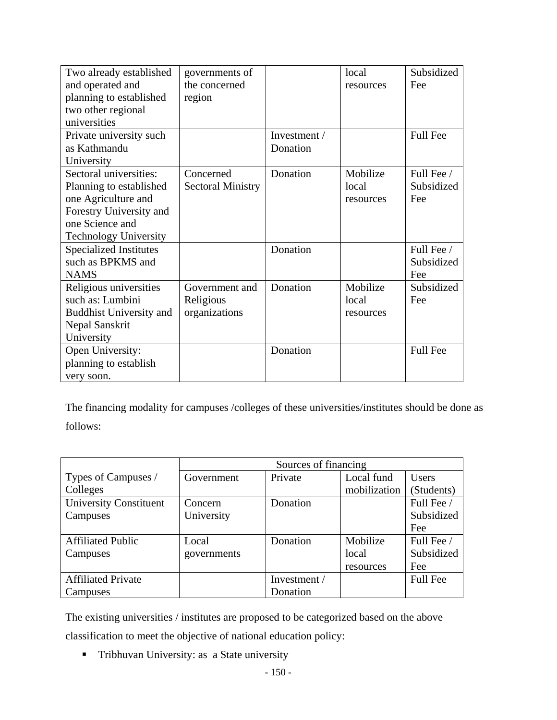| Two already established        | governments of           |              | local     | Subsidized      |
|--------------------------------|--------------------------|--------------|-----------|-----------------|
| and operated and               | the concerned            |              | resources | Fee             |
| planning to established        | region                   |              |           |                 |
| two other regional             |                          |              |           |                 |
| universities                   |                          |              |           |                 |
| Private university such        |                          | Investment / |           | <b>Full Fee</b> |
| as Kathmandu                   |                          | Donation     |           |                 |
| University                     |                          |              |           |                 |
| Sectoral universities:         | Concerned                | Donation     | Mobilize  | Full Fee /      |
| Planning to established        | <b>Sectoral Ministry</b> |              | local     | Subsidized      |
| one Agriculture and            |                          |              | resources | Fee             |
| Forestry University and        |                          |              |           |                 |
| one Science and                |                          |              |           |                 |
| <b>Technology University</b>   |                          |              |           |                 |
| <b>Specialized Institutes</b>  |                          | Donation     |           | Full Fee /      |
| such as BPKMS and              |                          |              |           | Subsidized      |
| <b>NAMS</b>                    |                          |              |           | Fee             |
| Religious universities         | Government and           | Donation     | Mobilize  | Subsidized      |
| such as: Lumbini               | Religious                |              | local     | Fee             |
| <b>Buddhist University and</b> | organizations            |              | resources |                 |
| Nepal Sanskrit                 |                          |              |           |                 |
| University                     |                          |              |           |                 |
| Open University:               |                          | Donation     |           | <b>Full Fee</b> |
| planning to establish          |                          |              |           |                 |
| very soon.                     |                          |              |           |                 |

The financing modality for campuses /colleges of these universities/institutes should be done as follows:

|                               | Sources of financing |              |              |                 |  |
|-------------------------------|----------------------|--------------|--------------|-----------------|--|
| Types of Campuses /           | Government           | Private      | Local fund   | <b>Users</b>    |  |
| Colleges                      |                      |              | mobilization | (Students)      |  |
| <b>University Constituent</b> | Concern              | Donation     |              | Full Fee /      |  |
| Campuses                      | University           |              |              | Subsidized      |  |
|                               |                      |              |              | Fee             |  |
| <b>Affiliated Public</b>      | Local                | Donation     | Mobilize     | Full Fee /      |  |
| Campuses                      | governments          |              | local        | Subsidized      |  |
|                               |                      |              | resources    | Fee             |  |
| <b>Affiliated Private</b>     |                      | Investment / |              | <b>Full Fee</b> |  |
| Campuses                      |                      | Donation     |              |                 |  |

The existing universities / institutes are proposed to be categorized based on the above classification to meet the objective of national education policy:

**Tribhuvan University: as a State university**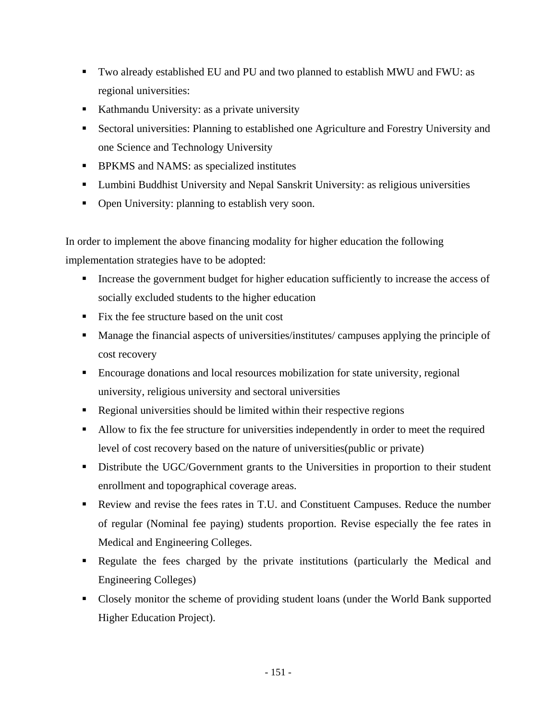- Two already established EU and PU and two planned to establish MWU and FWU: as regional universities:
- Kathmandu University: as a private university
- Sectoral universities: Planning to established one Agriculture and Forestry University and one Science and Technology University
- **BPKMS** and NAMS: as specialized institutes
- Lumbini Buddhist University and Nepal Sanskrit University: as religious universities
- Open University: planning to establish very soon.

In order to implement the above financing modality for higher education the following implementation strategies have to be adopted:

- Increase the government budget for higher education sufficiently to increase the access of socially excluded students to the higher education
- Fix the fee structure based on the unit cost
- Manage the financial aspects of universities/institutes/ campuses applying the principle of cost recovery
- Encourage donations and local resources mobilization for state university, regional university, religious university and sectoral universities
- Regional universities should be limited within their respective regions
- Allow to fix the fee structure for universities independently in order to meet the required level of cost recovery based on the nature of universities(public or private)
- Distribute the UGC/Government grants to the Universities in proportion to their student enrollment and topographical coverage areas.
- Review and revise the fees rates in T.U. and Constituent Campuses. Reduce the number of regular (Nominal fee paying) students proportion. Revise especially the fee rates in Medical and Engineering Colleges.
- Regulate the fees charged by the private institutions (particularly the Medical and Engineering Colleges)
- Closely monitor the scheme of providing student loans (under the World Bank supported Higher Education Project).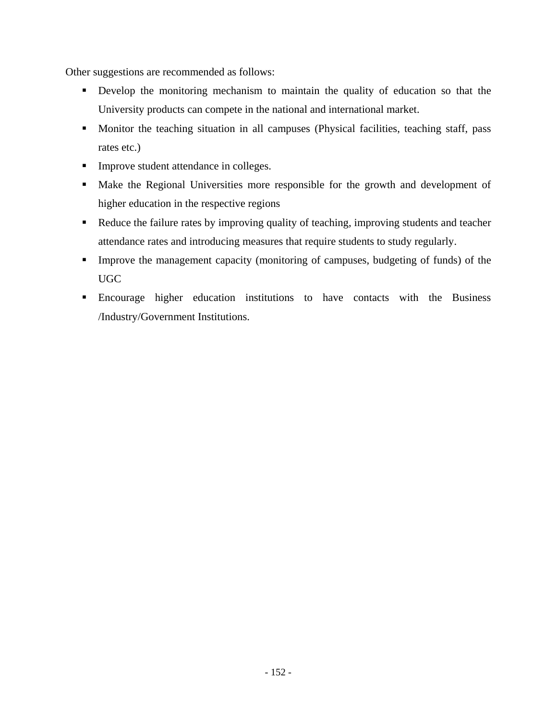Other suggestions are recommended as follows:

- Develop the monitoring mechanism to maintain the quality of education so that the University products can compete in the national and international market.
- **Monitor the teaching situation in all campuses (Physical facilities, teaching staff, pass** rates etc.)
- **Improve student attendance in colleges.**
- Make the Regional Universities more responsible for the growth and development of higher education in the respective regions
- Reduce the failure rates by improving quality of teaching, improving students and teacher attendance rates and introducing measures that require students to study regularly.
- Improve the management capacity (monitoring of campuses, budgeting of funds) of the UGC
- Encourage higher education institutions to have contacts with the Business /Industry/Government Institutions.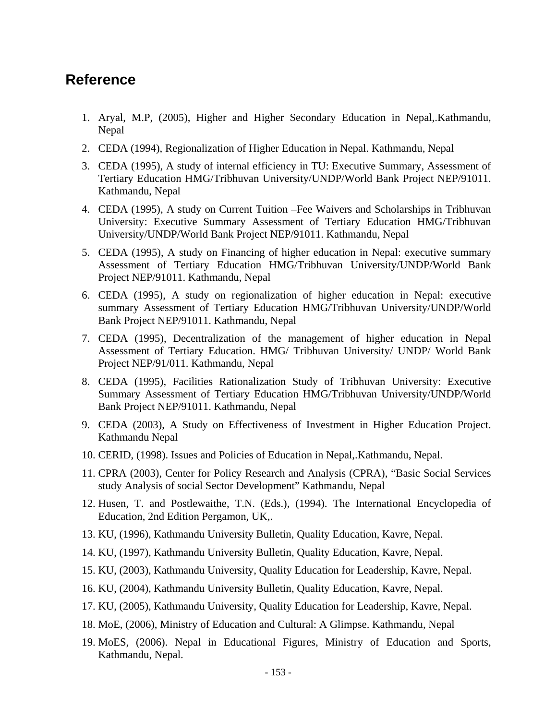# **Reference**

- 1. Aryal, M.P, (2005), Higher and Higher Secondary Education in Nepal,.Kathmandu, Nepal
- 2. CEDA (1994), Regionalization of Higher Education in Nepal. Kathmandu, Nepal
- 3. CEDA (1995), A study of internal efficiency in TU: Executive Summary, Assessment of Tertiary Education HMG/Tribhuvan University/UNDP/World Bank Project NEP/91011. Kathmandu, Nepal
- 4. CEDA (1995), A study on Current Tuition –Fee Waivers and Scholarships in Tribhuvan University: Executive Summary Assessment of Tertiary Education HMG/Tribhuvan University/UNDP/World Bank Project NEP/91011. Kathmandu, Nepal
- 5. CEDA (1995), A study on Financing of higher education in Nepal: executive summary Assessment of Tertiary Education HMG/Tribhuvan University/UNDP/World Bank Project NEP/91011. Kathmandu, Nepal
- 6. CEDA (1995), A study on regionalization of higher education in Nepal: executive summary Assessment of Tertiary Education HMG/Tribhuvan University/UNDP/World Bank Project NEP/91011. Kathmandu, Nepal
- 7. CEDA (1995), Decentralization of the management of higher education in Nepal Assessment of Tertiary Education. HMG/ Tribhuvan University/ UNDP/ World Bank Project NEP/91/011. Kathmandu, Nepal
- 8. CEDA (1995), Facilities Rationalization Study of Tribhuvan University: Executive Summary Assessment of Tertiary Education HMG/Tribhuvan University/UNDP/World Bank Project NEP/91011. Kathmandu, Nepal
- 9. CEDA (2003), A Study on Effectiveness of Investment in Higher Education Project. Kathmandu Nepal
- 10. CERID, (1998). Issues and Policies of Education in Nepal,.Kathmandu, Nepal.
- 11. CPRA (2003), Center for Policy Research and Analysis (CPRA), "Basic Social Services study Analysis of social Sector Development" Kathmandu, Nepal
- 12. Husen, T. and Postlewaithe, T.N. (Eds.), (1994). The International Encyclopedia of Education, 2nd Edition Pergamon, UK,.
- 13. KU, (1996), Kathmandu University Bulletin, Quality Education, Kavre, Nepal.
- 14. KU, (1997), Kathmandu University Bulletin, Quality Education, Kavre, Nepal.
- 15. KU, (2003), Kathmandu University, Quality Education for Leadership, Kavre, Nepal.
- 16. KU, (2004), Kathmandu University Bulletin, Quality Education, Kavre, Nepal.
- 17. KU, (2005), Kathmandu University, Quality Education for Leadership, Kavre, Nepal.
- 18. MoE, (2006), Ministry of Education and Cultural: A Glimpse. Kathmandu, Nepal
- 19. MoES, (2006). Nepal in Educational Figures, Ministry of Education and Sports, Kathmandu, Nepal.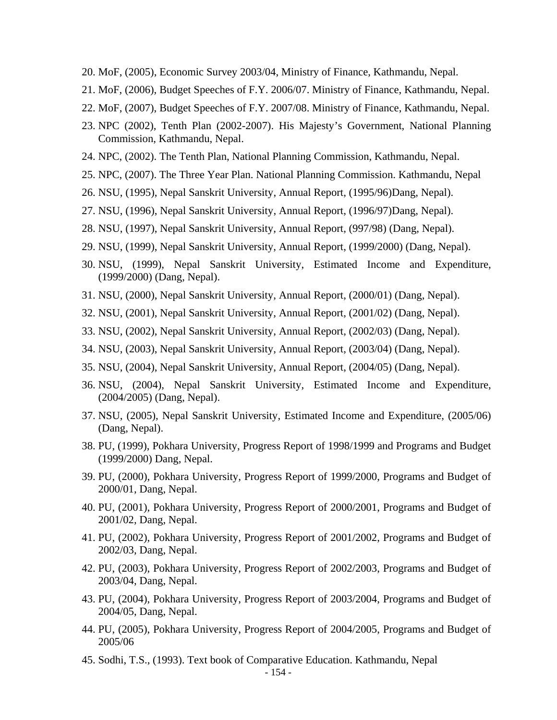- 20. MoF, (2005), Economic Survey 2003/04, Ministry of Finance, Kathmandu, Nepal.
- 21. MoF, (2006), Budget Speeches of F.Y. 2006/07. Ministry of Finance, Kathmandu, Nepal.
- 22. MoF, (2007), Budget Speeches of F.Y. 2007/08. Ministry of Finance, Kathmandu, Nepal.
- 23. NPC (2002), Tenth Plan (2002-2007). His Majesty's Government, National Planning Commission, Kathmandu, Nepal.
- 24. NPC, (2002). The Tenth Plan, National Planning Commission, Kathmandu, Nepal.
- 25. NPC, (2007). The Three Year Plan. National Planning Commission. Kathmandu, Nepal
- 26. NSU, (1995), Nepal Sanskrit University, Annual Report, (1995/96)Dang, Nepal).
- 27. NSU, (1996), Nepal Sanskrit University, Annual Report, (1996/97)Dang, Nepal).
- 28. NSU, (1997), Nepal Sanskrit University, Annual Report, (997/98) (Dang, Nepal).
- 29. NSU, (1999), Nepal Sanskrit University, Annual Report, (1999/2000) (Dang, Nepal).
- 30. NSU, (1999), Nepal Sanskrit University, Estimated Income and Expenditure, (1999/2000) (Dang, Nepal).
- 31. NSU, (2000), Nepal Sanskrit University, Annual Report, (2000/01) (Dang, Nepal).
- 32. NSU, (2001), Nepal Sanskrit University, Annual Report, (2001/02) (Dang, Nepal).
- 33. NSU, (2002), Nepal Sanskrit University, Annual Report, (2002/03) (Dang, Nepal).
- 34. NSU, (2003), Nepal Sanskrit University, Annual Report, (2003/04) (Dang, Nepal).
- 35. NSU, (2004), Nepal Sanskrit University, Annual Report, (2004/05) (Dang, Nepal).
- 36. NSU, (2004), Nepal Sanskrit University, Estimated Income and Expenditure, (2004/2005) (Dang, Nepal).
- 37. NSU, (2005), Nepal Sanskrit University, Estimated Income and Expenditure, (2005/06) (Dang, Nepal).
- 38. PU, (1999), Pokhara University, Progress Report of 1998/1999 and Programs and Budget (1999/2000) Dang, Nepal.
- 39. PU, (2000), Pokhara University, Progress Report of 1999/2000, Programs and Budget of 2000/01, Dang, Nepal.
- 40. PU, (2001), Pokhara University, Progress Report of 2000/2001, Programs and Budget of 2001/02, Dang, Nepal.
- 41. PU, (2002), Pokhara University, Progress Report of 2001/2002, Programs and Budget of 2002/03, Dang, Nepal.
- 42. PU, (2003), Pokhara University, Progress Report of 2002/2003, Programs and Budget of 2003/04, Dang, Nepal.
- 43. PU, (2004), Pokhara University, Progress Report of 2003/2004, Programs and Budget of 2004/05, Dang, Nepal.
- 44. PU, (2005), Pokhara University, Progress Report of 2004/2005, Programs and Budget of 2005/06
- 45. Sodhi, T.S., (1993). Text book of Comparative Education. Kathmandu, Nepal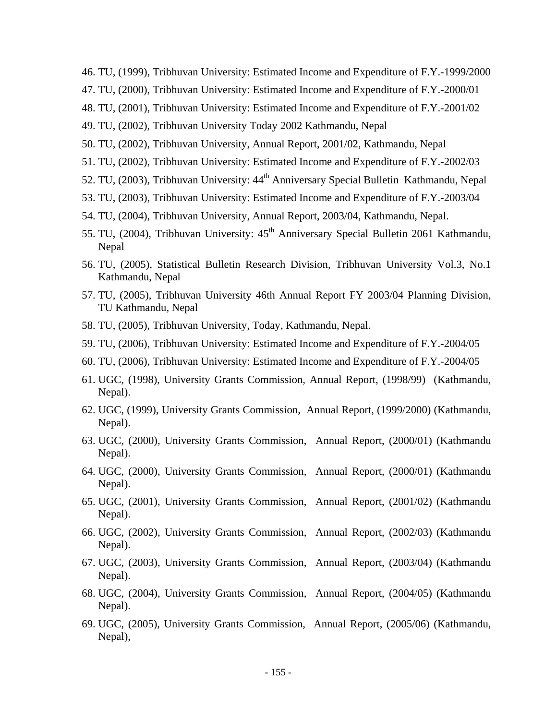- 46. TU, (1999), Tribhuvan University: Estimated Income and Expenditure of F.Y.-1999/2000
- 47. TU, (2000), Tribhuvan University: Estimated Income and Expenditure of F.Y.-2000/01
- 48. TU, (2001), Tribhuvan University: Estimated Income and Expenditure of F.Y.-2001/02
- 49. TU, (2002), Tribhuvan University Today 2002 Kathmandu, Nepal
- 50. TU, (2002), Tribhuvan University, Annual Report, 2001/02, Kathmandu, Nepal
- 51. TU, (2002), Tribhuvan University: Estimated Income and Expenditure of F.Y.-2002/03
- 52. TU, (2003), Tribhuvan University: 44<sup>th</sup> Anniversary Special Bulletin Kathmandu, Nepal
- 53. TU, (2003), Tribhuvan University: Estimated Income and Expenditure of F.Y.-2003/04
- 54. TU, (2004), Tribhuvan University, Annual Report, 2003/04, Kathmandu, Nepal.
- 55. TU, (2004), Tribhuvan University: 45<sup>th</sup> Anniversary Special Bulletin 2061 Kathmandu, Nepal
- 56. TU, (2005), Statistical Bulletin Research Division, Tribhuvan University Vol.3, No.1 Kathmandu, Nepal
- 57. TU, (2005), Tribhuvan University 46th Annual Report FY 2003/04 Planning Division, TU Kathmandu, Nepal
- 58. TU, (2005), Tribhuvan University, Today, Kathmandu, Nepal.
- 59. TU, (2006), Tribhuvan University: Estimated Income and Expenditure of F.Y.-2004/05
- 60. TU, (2006), Tribhuvan University: Estimated Income and Expenditure of F.Y.-2004/05
- 61. UGC, (1998), University Grants Commission, Annual Report, (1998/99) (Kathmandu, Nepal).
- 62. UGC, (1999), University Grants Commission, Annual Report, (1999/2000) (Kathmandu, Nepal).
- 63. UGC, (2000), University Grants Commission, Annual Report, (2000/01) (Kathmandu Nepal).
- 64. UGC, (2000), University Grants Commission, Annual Report, (2000/01) (Kathmandu Nepal).
- 65. UGC, (2001), University Grants Commission, Annual Report, (2001/02) (Kathmandu Nepal).
- 66. UGC, (2002), University Grants Commission, Annual Report, (2002/03) (Kathmandu Nepal).
- 67. UGC, (2003), University Grants Commission, Annual Report, (2003/04) (Kathmandu Nepal).
- 68. UGC, (2004), University Grants Commission, Annual Report, (2004/05) (Kathmandu Nepal).
- 69. UGC, (2005), University Grants Commission, Annual Report, (2005/06) (Kathmandu, Nepal),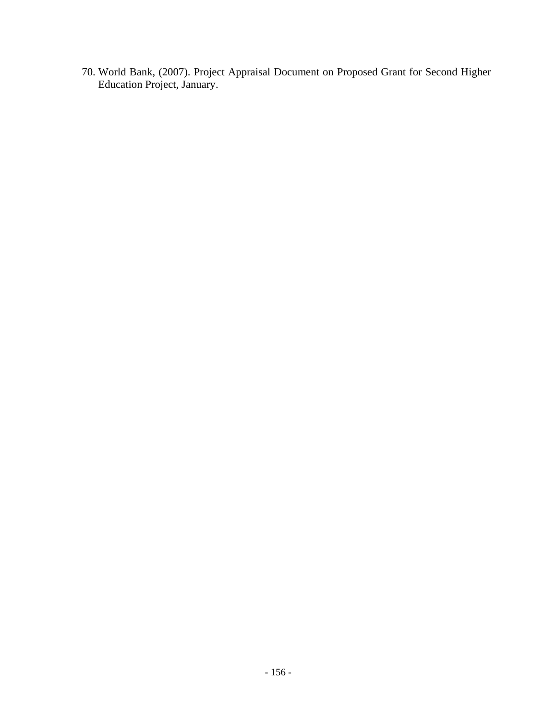70. World Bank, (2007). Project Appraisal Document on Proposed Grant for Second Higher Education Project, January.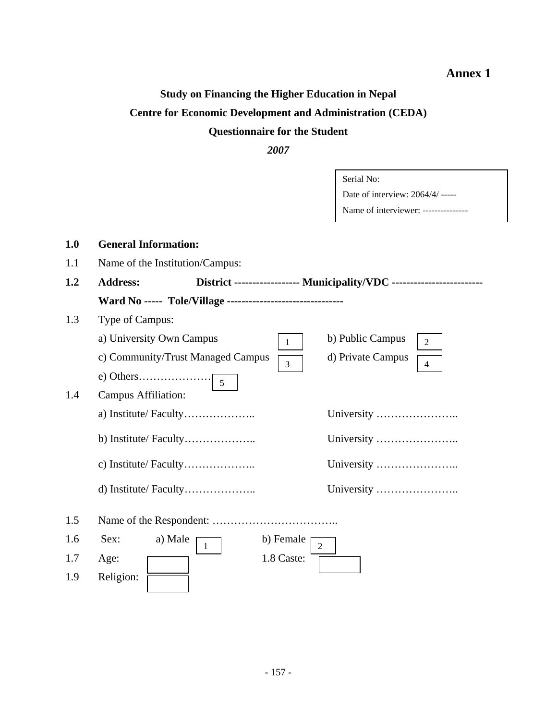## **Annex 1**

# **Study on Financing the Higher Education in Nepal Centre for Economic Development and Administration (CEDA) Questionnaire for the Student**

*2007* 

|     |                                                                | Serial No:                                                             |
|-----|----------------------------------------------------------------|------------------------------------------------------------------------|
|     |                                                                | Date of interview: 2064/4/ -----                                       |
|     |                                                                | Name of interviewer: ---------------                                   |
|     |                                                                |                                                                        |
| 1.0 | <b>General Information:</b>                                    |                                                                        |
| 1.1 | Name of the Institution/Campus:                                |                                                                        |
| 1.2 | <b>Address:</b>                                                | District ------------------ Municipality/VDC ------------------------- |
|     | Ward No ----- Tole/Village --------------------------------    |                                                                        |
| 1.3 | Type of Campus:                                                |                                                                        |
|     | a) University Own Campus<br>$\mathbf{1}$                       | b) Public Campus<br>$\overline{2}$                                     |
|     | c) Community/Trust Managed Campus<br>$\overline{3}$            | d) Private Campus<br>$\overline{4}$                                    |
|     | e) Others<br>$\overline{5}$                                    |                                                                        |
| 1.4 | <b>Campus Affiliation:</b>                                     |                                                                        |
|     |                                                                |                                                                        |
|     | b) Institute/ Faculty                                          | University                                                             |
|     |                                                                |                                                                        |
|     |                                                                | University                                                             |
| 1.5 |                                                                |                                                                        |
| 1.6 | a) Male<br>Sex:<br>b) Female<br>$\overline{2}$<br>$\mathbf{1}$ |                                                                        |
| 1.7 | 1.8 Caste:<br>Age:                                             |                                                                        |
| 1.9 | Religion:                                                      |                                                                        |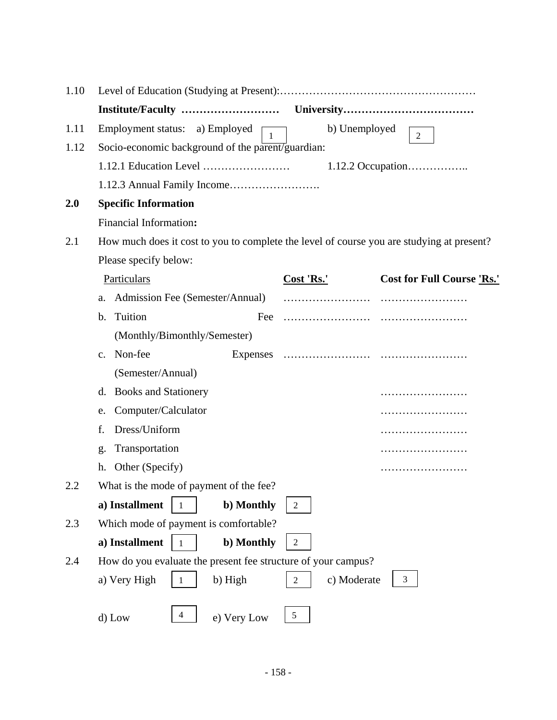| 1.10 |                                                                                           |                               |                                   |  |  |  |
|------|-------------------------------------------------------------------------------------------|-------------------------------|-----------------------------------|--|--|--|
|      |                                                                                           |                               |                                   |  |  |  |
| 1.11 | Employment status: a) Employed<br>$\mathbf{1}$                                            | b) Unemployed                 | $\overline{2}$                    |  |  |  |
| 1.12 | Socio-economic background of the parent/guardian:                                         |                               |                                   |  |  |  |
|      |                                                                                           |                               |                                   |  |  |  |
|      |                                                                                           |                               |                                   |  |  |  |
| 2.0  | <b>Specific Information</b>                                                               |                               |                                   |  |  |  |
|      | Financial Information:                                                                    |                               |                                   |  |  |  |
| 2.1  | How much does it cost to you to complete the level of course you are studying at present? |                               |                                   |  |  |  |
|      | Please specify below:                                                                     |                               |                                   |  |  |  |
|      | Particulars                                                                               | Cost 'Rs.'                    | <b>Cost for Full Course 'Rs.'</b> |  |  |  |
|      | Admission Fee (Semester/Annual)<br>a.                                                     |                               |                                   |  |  |  |
|      | Tuition<br>$\mathbf b$ .<br>Fee                                                           |                               |                                   |  |  |  |
|      | (Monthly/Bimonthly/Semester)                                                              |                               |                                   |  |  |  |
|      | Non-fee<br>Expenses<br>$C_{\bullet}$                                                      |                               |                                   |  |  |  |
|      | (Semester/Annual)                                                                         |                               |                                   |  |  |  |
|      | <b>Books and Stationery</b><br>d.                                                         |                               |                                   |  |  |  |
|      | Computer/Calculator<br>e.                                                                 |                               |                                   |  |  |  |
|      | Dress/Uniform<br>f.                                                                       |                               |                                   |  |  |  |
|      | Transportation<br>g.                                                                      |                               |                                   |  |  |  |
|      | Other (Specify)<br>h.                                                                     |                               |                                   |  |  |  |
| 2.2  | What is the mode of payment of the fee?                                                   |                               |                                   |  |  |  |
|      | a) Installment<br>b) Monthly                                                              | $\overline{2}$                |                                   |  |  |  |
| 2.3  | Which mode of payment is comfortable?                                                     |                               |                                   |  |  |  |
|      | a) Installment<br>b) Monthly                                                              | $\overline{2}$                |                                   |  |  |  |
| 2.4  | How do you evaluate the present fee structure of your campus?                             |                               |                                   |  |  |  |
|      | a) Very High<br>b) High<br>$\mathbf{1}$                                                   | c) Moderate<br>$\overline{2}$ | 3                                 |  |  |  |
|      |                                                                                           |                               |                                   |  |  |  |
|      | 4<br>e) Very Low<br>d) Low                                                                | $\mathfrak s$                 |                                   |  |  |  |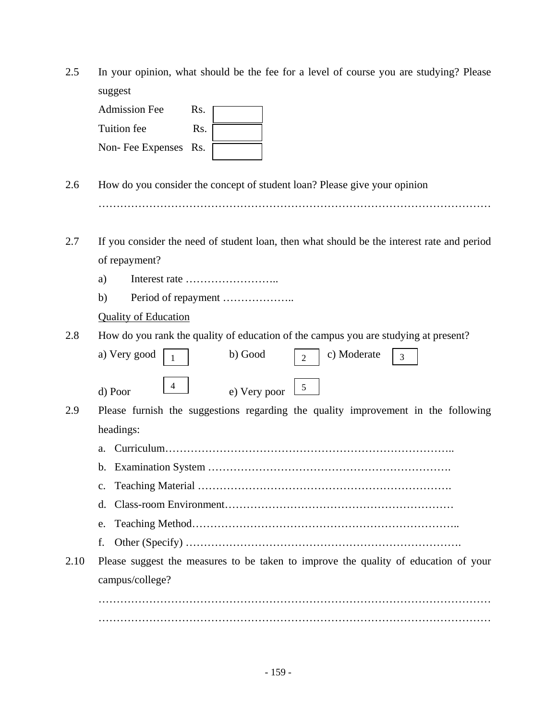2.5 In your opinion, what should be the fee for a level of course you are studying? Please suggest

| <b>Admission Fee</b> | Rs. |  |
|----------------------|-----|--|
| Tuition fee          | Rs. |  |
| Non-Fee Expenses Rs. |     |  |

- 2.6 How do you consider the concept of student loan? Please give your opinion ………………………………………………………………………………………………
- 2.7 If you consider the need of student loan, then what should be the interest rate and period of repayment?
	- a) Interest rate ……………………..
	- b) Period of repayment …………………..

#### Quality of Education

2.8 How do you rank the quality of education of the campus you are studying at present?

| a) Very good | b) Good      | c) Moderate | $\overline{\phantom{a}}$ |  |
|--------------|--------------|-------------|--------------------------|--|
| d) Poor      | e) Very poor |             |                          |  |

- 2.9 Please furnish the suggestions regarding the quality improvement in the following headings:
	- a. Curriculum……………………………………………………………………..
	- b. Examination System ………………………………………………………….
	- c. Teaching Material …………………………………………………………….
	- d. Class-room Environment………………………………………………………
	- e. Teaching Method………………………………………………………………..
	- f. Other (Specify) ………………………………………………………………….
- 2.10 Please suggest the measures to be taken to improve the quality of education of your campus/college?

……………………………………………………………………………………………… ………………………………………………………………………………………………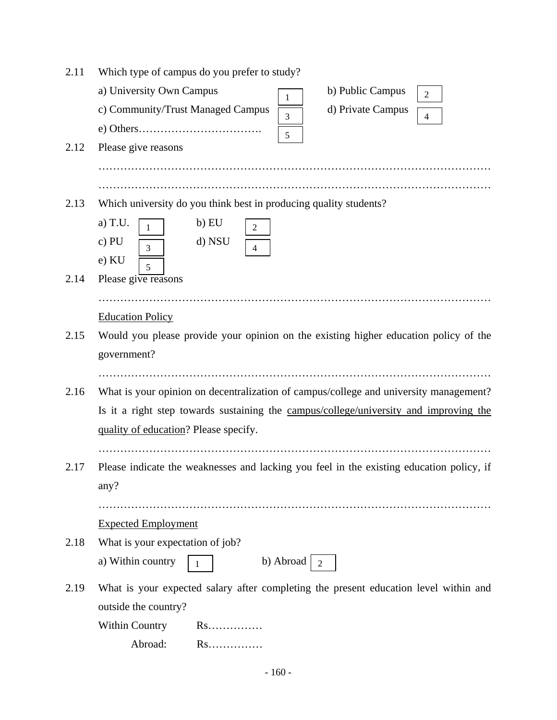| 2.11 | Which type of campus do you prefer to study?                                               |  |  |  |  |  |
|------|--------------------------------------------------------------------------------------------|--|--|--|--|--|
|      | a) University Own Campus<br>b) Public Campus<br>$\overline{2}$<br>1                        |  |  |  |  |  |
|      | c) Community/Trust Managed Campus<br>d) Private Campus<br>$\overline{3}$<br>$\overline{4}$ |  |  |  |  |  |
|      | 5                                                                                          |  |  |  |  |  |
| 2.12 | Please give reasons                                                                        |  |  |  |  |  |
|      |                                                                                            |  |  |  |  |  |
|      |                                                                                            |  |  |  |  |  |
| 2.13 | Which university do you think best in producing quality students?                          |  |  |  |  |  |
|      | a) T.U.<br>b) EU<br>$\overline{2}$<br>$\mathbf{1}$                                         |  |  |  |  |  |
|      | $c)$ PU<br>d) NSU<br>$\overline{3}$<br>$\overline{4}$                                      |  |  |  |  |  |
|      | e) KU<br>5                                                                                 |  |  |  |  |  |
| 2.14 | Please give reasons                                                                        |  |  |  |  |  |
|      |                                                                                            |  |  |  |  |  |
|      | <b>Education Policy</b>                                                                    |  |  |  |  |  |
| 2.15 | Would you please provide your opinion on the existing higher education policy of the       |  |  |  |  |  |
|      | government?                                                                                |  |  |  |  |  |
|      |                                                                                            |  |  |  |  |  |
| 2.16 | What is your opinion on decentralization of campus/college and university management?      |  |  |  |  |  |
|      | Is it a right step towards sustaining the campus/college/university and improving the      |  |  |  |  |  |
|      | quality of education? Please specify.                                                      |  |  |  |  |  |
|      |                                                                                            |  |  |  |  |  |
| 2.17 | Please indicate the weaknesses and lacking you feel in the existing education policy, if   |  |  |  |  |  |
|      | any?                                                                                       |  |  |  |  |  |
|      |                                                                                            |  |  |  |  |  |
|      | <b>Expected Employment</b>                                                                 |  |  |  |  |  |
| 2.18 | What is your expectation of job?                                                           |  |  |  |  |  |
|      | a) Within country<br>b) Abroad<br>$\overline{2}$<br>1                                      |  |  |  |  |  |
| 2.19 | What is your expected salary after completing the present education level within and       |  |  |  |  |  |
|      | outside the country?                                                                       |  |  |  |  |  |
|      | <b>Within Country</b><br>$Rs.\dots\dots$                                                   |  |  |  |  |  |
|      | $Rs.\dots\dots$<br>Abroad:                                                                 |  |  |  |  |  |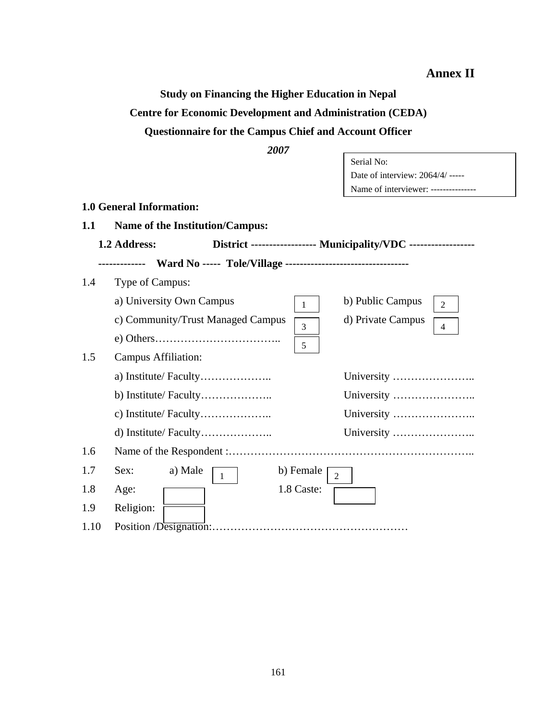**Annex II**

**Study on Financing the Higher Education in Nepal Centre for Economic Development and Administration (CEDA) Questionnaire for the Campus Chief and Account Officer** 

*2007* 

|      | 2007                                                          |                                                                 |
|------|---------------------------------------------------------------|-----------------------------------------------------------------|
|      |                                                               | Serial No:                                                      |
|      |                                                               | Date of interview: 2064/4/ -----                                |
|      |                                                               | Name of interviewer: ---------------                            |
|      | 1.0 General Information:                                      |                                                                 |
| 1.1  | Name of the Institution/Campus:                               |                                                                 |
|      | 1.2 Address:                                                  | District ------------------ Municipality/VDC ------------------ |
|      | Ward No ----- Tole/Village ---------------------------------- |                                                                 |
| 1.4  | Type of Campus:                                               |                                                                 |
|      | a) University Own Campus<br>$\mathbf{1}$                      | b) Public Campus<br>$\overline{2}$                              |
|      | c) Community/Trust Managed Campus<br>$\overline{3}$           | d) Private Campus<br>$\overline{4}$                             |
|      | 5                                                             |                                                                 |
| 1.5  | <b>Campus Affiliation:</b>                                    |                                                                 |
|      | a) Institute/ Faculty                                         | University                                                      |
|      |                                                               |                                                                 |
|      |                                                               | University                                                      |
|      |                                                               |                                                                 |
| 1.6  |                                                               |                                                                 |
| 1.7  | Sex:<br>a) Male<br>b) Female<br>$\mathbf{1}$                  | $\overline{2}$                                                  |
| 1.8  | 1.8 Caste:<br>Age:                                            |                                                                 |
| 1.9  | Religion:                                                     |                                                                 |
| 1.10 |                                                               |                                                                 |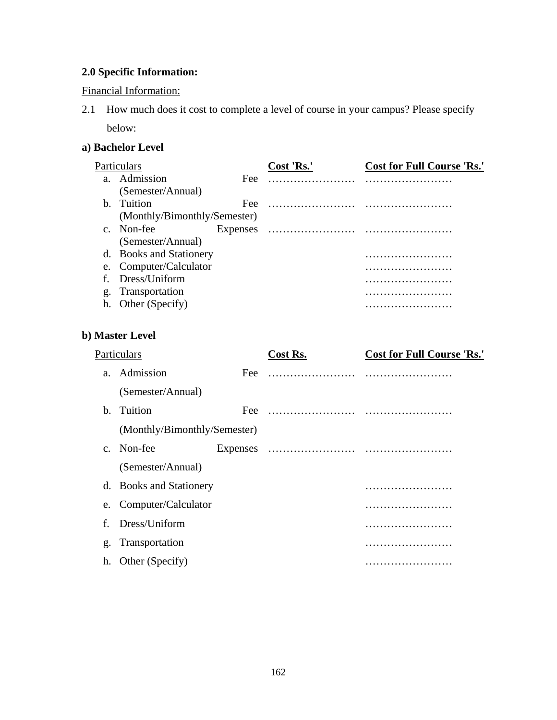## **2.0 Specific Information:**

#### Financial Information:

2.1 How much does it cost to complete a level of course in your campus? Please specify below:

## **a) Bachelor Level**

|              | Particulars                  |          | Cost 'Rs.' | <b>Cost for Full Course 'Rs.'</b> |
|--------------|------------------------------|----------|------------|-----------------------------------|
| $\mathbf{a}$ | Admission                    | Fee      |            |                                   |
|              | (Semester/Annual)            |          |            |                                   |
| b.           | Tuition                      | Fee:     | .          |                                   |
|              | (Monthly/Bimonthly/Semester) |          |            |                                   |
| $C_{\cdot}$  | Non-fee                      | Expenses |            |                                   |
|              | (Semester/Annual)            |          |            |                                   |
| d.           | <b>Books and Stationery</b>  |          |            |                                   |
| e.           | Computer/Calculator          |          |            |                                   |
| f            | Dress/Uniform                |          |            |                                   |
| g.           | Transportation               |          |            | .                                 |
| h.           | Other (Specify)              |          |            |                                   |

#### **b) Master Level**

|         | Particulars                  |     | Cost Rs. | <b>Cost for Full Course 'Rs.'</b> |
|---------|------------------------------|-----|----------|-----------------------------------|
| a.      | Admission                    | Fee |          |                                   |
|         | (Semester/Annual)            |     |          |                                   |
| $h_{-}$ | Tuition                      | Fee |          |                                   |
|         | (Monthly/Bimonthly/Semester) |     |          |                                   |
| $C_{-}$ | Non-fee                      |     |          |                                   |
|         | (Semester/Annual)            |     |          |                                   |
|         | d. Books and Stationery      |     |          | .                                 |
| e.      | Computer/Calculator          |     |          |                                   |
| f       | Dress/Uniform                |     |          |                                   |
| g.      | Transportation               |     |          |                                   |
| h.      | Other (Specify)              |     |          |                                   |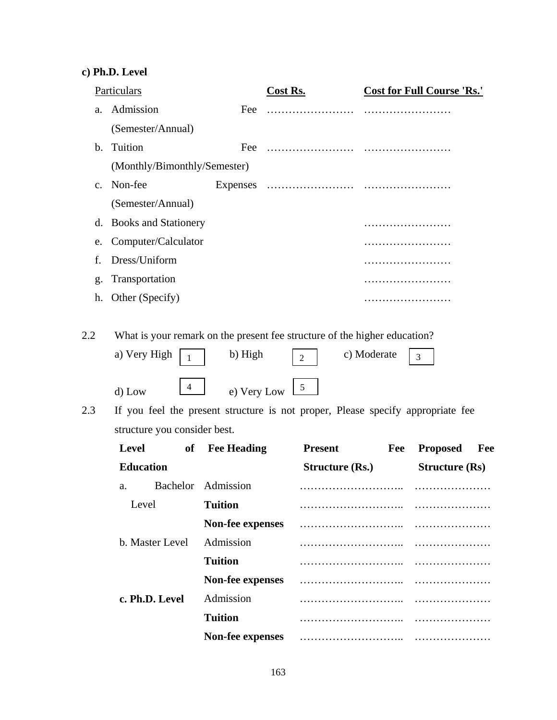## **c) Ph.D. Level**

|                | Particulars                                                                                                                                                                       |                                      | <b>Cost Rs.</b>                                    |     | <b>Cost for Full Course 'Rs.'</b> |     |
|----------------|-----------------------------------------------------------------------------------------------------------------------------------------------------------------------------------|--------------------------------------|----------------------------------------------------|-----|-----------------------------------|-----|
| a.             | Admission                                                                                                                                                                         | Fee                                  | .                                                  |     |                                   |     |
|                | (Semester/Annual)                                                                                                                                                                 |                                      |                                                    |     |                                   |     |
| $\mathbf{b}$ . | Tuition                                                                                                                                                                           | Fee                                  |                                                    |     |                                   |     |
|                | (Monthly/Bimonthly/Semester)                                                                                                                                                      |                                      |                                                    |     |                                   |     |
| $C_{\bullet}$  | Non-fee                                                                                                                                                                           |                                      |                                                    |     |                                   |     |
|                | (Semester/Annual)                                                                                                                                                                 |                                      |                                                    |     |                                   |     |
| d.             | <b>Books and Stationery</b>                                                                                                                                                       |                                      |                                                    |     |                                   |     |
| e.             | Computer/Calculator                                                                                                                                                               |                                      |                                                    |     |                                   |     |
| f.             | Dress/Uniform                                                                                                                                                                     |                                      |                                                    |     |                                   |     |
| g.             | Transportation                                                                                                                                                                    |                                      |                                                    |     |                                   |     |
| h.             | Other (Specify)                                                                                                                                                                   |                                      |                                                    |     | .                                 |     |
| 2.3            | $\mathbf{1}$<br>$\overline{4}$<br>d) Low<br>If you feel the present structure is not proper, Please specify appropriate fee<br>structure you consider best.<br><b>Level</b><br>of | e) Very Low<br><b>Fee Heading</b>    | $\overline{2}$<br>$\mathfrak{S}$<br><b>Present</b> | Fee | $\overline{3}$<br><b>Proposed</b> | Fee |
|                | <b>Education</b>                                                                                                                                                                  |                                      | <b>Structure (Rs.)</b>                             |     |                                   |     |
|                |                                                                                                                                                                                   |                                      |                                                    |     | <b>Structure (Rs)</b>             |     |
|                | a.                                                                                                                                                                                | Bachelor Admission<br><b>Tuition</b> |                                                    |     |                                   |     |
|                | Level                                                                                                                                                                             |                                      |                                                    |     |                                   |     |
|                | b. Master Level                                                                                                                                                                   | Non-fee expenses<br>Admission        |                                                    |     |                                   |     |
|                |                                                                                                                                                                                   | <b>Tuition</b>                       |                                                    |     |                                   |     |
|                |                                                                                                                                                                                   |                                      |                                                    |     |                                   |     |
|                |                                                                                                                                                                                   | <b>Non-fee expenses</b>              |                                                    |     |                                   |     |
|                | c. Ph.D. Level                                                                                                                                                                    | Admission                            |                                                    |     |                                   |     |
|                |                                                                                                                                                                                   | <b>Tuition</b>                       |                                                    |     |                                   |     |

**Non-fee expenses** ……………………….. …………………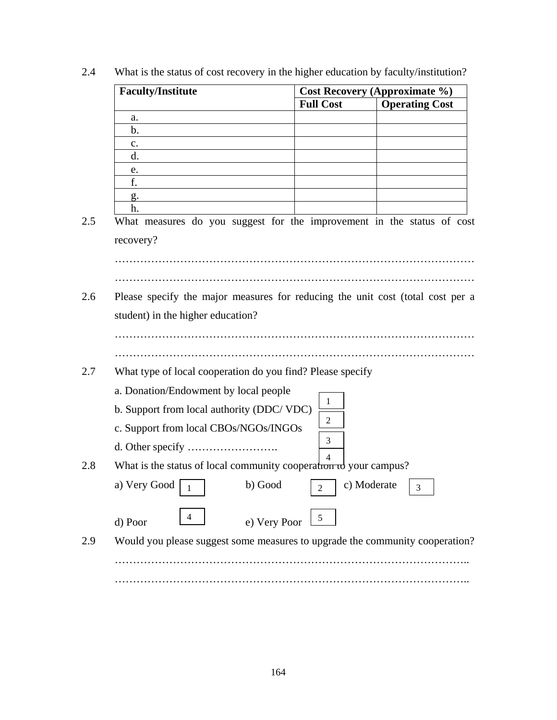| <b>Cost Recovery (Approximate %)</b>                       |                                                                   |                                                                                |  |
|------------------------------------------------------------|-------------------------------------------------------------------|--------------------------------------------------------------------------------|--|
| <b>Full Cost</b>                                           |                                                                   | <b>Operating Cost</b>                                                          |  |
|                                                            |                                                                   |                                                                                |  |
|                                                            |                                                                   |                                                                                |  |
|                                                            |                                                                   |                                                                                |  |
|                                                            |                                                                   |                                                                                |  |
|                                                            |                                                                   |                                                                                |  |
|                                                            |                                                                   |                                                                                |  |
|                                                            |                                                                   |                                                                                |  |
|                                                            |                                                                   | What measures do you suggest for the improvement in the status of cost         |  |
|                                                            |                                                                   |                                                                                |  |
|                                                            |                                                                   |                                                                                |  |
|                                                            |                                                                   |                                                                                |  |
|                                                            |                                                                   |                                                                                |  |
|                                                            |                                                                   | Please specify the major measures for reducing the unit cost (total cost per a |  |
|                                                            |                                                                   |                                                                                |  |
|                                                            |                                                                   |                                                                                |  |
|                                                            |                                                                   |                                                                                |  |
|                                                            |                                                                   |                                                                                |  |
| What type of local cooperation do you find? Please specify |                                                                   |                                                                                |  |
|                                                            |                                                                   |                                                                                |  |
| 1                                                          |                                                                   |                                                                                |  |
| 2                                                          |                                                                   |                                                                                |  |
|                                                            |                                                                   |                                                                                |  |
| 3                                                          |                                                                   |                                                                                |  |
| $\Delta$                                                   |                                                                   |                                                                                |  |
|                                                            | What is the status of local community cooperation to your campus? |                                                                                |  |
|                                                            |                                                                   | a) Very Good $\boxed{1}$ b) Good $\boxed{2}$ c) Moderate $\boxed{3}$           |  |
| 5                                                          |                                                                   |                                                                                |  |
|                                                            |                                                                   | Would you please suggest some measures to upgrade the community cooperation?   |  |
|                                                            |                                                                   |                                                                                |  |
|                                                            |                                                                   |                                                                                |  |
|                                                            |                                                                   |                                                                                |  |

2.4 What is the status of cost recovery in the higher education by faculty/institution?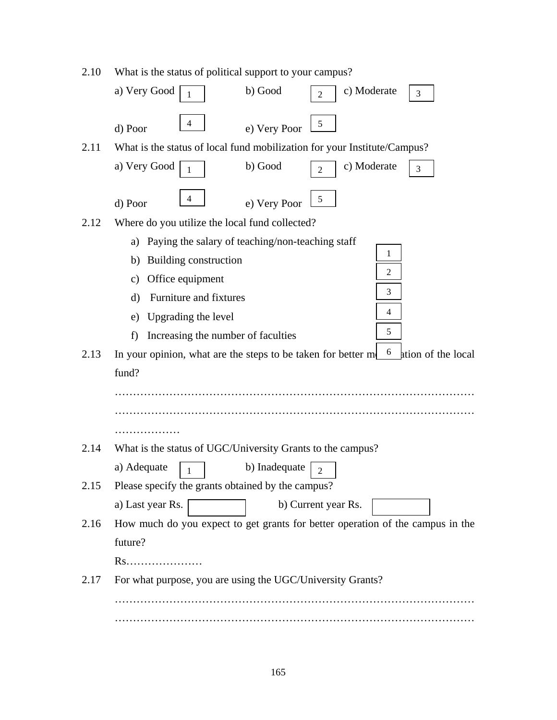| 2.10 | What is the status of political support to your campus?                                 |  |  |  |  |
|------|-----------------------------------------------------------------------------------------|--|--|--|--|
|      | a) Very Good<br>b) Good<br>c) Moderate<br>3<br>$\overline{2}$                           |  |  |  |  |
|      | 4<br>5<br>e) Very Poor<br>d) Poor                                                       |  |  |  |  |
| 2.11 | What is the status of local fund mobilization for your Institute/Campus?                |  |  |  |  |
|      | b) Good<br>c) Moderate<br>a) Very Good<br>3<br>$\overline{2}$                           |  |  |  |  |
|      | 4<br>5<br>e) Very Poor<br>d) Poor                                                       |  |  |  |  |
| 2.12 | Where do you utilize the local fund collected?                                          |  |  |  |  |
|      | Paying the salary of teaching/non-teaching staff<br>a)                                  |  |  |  |  |
|      | 1<br>Building construction<br>b)                                                        |  |  |  |  |
|      | 2<br>Office equipment<br>$\mathbf{c})$                                                  |  |  |  |  |
|      | 3<br>Furniture and fixtures<br>d)                                                       |  |  |  |  |
|      | 4<br>Upgrading the level<br>e)                                                          |  |  |  |  |
|      | 5<br>Increasing the number of faculties<br>f)                                           |  |  |  |  |
| 2.13 | 6<br>In your opinion, what are the steps to be taken for better m<br>ation of the local |  |  |  |  |
|      | fund?                                                                                   |  |  |  |  |
|      |                                                                                         |  |  |  |  |
|      |                                                                                         |  |  |  |  |
|      |                                                                                         |  |  |  |  |
| 2.14 | What is the status of UGC/University Grants to the campus?                              |  |  |  |  |
|      | b) Inadequate<br>a) Adequate<br>$\sqrt{2}$<br>1                                         |  |  |  |  |
| 2.15 | Please specify the grants obtained by the campus?                                       |  |  |  |  |
|      | b) Current year Rs.<br>a) Last year Rs.                                                 |  |  |  |  |
| 2.16 | How much do you expect to get grants for better operation of the campus in the          |  |  |  |  |
|      | future?                                                                                 |  |  |  |  |
|      | Rs                                                                                      |  |  |  |  |
| 2.17 | For what purpose, you are using the UGC/University Grants?                              |  |  |  |  |
|      |                                                                                         |  |  |  |  |
|      |                                                                                         |  |  |  |  |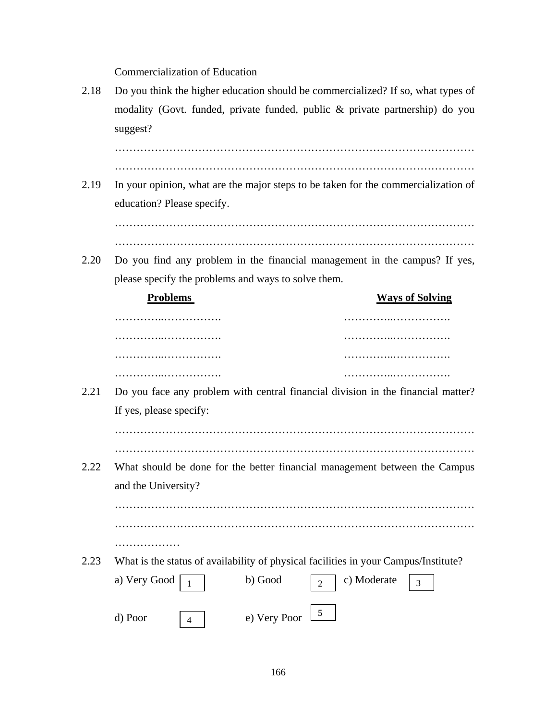Commercialization of Education

2.18 Do you think the higher education should be commercialized? If so, what types of modality (Govt. funded, private funded, public & private partnership) do you suggest? ……………………………………………………………………………………… ……………………………………………………………………………………… 2.19 In your opinion, what are the major steps to be taken for the commercialization of education? Please specify. ……………………………………………………………………………………… ……………………………………………………………………………………… 2.20 Do you find any problem in the financial management in the campus? If yes, please specify the problems and ways to solve them. **Problems** Ways of Solving …………..……………. …………..……………. …………..……………. …………..……………. …………..……………. …………..……………. …………..……………. …………..……………. 2.21 Do you face any problem with central financial division in the financial matter? If yes, please specify: ……………………………………………………………………………………… ……………………………………………………………………………………… 2.22 What should be done for the better financial management between the Campus and the University? ……………………………………………………………………………………… ……………………………………………………………………………………… ………………… 2.23 What is the status of availability of physical facilities in your Campus/Institute? a) Very Good  $\boxed{1}$  b) Good  $\boxed{2}$ d) Poor  $\boxed{4}$  e) Very Poor c) Moderate  $\begin{array}{|c|c|}$  3 4 5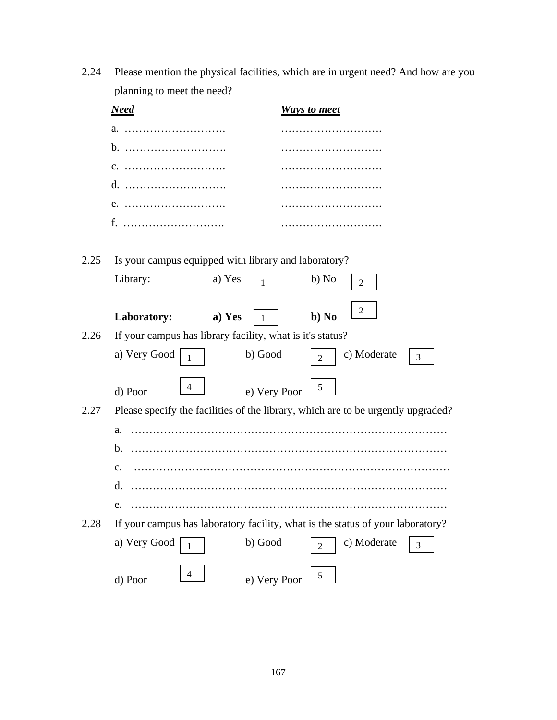2.24 Please mention the physical facilities, which are in urgent need? And how are you planning to meet the need?

|      | <b>Need</b>                                                                      |              | <b>Ways to meet</b> |             |                |  |  |
|------|----------------------------------------------------------------------------------|--------------|---------------------|-------------|----------------|--|--|
|      | a.                                                                               |              |                     |             |                |  |  |
|      | $b.$                                                                             |              |                     |             |                |  |  |
|      | C.                                                                               |              |                     |             |                |  |  |
|      | d.                                                                               |              |                     |             |                |  |  |
|      | $e.$                                                                             |              |                     |             |                |  |  |
|      | f.                                                                               |              |                     |             |                |  |  |
| 2.25 | Is your campus equipped with library and laboratory?<br>Library:                 | a) Yes<br>1  | b) No               | 2           |                |  |  |
|      | Laboratory:                                                                      | a) Yes<br>1  | $b$ ) No            | 2           |                |  |  |
| 2.26 | If your campus has library facility, what is it's status?                        |              |                     |             |                |  |  |
|      | a) Very Good<br>1                                                                | b) Good      | $\mathfrak{D}$      | c) Moderate | 3              |  |  |
|      | 4<br>d) Poor                                                                     | e) Very Poor | 5                   |             |                |  |  |
| 2.27 | Please specify the facilities of the library, which are to be urgently upgraded? |              |                     |             |                |  |  |
|      | a.                                                                               |              |                     |             |                |  |  |
|      | b.                                                                               |              |                     |             |                |  |  |
|      | $\mathbf{c}$ .                                                                   |              |                     |             |                |  |  |
|      | d.                                                                               |              |                     |             |                |  |  |
| e.   |                                                                                  |              |                     |             |                |  |  |
| 2.28 | If your campus has laboratory facility, what is the status of your laboratory?   |              |                     |             |                |  |  |
|      | a) Very Good<br>1                                                                | b) Good      | $\overline{2}$      | c) Moderate | $\mathfrak{Z}$ |  |  |
|      | 4<br>d) Poor                                                                     | e) Very Poor | 5                   |             |                |  |  |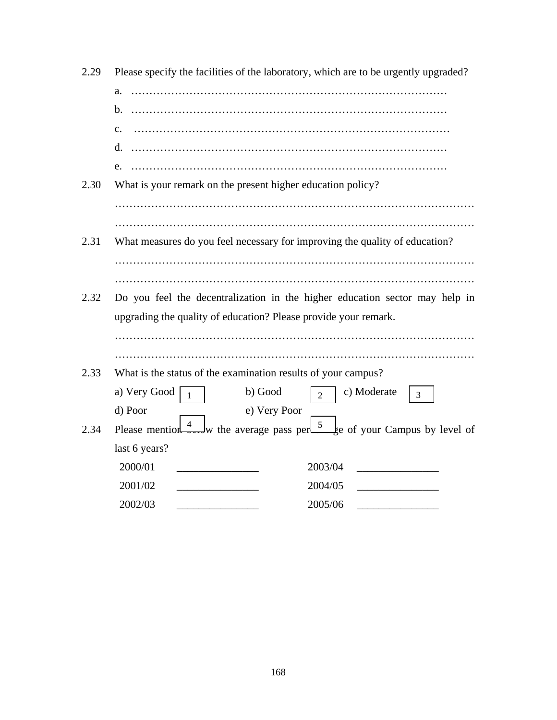| 2.29 | Please specify the facilities of the laboratory, which are to be urgently upgraded?            |
|------|------------------------------------------------------------------------------------------------|
|      | a.                                                                                             |
|      |                                                                                                |
|      | $\mathbf{c}$ .                                                                                 |
|      |                                                                                                |
|      | e.                                                                                             |
| 2.30 | What is your remark on the present higher education policy?                                    |
|      |                                                                                                |
|      |                                                                                                |
| 2.31 | What measures do you feel necessary for improving the quality of education?                    |
|      |                                                                                                |
|      |                                                                                                |
| 2.32 | Do you feel the decentralization in the higher education sector may help in                    |
|      | upgrading the quality of education? Please provide your remark.                                |
|      |                                                                                                |
|      |                                                                                                |
| 2.33 | What is the status of the examination results of your campus?                                  |
|      | b) Good<br>c) Moderate<br>a) Very Good<br>$\overline{2}$<br>$\mathbf{1}$<br>3                  |
|      | d) Poor<br>e) Very Poor                                                                        |
| 2.34 | Please mention $\frac{4}{3}$ w the average pass per $\frac{5}{3}$ e of your Campus by level of |
|      | last 6 years?                                                                                  |
|      | 2000/01<br>2003/04                                                                             |
|      | 2001/02<br>2004/05                                                                             |
|      | 2002/03<br>2005/06                                                                             |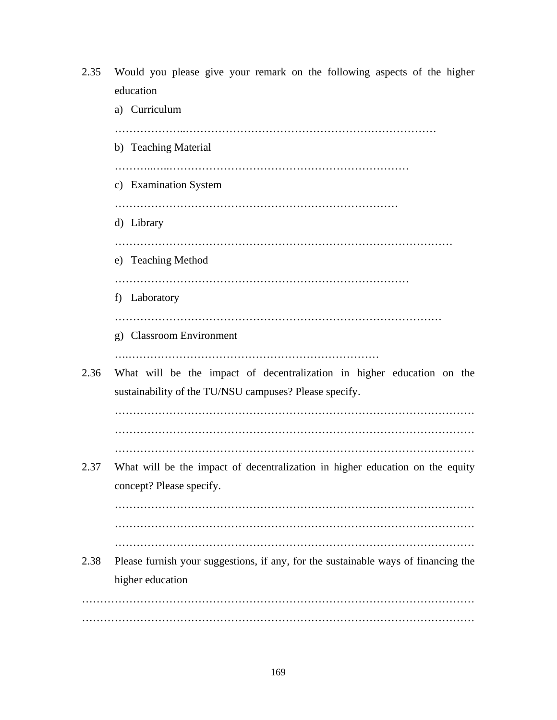2.35 Would you please give your remark on the following aspects of the higher education a) Curriculum ………………..…………………………………………………………… b) Teaching Material ………..…..………………………………………………………… c) Examination System …………………………………………………………………… d) Library ………………………………………………………………………………… e) Teaching Method ……………………………………………………………………… f) Laboratory ……………………………………………………………………………… g) Classroom Environment ….…………………………………………………………… 2.36 What will be the impact of decentralization in higher education on the sustainability of the TU/NSU campuses? Please specify. ……………………………………………………………………………………… ……………………………………………………………………………………… ……………………………………………………………………………………… 2.37 What will be the impact of decentralization in higher education on the equity concept? Please specify. ……………………………………………………………………………………… ……………………………………………………………………………………… ……………………………………………………………………………………… 2.38 Please furnish your suggestions, if any, for the sustainable ways of financing the higher education ……………………………………………………………………………………………… ………………………………………………………………………………………………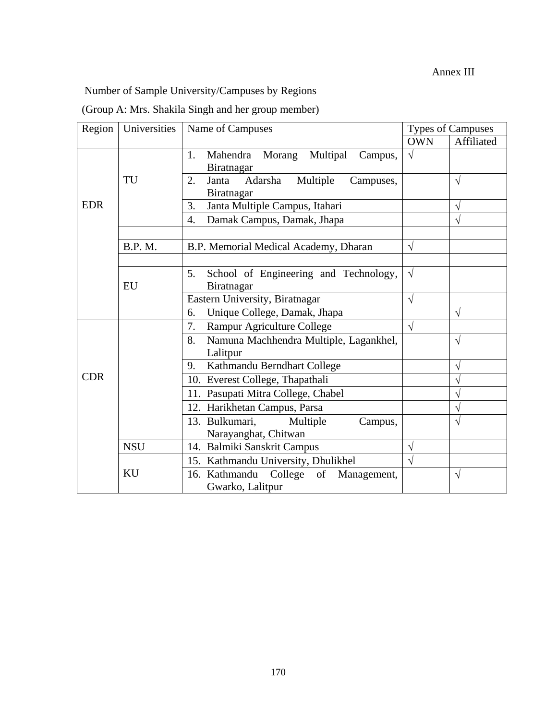## Annex III

Number of Sample University/Campuses by Regions

|  |  |  | (Group A: Mrs. Shakila Singh and her group member) |
|--|--|--|----------------------------------------------------|
|  |  |  |                                                    |

| Region           | Universities   | Name of Campuses                                              | <b>Types of Campuses</b> |                       |
|------------------|----------------|---------------------------------------------------------------|--------------------------|-----------------------|
|                  |                |                                                               | <b>OWN</b>               | Affiliated            |
|                  |                | Mahendra Morang Multipal<br>1.<br>Campus,<br>Biratnagar       | $\sqrt{}$                |                       |
|                  | TU             | Multiple<br>Adarsha<br>Janta<br>2.<br>Campuses,<br>Biratnagar |                          | $\sqrt{ }$            |
| <b>EDR</b>       |                | Janta Multiple Campus, Itahari<br>3.                          |                          | $\sqrt{}$             |
|                  |                | Damak Campus, Damak, Jhapa<br>$\overline{4}$ .                |                          | $\sqrt{}$             |
|                  |                |                                                               |                          |                       |
|                  | <b>B.P. M.</b> | B.P. Memorial Medical Academy, Dharan                         | $\sqrt{}$                |                       |
|                  |                |                                                               |                          |                       |
|                  | <b>EU</b>      | School of Engineering and Technology,<br>5.<br>Biratnagar     | $\sqrt{ }$               |                       |
|                  |                | Eastern University, Biratnagar                                | $\sqrt{}$                |                       |
|                  |                | Unique College, Damak, Jhapa<br>6.                            |                          | V                     |
|                  |                | Rampur Agriculture College<br>7.                              | $\sqrt{}$                |                       |
|                  |                | Namuna Machhendra Multiple, Lagankhel,<br>8.                  |                          | $\sqrt{}$             |
|                  |                | Lalitpur                                                      |                          |                       |
|                  |                | Kathmandu Berndhart College<br>9.                             |                          | V                     |
| <b>CDR</b>       |                | 10. Everest College, Thapathali                               |                          | $\overline{\sqrt{2}}$ |
|                  |                | 11. Pasupati Mitra College, Chabel                            |                          | $\sqrt{}$             |
|                  |                | 12. Harikhetan Campus, Parsa                                  |                          | $\sqrt{}$             |
|                  |                | 13. Bulkumari,<br>Multiple<br>Campus,                         |                          | V                     |
|                  |                | Narayanghat, Chitwan                                          |                          |                       |
|                  | <b>NSU</b>     | 14. Balmiki Sanskrit Campus                                   | $\sqrt{}$                |                       |
|                  |                | 15. Kathmandu University, Dhulikhel                           | $\sqrt{}$                |                       |
|                  | KU             | 16. Kathmandu College of<br>Management,                       |                          | V                     |
| Gwarko, Lalitpur |                |                                                               |                          |                       |